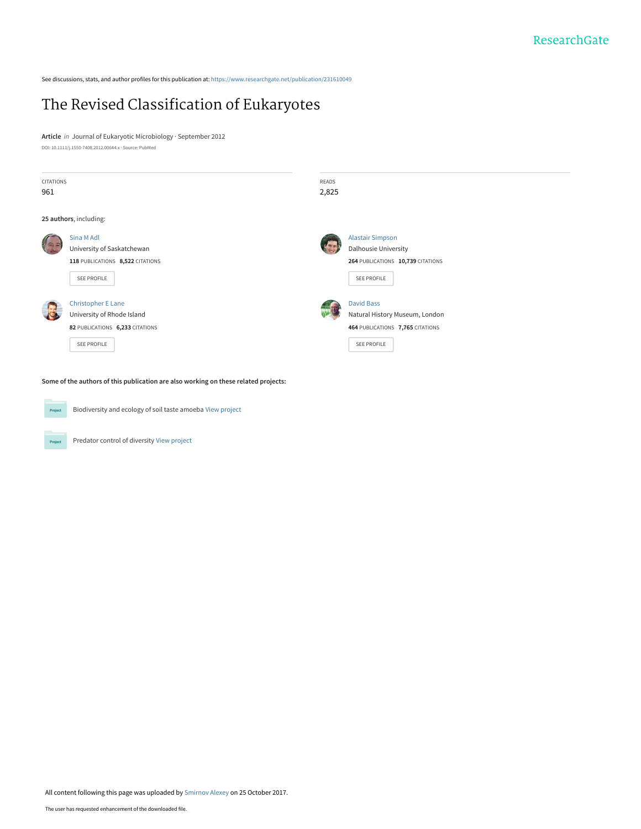See discussions, stats, and author profiles for this publication at: [https://www.researchgate.net/publication/231610049](https://www.researchgate.net/publication/231610049_The_Revised_Classification_of_Eukaryotes?enrichId=rgreq-e2a2dcda96b4d9ff9e3f1ea14e6fcea7-XXX&enrichSource=Y292ZXJQYWdlOzIzMTYxMDA0OTtBUzo1NTMzMTY2OTAxNjU3NjBAMTUwODkzMjM4Nzk2Mg%3D%3D&el=1_x_2&_esc=publicationCoverPdf)

# [The Revised Classification of Eukaryotes](https://www.researchgate.net/publication/231610049_The_Revised_Classification_of_Eukaryotes?enrichId=rgreq-e2a2dcda96b4d9ff9e3f1ea14e6fcea7-XXX&enrichSource=Y292ZXJQYWdlOzIzMTYxMDA0OTtBUzo1NTMzMTY2OTAxNjU3NjBAMTUwODkzMjM4Nzk2Mg%3D%3D&el=1_x_3&_esc=publicationCoverPdf)

**Article** in Journal of Eukaryotic Microbiology · September 2012 DOI: 10.1111/j.1550-7408.2012.00644.x · Source: PubMed

| <b>CITATIONS</b>                 | READS                             |
|----------------------------------|-----------------------------------|
| 961                              | 2,825                             |
| 25 authors, including:           |                                   |
| Sina M Adl                       | <b>Alastair Simpson</b>           |
| University of Saskatchewan       | Dalhousie University              |
| 118 PUBLICATIONS 8,522 CITATIONS | 264 PUBLICATIONS 10,739 CITATIONS |
| SEE PROFILE                      | SEE PROFILE                       |
| <b>Christopher E Lane</b>        | <b>David Bass</b>                 |
| University of Rhode Island       | Natural History Museum, London    |
| 82 PUBLICATIONS 6,233 CITATIONS  | 464 PUBLICATIONS 7,765 CITATIONS  |
| <b>SEE PROFILE</b>               | <b>SEE PROFILE</b>                |

Biodiversity and ecology of soil taste amoeba [View project](https://www.researchgate.net/project/Biodiversity-and-ecology-of-soil-taste-amoeba?enrichId=rgreq-e2a2dcda96b4d9ff9e3f1ea14e6fcea7-XXX&enrichSource=Y292ZXJQYWdlOzIzMTYxMDA0OTtBUzo1NTMzMTY2OTAxNjU3NjBAMTUwODkzMjM4Nzk2Mg%3D%3D&el=1_x_9&_esc=publicationCoverPdf) Project

Predator control of diversity [View project](https://www.researchgate.net/project/Predator-control-of-diversity?enrichId=rgreq-e2a2dcda96b4d9ff9e3f1ea14e6fcea7-XXX&enrichSource=Y292ZXJQYWdlOzIzMTYxMDA0OTtBUzo1NTMzMTY2OTAxNjU3NjBAMTUwODkzMjM4Nzk2Mg%3D%3D&el=1_x_9&_esc=publicationCoverPdf)

Project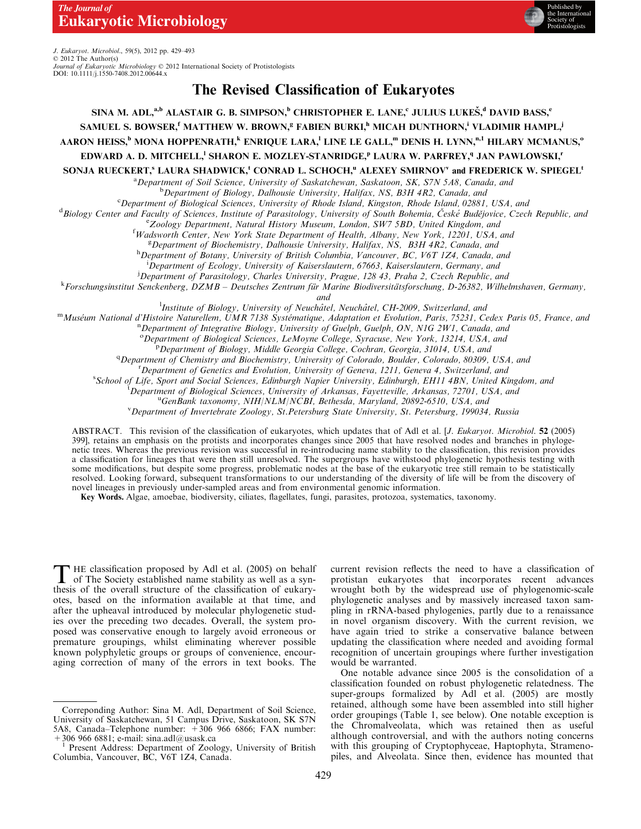

J. Eukaryot. Microbiol., 59(5), 2012 pp. 429–493 © 2012 The Author(s) Journal of Eukaryotic Microbiology © 2012 International Society of Protistologists DOI: 10.1111/j.1550-7408.2012.00644.x

## The Revised Classification of Eukaryotes

SINA M. ADL,<sup>a,b</sup> ALASTAIR G. B. SIMPSON,<sup>b</sup> CHRISTOPHER E. LANE,<sup>c</sup> JULIUS LUKEŠ,<sup>d</sup> DAVID BASS,<sup>e</sup>

SAMUEL S. BOWSER,<sup>f</sup> MATTHEW W. BROWN,<sup>g</sup> FABIEN BURKI,<sup>h</sup> MICAH DUNTHORN,<sup>i</sup> VLADIMIR HAMPL,<sup>j</sup>

AARON HEISS,<sup>b</sup> MONA HOPPENRATH,<sup>k</sup> ENRIQUE LARA,<sup>l</sup> LINE LE GALL,<sup>m</sup> DENIS H. LYNN,<sup>n,1</sup> HILARY MCMANUS,<sup>0</sup>

EDWARD A. D. MITCHELL,<sup>1</sup> SHARON E. MOZLEY-STANRIDGE,<sup>p</sup> LAURA W. PARFREY,<sup>q</sup> JAN PAWLOWSKI,<sup>r</sup>

SONJA RUECKERT,<sup>s</sup> LAURA SHADWICK,<sup>t</sup> CONRAD L. SCHOCH,<sup>u</sup> ALEXEY SMIRNOV<sup>v</sup> and FREDERICK W. SPIEGEL<sup>t</sup>

<sup>a</sup> Department of Soil Science, University of Saskatchewan, Saskatoon, SK, S7N 5A8, Canada, and<br><sup>b</sup> Department of Biology, Dalbousia University, Halifax, NS, B3H 4B2, Canada, and

<sup>b</sup>Department of Biology, Dalhousie University, Halifax, NS, B3H 4R2, Canada, and

<sup>c</sup>Department of Biological Sciences, University of Rhode Island, Kingston, Rhode Island, 02881, USA, and

Biology Center and Faculty of Sciences, Institute of Parasitology, University of South Bohemia, České Budějovice, Czech Republic, and<br>e Zoology Danastmant Natural History Museum, London, SW7 5BD, United Kingdom, and

<sup>e</sup>Zoology Department, Natural History Museum, London, SW7 5BD, United Kingdom, and

<sup>f</sup>Wadsworth Center, New York State Department of Health, Albany, New York, 12201, USA, and

<sup>g</sup>Department of Biochemistry, Dalhousie University, Halifax, NS, B3H 4R2, Canada, and

<sup>h</sup> Department of Botany, University of British Columbia, Vancouver, BC, V6T 1Z4, Canada, and

Department of Ecology, University of Kaiserslautern, 67663, Kaiserslautern, Germany, and

*i*<br>
<sup>j</sup>Department of Parasitology, Charles University, Prague, 128 43, Praha 2, Czech Republic, and<br>
<sup>k</sup>Forschwagsinstitut Sanckaphera, DZMB, Dautsches Zantrum für Marine Biodinarsitäteforschung, D. 26382, Wilhe

k Forschungsinstitut Senckenberg, DZMB – Deutsches Zentrum für Marine Biodiversitätsforschung, D-26382, Wilhelmshaven, Germany,

and<br><sup>1</sup>Institute of Biology, University of Neuchâtel, Neuchâtel, CH-2009, Switzerland, and

<sup>m</sup>Muséum National d'Histoire Naturellem, UMR 7138 Systématique, Adaptation et Evolution, Paris, 75231, Cedex Paris 05, France, and

<sup>n</sup>Department of Integrative Biology, University of Guelph, Guelph, ON, N1G 2W1, Canada, and

<sup>o</sup>Department of Biological Sciences, LeMoyne College, Syracuse, New York, 13214, USA, and<br>P Department of Biology, Middle Georgia College, Cochran, Georgia, 31014, USA, and

<sup>P</sup>Department of Biology, Middle Georgia College, Cochran, Georgia, 31014, USA, and

Department of Chemistry and Biochemistry, University of Colorado, Boulder, Colorado, 80309, USA, and <sup>r</sup>

 ${}^{L}$ Department of Genetics and Evolution, University of Geneva, 1211, Geneva 4, Switzerland, and

School of Life, Sport and Social Sciences, Edinburgh Napier University, Edinburgh, EH11 4BN, United Kingdom, and <sup>t</sup>

<sup>t</sup>Department of Biological Sciences, University of Arkansas, Fayetteville, Arkansas, 72701, USA, and

<sup>u</sup>GenBank taxonomy, NIH/NLM/NCBI, Bethesda, Maryland, 20892-6510, USA, and

<sup>V</sup>Department of Invertebrate Zoology, St.Petersburg State University, St. Petersburg, 199034, Russia

ABSTRACT. This revision of the classification of eukaryotes, which updates that of Adl et al. [J. Eukaryot. Microbiol. 52 (2005) 399], retains an emphasis on the protists and incorporates changes since 2005 that have resolved nodes and branches in phylogenetic trees. Whereas the previous revision was successful in re-introducing name stability to the classification, this revision provides a classification for lineages that were then still unresolved. The supergroups have withstood phylogenetic hypothesis testing with some modifications, but despite some progress, problematic nodes at the base of the eukaryotic tree still remain to be statistically resolved. Looking forward, subsequent transformations to our understanding of the diversity of life will be from the discovery of novel lineages in previously under-sampled areas and from environmental genomic information.

Key Words. Algae, amoebae, biodiversity, ciliates, flagellates, fungi, parasites, protozoa, systematics, taxonomy.

T HE classification proposed by Adl et al. (2005) on behalf<br>of The Society established name stability as well as a synthesis of the overall structure of the classification of eukaryotes, based on the information available at that time, and after the upheaval introduced by molecular phylogenetic studies over the preceding two decades. Overall, the system proposed was conservative enough to largely avoid erroneous or premature groupings, whilst eliminating wherever possible known polyphyletic groups or groups of convenience, encouraging correction of many of the errors in text books. The current revision reflects the need to have a classification of protistan eukaryotes that incorporates recent advances wrought both by the widespread use of phylogenomic-scale phylogenetic analyses and by massively increased taxon sampling in rRNA-based phylogenies, partly due to a renaissance in novel organism discovery. With the current revision, we have again tried to strike a conservative balance between updating the classification where needed and avoiding formal recognition of uncertain groupings where further investigation would be warranted.

One notable advance since 2005 is the consolidation of a classification founded on robust phylogenetic relatedness. The super-groups formalized by Adl et al. (2005) are mostly retained, although some have been assembled into still higher order groupings (Table 1, see below). One notable exception is the Chromalveolata, which was retained then as useful although controversial, and with the authors noting concerns with this grouping of Cryptophyceae, Haptophyta, Stramenopiles, and Alveolata. Since then, evidence has mounted that

Correponding Author: Sina M. Adl, Department of Soil Science, University of Saskatchewan, 51 Campus Drive, Saskatoon, SK S7N 5A8, Canada–Telephone number:  $+306966666$ ; FAX number:  $+3069666881$ ; e-mail: sina.adl@usask.ca

<sup>&</sup>lt;sup>1</sup> Present Address: Department of Zoology, University of British Columbia, Vancouver, BC, V6T 1Z4, Canada.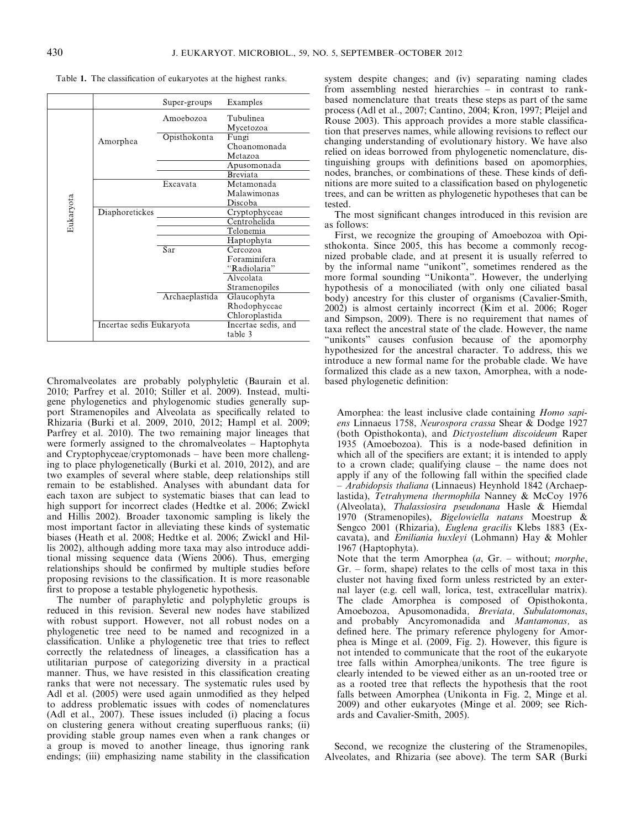Table 1. The classification of eukaryotes at the highest ranks.

| Choanomonada        |
|---------------------|
|                     |
|                     |
|                     |
|                     |
|                     |
|                     |
| Cryptophyceae       |
|                     |
|                     |
|                     |
|                     |
|                     |
|                     |
|                     |
|                     |
|                     |
|                     |
|                     |
| Incertae sedis, and |
|                     |
|                     |

Chromalveolates are probably polyphyletic (Baurain et al. 2010; Parfrey et al. 2010; Stiller et al. 2009). Instead, multigene phylogenetics and phylogenomic studies generally support Stramenopiles and Alveolata as specifically related to Rhizaria (Burki et al. 2009, 2010, 2012; Hampl et al. 2009; Parfrey et al. 2010). The two remaining major lineages that were formerly assigned to the chromalveolates – Haptophyta and Cryptophyceae/cryptomonads – have been more challenging to place phylogenetically (Burki et al. 2010, 2012), and are two examples of several where stable, deep relationships still remain to be established. Analyses with abundant data for each taxon are subject to systematic biases that can lead to high support for incorrect clades (Hedtke et al. 2006; Zwickl and Hillis 2002). Broader taxonomic sampling is likely the most important factor in alleviating these kinds of systematic biases (Heath et al. 2008; Hedtke et al. 2006; Zwickl and Hillis 2002), although adding more taxa may also introduce additional missing sequence data (Wiens 2006). Thus, emerging relationships should be confirmed by multiple studies before proposing revisions to the classification. It is more reasonable first to propose a testable phylogenetic hypothesis.

The number of paraphyletic and polyphyletic groups is reduced in this revision. Several new nodes have stabilized with robust support. However, not all robust nodes on a phylogenetic tree need to be named and recognized in a classification. Unlike a phylogenetic tree that tries to reflect correctly the relatedness of lineages, a classification has a utilitarian purpose of categorizing diversity in a practical manner. Thus, we have resisted in this classification creating ranks that were not necessary. The systematic rules used by Adl et al. (2005) were used again unmodified as they helped to address problematic issues with codes of nomenclatures (Adl et al., 2007). These issues included (i) placing a focus on clustering genera without creating superfluous ranks; (ii) providing stable group names even when a rank changes or a group is moved to another lineage, thus ignoring rank endings; (iii) emphasizing name stability in the classification system despite changes; and (iv) separating naming clades from assembling nested hierarchies – in contrast to rankbased nomenclature that treats these steps as part of the same process (Adl et al., 2007; Cantino, 2004; Kron, 1997; Pleijel and Rouse 2003). This approach provides a more stable classification that preserves names, while allowing revisions to reflect our changing understanding of evolutionary history. We have also relied on ideas borrowed from phylogenetic nomenclature, distinguishing groups with definitions based on apomorphies, nodes, branches, or combinations of these. These kinds of definitions are more suited to a classification based on phylogenetic trees, and can be written as phylogenetic hypotheses that can be tested.

The most significant changes introduced in this revision are as follows:

First, we recognize the grouping of Amoebozoa with Opisthokonta. Since 2005, this has become a commonly recognized probable clade, and at present it is usually referred to by the informal name "unikont", sometimes rendered as the more formal sounding "Unikonta". However, the underlying hypothesis of a monociliated (with only one ciliated basal body) ancestry for this cluster of organisms (Cavalier-Smith, 2002) is almost certainly incorrect (Kim et al. 2006; Roger and Simpson, 2009). There is no requirement that names of taxa reflect the ancestral state of the clade. However, the name "unikonts" causes confusion because of the apomorphy hypothesized for the ancestral character. To address, this we introduce a new formal name for the probable clade. We have formalized this clade as a new taxon, Amorphea, with a nodebased phylogenetic definition:

Amorphea: the least inclusive clade containing Homo sapiens Linnaeus 1758, Neurospora crassa Shear & Dodge 1927 (both Opisthokonta), and *Dictyostelium discoideum* Raper 1935 (Amoebozoa). This is a node-based definition in which all of the specifiers are extant; it is intended to apply to a crown clade; qualifying clause – the name does not apply if any of the following fall within the specified clade – Arabidopsis thaliana (Linnaeus) Heynhold 1842 (Archaeplastida), Tetrahymena thermophila Nanney & McCoy 1976 (Alveolata), Thalassiosira pseudonana Hasle & Hiemdal 1970 (Stramenopiles), Bigelowiella natans Moestrup & Sengco 2001 (Rhizaria), Euglena gracilis Klebs 1883 (Excavata), and Emiliania huxleyi (Lohmann) Hay & Mohler 1967 (Haptophyta).

Note that the term Amorphea (a, Gr. – without; morphe, Gr. – form, shape) relates to the cells of most taxa in this cluster not having fixed form unless restricted by an external layer (e.g. cell wall, lorica, test, extracellular matrix). The clade Amorphea is composed of Opisthokonta, Amoebozoa, Apusomonadida, Breviata, Subulatomonas, and probably Ancyromonadida and Mantamonas, as defined here. The primary reference phylogeny for Amorphea is Minge et al. (2009, Fig. 2). However, this figure is not intended to communicate that the root of the eukaryote tree falls within Amorphea/unikonts. The tree figure is clearly intended to be viewed either as an un-rooted tree or as a rooted tree that reflects the hypothesis that the root falls between Amorphea (Unikonta in Fig. 2, Minge et al. 2009) and other eukaryotes (Minge et al. 2009; see Richards and Cavalier-Smith, 2005).

Second, we recognize the clustering of the Stramenopiles, Alveolates, and Rhizaria (see above). The term SAR (Burki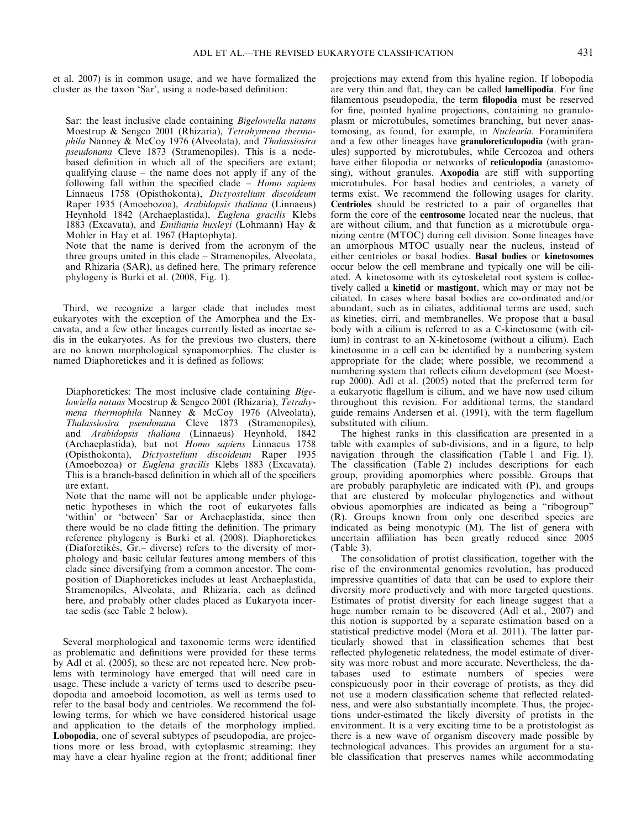et al. 2007) is in common usage, and we have formalized the cluster as the taxon 'Sar', using a node-based definition:

Sar: the least inclusive clade containing Bigelowiella natans Moestrup & Sengco 2001 (Rhizaria), Tetrahymena thermophila Nanney & McCoy 1976 (Alveolata), and Thalassiosira pseudonana Cleve 1873 (Stramenopiles). This is a nodebased definition in which all of the specifiers are extant; qualifying clause – the name does not apply if any of the following fall within the specified clade  $-$  Homo sapiens Linnaeus 1758 (Opisthokonta), Dictyostelium discoideum Raper 1935 (Amoebozoa), Arabidopsis thaliana (Linnaeus) Heynhold 1842 (Archaeplastida), Euglena gracilis Klebs 1883 (Excavata), and Emiliania huxleyi (Lohmann) Hay & Mohler in Hay et al. 1967 (Haptophyta).

Note that the name is derived from the acronym of the three groups united in this clade – Stramenopiles, Alveolata, and Rhizaria (SAR), as defined here. The primary reference phylogeny is Burki et al. (2008, Fig. 1).

Third, we recognize a larger clade that includes most eukaryotes with the exception of the Amorphea and the Excavata, and a few other lineages currently listed as incertae sedis in the eukaryotes. As for the previous two clusters, there are no known morphological synapomorphies. The cluster is named Diaphoretickes and it is defined as follows:

Diaphoretickes: The most inclusive clade containing Bigelowiella natans Moestrup & Sengco 2001 (Rhizaria), Tetrahymena thermophila Nanney & McCoy 1976 (Alveolata), Thalassiosira pseudonana Cleve 1873 (Stramenopiles), and Arabidopsis thaliana (Linnaeus) Heynhold, 1842 (Archaeplastida), but not Homo sapiens Linnaeus 1758 (Opisthokonta), Dictyostelium discoideum Raper 1935 (Amoebozoa) or Euglena gracilis Klebs 1883 (Excavata). This is a branch-based definition in which all of the specifiers are extant.

Note that the name will not be applicable under phylogenetic hypotheses in which the root of eukaryotes falls 'within' or 'between' Sar or Archaeplastida, since then there would be no clade fitting the definition. The primary reference phylogeny is Burki et al. (2008). Diaphoretickes (Diaforetikés, Gr.– diverse) refers to the diversity of morphology and basic cellular features among members of this clade since diversifying from a common ancestor. The composition of Diaphoretickes includes at least Archaeplastida, Stramenopiles, Alveolata, and Rhizaria, each as defined here, and probably other clades placed as Eukaryota incertae sedis (see Table 2 below).

Several morphological and taxonomic terms were identified as problematic and definitions were provided for these terms by Adl et al. (2005), so these are not repeated here. New problems with terminology have emerged that will need care in usage. These include a variety of terms used to describe pseudopodia and amoeboid locomotion, as well as terms used to refer to the basal body and centrioles. We recommend the following terms, for which we have considered historical usage and application to the details of the morphology implied. Lobopodia, one of several subtypes of pseudopodia, are projections more or less broad, with cytoplasmic streaming; they may have a clear hyaline region at the front; additional finer projections may extend from this hyaline region. If lobopodia are very thin and flat, they can be called lamellipodia. For fine filamentous pseudopodia, the term filopodia must be reserved for fine, pointed hyaline projections, containing no granuloplasm or microtubules, sometimes branching, but never anastomosing, as found, for example, in Nuclearia. Foraminifera and a few other lineages have granuloreticulopodia (with granules) supported by microtubules, while Cercozoa and others have either filopodia or networks of **reticulopodia** (anastomosing), without granules. Axopodia are stiff with supporting microtubules. For basal bodies and centrioles, a variety of terms exist. We recommend the following usages for clarity. Centrioles should be restricted to a pair of organelles that form the core of the centrosome located near the nucleus, that are without cilium, and that function as a microtubule organizing centre (MTOC) during cell division. Some lineages have an amorphous MTOC usually near the nucleus, instead of either centrioles or basal bodies. Basal bodies or kinetosomes occur below the cell membrane and typically one will be ciliated. A kinetosome with its cytoskeletal root system is collectively called a kinetid or mastigont, which may or may not be ciliated. In cases where basal bodies are co-ordinated and/or abundant, such as in ciliates, additional terms are used, such as kineties, cirri, and membranelles. We propose that a basal body with a cilium is referred to as a C-kinetosome (with cilium) in contrast to an X-kinetosome (without a cilium). Each kinetosome in a cell can be identified by a numbering system appropriate for the clade; where possible, we recommend a numbering system that reflects cilium development (see Moestrup 2000). Adl et al. (2005) noted that the preferred term for a eukaryotic flagellum is cilium, and we have now used cilium throughout this revision. For additional terms, the standard guide remains Andersen et al. (1991), with the term flagellum substituted with cilium.

The highest ranks in this classification are presented in a table with examples of sub-divisions, and in a figure, to help navigation through the classification (Table 1 and Fig. 1). The classification (Table 2) includes descriptions for each group, providing apomorphies where possible. Groups that are probably paraphyletic are indicated with (P), and groups that are clustered by molecular phylogenetics and without obvious apomorphies are indicated as being a "ribogroup" (R). Groups known from only one described species are indicated as being monotypic (M). The list of genera with uncertain affiliation has been greatly reduced since 2005 (Table 3).

The consolidation of protist classification, together with the rise of the environmental genomics revolution, has produced impressive quantities of data that can be used to explore their diversity more productively and with more targeted questions. Estimates of protist diversity for each lineage suggest that a huge number remain to be discovered (Adl et al., 2007) and this notion is supported by a separate estimation based on a statistical predictive model (Mora et al. 2011). The latter particularly showed that in classification schemes that best reflected phylogenetic relatedness, the model estimate of diversity was more robust and more accurate. Nevertheless, the databases used to estimate numbers of species were conspicuously poor in their coverage of protists, as they did not use a modern classification scheme that reflected relatedness, and were also substantially incomplete. Thus, the projections under-estimated the likely diversity of protists in the environment. It is a very exciting time to be a protistologist as there is a new wave of organism discovery made possible by technological advances. This provides an argument for a stable classification that preserves names while accommodating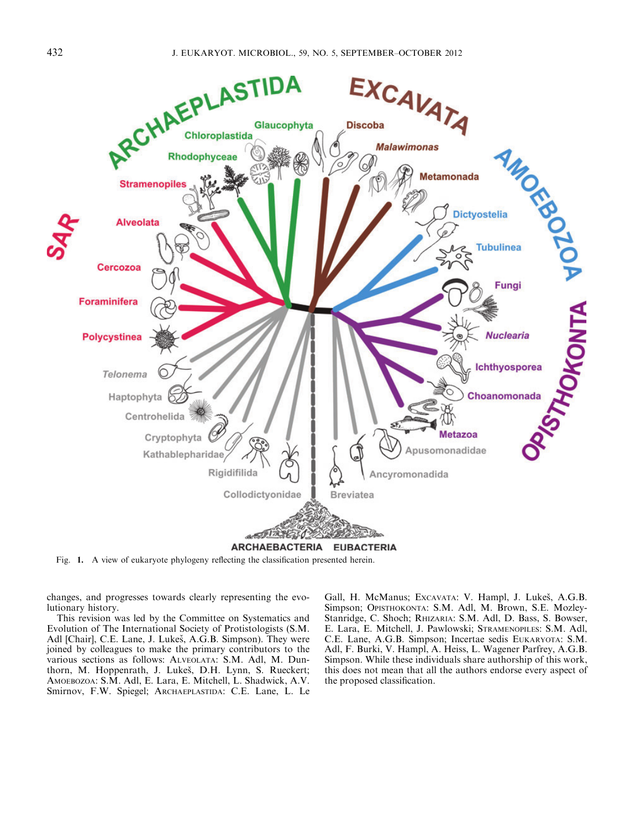

changes, and progresses towards clearly representing the evolutionary history.

This revision was led by the Committee on Systematics and Evolution of The International Society of Protistologists (S.M. Adl [Chair], C.E. Lane, J. Lukeš, A.G.B. Simpson). They were joined by colleagues to make the primary contributors to the various sections as follows: ALVEOLATA: S.M. Adl, M. Dunthorn, M. Hoppenrath, J. Lukeš, D.H. Lynn, S. Rueckert; AMOEBOZOA: S.M. Adl, E. Lara, E. Mitchell, L. Shadwick, A.V. Smirnov, F.W. Spiegel; ARCHAEPLASTIDA: C.E. Lane, L. Le

Gall, H. McManus; Excavata: V. Hampl, J. Lukeš, A.G.B. Simpson; OPISTHOKONTA: S.M. Adl, M. Brown, S.E. Mozley-Stanridge, C. Shoch; RHIZARIA: S.M. Adl, D. Bass, S. Bowser, E. Lara, E. Mitchell, J. Pawlowski; STRAMENOPILES: S.M. Adl, C.E. Lane, A.G.B. Simpson; Incertae sedis EUKARYOTA: S.M. Adl, F. Burki, V. Hampl, A. Heiss, L. Wagener Parfrey, A.G.B. Simpson. While these individuals share authorship of this work, this does not mean that all the authors endorse every aspect of the proposed classification.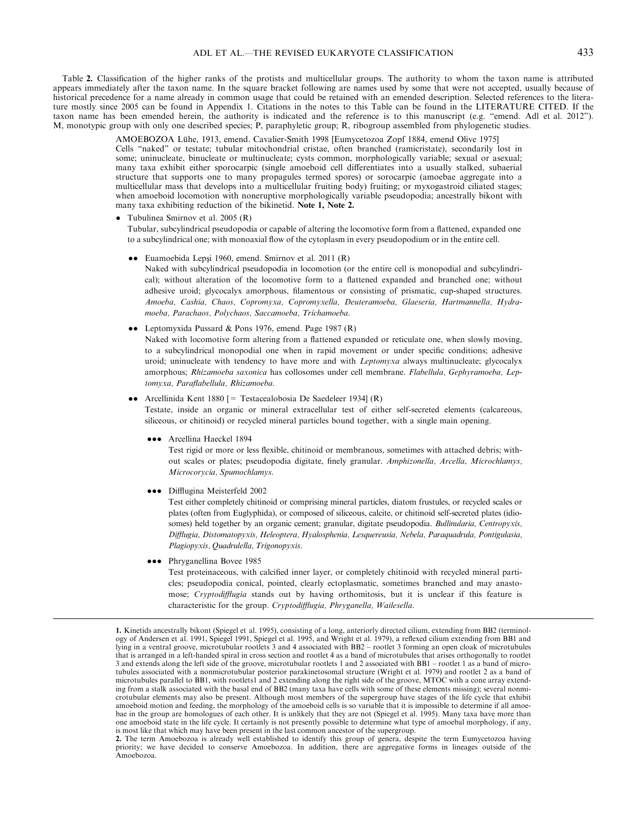Table 2. Classification of the higher ranks of the protists and multicellular groups. The authority to whom the taxon name is attributed appears immediately after the taxon name. In the square bracket following are names used by some that were not accepted, usually because of historical precedence for a name already in common usage that could be retained with an emended description. Selected references to the literature mostly since 2005 can be found in Appendix 1. Citations in the notes to this Table can be found in the LITERATURE CITED. If the taxon name has been emended herein, the authority is indicated and the reference is to this manuscript (e.g. "emend. Adl et al. 2012"). M, monotypic group with only one described species; P, paraphyletic group; R, ribogroup assembled from phylogenetic studies.

> AMOEBOZOA Lühe, 1913, emend. Cavalier-Smith 1998 [Eumycetozoa Zopf 1884, emend Olive 1975] Cells "naked" or testate; tubular mitochondrial cristae, often branched (ramicristate), secondarily lost in some; uninucleate, binucleate or multinucleate; cysts common, morphologically variable; sexual or asexual; many taxa exhibit either sporocarpic (single amoeboid cell differentiates into a usually stalked, subaerial structure that supports one to many propagules termed spores) or sorocarpic (amoebae aggregate into a multicellular mass that develops into a multicellular fruiting body) fruiting; or myxogastroid ciliated stages; when amoeboid locomotion with noneruptive morphologically variable pseudopodia; ancestrally bikont with many taxa exhibiting reduction of the bikinetid. Note 1, Note 2.

#### Tubulinea Smirnov et al. 2005 (R)

Tubular, subcylindrical pseudopodia or capable of altering the locomotive form from a flattened, expanded one to a subcylindrical one; with monoaxial flow of the cytoplasm in every pseudopodium or in the entire cell.

●● Euamoebida Lepsi 1960, emend. Smirnov et al. 2011 (R)

Naked with subcylindrical pseudopodia in locomotion (or the entire cell is monopodial and subcylindrical); without alteration of the locomotive form to a flattened expanded and branched one; without adhesive uroid; glycocalyx amorphous, filamentous or consisting of prismatic, cup-shaped structures. Amoeba, Cashia, Chaos, Copromyxa, Copromyxella, Deuteramoeba, Glaeseria, Hartmannella, Hydramoeba, Parachaos, Polychaos, Saccamoeba, Trichamoeba.

●● Leptomyxida Pussard & Pons 1976, emend. Page 1987 (R)

Naked with locomotive form altering from a flattened expanded or reticulate one, when slowly moving, to a subcylindrical monopodial one when in rapid movement or under specific conditions; adhesive uroid; uninucleate with tendency to have more and with Leptomyxa always multinucleate; glycocalyx amorphous; Rhizamoeba saxonica has collosomes under cell membrane. Flabellula, Gephyramoeba, Leptomyxa, Paraflabellula, Rhizamoeba.

## Arcellinida Kent 1880 [= Testacealobosia De Saedeleer 1934]  $(R)$

Testate, inside an organic or mineral extracellular test of either self-secreted elements (calcareous, siliceous, or chitinoid) or recycled mineral particles bound together, with a single main opening.

●●● Arcellina Haeckel 1894

Test rigid or more or less flexible, chitinoid or membranous, sometimes with attached debris; without scales or plates; pseudopodia digitate, finely granular. Amphizonella, Arcella, Microchlamys, Microcorycia, Spumochlamys.

●●● Difflugina Meisterfeld 2002

Test either completely chitinoid or comprising mineral particles, diatom frustules, or recycled scales or plates (often from Euglyphida), or composed of siliceous, calcite, or chitinoid self-secreted plates (idiosomes) held together by an organic cement; granular, digitate pseudopodia. Bullinularia, Centropyxis, Difflugia, Distomatopyxis, Heleoptera, Hyalosphenia, Lesquereusia, Nebela, Paraquadrula, Pontigulasia, Plagiopyxis, Quadrulella, Trigonopyxis.

●●● Phryganellina Bovee 1985

Test proteinaceous, with calcified inner layer, or completely chitinoid with recycled mineral particles; pseudopodia conical, pointed, clearly ectoplasmatic, sometimes branched and may anastomose; Cryptodifflugia stands out by having orthomitosis, but it is unclear if this feature is characteristic for the group. Cryptodifflugia, Phryganella, Wailesella.

<sup>1.</sup> Kinetids ancestrally bikont (Spiegel et al. 1995), consisting of a long, anteriorly directed cilium, extending from BB2 (terminology of Andersen et al. 1991, Spiegel 1991, Spiegel et al. 1995, and Wright et al. 1979), a reflexed cilium extending from BB1 and lying in a ventral groove, microtubular rootlets 3 and 4 associated with BB2 – rootlet 3 forming an open cloak of microtubules that is arranged in a left-handed spiral in cross section and rootlet 4 as a band of microtubules that arises orthogonally to rootlet 3 and extends along the left side of the groove, microtubular rootlets 1 and 2 associated with BB1 – rootlet 1 as a band of microtubules associated with a nonmicrotubular posterior parakinetosomal structure (Wright et al. 1979) and rootlet 2 as a band of microtubules parallel to BB1, with rootlets1 and 2 extending along the right side of the groove, MTOC with a cone array extending from a stalk associated with the basal end of BB2 (many taxa have cells with some of these elements missing); several nonmicrotubular elements may also be present. Although most members of the supergroup have stages of the life cycle that exhibit amoeboid motion and feeding, the morphology of the amoeboid cells is so variable that it is impossible to determine if all amoebae in the group are homologues of each other. It is unlikely that they are not (Spiegel et al. 1995). Many taxa have more than one amoeboid state in the life cycle. It certainly is not presently possible to determine what type of amoebal morphology, if any, is most like that which may have been present in the last common ancestor of the supergroup.

<sup>2.</sup> The term Amoebozoa is already well established to identify this group of genera, despite the term Eumycetozoa having priority; we have decided to conserve Amoebozoa. In addition, there are aggregative forms in lineages outside of the Amoebozoa.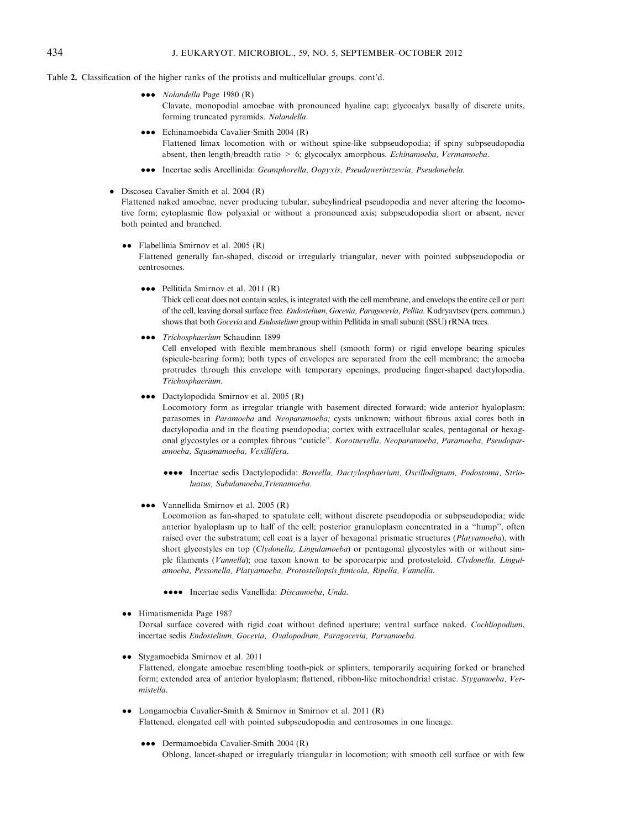- ●●● *Nolandella* Page 1980 (R) Clavate, monopodial amoebae with pronounced hyaline cap; glycocalyx basally of discrete units, forming truncated pyramids. Nolandella.
- ●●● Echinamoebida Cavalier-Smith 2004 (R) Flattened limax locomotion with or without spine-like subpseudopodia; if spiny subpseudopodia absent, then length/breadth ratio  $> 6$ ; glycocalyx amorphous. Echinamoeba, Vermamoeba.
- ●●● Incertae sedis Arcellinida: Geamphorella, Oopyxis, Pseudawerintzewia, Pseudonebela.
- Discosea Cavalier-Smith et al. 2004 (R)

Flattened naked amoebae, never producing tubular, subcylindrical pseudopodia and never altering the locomotive form; cytoplasmic flow polyaxial or without a pronounced axis; subpseudopodia short or absent, never both pointed and branched.

●● Flabellinia Smirnov et al. 2005 (R)

Flattened generally fan-shaped, discoid or irregularly triangular, never with pointed subpseudopodia or centrosomes.

●●● Pellitida Smirnov et al. 2011 (R)

Thick cell coat does not contain scales, is integrated with the cell membrane, and envelops the entire cell or part of the cell, leaving dorsal surface free. Endostelium, Gocevia, Paragocevia, Pellita. Kudryavtsev (pers. commun.) shows that both *Gocevia* and *Endostelium* group within Pellitida in small subunit (SSU) rRNA trees.

●●● Trichosphaerium Schaudinn 1899

Cell enveloped with flexible membranous shell (smooth form) or rigid envelope bearing spicules (spicule-bearing form); both types of envelopes are separated from the cell membrane; the amoeba protrudes through this envelope with temporary openings, producing finger-shaped dactylopodia. Trichosphaerium.

●●● Dactylopodida Smirnov et al. 2005 (R)

Locomotory form as irregular triangle with basement directed forward; wide anterior hyaloplasm; parasomes in Paramoeba and Neoparamoeba; cysts unknown; without fibrous axial cores both in dactylopodia and in the floating pseudopodia; cortex with extracellular scales, pentagonal or hexagonal glycostyles or a complex fibrous "cuticle". Korotnevella, Neoparamoeba, Paramoeba, Pseudoparamoeba, Squamamoeba, Vexillifera.

- ●●●● Incertae sedis Dactylopodida: Boveella, Dactylosphaerium, Oscillodignum, Podostoma, Strioluatus, Subulamoeba,Trienamoeba.
- Vannellida Smirnov et al. 2005 (R)

Locomotion as fan-shaped to spatulate cell; without discrete pseudopodia or subpseudopodia; wide anterior hyaloplasm up to half of the cell; posterior granuloplasm concentrated in a "hump", often raised over the substratum; cell coat is a layer of hexagonal prismatic structures (Platyamoeba), with short glycostyles on top (Clydonella, Lingulamoeba) or pentagonal glycostyles with or without simple filaments (*Vannella*); one taxon known to be sporocarpic and protosteloid. Clydonella, Lingulamoeba, Pessonella, Platyamoeba, Protosteliopsis fimicola, Ripella, Vannella.

●●●● Incertae sedis Vanellida: Discamoeba, Unda.

●● Himatismenida Page 1987

Dorsal surface covered with rigid coat without defined aperture; ventral surface naked. Cochliopodium, incertae sedis Endostelium, Gocevia, Ovalopodium, Paragocevia, Parvamoeba.

●● Stygamoebida Smirnov et al. 2011

Flattened, elongate amoebae resembling tooth-pick or splinters, temporarily acquiring forked or branched form; extended area of anterior hyaloplasm; flattened, ribbon-like mitochondrial cristae. Stygamoeba, Vermistella.

- Longamoebia Cavalier-Smith & Smirnov in Smirnov et al. 2011 (R) Flattened, elongated cell with pointed subpseudopodia and centrosomes in one lineage.
	- ●●● Dermamoebida Cavalier-Smith 2004 (R) Oblong, lancet-shaped or irregularly triangular in locomotion; with smooth cell surface or with few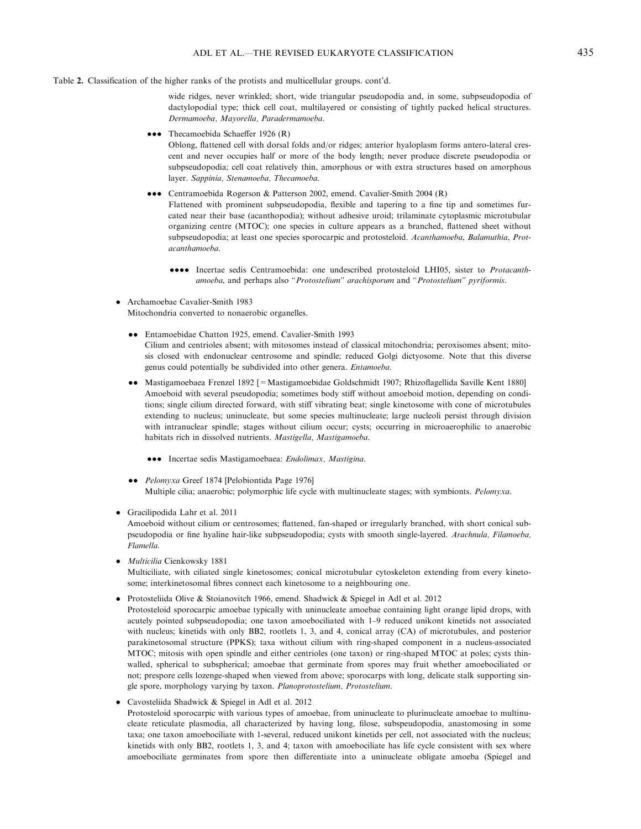wide ridges, never wrinkled; short, wide triangular pseudopodia and, in some, subpseudopodia of dactylopodial type; thick cell coat, multilayered or consisting of tightly packed helical structures. Dermamoeba, Mayorella, Paradermamoeba.

●●● Thecamoebida Schaeffer 1926 (R)

Oblong, flattened cell with dorsal folds and/or ridges; anterior hyaloplasm forms antero-lateral crescent and never occupies half or more of the body length; never produce discrete pseudopodia or subpseudopodia; cell coat relatively thin, amorphous or with extra structures based on amorphous layer. Sappinia, Stenamoeba, Thecamoeba.

●●● Centramoebida Rogerson & Patterson 2002, emend. Cavalier-Smith 2004 (R)

Flattened with prominent subpseudopodia, flexible and tapering to a fine tip and sometimes furcated near their base (acanthopodia); without adhesive uroid; trilaminate cytoplasmic microtubular organizing centre (MTOC); one species in culture appears as a branched, flattened sheet without subpseudopodia; at least one species sporocarpic and protosteloid. Acanthamoeba, Balamuthia, Protacanthamoeba.

●●●● Incertae sedis Centramoebida: one undescribed protosteloid LHI05, sister to Protacanthamoeba, and perhaps also "Protostelium" arachisporum and "Protostelium" pyriformis.

● Archamoebae Cavalier-Smith 1983

Mitochondria converted to nonaerobic organelles.

- ●● Entamoebidae Chatton 1925, emend. Cavalier-Smith 1993 Cilium and centrioles absent; with mitosomes instead of classical mitochondria; peroxisomes absent; mitosis closed with endonuclear centrosome and spindle; reduced Golgi dictyosome. Note that this diverse genus could potentially be subdivided into other genera. Entamoeba.
- ●● Mastigamoebaea Frenzel 1892 [=Mastigamoebidae Goldschmidt 1907; Rhizoflagellida Saville Kent 1880] Amoeboid with several pseudopodia; sometimes body stiff without amoeboid motion, depending on conditions; single cilium directed forward, with stiff vibrating beat; single kinetosome with cone of microtubules extending to nucleus; uninucleate, but some species multinucleate; large nucleoli persist through division with intranuclear spindle; stages without cilium occur; cysts; occurring in microaerophilic to anaerobic habitats rich in dissolved nutrients. Mastigella, Mastigamoeba.

●●● Incertae sedis Mastigamoebaea: Endolimax, Mastigina.

- ●● *Pelomyxa* Greef 1874 [Pelobiontida Page 1976] Multiple cilia; anaerobic; polymorphic life cycle with multinucleate stages; with symbionts. *Pelomyxa*.
- Gracilipodida Lahr et al. 2011

Amoeboid without cilium or centrosomes; flattened, fan-shaped or irregularly branched, with short conical subpseudopodia or fine hyaline hair-like subpseudopodia; cysts with smooth single-layered. Arachnula, Filamoeba, Flamella.

● Multicilia Cienkowsky 1881

Multiciliate, with ciliated single kinetosomes; conical microtubular cytoskeleton extending from every kinetosome; interkinetosomal fibres connect each kinetosome to a neighbouring one.

- Protosteliida Olive & Stoianovitch 1966, emend. Shadwick & Spiegel in Adl et al. 2012
- Protosteloid sporocarpic amoebae typically with uninucleate amoebae containing light orange lipid drops, with acutely pointed subpseudopodia; one taxon amoebociliated with 1–9 reduced unikont kinetids not associated with nucleus; kinetids with only BB2, rootlets 1, 3, and 4, conical array (CA) of microtubules, and posterior parakinetosomal structure (PPKS); taxa without cilium with ring-shaped component in a nucleus-associated MTOC; mitosis with open spindle and either centrioles (one taxon) or ring-shaped MTOC at poles; cysts thinwalled, spherical to subspherical; amoebae that germinate from spores may fruit whether amoebociliated or not; prespore cells lozenge-shaped when viewed from above; sporocarps with long, delicate stalk supporting single spore, morphology varying by taxon. Planoprotostelium, Protostelium.
- Cavosteliida Shadwick & Spiegel in Adl et al. 2012

Protosteloid sporocarpic with various types of amoebae, from uninucleate to plurinucleate amoebae to multinucleate reticulate plasmodia, all characterized by having long, filose, subspeudopodia, anastomosing in some taxa; one taxon amoebociliate with 1-several, reduced unikont kinetids per cell, not associated with the nucleus; kinetids with only BB2, rootlets 1, 3, and 4; taxon with amoebociliate has life cycle consistent with sex where amoebociliate germinates from spore then differentiate into a uninucleate obligate amoeba (Spiegel and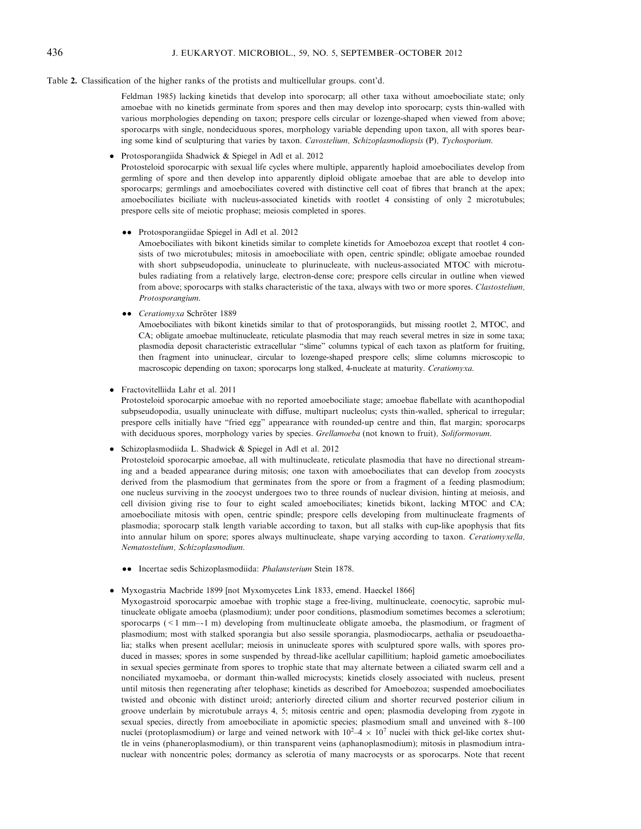Feldman 1985) lacking kinetids that develop into sporocarp; all other taxa without amoebociliate state; only amoebae with no kinetids germinate from spores and then may develop into sporocarp; cysts thin-walled with various morphologies depending on taxon; prespore cells circular or lozenge-shaped when viewed from above; sporocarps with single, nondeciduous spores, morphology variable depending upon taxon, all with spores bearing some kind of sculpturing that varies by taxon. Cavostelium, Schizoplasmodiopsis (P), Tychosporium.

● Protosporangiida Shadwick & Spiegel in Adl et al. 2012

Protosteloid sporocarpic with sexual life cycles where multiple, apparently haploid amoebociliates develop from germling of spore and then develop into apparently diploid obligate amoebae that are able to develop into sporocarps; germlings and amoebociliates covered with distinctive cell coat of fibres that branch at the apex; amoebociliates biciliate with nucleus-associated kinetids with rootlet 4 consisting of only 2 microtubules; prespore cells site of meiotic prophase; meiosis completed in spores.

●● Protosporangiidae Spiegel in Adl et al. 2012

Amoebociliates with bikont kinetids similar to complete kinetids for Amoebozoa except that rootlet 4 consists of two microtubules; mitosis in amoebociliate with open, centric spindle; obligate amoebae rounded with short subpseudopodia, uninucleate to plurinucleate, with nucleus-associated MTOC with microtubules radiating from a relatively large, electron-dense core; prespore cells circular in outline when viewed from above; sporocarps with stalks characteristic of the taxa, always with two or more spores. Clastostelium, Protosporangium.

• Ceratiomyxa Schröter 1889

Amoebociliates with bikont kinetids similar to that of protosporangiids, but missing rootlet 2, MTOC, and CA; obligate amoebae multinucleate, reticulate plasmodia that may reach several metres in size in some taxa; plasmodia deposit characteristic extracellular "slime" columns typical of each taxon as platform for fruiting, then fragment into uninuclear, circular to lozenge-shaped prespore cells; slime columns microscopic to macroscopic depending on taxon; sporocarps long stalked, 4-nucleate at maturity. Ceratiomyxa.

● Fractovitelliida Lahr et al. 2011

Protosteloid sporocarpic amoebae with no reported amoebociliate stage; amoebae flabellate with acanthopodial subpseudopodia, usually uninucleate with diffuse, multipart nucleolus; cysts thin-walled, spherical to irregular; prespore cells initially have "fried egg" appearance with rounded-up centre and thin, flat margin; sporocarps with deciduous spores, morphology varies by species. Grellamoeba (not known to fruit), Soliformovum.

● Schizoplasmodiida L. Shadwick & Spiegel in Adl et al. 2012

Protosteloid sporocarpic amoebae, all with multinucleate, reticulate plasmodia that have no directional streaming and a beaded appearance during mitosis; one taxon with amoebociliates that can develop from zoocysts derived from the plasmodium that germinates from the spore or from a fragment of a feeding plasmodium; one nucleus surviving in the zoocyst undergoes two to three rounds of nuclear division, hinting at meiosis, and cell division giving rise to four to eight scaled amoebociliates; kinetids bikont, lacking MTOC and CA; amoebociliate mitosis with open, centric spindle; prespore cells developing from multinucleate fragments of plasmodia; sporocarp stalk length variable according to taxon, but all stalks with cup-like apophysis that fits into annular hilum on spore; spores always multinucleate, shape varying according to taxon. Ceratiomyxella, Nematostelium, Schizoplasmodium.

●● Incertae sedis Schizoplasmodiida: Phalansterium Stein 1878.

## ● Myxogastria Macbride 1899 [not Myxomycetes Link 1833, emend. Haeckel 1866]

Myxogastroid sporocarpic amoebae with trophic stage a free-living, multinucleate, coenocytic, saprobic multinucleate obligate amoeba (plasmodium); under poor conditions, plasmodium sometimes becomes a sclerotium; sporocarps  $(<1$  mm $-1$  m) developing from multinucleate obligate amoeba, the plasmodium, or fragment of plasmodium; most with stalked sporangia but also sessile sporangia, plasmodiocarps, aethalia or pseudoaethalia; stalks when present acellular; meiosis in uninucleate spores with sculptured spore walls, with spores produced in masses; spores in some suspended by thread-like acellular capillitium; haploid gametic amoebociliates in sexual species germinate from spores to trophic state that may alternate between a ciliated swarm cell and a nonciliated myxamoeba, or dormant thin-walled microcysts; kinetids closely associated with nucleus, present until mitosis then regenerating after telophase; kinetids as described for Amoebozoa; suspended amoebociliates twisted and obconic with distinct uroid; anteriorly directed cilium and shorter recurved posterior cilium in groove underlain by microtubule arrays 4, 5; mitosis centric and open; plasmodia developing from zygote in sexual species, directly from amoebociliate in apomictic species; plasmodium small and unveined with 8–100 nuclei (protoplasmodium) or large and veined network with  $10^{2} - 4 \times 10^{7}$  nuclei with thick gel-like cortex shuttle in veins (phaneroplasmodium), or thin transparent veins (aphanoplasmodium); mitosis in plasmodium intranuclear with noncentric poles; dormancy as sclerotia of many macrocysts or as sporocarps. Note that recent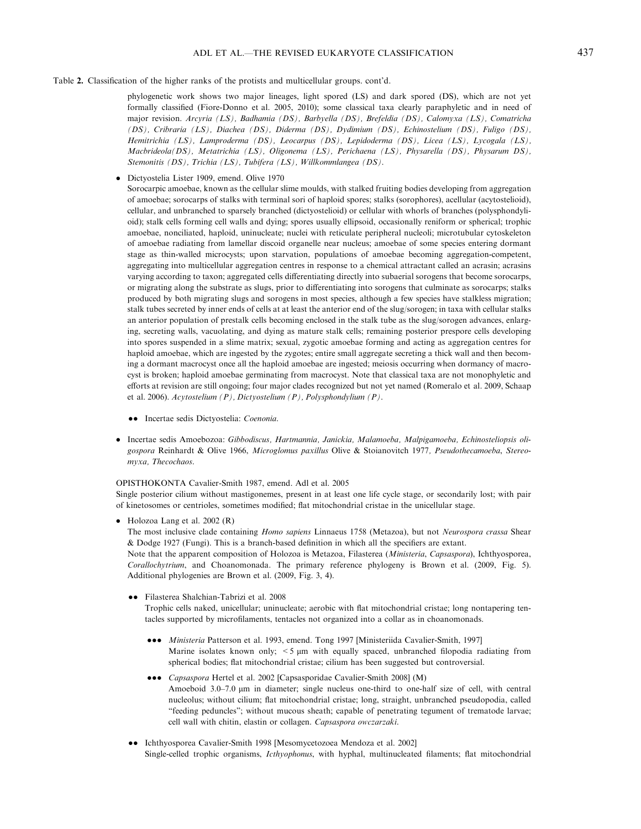phylogenetic work shows two major lineages, light spored (LS) and dark spored (DS), which are not yet formally classified (Fiore-Donno et al. 2005, 2010); some classical taxa clearly paraphyletic and in need of major revision. Arcyria (LS), Badhamia (DS), Barbyella (DS), Brefeldia (DS), Calomyxa (LS), Comatricha (DS), Cribraria (LS), Diachea (DS), Diderma (DS), Dydimium (DS), Echinostelium (DS), Fuligo (DS), Hemitrichia (LS), Lamproderma (DS), Leocarpus (DS), Lepidoderma (DS), Licea (LS), Lycogala (LS), Macbrideola(DS), Metatrichia (LS), Oligonema (LS), Perichaena (LS), Physarella (DS), Physarum DS), Stemonitis (DS), Trichia (LS), Tubifera (LS), Willkommlangea (DS).

● Dictyostelia Lister 1909, emend. Olive 1970

Sorocarpic amoebae, known as the cellular slime moulds, with stalked fruiting bodies developing from aggregation of amoebae; sorocarps of stalks with terminal sori of haploid spores; stalks (sorophores), acellular (acytostelioid), cellular, and unbranched to sparsely branched (dictyostelioid) or cellular with whorls of branches (polysphondylioid); stalk cells forming cell walls and dying; spores usually ellipsoid, occasionally reniform or spherical; trophic amoebae, nonciliated, haploid, uninucleate; nuclei with reticulate peripheral nucleoli; microtubular cytoskeleton of amoebae radiating from lamellar discoid organelle near nucleus; amoebae of some species entering dormant stage as thin-walled microcysts; upon starvation, populations of amoebae becoming aggregation-competent, aggregating into multicellular aggregation centres in response to a chemical attractant called an acrasin; acrasins varying according to taxon; aggregated cells differentiating directly into subaerial sorogens that become sorocarps, or migrating along the substrate as slugs, prior to differentiating into sorogens that culminate as sorocarps; stalks produced by both migrating slugs and sorogens in most species, although a few species have stalkless migration; stalk tubes secreted by inner ends of cells at at least the anterior end of the slug/sorogen; in taxa with cellular stalks an anterior population of prestalk cells becoming enclosed in the stalk tube as the slug/sorogen advances, enlarging, secreting walls, vacuolating, and dying as mature stalk cells; remaining posterior prespore cells developing into spores suspended in a slime matrix; sexual, zygotic amoebae forming and acting as aggregation centres for haploid amoebae, which are ingested by the zygotes; entire small aggregate secreting a thick wall and then becoming a dormant macrocyst once all the haploid amoebae are ingested; meiosis occurring when dormancy of macrocyst is broken; haploid amoebae germinating from macrocyst. Note that classical taxa are not monophyletic and efforts at revision are still ongoing; four major clades recognized but not yet named (Romeralo et al. 2009, Schaap et al. 2006). Acytostelium (P), Dictyostelium (P), Polysphondylium (P).

- ●● Incertae sedis Dictyostelia: Coenonia.
- Incertae sedis Amoebozoa: Gibbodiscus, Hartmannia, Janickia, Malamoeba, Malpigamoeba, Echinosteliopsis oligospora Reinhardt & Olive 1966, Microglomus paxillus Olive & Stoianovitch 1977, Pseudothecamoeba, Stereomyxa, Thecochaos.

## OPISTHOKONTA Cavalier-Smith 1987, emend. Adl et al. 2005

Single posterior cilium without mastigonemes, present in at least one life cycle stage, or secondarily lost; with pair of kinetosomes or centrioles, sometimes modified; flat mitochondrial cristae in the unicellular stage.

 $\bullet$  Holozoa Lang et al. 2002 (R)

The most inclusive clade containing Homo sapiens Linnaeus 1758 (Metazoa), but not Neurospora crassa Shear & Dodge 1927 (Fungi). This is a branch-based definition in which all the specifiers are extant. Note that the apparent composition of Holozoa is Metazoa, Filasterea (Ministeria, Capsaspora), Ichthyosporea, Corallochytrium, and Choanomonada. The primary reference phylogeny is Brown et al. (2009, Fig. 5). Additional phylogenies are Brown et al. (2009, Fig. 3, 4).

●● Filasterea Shalchian-Tabrizi et al. 2008

Trophic cells naked, unicellular; uninucleate; aerobic with flat mitochondrial cristae; long nontapering tentacles supported by microfilaments, tentacles not organized into a collar as in choanomonads.

- Ministeria Patterson et al. 1993, emend. Tong 1997 [Ministeriida Cavalier-Smith, 1997] Marine isolates known only;  $\leq 5 \mu m$  with equally spaced, unbranched filopodia radiating from spherical bodies; flat mitochondrial cristae; cilium has been suggested but controversial.
- ●●● *Capsaspora* Hertel et al. 2002 [Capsasporidae Cavalier-Smith 2008] (M) Amoeboid 3.0–7.0 µm in diameter; single nucleus one-third to one-half size of cell, with central nucleolus; without cilium; flat mitochondrial cristae; long, straight, unbranched pseudopodia, called "feeding peduncles"; without mucous sheath; capable of penetrating tegument of trematode larvae; cell wall with chitin, elastin or collagen. Capsaspora owczarzaki.
- Ichthyosporea Cavalier-Smith 1998 [Mesomycetozoea Mendoza et al. 2002] Single-celled trophic organisms, Icthyophonus, with hyphal, multinucleated filaments; flat mitochondrial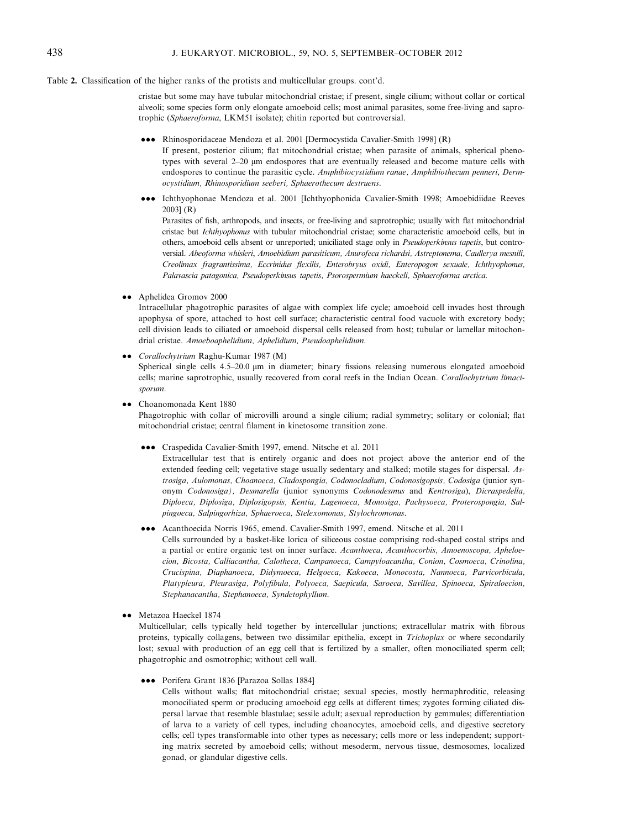cristae but some may have tubular mitochondrial cristae; if present, single cilium; without collar or cortical alveoli; some species form only elongate amoeboid cells; most animal parasites, some free-living and saprotrophic (Sphaeroforma, LKM51 isolate); chitin reported but controversial.

- ●●● Rhinosporidaceae Mendoza et al. 2001 [Dermocystida Cavalier-Smith 1998] (R)
	- If present, posterior cilium; flat mitochondrial cristae; when parasite of animals, spherical phenotypes with several  $2-20 \mu m$  endospores that are eventually released and become mature cells with endospores to continue the parasitic cycle. Amphibiocystidium ranae, Amphibiothecum penneri, Dermocystidium, Rhinosporidium seeberi, Sphaerothecum destruens.
- ●●● Ichthyophonae Mendoza et al. 2001 [Ichthyophonida Cavalier-Smith 1998; Amoebidiidae Reeves 2003] (R)

Parasites of fish, arthropods, and insects, or free-living and saprotrophic; usually with flat mitochondrial cristae but Ichthyophonus with tubular mitochondrial cristae; some characteristic amoeboid cells, but in others, amoeboid cells absent or unreported; uniciliated stage only in Pseudoperkinsus tapetis, but controversial. Abeoforma whisleri, Amoebidium parasiticum, Anurofeca richardsi, Astreptonema, Caullerya mesnili, Creolimax fragrantissima, Eccrinidus flexilis, Enterobryus oxidi, Enteropogon sexuale, Ichthyophonus, Palavascia patagonica, Pseudoperkinsus tapetis, Psorospermium haeckeli, Sphaeroforma arctica.

●● Aphelidea Gromov 2000

Intracellular phagotrophic parasites of algae with complex life cycle; amoeboid cell invades host through apophysa of spore, attached to host cell surface; characteristic central food vacuole with excretory body; cell division leads to ciliated or amoeboid dispersal cells released from host; tubular or lamellar mitochondrial cristae. Amoeboaphelidium, Aphelidium, Pseudoaphelidium.

●● Corallochytrium Raghu-Kumar 1987 (M)

Spherical single cells  $4.5-20.0 \mu m$  in diameter; binary fissions releasing numerous elongated amoeboid cells; marine saprotrophic, usually recovered from coral reefs in the Indian Ocean. Corallochytrium limacisporum.

●● Choanomonada Kent 1880

Phagotrophic with collar of microvilli around a single cilium; radial symmetry; solitary or colonial; flat mitochondrial cristae; central filament in kinetosome transition zone.

●●● Craspedida Cavalier-Smith 1997, emend. Nitsche et al. 2011

Extracellular test that is entirely organic and does not project above the anterior end of the extended feeding cell; vegetative stage usually sedentary and stalked; motile stages for dispersal. Astrosiga, Aulomonas, Choanoeca, Cladospongia, Codonocladium, Codonosigopsis, Codosiga (junior synonym Codonosiga), Desmarella (junior synonyms Codonodesmus and Kentrosiga), Dicraspedella, Diploeca, Diplosiga, Diplosigopsis, Kentia, Lagenoeca, Monosiga, Pachysoeca, Proterospongia, Salpingoeca, Salpingorhiza, Sphaeroeca, Stelexomonas, Stylochromonas.

- ●●● Acanthoecida Norris 1965, emend. Cavalier-Smith 1997, emend. Nitsche et al. 2011 Cells surrounded by a basket-like lorica of siliceous costae comprising rod-shaped costal strips and a partial or entire organic test on inner surface. Acanthoeca, Acanthocorbis, Amoenoscopa, Apheloecion, Bicosta, Calliacantha, Calotheca, Campanoeca, Campyloacantha, Conion, Cosmoeca, Crinolina, Crucispina, Diaphanoeca, Didymoeca, Helgoeca, Kakoeca, Monocosta, Nannoeca, Parvicorbicula, Platypleura, Pleurasiga, Polyfibula, Polyoeca, Saepicula, Saroeca, Savillea, Spinoeca, Spiraloecion, Stephanacantha, Stephanoeca, Syndetophyllum.
- ●● Metazoa Haeckel 1874

Multicellular; cells typically held together by intercellular junctions; extracellular matrix with fibrous proteins, typically collagens, between two dissimilar epithelia, except in Trichoplax or where secondarily lost; sexual with production of an egg cell that is fertilized by a smaller, often monociliated sperm cell; phagotrophic and osmotrophic; without cell wall.

●●● Porifera Grant 1836 [Parazoa Sollas 1884]

Cells without walls; flat mitochondrial cristae; sexual species, mostly hermaphroditic, releasing monociliated sperm or producing amoeboid egg cells at different times; zygotes forming ciliated dispersal larvae that resemble blastulae; sessile adult; asexual reproduction by gemmules; differentiation of larva to a variety of cell types, including choanocytes, amoeboid cells, and digestive secretory cells; cell types transformable into other types as necessary; cells more or less independent; supporting matrix secreted by amoeboid cells; without mesoderm, nervous tissue, desmosomes, localized gonad, or glandular digestive cells.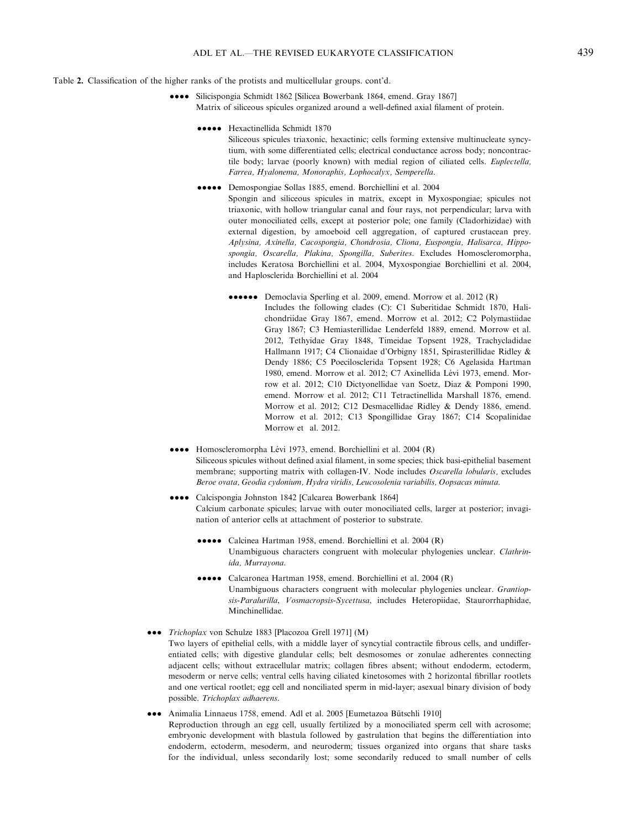- ●●●● Silicispongia Schmidt 1862 [Silicea Bowerbank 1864, emend. Gray 1867] Matrix of siliceous spicules organized around a well-defined axial filament of protein.
	- ●●●●● Hexactinellida Schmidt 1870

Siliceous spicules triaxonic, hexactinic; cells forming extensive multinucleate syncytium, with some differentiated cells; electrical conductance across body; noncontractile body; larvae (poorly known) with medial region of ciliated cells. Euplectella, Farrea, Hyalonema, Monoraphis, Lophocalyx, Semperella.

- ●●●●● Demospongiae Sollas 1885, emend. Borchiellini et al. 2004 Spongin and siliceous spicules in matrix, except in Myxospongiae; spicules not triaxonic, with hollow triangular canal and four rays, not perpendicular; larva with outer monociliated cells, except at posterior pole; one family (Cladorhizidae) with external digestion, by amoeboid cell aggregation, of captured crustacean prey. Aplysina, Axinella, Cacospongia, Chondrosia, Cliona, Euspongia, Halisarca, Hippospongia, Oscarella, Plakina, Spongilla, Suberites. Excludes Homoscleromorpha, includes Keratosa Borchiellini et al. 2004, Myxospongiae Borchiellini et al. 2004, and Haplosclerida Borchiellini et al. 2004
	- •••••• Democlavia Sperling et al. 2009, emend. Morrow et al. 2012 (R)

Includes the following clades (C): C1 Suberitidae Schmidt 1870, Halichondriidae Gray 1867, emend. Morrow et al. 2012; C2 Polymastiidae Gray 1867; C3 Hemiasterillidae Lenderfeld 1889, emend. Morrow et al. 2012, Tethyidae Gray 1848, Timeidae Topsent 1928, Trachycladidae Hallmann 1917; C4 Clionaidae d'Orbigny 1851, Spirasterillidae Ridley & Dendy 1886; C5 Poecilosclerida Topsent 1928; C6 Agelasida Hartman 1980, emend. Morrow et al. 2012; C7 Axinellida Lévi 1973, emend. Morrow et al. 2012; C10 Dictyonellidae van Soetz, Diaz & Pomponi 1990, emend. Morrow et al. 2012; C11 Tetractinellida Marshall 1876, emend. Morrow et al. 2012; C12 Desmacellidae Ridley & Dendy 1886, emend. Morrow et al. 2012; C13 Spongillidae Gray 1867; C14 Scopalinidae Morrow et al. 2012.

- ●●●● Homoscleromorpha Lévi 1973, emend. Borchiellini et al. 2004 (R) Siliceous spicules without defined axial filament, in some species; thick basi-epithelial basement membrane; supporting matrix with collagen-IV. Node includes Oscarella lobularis, excludes Beroe ovata, Geodia cydonium, Hydra viridis, Leucosolenia variabilis, Oopsacas minuta.
- ●●●● Calcispongia Johnston 1842 [Calcarea Bowerbank 1864] Calcium carbonate spicules; larvae with outer monociliated cells, larger at posterior; invagination of anterior cells at attachment of posterior to substrate.
	- ●●●●● Calcinea Hartman 1958, emend. Borchiellini et al. 2004 (R) Unambiguous characters congruent with molecular phylogenies unclear. Clathrinida, Murrayona.
	- ●●●●● Calcaronea Hartman 1958, emend. Borchiellini et al. 2004 (R) Unambiguous characters congruent with molecular phylogenies unclear. Grantiopsis-Paralurilla, Vosmacropsis-Sycettusa, includes Heteropiidae, Staurorrhaphidae, Minchinellidae.

## ●●● Trichoplax von Schulze 1883 [Placozoa Grell 1971] (M)

Two layers of epithelial cells, with a middle layer of syncytial contractile fibrous cells, and undifferentiated cells; with digestive glandular cells; belt desmosomes or zonulae adherentes connecting adjacent cells; without extracellular matrix; collagen fibres absent; without endoderm, ectoderm, mesoderm or nerve cells; ventral cells having ciliated kinetosomes with 2 horizontal fibrillar rootlets and one vertical rootlet; egg cell and nonciliated sperm in mid-layer; asexual binary division of body possible. Trichoplax adhaerens.

●●● Animalia Linnaeus 1758, emend. Adl et al. 2005 [Eumetazoa Bütschli 1910] Reproduction through an egg cell, usually fertilized by a monociliated sperm cell with acrosome; embryonic development with blastula followed by gastrulation that begins the differentiation into endoderm, ectoderm, mesoderm, and neuroderm; tissues organized into organs that share tasks for the individual, unless secondarily lost; some secondarily reduced to small number of cells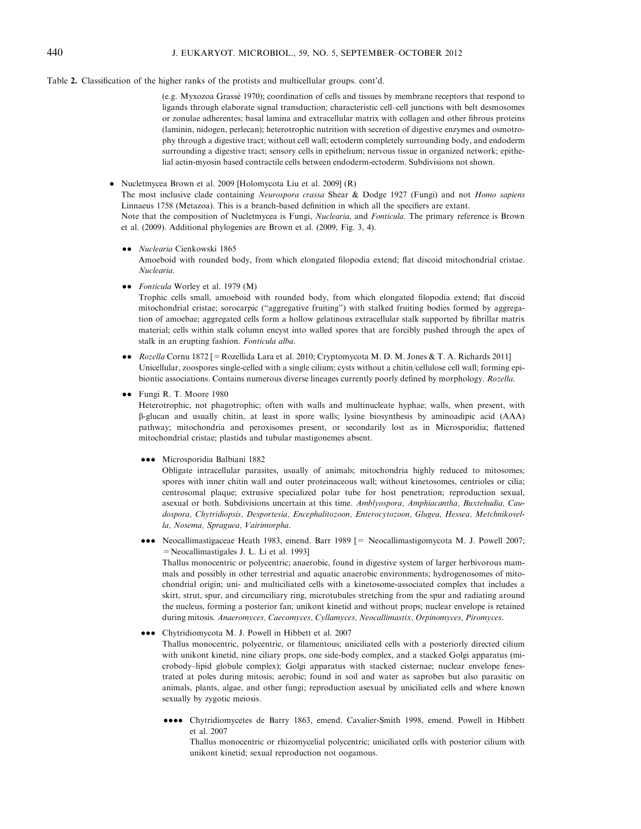(e.g. Myxozoa Grasse´ 1970); coordination of cells and tissues by membrane receptors that respond to ligands through elaborate signal transduction; characteristic cell–cell junctions with belt desmosomes or zonulae adherentes; basal lamina and extracellular matrix with collagen and other fibrous proteins (laminin, nidogen, perlecan); heterotrophic nutrition with secretion of digestive enzymes and osmotrophy through a digestive tract; without cell wall; ectoderm completely surrounding body, and endoderm surrounding a digestive tract; sensory cells in epithelium; nervous tissue in organized network; epithelial actin-myosin based contractile cells between endoderm-ectoderm. Subdivisions not shown.

● Nucletmycea Brown et al. 2009 [Holomycota Liu et al. 2009] (R)

The most inclusive clade containing Neurospora crassa Shear & Dodge 1927 (Fungi) and not Homo sapiens Linnaeus 1758 (Metazoa). This is a branch-based definition in which all the specifiers are extant.

Note that the composition of Nucletmycea is Fungi, Nuclearia, and Fonticula. The primary reference is Brown et al. (2009). Additional phylogenies are Brown et al. (2009, Fig. 3, 4).

- ●● Nuclearia Cienkowski 1865 Amoeboid with rounded body, from which elongated filopodia extend; flat discoid mitochondrial cristae. Nuclearia.
- ●● Fonticula Worley et al. 1979 (M)

Trophic cells small, amoeboid with rounded body, from which elongated filopodia extend; flat discoid mitochondrial cristae; sorocarpic ("aggregative fruiting") with stalked fruiting bodies formed by aggregation of amoebae; aggregated cells form a hollow gelatinous extracellular stalk supported by fibrillar matrix material; cells within stalk column encyst into walled spores that are forcibly pushed through the apex of stalk in an erupting fashion. Fonticula alba.

- ●● Rozella Cornu 1872 [=Rozellida Lara et al. 2010; Cryptomycota M. D. M. Jones & T. A. Richards 2011] Unicellular, zoospores single-celled with a single cilium; cysts without a chitin/cellulose cell wall; forming epibiontic associations. Contains numerous diverse lineages currently poorly defined by morphology. Rozella.
- ●● Fungi R. T. Moore 1980

Heterotrophic, not phagotrophic; often with walls and multinucleate hyphae; walls, when present, with b-glucan and usually chitin, at least in spore walls; lysine biosynthesis by aminoadipic acid (AAA) pathway; mitochondria and peroxisomes present, or secondarily lost as in Microsporidia; flattened mitochondrial cristae; plastids and tubular mastigonemes absent.

## ●●● Microsporidia Balbiani 1882

Obligate intracellular parasites, usually of animals; mitochondria highly reduced to mitosomes; spores with inner chitin wall and outer proteinaceous wall; without kinetosomes, centrioles or cilia; centrosomal plaque; extrusive specialized polar tube for host penetration; reproduction sexual, asexual or both. Subdivisions uncertain at this time. Amblyospora, Amphiacantha, Buxtehudia, Caudospora, Chytridiopsis, Desportesia, Encephalitozoon, Enterocytozoon, Glugea, Hessea, Metchnikovella, Nosema, Spraguea, Vairimorpha.

Neocallimastigaceae Heath 1983, emend. Barr 1989 [= Neocallimastigomycota M. J. Powell 2007; =Neocallimastigales J. L. Li et al. 1993]

Thallus monocentric or polycentric; anaerobic, found in digestive system of larger herbivorous mammals and possibly in other terrestrial and aquatic anaerobic environments; hydrogenosomes of mitochondrial origin; uni- and multiciliated cells with a kinetosome-associated complex that includes a skirt, strut, spur, and circumciliary ring, microtubules stretching from the spur and radiating around the nucleus, forming a posterior fan; unikont kinetid and without props; nuclear envelope is retained during mitosis. Anaeromyces, Caecomyces, Cyllamyces, Neocallimastix, Orpinomyces, Piromyces.

## Chytridiomycota M. J. Powell in Hibbett et al. 2007

Thallus monocentric, polycentric, or filamentous; uniciliated cells with a posteriorly directed cilium with unikont kinetid, nine ciliary props, one side-body complex, and a stacked Golgi apparatus (microbody–lipid globule complex); Golgi apparatus with stacked cisternae; nuclear envelope fenestrated at poles during mitosis; aerobic; found in soil and water as saprobes but also parasitic on animals, plants, algae, and other fungi; reproduction asexual by uniciliated cells and where known sexually by zygotic meiosis.

●●●● Chytridiomycetes de Barry 1863, emend. Cavalier-Smith 1998, emend. Powell in Hibbett et al. 2007

Thallus monocentric or rhizomycelial polycentric; uniciliated cells with posterior cilium with unikont kinetid; sexual reproduction not oogamous.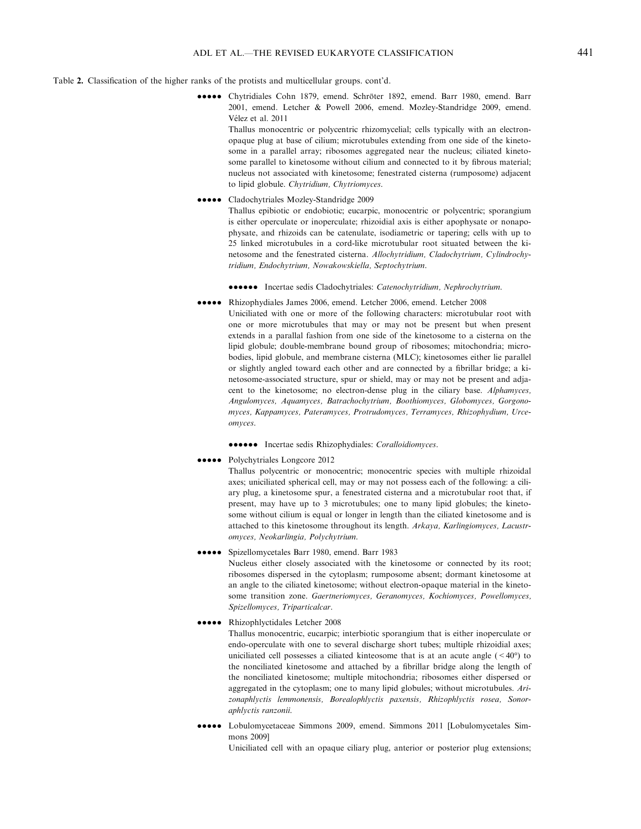●●●●● Chytridiales Cohn 1879, emend. Schro¨ter 1892, emend. Barr 1980, emend. Barr 2001, emend. Letcher & Powell 2006, emend. Mozley-Standridge 2009, emend. Vélez et al. 2011

Thallus monocentric or polycentric rhizomycelial; cells typically with an electronopaque plug at base of cilium; microtubules extending from one side of the kinetosome in a parallel array; ribosomes aggregated near the nucleus; ciliated kinetosome parallel to kinetosome without cilium and connected to it by fibrous material; nucleus not associated with kinetosome; fenestrated cisterna (rumposome) adjacent to lipid globule. Chytridium, Chytriomyces.

●●●●● Cladochytriales Mozley-Standridge 2009

Thallus epibiotic or endobiotic; eucarpic, monocentric or polycentric; sporangium is either operculate or inoperculate; rhizoidial axis is either apophysate or nonapophysate, and rhizoids can be catenulate, isodiametric or tapering; cells with up to 25 linked microtubules in a cord-like microtubular root situated between the kinetosome and the fenestrated cisterna. Allochytridium, Cladochytrium, Cylindrochytridium, Endochytrium, Nowakowskiella, Septochytrium.

●●●●●● Incertae sedis Cladochytriales: Catenochytridium, Nephrochytrium.

●●●●● Rhizophydiales James 2006, emend. Letcher 2006, emend. Letcher 2008

Uniciliated with one or more of the following characters: microtubular root with one or more microtubules that may or may not be present but when present extends in a parallal fashion from one side of the kinetosome to a cisterna on the lipid globule; double-membrane bound group of ribosomes; mitochondria; microbodies, lipid globule, and membrane cisterna (MLC); kinetosomes either lie parallel or slightly angled toward each other and are connected by a fibrillar bridge; a kinetosome-associated structure, spur or shield, may or may not be present and adjacent to the kinetosome; no electron-dense plug in the ciliary base. Alphamyces, Angulomyces, Aquamyces, Batrachochytrium, Boothiomyces, Globomyces, Gorgonomyces, Kappamyces, Pateramyces, Protrudomyces, Terramyces, Rhizophydium, Urceomyces.

- ●●●●●● Incertae sedis Rhizophydiales: Coralloidiomyces.
- ●●●●● Polychytriales Longcore 2012

Thallus polycentric or monocentric; monocentric species with multiple rhizoidal axes; uniciliated spherical cell, may or may not possess each of the following: a ciliary plug, a kinetosome spur, a fenestrated cisterna and a microtubular root that, if present, may have up to 3 microtubules; one to many lipid globules; the kinetosome without cilium is equal or longer in length than the ciliated kinetosome and is attached to this kinetosome throughout its length. Arkaya, Karlingiomyces, Lacustromyces, Neokarlingia, Polychytrium.

●●●●● Spizellomycetales Barr 1980, emend. Barr 1983

Nucleus either closely associated with the kinetosome or connected by its root; ribosomes dispersed in the cytoplasm; rumposome absent; dormant kinetosome at an angle to the ciliated kinetosome; without electron-opaque material in the kinetosome transition zone. Gaertneriomyces, Geranomyces, Kochiomyces, Powellomyces, Spizellomyces, Triparticalcar.

●●●●● Rhizophlyctidales Letcher 2008

Thallus monocentric, eucarpic; interbiotic sporangium that is either inoperculate or endo-operculate with one to several discharge short tubes; multiple rhizoidial axes; uniciliated cell possesses a ciliated kinteosome that is at an acute angle  $( $40^{\circ}$ )$  to the nonciliated kinetosome and attached by a fibrillar bridge along the length of the nonciliated kinetosome; multiple mitochondria; ribosomes either dispersed or aggregated in the cytoplasm; one to many lipid globules; without microtubules. Arizonaphlyctis lemmonensis, Borealophlyctis paxensis, Rhizophlyctis rosea, Sonoraphlyctis ranzonii.

●●●●● Lobulomycetaceae Simmons 2009, emend. Simmons 2011 [Lobulomycetales Simmons 2009]

Uniciliated cell with an opaque ciliary plug, anterior or posterior plug extensions;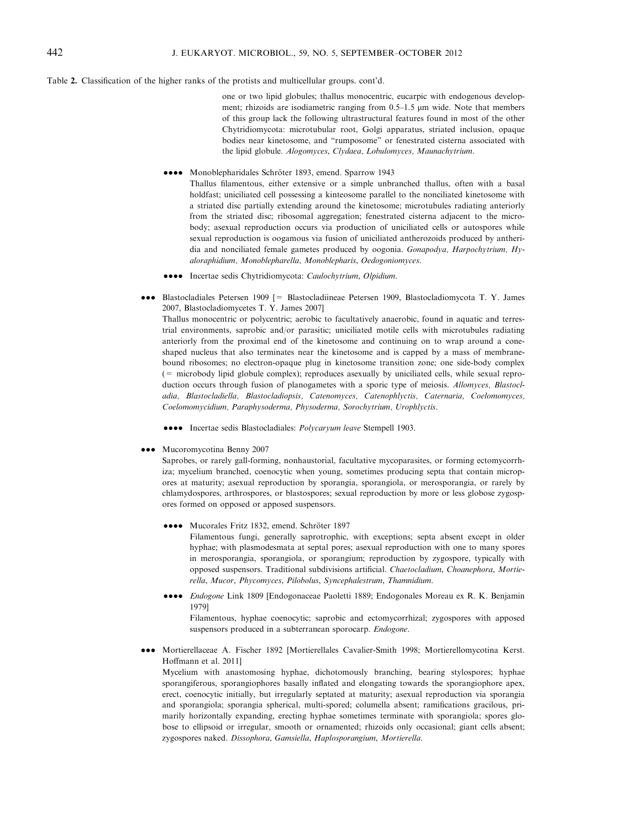one or two lipid globules; thallus monocentric, eucarpic with endogenous development; rhizoids are isodiametric ranging from  $0.5-1.5$  µm wide. Note that members of this group lack the following ultrastructural features found in most of the other Chytridiomycota: microtubular root, Golgi apparatus, striated inclusion, opaque bodies near kinetosome, and "rumposome" or fenestrated cisterna associated with the lipid globule. Alogomyces, Clydaea, Lobulomyces, Maunachytrium.

- ●●●● Monoblepharidales Schröter 1893, emend. Sparrow 1943 Thallus filamentous, either extensive or a simple unbranched thallus, often with a basal holdfast; uniciliated cell possessing a kinteosome parallel to the nonciliated kinetosome with a striated disc partially extending around the kinetosome; microtubules radiating anteriorly from the striated disc; ribosomal aggregation; fenestrated cisterna adjacent to the microbody; asexual reproduction occurs via production of uniciliated cells or autospores while sexual reproduction is oogamous via fusion of uniciliated antherozoids produced by antheridia and nonciliated female gametes produced by oogonia. Gonapodya, Harpochytrium, Hyaloraphidium, Monoblepharella, Monoblepharis, Oedogoniomyces.
- ●●●● Incertae sedis Chytridiomycota: Caulochytrium, Olpidium.
- ●●● Blastocladiales Petersen 1909 [= Blastocladiineae Petersen 1909, Blastocladiomycota T. Y. James 2007, Blastocladiomycetes T. Y. James 2007]

Thallus monocentric or polycentric; aerobic to facultatively anaerobic, found in aquatic and terrestrial environments, saprobic and/or parasitic; uniciliated motile cells with microtubules radiating anteriorly from the proximal end of the kinetosome and continuing on to wrap around a coneshaped nucleus that also terminates near the kinetosome and is capped by a mass of membranebound ribosomes; no electron-opaque plug in kinetosome transition zone; one side-body complex (= microbody lipid globule complex); reproduces asexually by uniciliated cells, while sexual reproduction occurs through fusion of planogametes with a sporic type of meiosis. Allomyces, Blastocladia, Blastocladiella, Blastocladiopsis, Catenomyces, Catenophlyctis, Caternaria, Coelomomyces, Coelomomycidium, Paraphysoderma, Physoderma, Sorochytrium, Urophlyctis.

- ●●●● Incertae sedis Blastocladiales: Polycaryum leave Stempell 1903.
- ●●● Mucoromycotina Benny 2007

Saprobes, or rarely gall-forming, nonhaustorial, facultative mycoparasites, or forming ectomycorrhiza; mycelium branched, coenocytic when young, sometimes producing septa that contain micropores at maturity; asexual reproduction by sporangia, sporangiola, or merosporangia, or rarely by chlamydospores, arthrospores, or blastospores; sexual reproduction by more or less globose zygospores formed on opposed or apposed suspensors.

●●●●● Mucorales Fritz 1832, emend. Schröter 1897

Filamentous fungi, generally saprotrophic, with exceptions; septa absent except in older hyphae; with plasmodesmata at septal pores; asexual reproduction with one to many spores in merosporangia, sporangiola, or sporangium; reproduction by zygospore, typically with opposed suspensors. Traditional subdivisions artificial. Chaetocladium, Choanephora, Mortierella, Mucor, Phycomyces, Pilobolus, Syncephalestrum, Thamnidium.

●●●● Endogone Link 1809 [Endogonaceae Paoletti 1889; Endogonales Moreau ex R. K. Benjamin 1979]

Filamentous, hyphae coenocytic; saprobic and ectomycorrhizal; zygospores with apposed suspensors produced in a subterranean sporocarp. *Endogone*.

Mortierellaceae A. Fischer 1892 [Mortierellales Cavalier-Smith 1998; Mortierellomycotina Kerst. Hoffmann et al. 2011]

Mycelium with anastomosing hyphae, dichotomously branching, bearing stylospores; hyphae sporangiferous, sporangiophores basally inflated and elongating towards the sporangiophore apex, erect, coenocytic initially, but irregularly septated at maturity; asexual reproduction via sporangia and sporangiola; sporangia spherical, multi-spored; columella absent; ramifications gracilous, primarily horizontally expanding, erecting hyphae sometimes terminate with sporangiola; spores globose to ellipsoid or irregular, smooth or ornamented; rhizoids only occasional; giant cells absent; zygospores naked. Dissophora, Gamsiella, Haplosporangium, Mortierella.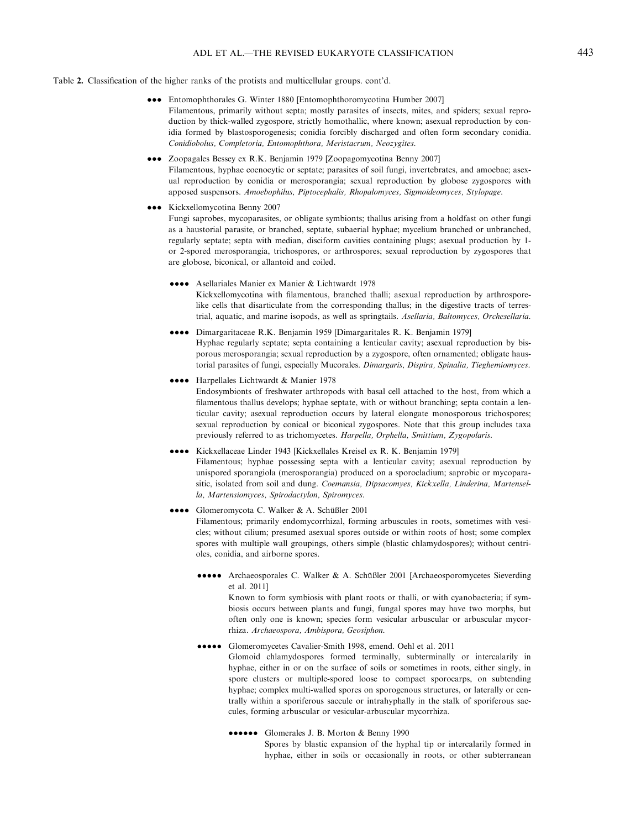●●● Entomophthorales G. Winter 1880 [Entomophthoromycotina Humber 2007]

Filamentous, primarily without septa; mostly parasites of insects, mites, and spiders; sexual reproduction by thick-walled zygospore, strictly homothallic, where known; asexual reproduction by conidia formed by blastosporogenesis; conidia forcibly discharged and often form secondary conidia. Conidiobolus, Completoria, Entomophthora, Meristacrum, Neozygites.

- ●●● Zoopagales Bessey ex R.K. Benjamin 1979 [Zoopagomycotina Benny 2007] Filamentous, hyphae coenocytic or septate; parasites of soil fungi, invertebrates, and amoebae; asexual reproduction by conidia or merosporangia; sexual reproduction by globose zygospores with apposed suspensors. Amoebophilus, Piptocephalis, Rhopalomyces, Sigmoideomyces, Stylopage.
- ●●● Kickxellomycotina Benny 2007

Fungi saprobes, mycoparasites, or obligate symbionts; thallus arising from a holdfast on other fungi as a haustorial parasite, or branched, septate, subaerial hyphae; mycelium branched or unbranched, regularly septate; septa with median, disciform cavities containing plugs; asexual production by 1 or 2-spored merosporangia, trichospores, or arthrospores; sexual reproduction by zygospores that are globose, biconical, or allantoid and coiled.

●●●● Asellariales Manier ex Manier & Lichtwardt 1978

Kickxellomycotina with filamentous, branched thalli; asexual reproduction by arthrosporelike cells that disarticulate from the corresponding thallus; in the digestive tracts of terrestrial, aquatic, and marine isopods, as well as springtails. Asellaria, Baltomyces, Orchesellaria.

- ●●●● Dimargaritaceae R.K. Benjamin 1959 [Dimargaritales R. K. Benjamin 1979] Hyphae regularly septate; septa containing a lenticular cavity; asexual reproduction by bisporous merosporangia; sexual reproduction by a zygospore, often ornamented; obligate haustorial parasites of fungi, especially Mucorales. Dimargaris, Dispira, Spinalia, Tieghemiomyces.
- ●●●● Harpellales Lichtwardt & Manier 1978 Endosymbionts of freshwater arthropods with basal cell attached to the host, from which a filamentous thallus develops; hyphae septate, with or without branching; septa contain a lenticular cavity; asexual reproduction occurs by lateral elongate monosporous trichospores; sexual reproduction by conical or biconical zygospores. Note that this group includes taxa previously referred to as trichomycetes. Harpella, Orphella, Smittium, Zygopolaris.
- ●●●● Kickxellaceae Linder 1943 [Kickxellales Kreisel ex R. K. Benjamin 1979] Filamentous; hyphae possessing septa with a lenticular cavity; asexual reproduction by unispored sporangiola (merosporangia) produced on a sporocladium; saprobic or mycoparasitic, isolated from soil and dung. Coemansia, Dipsacomyes, Kickxella, Linderina, Martensella, Martensiomyces, Spirodactylon, Spiromyces.
- ●●●● Glomeromycota C. Walker & A. Schüßler 2001 Filamentous; primarily endomycorrhizal, forming arbuscules in roots, sometimes with vesicles; without cilium; presumed asexual spores outside or within roots of host; some complex spores with multiple wall groupings, others simple (blastic chlamydospores); without centrioles, conidia, and airborne spores.
	- ●●●●● Archaeosporales C. Walker & A. Schu¨ßler 2001 [Archaeosporomycetes Sieverding et al. 2011]

Known to form symbiosis with plant roots or thalli, or with cyanobacteria; if symbiosis occurs between plants and fungi, fungal spores may have two morphs, but often only one is known; species form vesicular arbuscular or arbuscular mycorrhiza. Archaeospora, Ambispora, Geosiphon.

Glomeromycetes Cavalier-Smith 1998, emend. Oehl et al. 2011

Glomoid chlamydospores formed terminally, subterminally or intercalarily in hyphae, either in or on the surface of soils or sometimes in roots, either singly, in spore clusters or multiple-spored loose to compact sporocarps, on subtending hyphae; complex multi-walled spores on sporogenous structures, or laterally or centrally within a sporiferous saccule or intrahyphally in the stalk of sporiferous saccules, forming arbuscular or vesicular-arbuscular mycorrhiza.

●●●●●●● Glomerales J. B. Morton & Benny 1990

Spores by blastic expansion of the hyphal tip or intercalarily formed in hyphae, either in soils or occasionally in roots, or other subterranean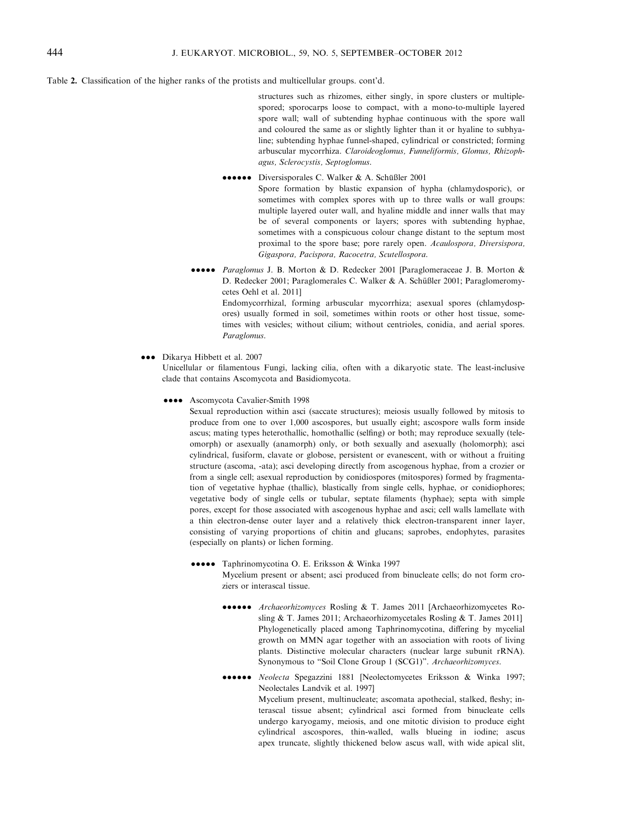structures such as rhizomes, either singly, in spore clusters or multiplespored; sporocarps loose to compact, with a mono-to-multiple layered spore wall; wall of subtending hyphae continuous with the spore wall and coloured the same as or slightly lighter than it or hyaline to subhyaline; subtending hyphae funnel-shaped, cylindrical or constricted; forming arbuscular mycorrhiza. Claroideoglomus, Funneliformis, Glomus, Rhizophagus, Sclerocystis, Septoglomus.

●●●●●● Diversisporales C. Walker & A. Schüßler 2001

Spore formation by blastic expansion of hypha (chlamydosporic), or sometimes with complex spores with up to three walls or wall groups: multiple layered outer wall, and hyaline middle and inner walls that may be of several components or layers; spores with subtending hyphae, sometimes with a conspicuous colour change distant to the septum most proximal to the spore base; pore rarely open. Acaulospora, Diversispora, Gigaspora, Pacispora, Racocetra, Scutellospora.

●●●●● Paraglomus J. B. Morton & D. Redecker 2001 [Paraglomeraceae J. B. Morton & D. Redecker 2001; Paraglomerales C. Walker & A. Schüßler 2001; Paraglomeromycetes Oehl et al. 2011]

Endomycorrhizal, forming arbuscular mycorrhiza; asexual spores (chlamydospores) usually formed in soil, sometimes within roots or other host tissue, sometimes with vesicles; without cilium; without centrioles, conidia, and aerial spores. Paraglomus.

●●● Dikarya Hibbett et al. 2007

Unicellular or filamentous Fungi, lacking cilia, often with a dikaryotic state. The least-inclusive clade that contains Ascomycota and Basidiomycota.

●●●● Ascomycota Cavalier-Smith 1998

Sexual reproduction within asci (saccate structures); meiosis usually followed by mitosis to produce from one to over 1,000 ascospores, but usually eight; ascospore walls form inside ascus; mating types heterothallic, homothallic (selfing) or both; may reproduce sexually (teleomorph) or asexually (anamorph) only, or both sexually and asexually (holomorph); asci cylindrical, fusiform, clavate or globose, persistent or evanescent, with or without a fruiting structure (ascoma, -ata); asci developing directly from ascogenous hyphae, from a crozier or from a single cell; asexual reproduction by conidiospores (mitospores) formed by fragmentation of vegetative hyphae (thallic), blastically from single cells, hyphae, or conidiophores; vegetative body of single cells or tubular, septate filaments (hyphae); septa with simple pores, except for those associated with ascogenous hyphae and asci; cell walls lamellate with a thin electron-dense outer layer and a relatively thick electron-transparent inner layer, consisting of varying proportions of chitin and glucans; saprobes, endophytes, parasites (especially on plants) or lichen forming.

●●●●● Taphrinomycotina O. E. Eriksson & Winka 1997

Mycelium present or absent; asci produced from binucleate cells; do not form croziers or interascal tissue.

- ●●●●●●● Archaeorhizomyces Rosling & T. James 2011 [Archaeorhizomycetes Rosling & T. James 2011; Archaeorhizomycetales Rosling & T. James 2011] Phylogenetically placed among Taphrinomycotina, differing by mycelial growth on MMN agar together with an association with roots of living plants. Distinctive molecular characters (nuclear large subunit rRNA). Synonymous to "Soil Clone Group 1 (SCG1)". Archaeorhizomyces.
- ●●●●●● Neolecta Spegazzini 1881 [Neolectomycetes Eriksson & Winka 1997; Neolectales Landvik et al. 1997] Mycelium present, multinucleate; ascomata apothecial, stalked, fleshy; interascal tissue absent; cylindrical asci formed from binucleate cells undergo karyogamy, meiosis, and one mitotic division to produce eight cylindrical ascospores, thin-walled, walls blueing in iodine; ascus apex truncate, slightly thickened below ascus wall, with wide apical slit,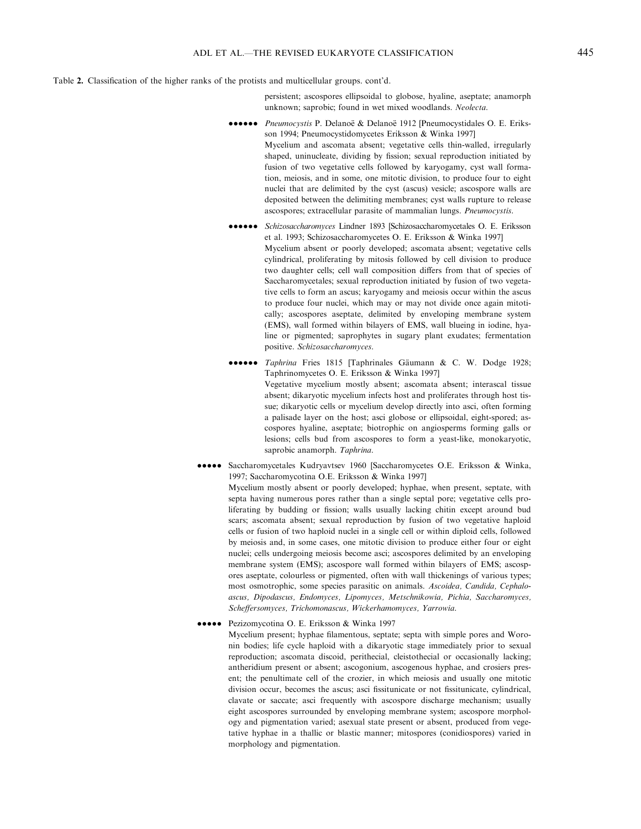persistent; ascospores ellipsoidal to globose, hyaline, aseptate; anamorph unknown; saprobic; found in wet mixed woodlands. Neolecta.

- Pneumocystis P. Delanoë & Delanoë 1912 [Pneumocystidales O. E. Eriksson 1994; Pneumocystidomycetes Eriksson & Winka 1997] Mycelium and ascomata absent; vegetative cells thin-walled, irregularly shaped, uninucleate, dividing by fission; sexual reproduction initiated by fusion of two vegetative cells followed by karyogamy, cyst wall formation, meiosis, and in some, one mitotic division, to produce four to eight nuclei that are delimited by the cyst (ascus) vesicle; ascospore walls are deposited between the delimiting membranes; cyst walls rupture to release ascospores; extracellular parasite of mammalian lungs. Pneumocystis.
- **●●●●●●** Schizosaccharomyces Lindner 1893 [Schizosaccharomycetales O. E. Eriksson et al. 1993; Schizosaccharomycetes O. E. Eriksson & Winka 1997] Mycelium absent or poorly developed; ascomata absent; vegetative cells cylindrical, proliferating by mitosis followed by cell division to produce two daughter cells; cell wall composition differs from that of species of Saccharomycetales; sexual reproduction initiated by fusion of two vegetative cells to form an ascus; karyogamy and meiosis occur within the ascus to produce four nuclei, which may or may not divide once again mitotically; ascospores aseptate, delimited by enveloping membrane system (EMS), wall formed within bilayers of EMS, wall blueing in iodine, hyaline or pigmented; saprophytes in sugary plant exudates; fermentation positive. Schizosaccharomyces.
- **••••••** Taphrina Fries 1815 [Taphrinales Gäumann & C. W. Dodge 1928; Taphrinomycetes O. E. Eriksson & Winka 1997] Vegetative mycelium mostly absent; ascomata absent; interascal tissue absent; dikaryotic mycelium infects host and proliferates through host tissue; dikaryotic cells or mycelium develop directly into asci, often forming a palisade layer on the host; asci globose or ellipsoidal, eight-spored; ascospores hyaline, aseptate; biotrophic on angiosperms forming galls or lesions; cells bud from ascospores to form a yeast-like, monokaryotic, saprobic anamorph. Taphrina.
- ●●●●● Saccharomycetales Kudryavtsev 1960 [Saccharomycetes O.E. Eriksson & Winka, 1997; Saccharomycotina O.E. Eriksson & Winka 1997] Mycelium mostly absent or poorly developed; hyphae, when present, septate, with septa having numerous pores rather than a single septal pore; vegetative cells proliferating by budding or fission; walls usually lacking chitin except around bud scars; ascomata absent; sexual reproduction by fusion of two vegetative haploid cells or fusion of two haploid nuclei in a single cell or within diploid cells, followed by meiosis and, in some cases, one mitotic division to produce either four or eight nuclei; cells undergoing meiosis become asci; ascospores delimited by an enveloping

membrane system (EMS); ascospore wall formed within bilayers of EMS; ascospores aseptate, colourless or pigmented, often with wall thickenings of various types; most osmotrophic, some species parasitic on animals. Ascoidea, Candida, Cephaloascus, Dipodascus, Endomyces, Lipomyces, Metschnikowia, Pichia, Saccharomyces, Scheffersomyces, Trichomonascus, Wickerhamomyces, Yarrowia.

●●●●● Pezizomycotina O. E. Eriksson & Winka 1997

Mycelium present; hyphae filamentous, septate; septa with simple pores and Woronin bodies; life cycle haploid with a dikaryotic stage immediately prior to sexual reproduction; ascomata discoid, perithecial, cleistothecial or occasionally lacking; antheridium present or absent; ascogonium, ascogenous hyphae, and crosiers present; the penultimate cell of the crozier, in which meiosis and usually one mitotic division occur, becomes the ascus; asci fissitunicate or not fissitunicate, cylindrical, clavate or saccate; asci frequently with ascospore discharge mechanism; usually eight ascospores surrounded by enveloping membrane system; ascospore morphology and pigmentation varied; asexual state present or absent, produced from vegetative hyphae in a thallic or blastic manner; mitospores (conidiospores) varied in morphology and pigmentation.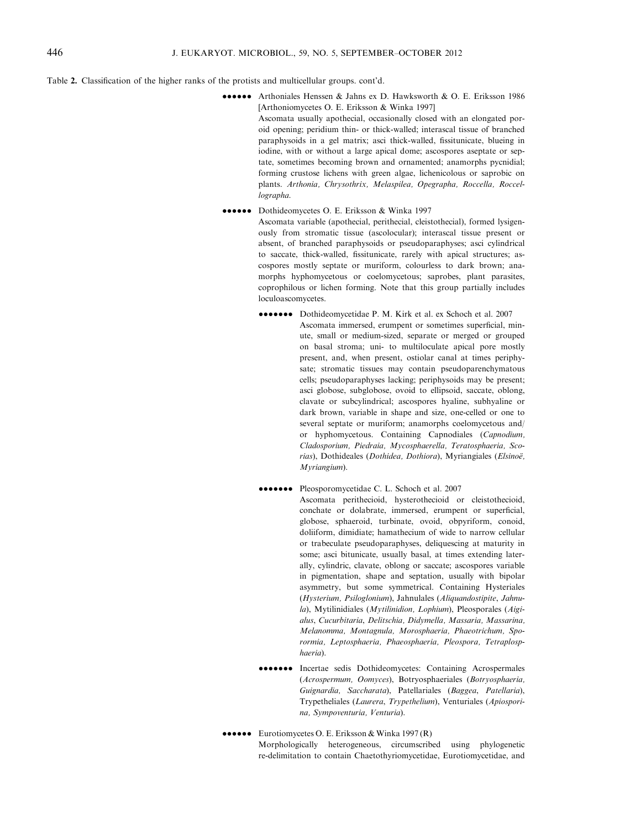- Table 2. Classification of the higher ranks of the protists and multicellular groups. cont'd.
	- ●●●●●● Arthoniales Henssen & Jahns ex D. Hawksworth & O. E. Eriksson 1986 [Arthoniomycetes O. E. Eriksson & Winka 1997]

Ascomata usually apothecial, occasionally closed with an elongated poroid opening; peridium thin- or thick-walled; interascal tissue of branched paraphysoids in a gel matrix; asci thick-walled, fissitunicate, blueing in iodine, with or without a large apical dome; ascospores aseptate or septate, sometimes becoming brown and ornamented; anamorphs pycnidial; forming crustose lichens with green algae, lichenicolous or saprobic on plants. Arthonia, Chrysothrix, Melaspilea, Opegrapha, Roccella, Roccellographa.

## ●●●●●●● Dothideomycetes O. E. Eriksson & Winka 1997

Ascomata variable (apothecial, perithecial, cleistothecial), formed lysigenously from stromatic tissue (ascolocular); interascal tissue present or absent, of branched paraphysoids or pseudoparaphyses; asci cylindrical to saccate, thick-walled, fissitunicate, rarely with apical structures; ascospores mostly septate or muriform, colourless to dark brown; anamorphs hyphomycetous or coelomycetous; saprobes, plant parasites, coprophilous or lichen forming. Note that this group partially includes loculoascomycetes.

- ●●●●●●●● Dothideomycetidae P. M. Kirk et al. ex Schoch et al. 2007 Ascomata immersed, erumpent or sometimes superficial, minute, small or medium-sized, separate or merged or grouped on basal stroma; uni- to multiloculate apical pore mostly present, and, when present, ostiolar canal at times periphysate; stromatic tissues may contain pseudoparenchymatous cells; pseudoparaphyses lacking; periphysoids may be present; asci globose, subglobose, ovoid to ellipsoid, saccate, oblong, clavate or subcylindrical; ascospores hyaline, subhyaline or dark brown, variable in shape and size, one-celled or one to several septate or muriform; anamorphs coelomycetous and/ or hyphomycetous. Containing Capnodiales (Capnodium, Cladosporium, Piedraia, Mycosphaerella, Teratosphaeria, Scorias), Dothideales (Dothidea, Dothiora), Myriangiales (Elsinoё, Myriangium).
	- Pleosporomycetidae C. L. Schoch et al. 2007 Ascomata perithecioid, hysterothecioid or cleistothecioid, conchate or dolabrate, immersed, erumpent or superficial, globose, sphaeroid, turbinate, ovoid, obpyriform, conoid, doliiform, dimidiate; hamathecium of wide to narrow cellular or trabeculate pseudoparaphyses, deliquescing at maturity in some; asci bitunicate, usually basal, at times extending laterally, cylindric, clavate, oblong or saccate; ascospores variable in pigmentation, shape and septation, usually with bipolar asymmetry, but some symmetrical. Containing Hysteriales (Hysterium, Psiloglonium), Jahnulales (Aliquandostipite, Jahnula), Mytilinidiales (Mytilinidion, Lophium), Pleosporales (Aigialus, Cucurbitaria, Delitschia, Didymella, Massaria, Massarina, Melanomma, Montagnula, Morosphaeria, Phaeotrichum, Sporormia, Leptosphaeria, Phaeosphaeria, Pleospora, Tetraplosphaeria).
- ●●●●●●● Incertae sedis Dothideomycetes: Containing Acrospermales (Acrospermum, Oomyces), Botryosphaeriales (Botryosphaeria, Guignardia, Saccharata), Patellariales (Baggea, Patellaria), Trypetheliales (Laurera, Trypethelium), Venturiales (Apiosporina, Sympoventuria, Venturia).
- ●●●●●● Eurotiomycetes O. E. Eriksson & Winka 1997 (R) Morphologically heterogeneous, circumscribed using phylogenetic re-delimitation to contain Chaetothyriomycetidae, Eurotiomycetidae, and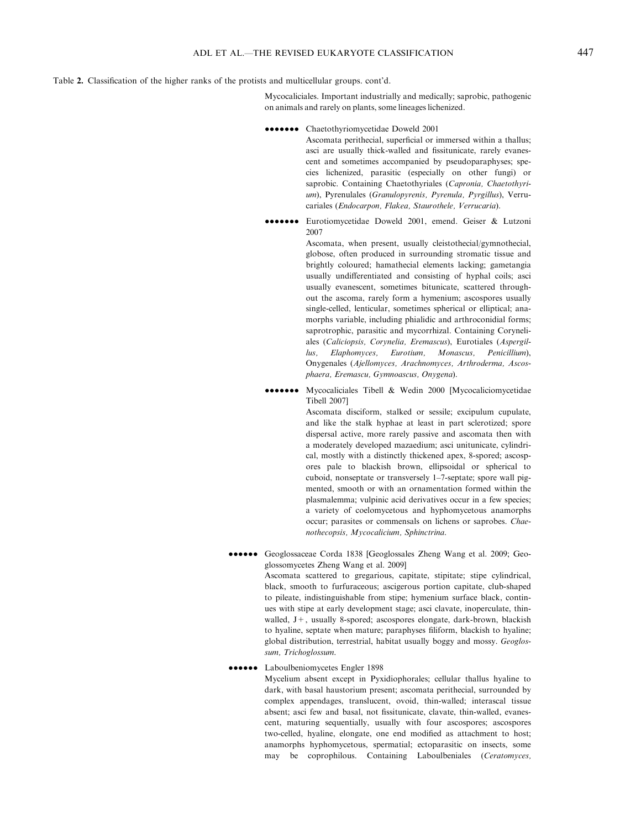Mycocaliciales. Important industrially and medically; saprobic, pathogenic on animals and rarely on plants, some lineages lichenized.

●●●●●●●● Chaetothyriomycetidae Doweld 2001

Ascomata perithecial, superficial or immersed within a thallus; asci are usually thick-walled and fissitunicate, rarely evanescent and sometimes accompanied by pseudoparaphyses; species lichenized, parasitic (especially on other fungi) or saprobic. Containing Chaetothyriales (Capronia, Chaetothyrium), Pyrenulales (Granulopyrenis, Pyrenula, Pyrgillus), Verrucariales (Endocarpon, Flakea, Staurothele, Verrucaria).

●●●●●●● Eurotiomycetidae Doweld 2001, emend. Geiser & Lutzoni 2007

> Ascomata, when present, usually cleistothecial/gymnothecial, globose, often produced in surrounding stromatic tissue and brightly coloured; hamathecial elements lacking; gametangia usually undifferentiated and consisting of hyphal coils; asci usually evanescent, sometimes bitunicate, scattered throughout the ascoma, rarely form a hymenium; ascospores usually single-celled, lenticular, sometimes spherical or elliptical; anamorphs variable, including phialidic and arthroconidial forms; saprotrophic, parasitic and mycorrhizal. Containing Coryneliales (Caliciopsis, Corynelia, Eremascus), Eurotiales (Aspergillus, Elaphomyces, Eurotium, Monascus, Penicillium), Onygenales (Ajellomyces, Arachnomyces, Arthroderma, Ascosphaera, Eremascu, Gymnoascus, Onygena).

●●●●●●● Mycocaliciales Tibell & Wedin 2000 [Mycocaliciomycetidae Tibell 2007]

> Ascomata disciform, stalked or sessile; excipulum cupulate, and like the stalk hyphae at least in part sclerotized; spore dispersal active, more rarely passive and ascomata then with a moderately developed mazaedium; asci unitunicate, cylindrical, mostly with a distinctly thickened apex, 8-spored; ascospores pale to blackish brown, ellipsoidal or spherical to cuboid, nonseptate or transversely 1–7-septate; spore wall pigmented, smooth or with an ornamentation formed within the plasmalemma; vulpinic acid derivatives occur in a few species; a variety of coelomycetous and hyphomycetous anamorphs occur; parasites or commensals on lichens or saprobes. Chaenothecopsis, Mycocalicium, Sphinctrina.

●●●●●● Geoglossaceae Corda 1838 [Geoglossales Zheng Wang et al. 2009; Geoglossomycetes Zheng Wang et al. 2009]

> Ascomata scattered to gregarious, capitate, stipitate; stipe cylindrical, black, smooth to furfuraceous; ascigerous portion capitate, club-shaped to pileate, indistinguishable from stipe; hymenium surface black, continues with stipe at early development stage; asci clavate, inoperculate, thinwalled,  $J+$ , usually 8-spored; ascospores elongate, dark-brown, blackish to hyaline, septate when mature; paraphyses filiform, blackish to hyaline; global distribution, terrestrial, habitat usually boggy and mossy. Geoglossum, Trichoglossum.

## ●●●●●● Laboulbeniomycetes Engler 1898

Mycelium absent except in Pyxidiophorales; cellular thallus hyaline to dark, with basal haustorium present; ascomata perithecial, surrounded by complex appendages, translucent, ovoid, thin-walled; interascal tissue absent; asci few and basal, not fissitunicate, clavate, thin-walled, evanescent, maturing sequentially, usually with four ascospores; ascospores two-celled, hyaline, elongate, one end modified as attachment to host; anamorphs hyphomycetous, spermatial; ectoparasitic on insects, some may be coprophilous. Containing Laboulbeniales (Ceratomyces,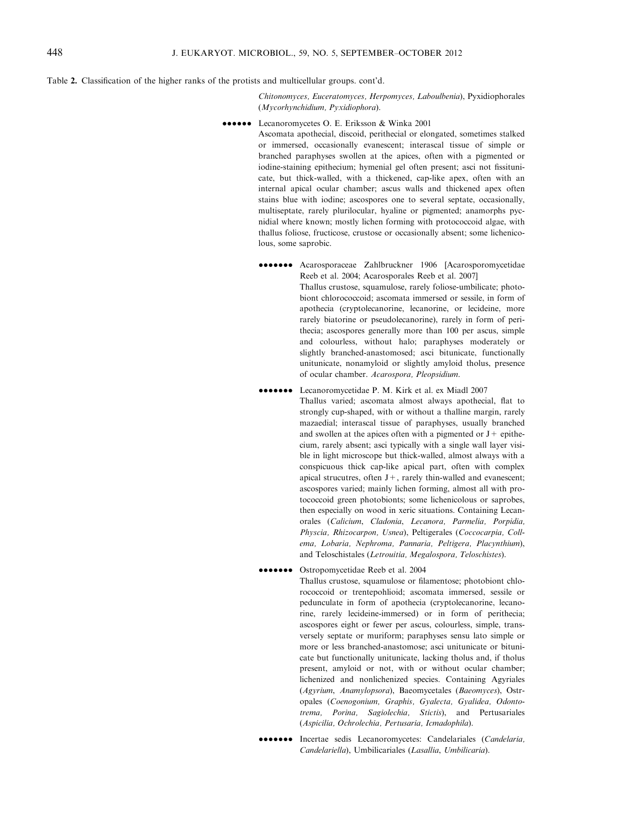Chitonomyces, Euceratomyces, Herpomyces, Laboulbenia), Pyxidiophorales (Mycorhynchidium, Pyxidiophora).

Lecanoromycetes O. E. Eriksson & Winka 2001

Ascomata apothecial, discoid, perithecial or elongated, sometimes stalked or immersed, occasionally evanescent; interascal tissue of simple or branched paraphyses swollen at the apices, often with a pigmented or iodine-staining epithecium; hymenial gel often present; asci not fissitunicate, but thick-walled, with a thickened, cap-like apex, often with an internal apical ocular chamber; ascus walls and thickened apex often stains blue with iodine; ascospores one to several septate, occasionally, multiseptate, rarely plurilocular, hyaline or pigmented; anamorphs pycnidial where known; mostly lichen forming with protococcoid algae, with thallus foliose, fructicose, crustose or occasionally absent; some lichenicolous, some saprobic.

●●●●●●● Acarosporaceae Zahlbruckner 1906 [Acarosporomycetidae Reeb et al. 2004; Acarosporales Reeb et al. 2007] Thallus crustose, squamulose, rarely foliose-umbilicate; photo-

biont chlorococcoid; ascomata immersed or sessile, in form of apothecia (cryptolecanorine, lecanorine, or lecideine, more rarely biatorine or pseudolecanorine), rarely in form of perithecia; ascospores generally more than 100 per ascus, simple and colourless, without halo; paraphyses moderately or slightly branched-anastomosed; asci bitunicate, functionally unitunicate, nonamyloid or slightly amyloid tholus, presence of ocular chamber. Acarospora, Pleopsidium.

●●●●●●● Lecanoromycetidae P. M. Kirk et al. ex Miadl 2007 Thallus varied; ascomata almost always apothecial, flat to strongly cup-shaped, with or without a thalline margin, rarely mazaedial; interascal tissue of paraphyses, usually branched and swollen at the apices often with a pigmented or  $J+$  epithecium, rarely absent; asci typically with a single wall layer visible in light microscope but thick-walled, almost always with a conspicuous thick cap-like apical part, often with complex apical strucutres, often J+, rarely thin-walled and evanescent; ascospores varied; mainly lichen forming, almost all with protococcoid green photobionts; some lichenicolous or saprobes, then especially on wood in xeric situations. Containing Lecanorales (Calicium, Cladonia, Lecanora, Parmelia, Porpidia, Physcia, Rhizocarpon, Usnea), Peltigerales (Coccocarpia, Collema, Lobaria, Nephroma, Pannaria, Peltigera, Placynthium), and Teloschistales (Letrouitia, Megalospora, Teloschistes).

## ●●●●●●●● Ostropomycetidae Reeb et al. 2004

Thallus crustose, squamulose or filamentose; photobiont chlorococcoid or trentepohlioid; ascomata immersed, sessile or pedunculate in form of apothecia (cryptolecanorine, lecanorine, rarely lecideine-immersed) or in form of perithecia; ascospores eight or fewer per ascus, colourless, simple, transversely septate or muriform; paraphyses sensu lato simple or more or less branched-anastomose; asci unitunicate or bitunicate but functionally unitunicate, lacking tholus and, if tholus present, amyloid or not, with or without ocular chamber; lichenized and nonlichenized species. Containing Agyriales (Agyrium, Anamylopsora), Baeomycetales (Baeomyces), Ostropales (Coenogonium, Graphis, Gyalecta, Gyalidea, Odontotrema, Porina, Sagiolechia, Stictis), and Pertusariales (Aspicilia, Ochrolechia, Pertusaria, Icmadophila).

●●●●●●● Incertae sedis Lecanoromycetes: Candelariales (Candelaria, Candelariella), Umbilicariales (Lasallia, Umbilicaria).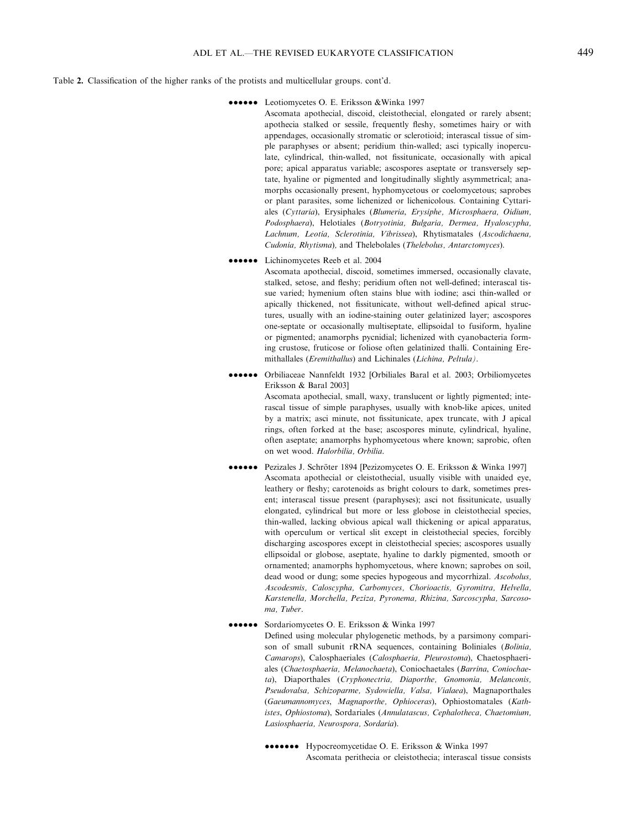- ●●●●●● Leotiomycetes O. E. Eriksson &Winka 1997
	- Ascomata apothecial, discoid, cleistothecial, elongated or rarely absent; apothecia stalked or sessile, frequently fleshy, sometimes hairy or with appendages, occasionally stromatic or sclerotioid; interascal tissue of simple paraphyses or absent; peridium thin-walled; asci typically inoperculate, cylindrical, thin-walled, not fissitunicate, occasionally with apical pore; apical apparatus variable; ascospores aseptate or transversely septate, hyaline or pigmented and longitudinally slightly asymmetrical; anamorphs occasionally present, hyphomycetous or coelomycetous; saprobes or plant parasites, some lichenized or lichenicolous. Containing Cyttariales (Cyttaria), Erysiphales (Blumeria, Erysiphe, Microsphaera, Oidium, Podosphaera), Helotiales (Botryotinia, Bulgaria, Dermea, Hyaloscypha, Lachnum, Leotia, Sclerotinia, Vibrissea), Rhytismatales (Ascodichaena, Cudonia, Rhytisma), and Thelebolales (Thelebolus, Antarctomyces).

## ●●●●●●● Lichinomycetes Reeb et al. 2004

Ascomata apothecial, discoid, sometimes immersed, occasionally clavate, stalked, setose, and fleshy; peridium often not well-defined; interascal tissue varied; hymenium often stains blue with iodine; asci thin-walled or apically thickened, not fissitunicate, without well-defined apical structures, usually with an iodine-staining outer gelatinized layer; ascospores one-septate or occasionally multiseptate, ellipsoidal to fusiform, hyaline or pigmented; anamorphs pycnidial; lichenized with cyanobacteria forming crustose, fruticose or foliose often gelatinized thalli. Containing Eremithallales (Eremithallus) and Lichinales (Lichina, Peltula).

●●●●●● Orbiliaceae Nannfeldt 1932 [Orbiliales Baral et al. 2003; Orbiliomycetes Eriksson & Baral 2003]

> Ascomata apothecial, small, waxy, translucent or lightly pigmented; interascal tissue of simple paraphyses, usually with knob-like apices, united by a matrix; asci minute, not fissitunicate, apex truncate, with J apical rings, often forked at the base; ascospores minute, cylindrical, hyaline, often aseptate; anamorphs hyphomycetous where known; saprobic, often on wet wood. Halorbilia, Orbilia.

●●●●●●● Pezizales J. Schröter 1894 [Pezizomycetes O. E. Eriksson & Winka 1997] Ascomata apothecial or cleistothecial, usually visible with unaided eye, leathery or fleshy; carotenoids as bright colours to dark, sometimes present; interascal tissue present (paraphyses); asci not fissitunicate, usually elongated, cylindrical but more or less globose in cleistothecial species, thin-walled, lacking obvious apical wall thickening or apical apparatus, with operculum or vertical slit except in cleistothecial species, forcibly discharging ascospores except in cleistothecial species; ascospores usually ellipsoidal or globose, aseptate, hyaline to darkly pigmented, smooth or ornamented; anamorphs hyphomycetous, where known; saprobes on soil, dead wood or dung; some species hypogeous and mycorrhizal. Ascobolus, Ascodesmis, Caloscypha, Carbomyces, Chorioactis, Gyromitra, Helvella, Karstenella, Morchella, Peziza, Pyronema, Rhizina, Sarcoscypha, Sarcosoma, Tuber.

## ●●●●●● Sordariomycetes O. E. Eriksson & Winka 1997

Defined using molecular phylogenetic methods, by a parsimony comparison of small subunit rRNA sequences, containing Boliniales (Bolinia, Camarops), Calosphaeriales (Calosphaeria, Pleurostoma), Chaetosphaeriales (Chaetosphaeria, Melanochaeta), Coniochaetales (Barrina, Coniochaeta), Diaporthales (Cryphonectria, Diaporthe, Gnomonia, Melanconis, Pseudovalsa, Schizoparme, Sydowiella, Valsa, Vialaea), Magnaporthales (Gaeumannomyces, Magnaporthe, Ophioceras), Ophiostomatales (Kathistes, Ophiostoma), Sordariales (Annulatascus, Cephalotheca, Chaetomium, Lasiosphaeria, Neurospora, Sordaria).

●●●●●●●●●●●●●●●●●●●Bypocreomycetidae O. E. Eriksson & Winka 1997 Ascomata perithecia or cleistothecia; interascal tissue consists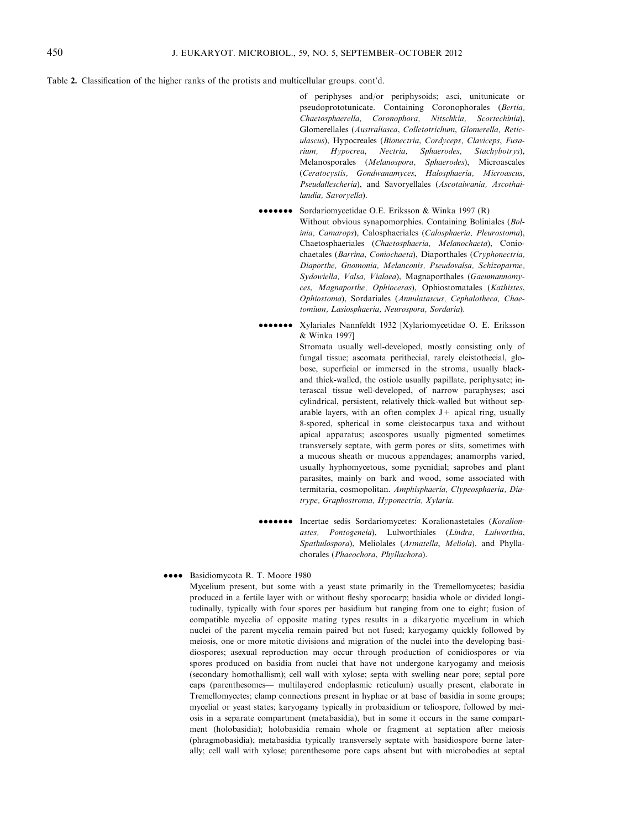of periphyses and/or periphysoids; asci, unitunicate or pseudoprototunicate. Containing Coronophorales (Bertia, Chaetosphaerella, Coronophora, Nitschkia, Scortechinia), Glomerellales (Australiasca, Colletotrichum, Glomerella, Reticulascus), Hypocreales (Bionectria, Cordyceps, Claviceps, Fusarium, Hypocrea, Nectria, Sphaerodes, Stachybotrys), Melanosporales (Melanospora, Sphaerodes), Microascales (Ceratocystis, Gondwanamyces, Halosphaeria, Microascus, Pseudallescheria), and Savoryellales (Ascotaiwania, Ascothailandia, Savoryella).

Sordariomycetidae O.E. Eriksson & Winka 1997 (R)

Without obvious synapomorphies. Containing Boliniales (Bolinia, Camarops), Calosphaeriales (Calosphaeria, Pleurostoma), Chaetosphaeriales (Chaetosphaeria, Melanochaeta), Coniochaetales (Barrina, Coniochaeta), Diaporthales (Cryphonectria, Diaporthe, Gnomonia, Melanconis, Pseudovalsa, Schizoparme, Sydowiella, Valsa, Vialaea), Magnaporthales (Gaeumannomyces, Magnaporthe, Ophioceras), Ophiostomatales (Kathistes, Ophiostoma), Sordariales (Annulatascus, Cephalotheca, Chaetomium, Lasiosphaeria, Neurospora, Sordaria).

●●●●●●● Xylariales Nannfeldt 1932 [Xylariomycetidae O. E. Eriksson & Winka 1997]

Stromata usually well-developed, mostly consisting only of fungal tissue; ascomata perithecial, rarely cleistothecial, globose, superficial or immersed in the stroma, usually blackand thick-walled, the ostiole usually papillate, periphysate; interascal tissue well-developed, of narrow paraphyses; asci cylindrical, persistent, relatively thick-walled but without separable layers, with an often complex  $J+$  apical ring, usually 8-spored, spherical in some cleistocarpus taxa and without apical apparatus; ascospores usually pigmented sometimes transversely septate, with germ pores or slits, sometimes with a mucous sheath or mucous appendages; anamorphs varied, usually hyphomycetous, some pycnidial; saprobes and plant parasites, mainly on bark and wood, some associated with termitaria, cosmopolitan. Amphisphaeria, Clypeosphaeria, Diatrype, Graphostroma, Hyponectria, Xylaria.

Incertae sedis Sordariomycetes: Koralionastetales (Koralionastes, Pontogeneia), Lulworthiales (Lindra, Lulworthia, Spathulospora), Meliolales (Armatella, Meliola), and Phyllachorales (Phaeochora, Phyllachora).

## ●●●● Basidiomycota R. T. Moore 1980

Mycelium present, but some with a yeast state primarily in the Tremellomycetes; basidia produced in a fertile layer with or without fleshy sporocarp; basidia whole or divided longitudinally, typically with four spores per basidium but ranging from one to eight; fusion of compatible mycelia of opposite mating types results in a dikaryotic mycelium in which nuclei of the parent mycelia remain paired but not fused; karyogamy quickly followed by meiosis, one or more mitotic divisions and migration of the nuclei into the developing basidiospores; asexual reproduction may occur through production of conidiospores or via spores produced on basidia from nuclei that have not undergone karyogamy and meiosis (secondary homothallism); cell wall with xylose; septa with swelling near pore; septal pore caps (parenthesomes— multilayered endoplasmic reticulum) usually present, elaborate in Tremellomycetes; clamp connections present in hyphae or at base of basidia in some groups; mycelial or yeast states; karyogamy typically in probasidium or teliospore, followed by meiosis in a separate compartment (metabasidia), but in some it occurs in the same compartment (holobasidia); holobasidia remain whole or fragment at septation after meiosis (phragmobasidia); metabasidia typically transversely septate with basidiospore borne laterally; cell wall with xylose; parenthesome pore caps absent but with microbodies at septal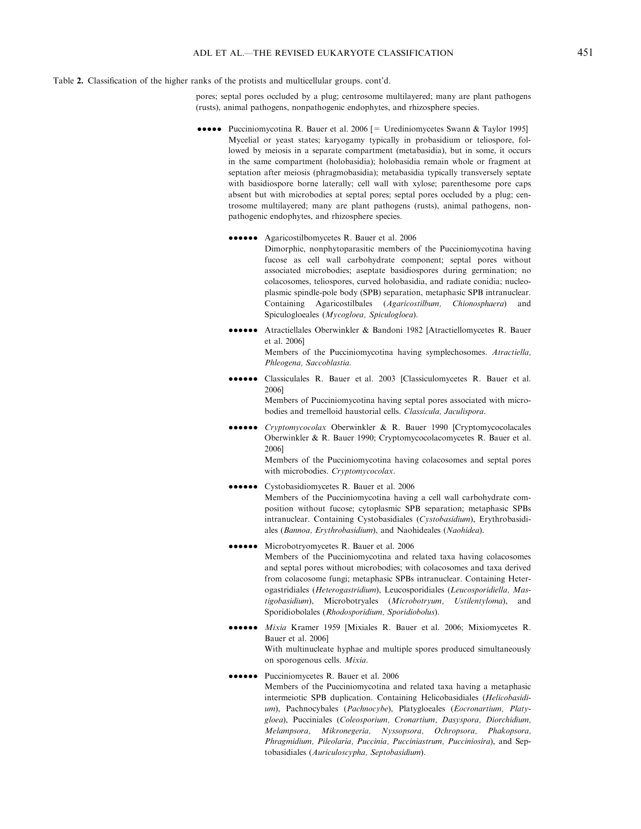pores; septal pores occluded by a plug; centrosome multilayered; many are plant pathogens (rusts), animal pathogens, nonpathogenic endophytes, and rhizosphere species.

●●●●● Pucciniomycotina R. Bauer et al. 2006 [= Urediniomycetes Swann & Taylor 1995] Mycelial or yeast states; karyogamy typically in probasidium or teliospore, followed by meiosis in a separate compartment (metabasidia), but in some, it occurs in the same compartment (holobasidia); holobasidia remain whole or fragment at septation after meiosis (phragmobasidia); metabasidia typically transversely septate with basidiospore borne laterally; cell wall with xylose; parenthesome pore caps absent but with microbodies at septal pores; septal pores occluded by a plug; centrosome multilayered; many are plant pathogens (rusts), animal pathogens, nonpathogenic endophytes, and rhizosphere species.

#### ●●●●●● Agaricostilbomycetes R. Bauer et al. 2006

Dimorphic, nonphytoparasitic members of the Pucciniomycotina having fucose as cell wall carbohydrate component; septal pores without associated microbodies; aseptate basidiospores during germination; no colacosomes, teliospores, curved holobasidia, and radiate conidia; nucleoplasmic spindle-pole body (SPB) separation, metaphasic SPB intranuclear. Containing Agaricostilbales (Agaricostilbum, Chionosphaera) and Spiculogloeales (Mycogloea, Spiculogloea).

●●●●●● Atractiellales Oberwinkler & Bandoni 1982 [Atractiellomycetes R. Bauer et al. 2006]

Members of the Pucciniomycotina having symplechosomes. Atractiella, Phleogena, Saccoblastia.

●●●●●● Classiculales R. Bauer et al. 2003 [Classiculomycetes R. Bauer et al. 2006]

Members of Pucciniomycotina having septal pores associated with microbodies and tremelloid haustorial cells. Classicula, Jaculispora.

**••••••** Cryptomycocolax Oberwinkler & R. Bauer 1990 [Cryptomycocolacales Oberwinkler & R. Bauer 1990; Cryptomycocolacomycetes R. Bauer et al. 2006]

> Members of the Pucciniomycotina having colacosomes and septal pores with microbodies. Cryptomycocolax.

●●●●●● Cystobasidiomycetes R. Bauer et al. 2006

Members of the Pucciniomycotina having a cell wall carbohydrate composition without fucose; cytoplasmic SPB separation; metaphasic SPBs intranuclear. Containing Cystobasidiales (Cystobasidium), Erythrobasidiales (Bannoa, Erythrobasidium), and Naohideales (Naohidea).

- ●●●●●● Microbotryomycetes R. Bauer et al. 2006 Members of the Pucciniomycotina and related taxa having colacosomes and septal pores without microbodies; with colacosomes and taxa derived from colacosome fungi; metaphasic SPBs intranuclear. Containing Heterogastridiales (Heterogastridium), Leucosporidiales (Leucosporidiella, Mastigobasidium), Microbotryales (Microbotryum, Ustilentyloma), and Sporidiobolales (Rhodosporidium, Sporidiobolus).
- ●●●●●● Mixia Kramer 1959 [Mixiales R. Bauer et al. 2006; Mixiomycetes R. Bauer et al. 2006] With multinucleate hyphae and multiple spores produced simultaneously on sporogenous cells. Mixia.
- ●●●●●●● Pucciniomycetes R. Bauer et al. 2006

Members of the Pucciniomycotina and related taxa having a metaphasic intermeiotic SPB duplication. Containing Helicobasidiales (Helicobasidium), Pachnocybales (Pachnocybe), Platygloeales (Eocronartium, Platygloea), Pucciniales (Coleosporium, Cronartium, Dasyspora, Diorchidium, Melampsora, Mikronegeria, Nyssopsora, Ochropsora, Phakopsora, Phragmidium, Pileolaria, Puccinia, Pucciniastrum, Pucciniosira), and Septobasidiales (Auriculoscypha, Septobasidium).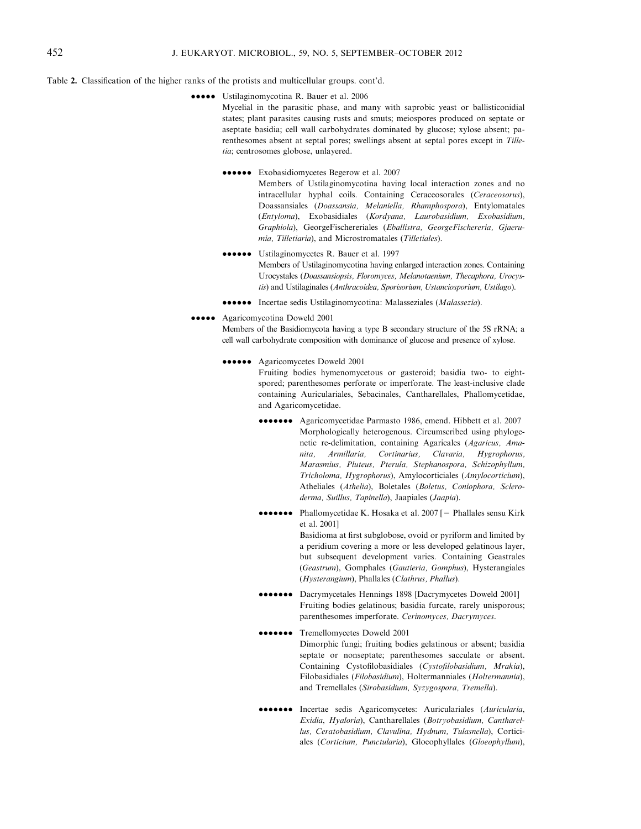●●●●● Ustilaginomycotina R. Bauer et al. 2006

Mycelial in the parasitic phase, and many with saprobic yeast or ballisticonidial states; plant parasites causing rusts and smuts; meiospores produced on septate or aseptate basidia; cell wall carbohydrates dominated by glucose; xylose absent; parenthesomes absent at septal pores; swellings absent at septal pores except in Tilletia; centrosomes globose, unlayered.

●●●●●● Exobasidiomycetes Begerow et al. 2007

Members of Ustilaginomycotina having local interaction zones and no intracellular hyphal coils. Containing Ceraceosorales (Ceraceosorus), Doassansiales (Doassansia, Melaniella, Rhamphospora), Entylomatales (Entyloma), Exobasidiales (Kordyana, Laurobasidium, Exobasidium, Graphiola), GeorgeFischereriales (Eballistra, GeorgeFischereria, Gjaerumia, Tilletiaria), and Microstromatales (Tilletiales).

- ●●●●●●● Ustilaginomycetes R. Bauer et al. 1997 Members of Ustilaginomycotina having enlarged interaction zones. Containing Urocystales (Doassansiopsis, Floromyces, Melanotaenium, Thecaphora, Urocystis) and Ustilaginales (Anthracoidea, Sporisorium, Ustanciosporium, Ustilago).
- ●●●●●● Incertae sedis Ustilaginomycotina: Malasseziales (Malassezia).
- ●●●●●● Agaricomycotina Doweld 2001

Members of the Basidiomycota having a type B secondary structure of the 5S rRNA; a cell wall carbohydrate composition with dominance of glucose and presence of xylose.

## ●●●●●●● Agaricomycetes Doweld 2001

Fruiting bodies hymenomycetous or gasteroid; basidia two- to eightspored; parenthesomes perforate or imperforate. The least-inclusive clade containing Auriculariales, Sebacinales, Cantharellales, Phallomycetidae, and Agaricomycetidae.

- ●●●●●●● Agaricomycetidae Parmasto 1986, emend. Hibbett et al. 2007 Morphologically heterogenous. Circumscribed using phylogenetic re-delimitation, containing Agaricales (Agaricus, Amanita, Armillaria, Cortinarius, Clavaria, Hygrophorus, Marasmius, Pluteus, Pterula, Stephanospora, Schizophyllum, Tricholoma, Hygrophorus), Amylocorticiales (Amylocorticium), Atheliales (Athelia), Boletales (Boletus, Coniophora, Scleroderma, Suillus, Tapinella), Jaapiales (Jaapia).
- ●●●●●●● Phallomycetidae K. Hosaka et al. 2007 [= Phallales sensu Kirk et al. 2001]

Basidioma at first subglobose, ovoid or pyriform and limited by a peridium covering a more or less developed gelatinous layer, but subsequent development varies. Containing Geastrales (Geastrum), Gomphales (Gautieria, Gomphus), Hysterangiales (Hysterangium), Phallales (Clathrus, Phallus).

- ••••••• Dacrymycetales Hennings 1898 [Dacrymycetes Doweld 2001] Fruiting bodies gelatinous; basidia furcate, rarely unisporous; parenthesomes imperforate. Cerinomyces, Dacrymyces.
- ●●●●●●●● Tremellomycetes Doweld 2001 Dimorphic fungi; fruiting bodies gelatinous or absent; basidia septate or nonseptate; parenthesomes sacculate or absent. Containing Cystofilobasidiales (Cystofilobasidium, Mrakia), Filobasidiales (Filobasidium), Holtermanniales (Holtermannia), and Tremellales (Sirobasidium, Syzygospora, Tremella).
- ●●●●●●● Incertae sedis Agaricomycetes: Auriculariales (Auricularia, Exidia, Hyaloria), Cantharellales (Botryobasidium, Cantharellus, Ceratobasidium, Clavulina, Hydnum, Tulasnella), Corticiales (Corticium, Punctularia), Gloeophyllales (Gloeophyllum),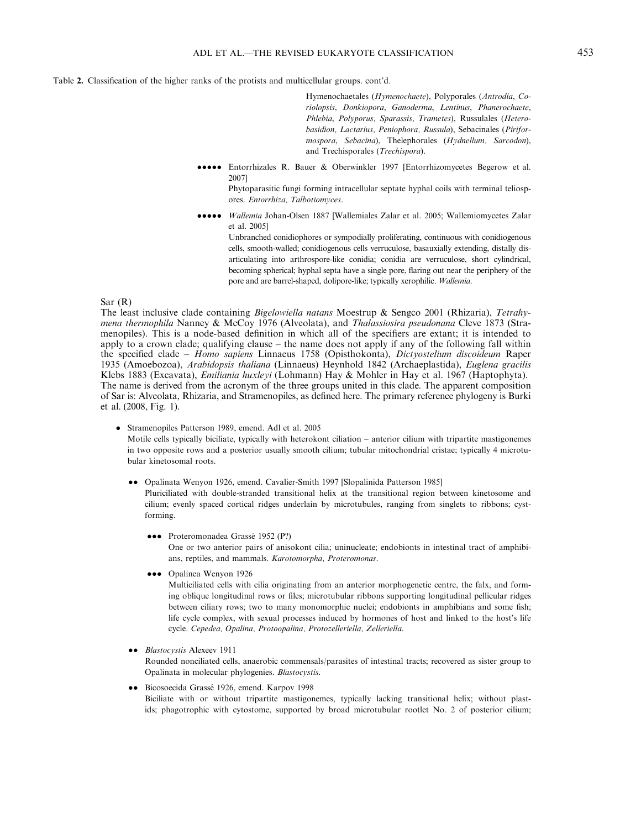Hymenochaetales (Hymenochaete), Polyporales (Antrodia, Coriolopsis, Donkiopora, Ganoderma, Lentinus, Phanerochaete, Phlebia, Polyporus, Sparassis, Trametes), Russulales (Heterobasidion, Lactarius, Peniophora, Russula), Sebacinales (Piriformospora, Sebacina), Thelephorales (Hydnellum, Sarcodon), and Trechisporales (Trechispora).

●●●●● Entorrhizales R. Bauer & Oberwinkler 1997 [Entorrhizomycetes Begerow et al. 2007]

Phytoparasitic fungi forming intracellular septate hyphal coils with terminal teliospores. Entorrhiza, Talbotiomyces.

●●●●● Wallemia Johan-Olsen 1887 [Wallemiales Zalar et al. 2005; Wallemiomycetes Zalar et al. 2005]

Unbranched conidiophores or sympodially proliferating, continuous with conidiogenous cells, smooth-walled; conidiogenous cells verruculose, basauxially extending, distally disarticulating into arthrospore-like conidia; conidia are verruculose, short cylindrical, becoming spherical; hyphal septa have a single pore, flaring out near the periphery of the pore and are barrel-shaped, dolipore-like; typically xerophilic. Wallemia.

## Sar (R)

The least inclusive clade containing *Bigelowiella natans* Moestrup & Sengco 2001 (Rhizaria), Tetrahymena thermophila Nanney & McCoy 1976 (Alveolata), and Thalassiosira pseudonana Cleve 1873 (Stramenopiles). This is a node-based definition in which all of the specifiers are extant; it is intended to apply to a crown clade; qualifying clause – the name does not apply if any of the following fall within the specified clade – Homo sapiens Linnaeus 1758 (Opisthokonta), Dictyostelium discoideum Raper 1935 (Amoebozoa), Arabidopsis thaliana (Linnaeus) Heynhold 1842 (Archaeplastida), Euglena gracilis Klebs 1883 (Excavata), Emiliania huxleyi (Lohmann) Hay & Mohler in Hay et al. 1967 (Haptophyta). The name is derived from the acronym of the three groups united in this clade. The apparent composition of Sar is: Alveolata, Rhizaria, and Stramenopiles, as defined here. The primary reference phylogeny is Burki et al. (2008, Fig. 1).

● Stramenopiles Patterson 1989, emend. Adl et al. 2005

Motile cells typically biciliate, typically with heterokont ciliation – anterior cilium with tripartite mastigonemes in two opposite rows and a posterior usually smooth cilium; tubular mitochondrial cristae; typically 4 microtubular kinetosomal roots.

●● Opalinata Wenyon 1926, emend. Cavalier-Smith 1997 [Slopalinida Patterson 1985]

Pluriciliated with double-stranded transitional helix at the transitional region between kinetosome and cilium; evenly spaced cortical ridges underlain by microtubules, ranging from singlets to ribbons; cystforming.

- ●●● Proteromonadea Grassé 1952 (P?) One or two anterior pairs of anisokont cilia; uninucleate; endobionts in intestinal tract of amphibi-
- ans, reptiles, and mammals. Karotomorpha, Proteromonas. ●●● Opalinea Wenyon 1926

Multiciliated cells with cilia originating from an anterior morphogenetic centre, the falx, and forming oblique longitudinal rows or files; microtubular ribbons supporting longitudinal pellicular ridges between ciliary rows; two to many monomorphic nuclei; endobionts in amphibians and some fish; life cycle complex, with sexual processes induced by hormones of host and linked to the host's life cycle. Cepedea, Opalina, Protoopalina, Protozelleriella, Zelleriella.

●● Blastocystis Alexeev 1911

Rounded nonciliated cells, anaerobic commensals/parasites of intestinal tracts; recovered as sister group to Opalinata in molecular phylogenies. Blastocystis.

●● Bicosoecida Grassé 1926, emend. Karpov 1998 Biciliate with or without tripartite mastigonemes, typically lacking transitional helix; without plastids; phagotrophic with cytostome, supported by broad microtubular rootlet No. 2 of posterior cilium;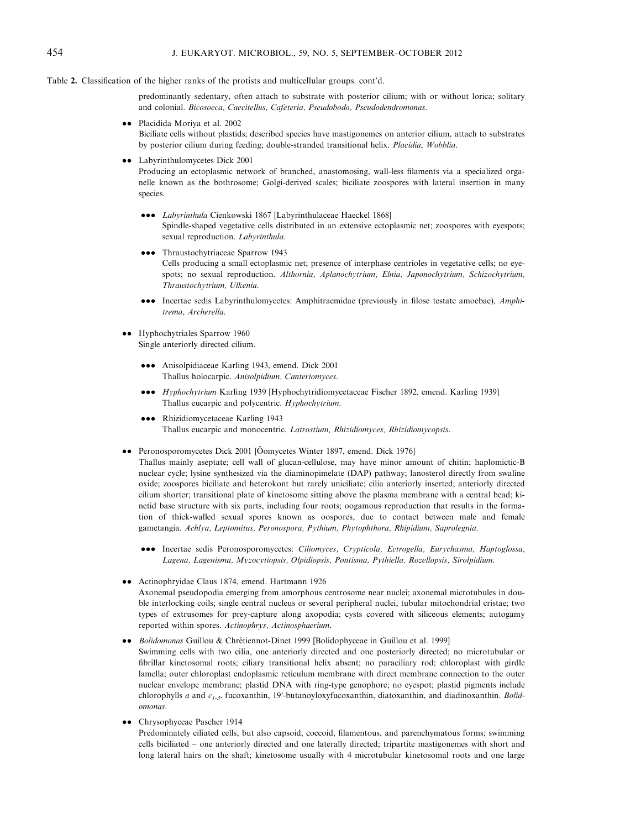predominantly sedentary, often attach to substrate with posterior cilium; with or without lorica; solitary and colonial. Bicosoeca, Caecitellus, Cafeteria, Pseudobodo, Pseudodendromonas.

- ●● Placidida Moriya et al. 2002 Biciliate cells without plastids; described species have mastigonemes on anterior cilium, attach to substrates by posterior cilium during feeding; double-stranded transitional helix. Placidia, Wobblia.
- ●● Labyrinthulomycetes Dick 2001

Producing an ectoplasmic network of branched, anastomosing, wall-less filaments via a specialized organelle known as the bothrosome; Golgi-derived scales; biciliate zoospores with lateral insertion in many species.

- ●●● Labyrinthula Cienkowski 1867 [Labyrinthulaceae Haeckel 1868] Spindle-shaped vegetative cells distributed in an extensive ectoplasmic net; zoospores with eyespots; sexual reproduction. Labyrinthula.
- ●●● Thraustochytriaceae Sparrow 1943 Cells producing a small ectoplasmic net; presence of interphase centrioles in vegetative cells; no eyespots; no sexual reproduction. Althornia, Aplanochytrium, Elnia, Japonochytrium, Schizochytrium, Thraustochytrium, Ulkenia.
- ●●● Incertae sedis Labyrinthulomycetes: Amphitraemidae (previously in filose testate amoebae), Amphitrema, Archerella.
- ●● Hyphochytriales Sparrow 1960 Single anteriorly directed cilium.
	- ●●● Anisolpidiaceae Karling 1943, emend. Dick 2001 Thallus holocarpic. Anisolpidium, Canteriomyces.
	- ●●● Hyphochytrium Karling 1939 [Hyphochytridiomycetaceae Fischer 1892, emend. Karling 1939] Thallus eucarpic and polycentric. Hyphochytrium.
	- ●●● Rhizidiomycetaceae Karling 1943 Thallus eucarpic and monocentric. Latrostium, Rhizidiomyces, Rhizidiomycopsis.
- Peronosporomycetes Dick 2001 [Öomycetes Winter 1897, emend. Dick 1976]

Thallus mainly aseptate; cell wall of glucan-cellulose, may have minor amount of chitin; haplomictic-B nuclear cycle; lysine synthesized via the diaminopimelate (DAP) pathway; lanosterol directly from swaline oxide; zoospores biciliate and heterokont but rarely uniciliate; cilia anteriorly inserted; anteriorly directed cilium shorter; transitional plate of kinetosome sitting above the plasma membrane with a central bead; kinetid base structure with six parts, including four roots; oogamous reproduction that results in the formation of thick-walled sexual spores known as oospores, due to contact between male and female gametangia. Achlya, Leptomitus, Peronospora, Pythium, Phytophthora, Rhipidium, Saprolegnia.

- ●●● Incertae sedis Peronosporomycetes: Ciliomyces, Crypticola, Ectrogella, Eurychasma, Haptoglossa, Lagena, Lagenisma, Myzocytiopsis, Olpidiopsis, Pontisma, Pythiella, Rozellopsis, Sirolpidium.
- ●● Actinophryidae Claus 1874, emend. Hartmann 1926 Axonemal pseudopodia emerging from amorphous centrosome near nuclei; axonemal microtubules in double interlocking coils; single central nucleus or several peripheral nuclei; tubular mitochondrial cristae; two types of extrusomes for prey-capture along axopodia; cysts covered with siliceous elements; autogamy reported within spores. Actinophrys, Actinosphaerium.
- ●● Bolidomonas Guillou & Chrétiennot-Dinet 1999 [Bolidophyceae in Guillou et al. 1999]

Swimming cells with two cilia, one anteriorly directed and one posteriorly directed; no microtubular or fibrillar kinetosomal roots; ciliary transitional helix absent; no paraciliary rod; chloroplast with girdle lamella; outer chloroplast endoplasmic reticulum membrane with direct membrane connection to the outer nuclear envelope membrane; plastid DNA with ring-type genophore; no eyespot; plastid pigments include chlorophylls a and c<sub>1-3</sub>, fucoxanthin, 19′-butanoyloxyfucoxanthin, diatoxanthin, and diadinoxanthin. Bolidomonas.

●● Chrysophyceae Pascher 1914

Predominately ciliated cells, but also capsoid, coccoid, filamentous, and parenchymatous forms; swimming cells biciliated – one anteriorly directed and one laterally directed; tripartite mastigonemes with short and long lateral hairs on the shaft; kinetosome usually with 4 microtubular kinetosomal roots and one large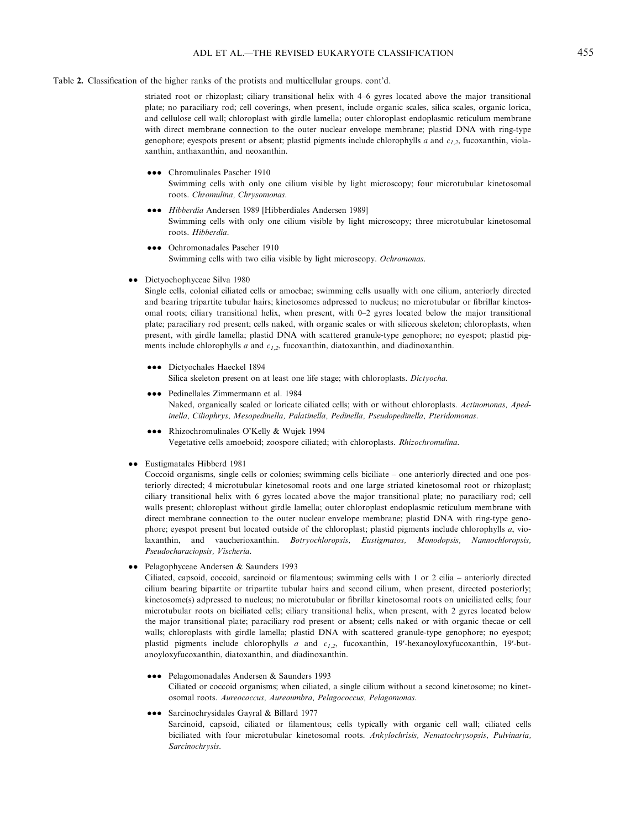striated root or rhizoplast; ciliary transitional helix with 4–6 gyres located above the major transitional plate; no paraciliary rod; cell coverings, when present, include organic scales, silica scales, organic lorica, and cellulose cell wall; chloroplast with girdle lamella; outer chloroplast endoplasmic reticulum membrane with direct membrane connection to the outer nuclear envelope membrane; plastid DNA with ring-type genophore; eyespots present or absent; plastid pigments include chlorophylls a and  $c_{1,2}$ , fucoxanthin, violaxanthin, anthaxanthin, and neoxanthin.

●●● Chromulinales Pascher 1910

Swimming cells with only one cilium visible by light microscopy; four microtubular kinetosomal roots. Chromulina, Chrysomonas.

- ●●● Hibberdia Andersen 1989 [Hibberdiales Andersen 1989] Swimming cells with only one cilium visible by light microscopy; three microtubular kinetosomal roots. Hibberdia.
- ●●● Ochromonadales Pascher 1910 Swimming cells with two cilia visible by light microscopy. Ochromonas.
- ●● Dictyochophyceae Silva 1980

Single cells, colonial ciliated cells or amoebae; swimming cells usually with one cilium, anteriorly directed and bearing tripartite tubular hairs; kinetosomes adpressed to nucleus; no microtubular or fibrillar kinetosomal roots; ciliary transitional helix, when present, with 0–2 gyres located below the major transitional plate; paraciliary rod present; cells naked, with organic scales or with siliceous skeleton; chloroplasts, when present, with girdle lamella; plastid DNA with scattered granule-type genophore; no eyespot; plastid pigments include chlorophylls  $a$  and  $c_{1,2}$ , fucoxanthin, diatoxanthin, and diadinoxanthin.

- ●●● Dictyochales Haeckel 1894 Silica skeleton present on at least one life stage; with chloroplasts. Dictyocha.
- ●●● Pedinellales Zimmermann et al. 1984 Naked, organically scaled or loricate ciliated cells; with or without chloroplasts. Actinomonas, Apedinella, Ciliophrys, Mesopedinella, Palatinella, Pedinella, Pseudopedinella, Pteridomonas.
- ●●● Rhizochromulinales O'Kelly & Wujek 1994 Vegetative cells amoeboid; zoospore ciliated; with chloroplasts. Rhizochromulina.
- ●● Eustigmatales Hibberd 1981

Coccoid organisms, single cells or colonies; swimming cells biciliate – one anteriorly directed and one posteriorly directed; 4 microtubular kinetosomal roots and one large striated kinetosomal root or rhizoplast; ciliary transitional helix with 6 gyres located above the major transitional plate; no paraciliary rod; cell walls present; chloroplast without girdle lamella; outer chloroplast endoplasmic reticulum membrane with direct membrane connection to the outer nuclear envelope membrane; plastid DNA with ring-type genophore; eyespot present but located outside of the chloroplast; plastid pigments include chlorophylls a, violaxanthin, and vaucherioxanthin. Botryochloropsis, Eustigmatos, Monodopsis, Nannochloropsis, Pseudocharaciopsis, Vischeria.

●● Pelagophyceae Andersen & Saunders 1993

Ciliated, capsoid, coccoid, sarcinoid or filamentous; swimming cells with 1 or 2 cilia – anteriorly directed cilium bearing bipartite or tripartite tubular hairs and second cilium, when present, directed posteriorly; kinetosome(s) adpressed to nucleus; no microtubular or fibrillar kinetosomal roots on uniciliated cells; four microtubular roots on biciliated cells; ciliary transitional helix, when present, with 2 gyres located below the major transitional plate; paraciliary rod present or absent; cells naked or with organic thecae or cell walls; chloroplasts with girdle lamella; plastid DNA with scattered granule-type genophore; no eyespot; plastid pigments include chlorophylls a and  $c_{1,2}$ , fucoxanthin, 19′-hexanoyloxyfucoxanthin, 19′-butanoyloxyfucoxanthin, diatoxanthin, and diadinoxanthin.

- ●●● Pelagomonadales Andersen & Saunders 1993 Ciliated or coccoid organisms; when ciliated, a single cilium without a second kinetosome; no kinetosomal roots. Aureococcus, Aureoumbra, Pelagococcus, Pelagomonas.
- ●●● Sarcinochrysidales Gayral & Billard 1977

Sarcinoid, capsoid, ciliated or filamentous; cells typically with organic cell wall; ciliated cells biciliated with four microtubular kinetosomal roots. Ankylochrisis, Nematochrysopsis, Pulvinaria, Sarcinochrysis.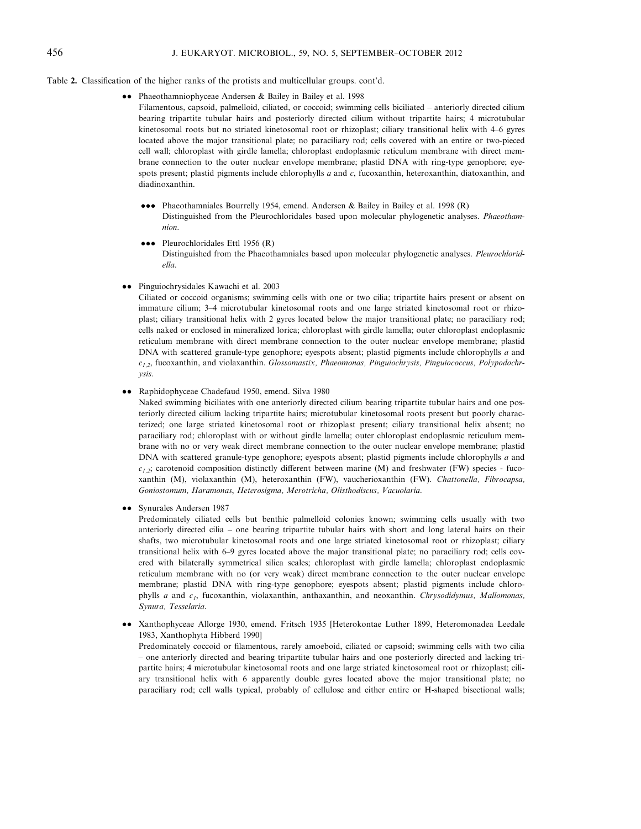●● Phaeothamniophyceae Andersen & Bailey in Bailey et al. 1998

Filamentous, capsoid, palmelloid, ciliated, or coccoid; swimming cells biciliated – anteriorly directed cilium bearing tripartite tubular hairs and posteriorly directed cilium without tripartite hairs; 4 microtubular kinetosomal roots but no striated kinetosomal root or rhizoplast; ciliary transitional helix with 4–6 gyres located above the major transitional plate; no paraciliary rod; cells covered with an entire or two-pieced cell wall; chloroplast with girdle lamella; chloroplast endoplasmic reticulum membrane with direct membrane connection to the outer nuclear envelope membrane; plastid DNA with ring-type genophore; eyespots present; plastid pigments include chlorophylls  $a$  and  $c$ , fucoxanthin, heteroxanthin, diatoxanthin, and diadinoxanthin.

- ●●● Phaeothamniales Bourrelly 1954, emend. Andersen & Bailey in Bailey et al. 1998 (R) Distinguished from the Pleurochloridales based upon molecular phylogenetic analyses. *Phaeotham*nion.
- Pleurochloridales Ettl 1956 (R)

Distinguished from the Phaeothamniales based upon molecular phylogenetic analyses. Pleurochloridella.

●● Pinguiochrysidales Kawachi et al. 2003

Ciliated or coccoid organisms; swimming cells with one or two cilia; tripartite hairs present or absent on immature cilium; 3–4 microtubular kinetosomal roots and one large striated kinetosomal root or rhizoplast; ciliary transitional helix with 2 gyres located below the major transitional plate; no paraciliary rod; cells naked or enclosed in mineralized lorica; chloroplast with girdle lamella; outer chloroplast endoplasmic reticulum membrane with direct membrane connection to the outer nuclear envelope membrane; plastid DNA with scattered granule-type genophore; eyespots absent; plastid pigments include chlorophylls a and  $c_{1,2}$ , fucoxanthin, and violaxanthin. Glossomastix, Phaeomonas, Pinguiochrysis, Pinguiococcus, Polypodochrysis.

## ●● Raphidophyceae Chadefaud 1950, emend. Silva 1980

Naked swimming biciliates with one anteriorly directed cilium bearing tripartite tubular hairs and one posteriorly directed cilium lacking tripartite hairs; microtubular kinetosomal roots present but poorly characterized; one large striated kinetosomal root or rhizoplast present; ciliary transitional helix absent; no paraciliary rod; chloroplast with or without girdle lamella; outer chloroplast endoplasmic reticulum membrane with no or very weak direct membrane connection to the outer nuclear envelope membrane; plastid DNA with scattered granule-type genophore; eyespots absent; plastid pigments include chlorophylls a and  $c_{1,2}$ ; carotenoid composition distinctly different between marine (M) and freshwater (FW) species - fucoxanthin (M), violaxanthin (M), heteroxanthin (FW), vaucherioxanthin (FW). Chattonella, Fibrocapsa, Goniostomum, Haramonas, Heterosigma, Merotricha, Olisthodiscus, Vacuolaria.

●● Synurales Andersen 1987

Predominately ciliated cells but benthic palmelloid colonies known; swimming cells usually with two anteriorly directed cilia – one bearing tripartite tubular hairs with short and long lateral hairs on their shafts, two microtubular kinetosomal roots and one large striated kinetosomal root or rhizoplast; ciliary transitional helix with 6–9 gyres located above the major transitional plate; no paraciliary rod; cells covered with bilaterally symmetrical silica scales; chloroplast with girdle lamella; chloroplast endoplasmic reticulum membrane with no (or very weak) direct membrane connection to the outer nuclear envelope membrane; plastid DNA with ring-type genophore; eyespots absent; plastid pigments include chlorophylls a and c<sub>1</sub>, fucoxanthin, violaxanthin, anthaxanthin, and neoxanthin. Chrysodidymus, Mallomonas, Synura, Tesselaria.

●● Xanthophyceae Allorge 1930, emend. Fritsch 1935 [Heterokontae Luther 1899, Heteromonadea Leedale 1983, Xanthophyta Hibberd 1990]

Predominately coccoid or filamentous, rarely amoeboid, ciliated or capsoid; swimming cells with two cilia – one anteriorly directed and bearing tripartite tubular hairs and one posteriorly directed and lacking tripartite hairs; 4 microtubular kinetosomal roots and one large striated kinetosomeal root or rhizoplast; ciliary transitional helix with 6 apparently double gyres located above the major transitional plate; no paraciliary rod; cell walls typical, probably of cellulose and either entire or H-shaped bisectional walls;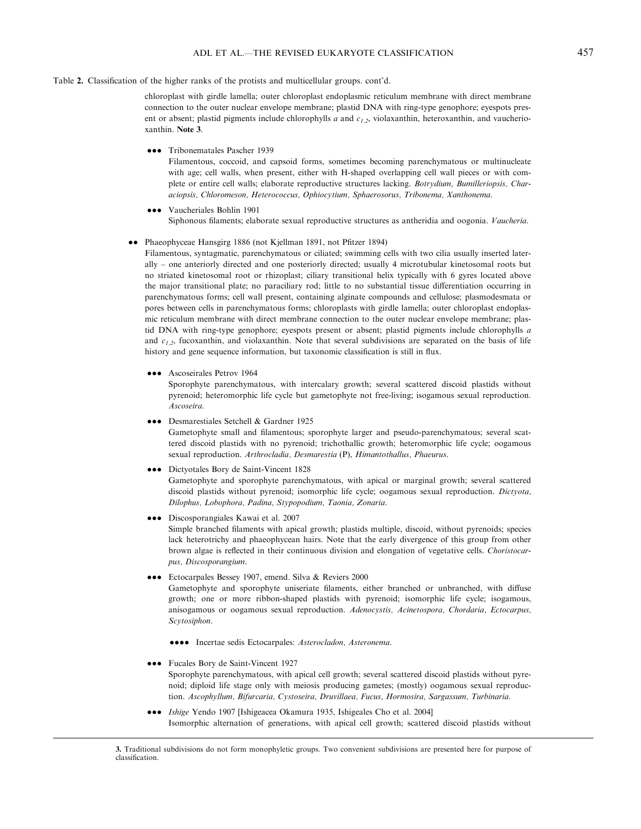chloroplast with girdle lamella; outer chloroplast endoplasmic reticulum membrane with direct membrane connection to the outer nuclear envelope membrane; plastid DNA with ring-type genophore; eyespots present or absent; plastid pigments include chlorophylls a and  $c_{1,2}$ , violaxanthin, heteroxanthin, and vaucherioxanthin. Note 3.

●●● Tribonematales Pascher 1939

Filamentous, coccoid, and capsoid forms, sometimes becoming parenchymatous or multinucleate with age; cell walls, when present, either with H-shaped overlapping cell wall pieces or with complete or entire cell walls; elaborate reproductive structures lacking. Botrydium, Bumilleriopsis, Characiopsis, Chloromeson, Heterococcus, Ophiocytium, Sphaerosorus, Tribonema, Xanthonema.

```
Vaucheriales Bohlin 1901
```
Siphonous filaments; elaborate sexual reproductive structures as antheridia and oogonia. Vaucheria.

## Phaeophyceae Hansgirg 1886 (not Kjellman 1891, not Pfitzer 1894)

Filamentous, syntagmatic, parenchymatous or ciliated; swimming cells with two cilia usually inserted laterally – one anteriorly directed and one posteriorly directed; usually 4 microtubular kinetosomal roots but no striated kinetosomal root or rhizoplast; ciliary transitional helix typically with 6 gyres located above the major transitional plate; no paraciliary rod; little to no substantial tissue differentiation occurring in parenchymatous forms; cell wall present, containing alginate compounds and cellulose; plasmodesmata or pores between cells in parenchymatous forms; chloroplasts with girdle lamella; outer chloroplast endoplasmic reticulum membrane with direct membrane connection to the outer nuclear envelope membrane; plastid DNA with ring-type genophore; eyespots present or absent; plastid pigments include chlorophylls  $a$ and  $c_{1,2}$ , fucoxanthin, and violaxanthin. Note that several subdivisions are separated on the basis of life history and gene sequence information, but taxonomic classification is still in flux.

●●● Ascoseirales Petrov 1964

Sporophyte parenchymatous, with intercalary growth; several scattered discoid plastids without pyrenoid; heteromorphic life cycle but gametophyte not free-living; isogamous sexual reproduction. Ascoseira.

●●● Desmarestiales Setchell & Gardner 1925

Gametophyte small and filamentous; sporophyte larger and pseudo-parenchymatous; several scattered discoid plastids with no pyrenoid; trichothallic growth; heteromorphic life cycle; oogamous sexual reproduction. Arthrocladia, Desmarestia (P), Himantothallus, Phaeurus.

●●● Dictyotales Bory de Saint-Vincent 1828

Gametophyte and sporophyte parenchymatous, with apical or marginal growth; several scattered discoid plastids without pyrenoid; isomorphic life cycle; oogamous sexual reproduction. Dictyota, Dilophus, Lobophora, Padina, Stypopodium, Taonia, Zonaria.

●●● Discosporangiales Kawai et al. 2007

Simple branched filaments with apical growth; plastids multiple, discoid, without pyrenoids; species lack heterotrichy and phaeophycean hairs. Note that the early divergence of this group from other brown algae is reflected in their continuous division and elongation of vegetative cells. Choristocarpus, Discosporangium.

## ●●● Ectocarpales Bessey 1907, emend. Silva & Reviers 2000

Gametophyte and sporophyte uniseriate filaments, either branched or unbranched, with diffuse growth; one or more ribbon-shaped plastids with pyrenoid; isomorphic life cycle; isogamous, anisogamous or oogamous sexual reproduction. Adenocystis, Acinetospora, Chordaria, Ectocarpus, Scytosiphon.

●●●● Incertae sedis Ectocarpales: Asterocladon, Asteronema.

●●● Fucales Bory de Saint-Vincent 1927

Sporophyte parenchymatous, with apical cell growth; several scattered discoid plastids without pyrenoid; diploid life stage only with meiosis producing gametes; (mostly) oogamous sexual reproduction. Ascophyllum, Bifurcaria, Cystoseira, Druvillaea, Fucus, Hormosira, Sargassum, Turbinaria.

●●● Ishige Yendo 1907 [Ishigeacea Okamura 1935, Ishigeales Cho et al. 2004] Isomorphic alternation of generations, with apical cell growth; scattered discoid plastids without

<sup>3.</sup> Traditional subdivisions do not form monophyletic groups. Two convenient subdivisions are presented here for purpose of classification.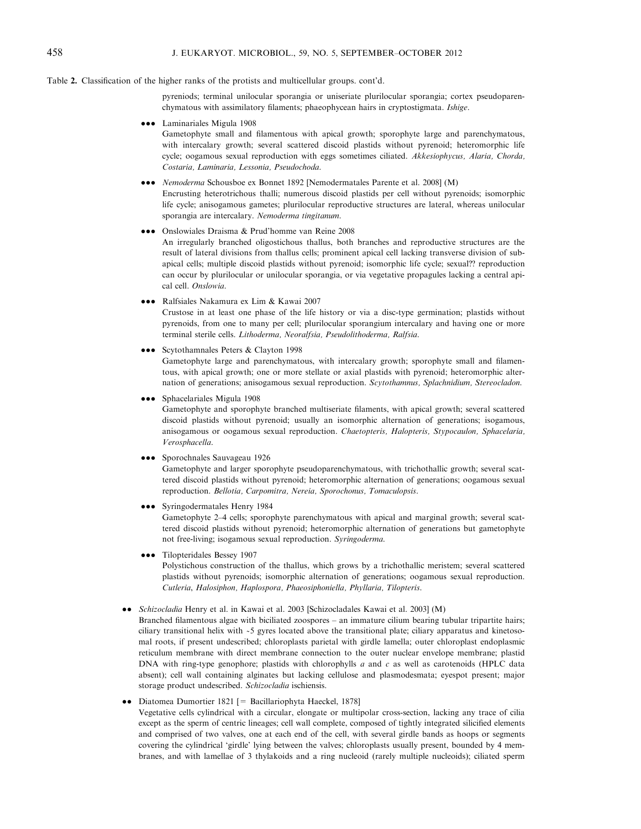pyreniods; terminal unilocular sporangia or uniseriate plurilocular sporangia; cortex pseudoparenchymatous with assimilatory filaments; phaeophycean hairs in cryptostigmata. Ishige.

Laminariales Migula 1908

Gametophyte small and filamentous with apical growth; sporophyte large and parenchymatous, with intercalary growth; several scattered discoid plastids without pyrenoid; heteromorphic life cycle; oogamous sexual reproduction with eggs sometimes ciliated. Akkesiophycus, Alaria, Chorda, Costaria, Laminaria, Lessonia, Pseudochoda.

- Nemoderma Schousboe ex Bonnet 1892 [Nemodermatales Parente et al. 2008] (M) Encrusting heterotrichous thalli; numerous discoid plastids per cell without pyrenoids; isomorphic life cycle; anisogamous gametes; plurilocular reproductive structures are lateral, whereas unilocular sporangia are intercalary. Nemoderma tingitanum.
- ●●● Onslowiales Draisma & Prud'homme van Reine 2008

An irregularly branched oligostichous thallus, both branches and reproductive structures are the result of lateral divisions from thallus cells; prominent apical cell lacking transverse division of subapical cells; multiple discoid plastids without pyrenoid; isomorphic life cycle; sexual?? reproduction can occur by plurilocular or unilocular sporangia, or via vegetative propagules lacking a central apical cell. Onslowia.

Ralfsiales Nakamura ex Lim & Kawai 2007

Crustose in at least one phase of the life history or via a disc-type germination; plastids without pyrenoids, from one to many per cell; plurilocular sporangium intercalary and having one or more terminal sterile cells. Lithoderma, Neoralfsia, Pseudolithoderma, Ralfsia.

●●● Scytothamnales Peters & Clayton 1998

Gametophyte large and parenchymatous, with intercalary growth; sporophyte small and filamentous, with apical growth; one or more stellate or axial plastids with pyrenoid; heteromorphic alternation of generations; anisogamous sexual reproduction. Scytothamnus, Splachnidium, Stereocladon.

●●● Sphacelariales Migula 1908

Gametophyte and sporophyte branched multiseriate filaments, with apical growth; several scattered discoid plastids without pyrenoid; usually an isomorphic alternation of generations; isogamous, anisogamous or oogamous sexual reproduction. Chaetopteris, Halopteris, Stypocaulon, Sphacelaria, Verosphacella.

●●● Sporochnales Sauvageau 1926

Gametophyte and larger sporophyte pseudoparenchymatous, with trichothallic growth; several scattered discoid plastids without pyrenoid; heteromorphic alternation of generations; oogamous sexual reproduction. Bellotia, Carpomitra, Nereia, Sporochonus, Tomaculopsis.

●●● Syringodermatales Henry 1984

Gametophyte 2–4 cells; sporophyte parenchymatous with apical and marginal growth; several scattered discoid plastids without pyrenoid; heteromorphic alternation of generations but gametophyte not free-living; isogamous sexual reproduction. Syringoderma.

Tilopteridales Bessey 1907

Polystichous construction of the thallus, which grows by a trichothallic meristem; several scattered plastids without pyrenoids; isomorphic alternation of generations; oogamous sexual reproduction. Cutleria, Halosiphon, Haplospora, Phaeosiphoniella, Phyllaria, Tilopteris.

●● Schizocladia Henry et al. in Kawai et al. 2003 [Schizocladales Kawai et al. 2003] (M)

Branched filamentous algae with biciliated zoospores – an immature cilium bearing tubular tripartite hairs; ciliary transitional helix with ~5 gyres located above the transitional plate; ciliary apparatus and kinetosomal roots, if present undescribed; chloroplasts parietal with girdle lamella; outer chloroplast endoplasmic reticulum membrane with direct membrane connection to the outer nuclear envelope membrane; plastid DNA with ring-type genophore; plastids with chlorophylls a and c as well as carotenoids (HPLC data absent); cell wall containing alginates but lacking cellulose and plasmodesmata; eyespot present; major storage product undescribed. Schizocladia ischiensis.

## ●● Diatomea Dumortier 1821 [= Bacillariophyta Haeckel, 1878]

Vegetative cells cylindrical with a circular, elongate or multipolar cross-section, lacking any trace of cilia except as the sperm of centric lineages; cell wall complete, composed of tightly integrated silicified elements and comprised of two valves, one at each end of the cell, with several girdle bands as hoops or segments covering the cylindrical 'girdle' lying between the valves; chloroplasts usually present, bounded by 4 membranes, and with lamellae of 3 thylakoids and a ring nucleoid (rarely multiple nucleoids); ciliated sperm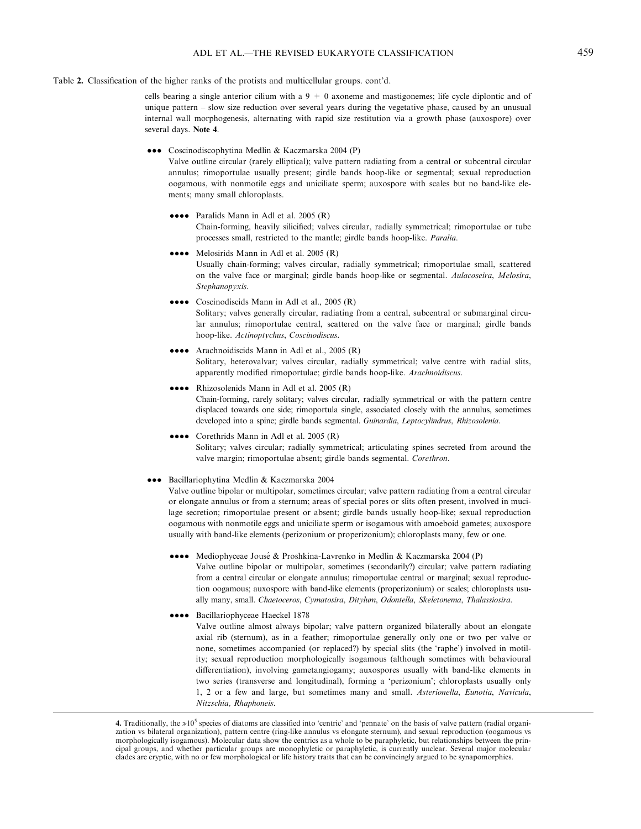cells bearing a single anterior cilium with a  $9 + 0$  axoneme and mastigonemes; life cycle diplontic and of unique pattern – slow size reduction over several years during the vegetative phase, caused by an unusual internal wall morphogenesis, alternating with rapid size restitution via a growth phase (auxospore) over several days. Note 4.

●●● Coscinodiscophytina Medlin & Kaczmarska 2004 (P)

Valve outline circular (rarely elliptical); valve pattern radiating from a central or subcentral circular annulus; rimoportulae usually present; girdle bands hoop-like or segmental; sexual reproduction oogamous, with nonmotile eggs and uniciliate sperm; auxospore with scales but no band-like elements; many small chloroplasts.

- ●●●● Paralids Mann in Adl et al. 2005 (R) Chain-forming, heavily silicified; valves circular, radially symmetrical; rimoportulae or tube processes small, restricted to the mantle; girdle bands hoop-like. Paralia.
- ●●●●● Melosirids Mann in Adl et al. 2005 (R) Usually chain-forming; valves circular, radially symmetrical; rimoportulae small, scattered on the valve face or marginal; girdle bands hoop-like or segmental. Aulacoseira, Melosira, Stephanopyxis.
- ●●●● Coscinodiscids Mann in Adl et al., 2005 (R) Solitary; valves generally circular, radiating from a central, subcentral or submarginal circular annulus; rimoportulae central, scattered on the valve face or marginal; girdle bands hoop-like. Actinoptychus, Coscinodiscus.
- ●●●●● Arachnoidiscids Mann in Adl et al., 2005 (R) Solitary, heterovalvar; valves circular, radially symmetrical; valve centre with radial slits, apparently modified rimoportulae; girdle bands hoop-like. Arachnoidiscus.
- ●●●●● Rhizosolenids Mann in Adl et al. 2005 (R) Chain-forming, rarely solitary; valves circular, radially symmetrical or with the pattern centre displaced towards one side; rimoportula single, associated closely with the annulus, sometimes developed into a spine; girdle bands segmental. Guinardia, Leptocylindrus, Rhizosolenia.
- ●●●● Corethrids Mann in Adl et al. 2005 (R) Solitary; valves circular; radially symmetrical; articulating spines secreted from around the valve margin; rimoportulae absent; girdle bands segmental. Corethron.
- ●●● Bacillariophytina Medlin & Kaczmarska 2004

Valve outline bipolar or multipolar, sometimes circular; valve pattern radiating from a central circular or elongate annulus or from a sternum; areas of special pores or slits often present, involved in mucilage secretion; rimoportulae present or absent; girdle bands usually hoop-like; sexual reproduction oogamous with nonmotile eggs and uniciliate sperm or isogamous with amoeboid gametes; auxospore usually with band-like elements (perizonium or properizonium); chloroplasts many, few or one.

- Mediophyceae Jousé & Proshkina-Lavrenko in Medlin & Kaczmarska 2004 (P) Valve outline bipolar or multipolar, sometimes (secondarily?) circular; valve pattern radiating from a central circular or elongate annulus; rimoportulae central or marginal; sexual reproduction oogamous; auxospore with band-like elements (properizonium) or scales; chloroplasts usually many, small. Chaetoceros, Cymatosira, Ditylum, Odontella, Skeletonema, Thalassiosira.
- ●●●● Bacillariophyceae Haeckel 1878 Valve outline almost always bipolar; valve pattern organized bilaterally about an elongate axial rib (sternum), as in a feather; rimoportulae generally only one or two per valve or none, sometimes accompanied (or replaced?) by special slits (the 'raphe') involved in motility; sexual reproduction morphologically isogamous (although sometimes with behavioural differentiation), involving gametangiogamy; auxospores usually with band-like elements in two series (transverse and longitudinal), forming a 'perizonium'; chloroplasts usually only 1, 2 or a few and large, but sometimes many and small. Asterionella, Eunotia, Navicula, Nitzschia, Rhaphoneis.

4. Traditionally, the  $\gg 10^5$  species of diatoms are classified into 'centric' and 'pennate' on the basis of valve pattern (radial organization vs bilateral organization), pattern centre (ring-like annulus vs elongate sternum), and sexual reproduction (oogamous vs morphologically isogamous). Molecular data show the centrics as a whole to be paraphyletic, but relationships between the principal groups, and whether particular groups are monophyletic or paraphyletic, is currently unclear. Several major molecular clades are cryptic, with no or few morphological or life history traits that can be convincingly argued to be synapomorphies.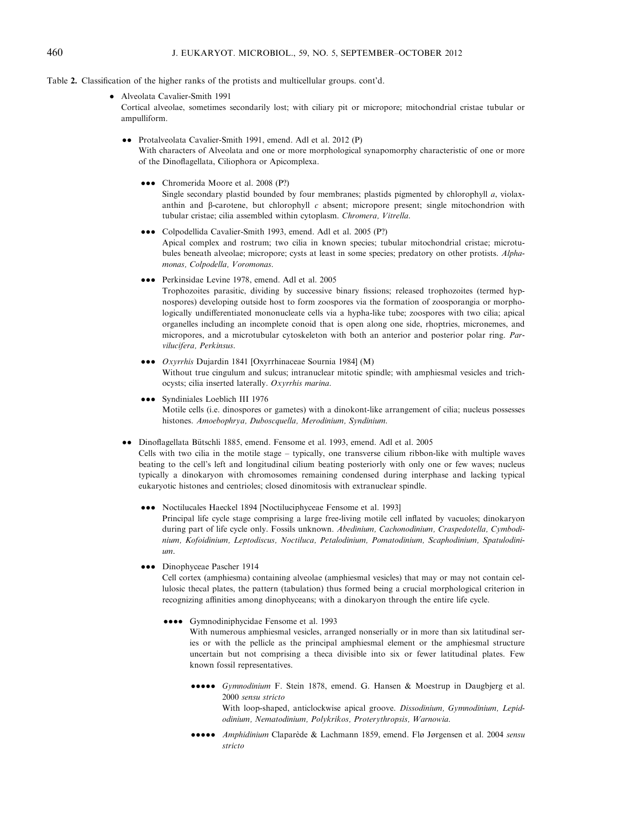- Table 2. Classification of the higher ranks of the protists and multicellular groups. cont'd.
	- Alveolata Cavalier-Smith 1991

Cortical alveolae, sometimes secondarily lost; with ciliary pit or micropore; mitochondrial cristae tubular or ampulliform.

- ●● Protalveolata Cavalier-Smith 1991, emend. Adl et al. 2012 (P) With characters of Alveolata and one or more morphological synapomorphy characteristic of one or more of the Dinoflagellata, Ciliophora or Apicomplexa.
	- ●●● Chromerida Moore et al. 2008 (P?)

Single secondary plastid bounded by four membranes; plastids pigmented by chlorophyll  $a$ , violaxanthin and  $\beta$ -carotene, but chlorophyll c absent; micropore present; single mitochondrion with tubular cristae; cilia assembled within cytoplasm. Chromera, Vitrella.

- ●●● Colpodellida Cavalier-Smith 1993, emend. Adl et al. 2005 (P?) Apical complex and rostrum; two cilia in known species; tubular mitochondrial cristae; microtubules beneath alveolae; micropore; cysts at least in some species; predatory on other protists. Alphamonas, Colpodella, Voromonas.
- ●●● Perkinsidae Levine 1978, emend. Adl et al. 2005

Trophozoites parasitic, dividing by successive binary fissions; released trophozoites (termed hypnospores) developing outside host to form zoospores via the formation of zoosporangia or morphologically undifferentiated mononucleate cells via a hypha-like tube; zoospores with two cilia; apical organelles including an incomplete conoid that is open along one side, rhoptries, micronemes, and micropores, and a microtubular cytoskeleton with both an anterior and posterior polar ring. Parvilucifera, Perkinsus.

- ●●● *Oxyrrhis* Dujardin 1841 [Oxyrrhinaceae Sournia 1984] (M) Without true cingulum and sulcus; intranuclear mitotic spindle; with amphiesmal vesicles and trichocysts; cilia inserted laterally. Oxyrrhis marina.
- ●●● Syndiniales Loeblich III 1976 Motile cells (i.e. dinospores or gametes) with a dinokont-like arrangement of cilia; nucleus possesses histones. Amoebophrya, Duboscquella, Merodinium, Syndinium.
- ●● Dinoflagellata Bütschli 1885, emend. Fensome et al. 1993, emend. Adl et al. 2005 Cells with two cilia in the motile stage – typically, one transverse cilium ribbon-like with multiple waves beating to the cell's left and longitudinal cilium beating posteriorly with only one or few waves; nucleus typically a dinokaryon with chromosomes remaining condensed during interphase and lacking typical eukaryotic histones and centrioles; closed dinomitosis with extranuclear spindle.

## Noctilucales Haeckel 1894 [Noctiluciphyceae Fensome et al. 1993]

Principal life cycle stage comprising a large free-living motile cell inflated by vacuoles; dinokaryon during part of life cycle only. Fossils unknown. Abedinium, Cachonodinium, Craspedotella, Cymbodinium, Kofoidinium, Leptodiscus, Noctiluca, Petalodinium, Pomatodinium, Scaphodinium, Spatulodinium.

Dinophyceae Pascher 1914

Cell cortex (amphiesma) containing alveolae (amphiesmal vesicles) that may or may not contain cellulosic thecal plates, the pattern (tabulation) thus formed being a crucial morphological criterion in recognizing affinities among dinophyceans; with a dinokaryon through the entire life cycle.

●●●● Gymnodiniphycidae Fensome et al. 1993

With numerous amphiesmal vesicles, arranged nonserially or in more than six latitudinal series or with the pellicle as the principal amphiesmal element or the amphiesmal structure uncertain but not comprising a theca divisible into six or fewer latitudinal plates. Few known fossil representatives.

- **•••••** Gymnodinium F. Stein 1878, emend. G. Hansen & Moestrup in Daugbjerg et al. 2000 sensu stricto With loop-shaped, anticlockwise apical groove. Dissodinium, Gymnodinium, Lepidodinium, Nematodinium, Polykrikos, Proterythropsis, Warnowia.
- **•••••** Amphidinium Claparède & Lachmann 1859, emend. Flø Jørgensen et al. 2004 sensu stricto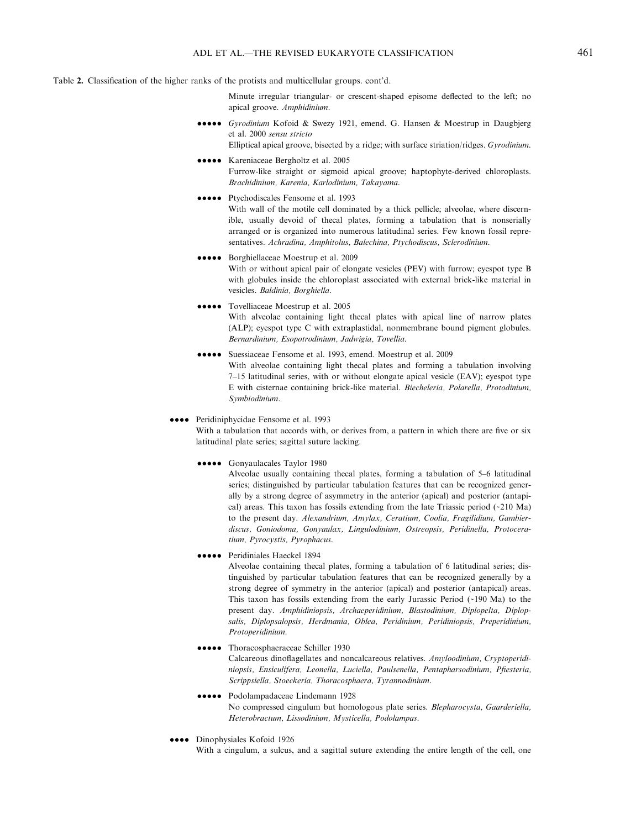Minute irregular triangular- or crescent-shaped episome deflected to the left; no apical groove. Amphidinium.

●● Gyrodinium Kofoid & Swezy 1921, emend. G. Hansen & Moestrup in Daugbjerg et al. 2000 sensu stricto

Elliptical apical groove, bisected by a ridge; with surface striation/ridges. Gyrodinium.

- ●●●●●● Kareniaceae Bergholtz et al. 2005 Furrow-like straight or sigmoid apical groove; haptophyte-derived chloroplasts. Brachidinium, Karenia, Karlodinium, Takayama.
- ●●●●●● Ptychodiscales Fensome et al. 1993 With wall of the motile cell dominated by a thick pellicle; alveolae, where discernible, usually devoid of thecal plates, forming a tabulation that is nonserially arranged or is organized into numerous latitudinal series. Few known fossil representatives. Achradina, Amphitolus, Balechina, Ptychodiscus, Sclerodinium.
- ●●●●●● Borghiellaceae Moestrup et al. 2009 With or without apical pair of elongate vesicles (PEV) with furrow; eyespot type B with globules inside the chloroplast associated with external brick-like material in vesicles. Baldinia, Borghiella.
- ●●●●●● Tovelliaceae Moestrup et al. 2005 With alveolae containing light thecal plates with apical line of narrow plates (ALP); eyespot type C with extraplastidal, nonmembrane bound pigment globules. Bernardinium, Esopotrodinium, Jadwigia, Tovellia.
- ●●●●● Suessiaceae Fensome et al. 1993, emend. Moestrup et al. 2009 With alveolae containing light thecal plates and forming a tabulation involving 7–15 latitudinal series, with or without elongate apical vesicle (EAV); eyespot type E with cisternae containing brick-like material. Biecheleria, Polarella, Protodinium, Symbiodinium.

## ●●●● Peridiniphycidae Fensome et al. 1993 With a tabulation that accords with, or derives from, a pattern in which there are five or six latitudinal plate series; sagittal suture lacking.

●●●●●● Gonyaulacales Taylor 1980

Alveolae usually containing thecal plates, forming a tabulation of 5–6 latitudinal series; distinguished by particular tabulation features that can be recognized generally by a strong degree of asymmetry in the anterior (apical) and posterior (antapical) areas. This taxon has fossils extending from the late Triassic period (~210 Ma) to the present day. Alexandrium, Amylax, Ceratium, Coolia, Fragilidium, Gambierdiscus, Goniodoma, Gonyaulax, Lingulodinium, Ostreopsis, Peridinella, Protoceratium, Pyrocystis, Pyrophacus.

●●●●●● Peridiniales Haeckel 1894

Alveolae containing thecal plates, forming a tabulation of 6 latitudinal series; distinguished by particular tabulation features that can be recognized generally by a strong degree of symmetry in the anterior (apical) and posterior (antapical) areas. This taxon has fossils extending from the early Jurassic Period (~190 Ma) to the present day. Amphidiniopsis, Archaeperidinium, Blastodinium, Diplopelta, Diplopsalis, Diplopsalopsis, Herdmania, Oblea, Peridinium, Peridiniopsis, Preperidinium, Protoperidinium.

- ●●●●●● Thoracosphaeraceae Schiller 1930 Calcareous dinoflagellates and noncalcareous relatives. Amyloodinium, Cryptoperidiniopsis, Ensiculifera, Leonella, Luciella, Paulsenella, Pentapharsodinium, Pfiesteria, Scrippsiella, Stoeckeria, Thoracosphaera, Tyrannodinium.
- ●●●●● Podolampadaceae Lindemann 1928 No compressed cingulum but homologous plate series. Blepharocysta, Gaarderiella, Heterobractum, Lissodinium, Mysticella, Podolampas.
- ●●●●● Dinophysiales Kofoid 1926

With a cingulum, a sulcus, and a sagittal suture extending the entire length of the cell, one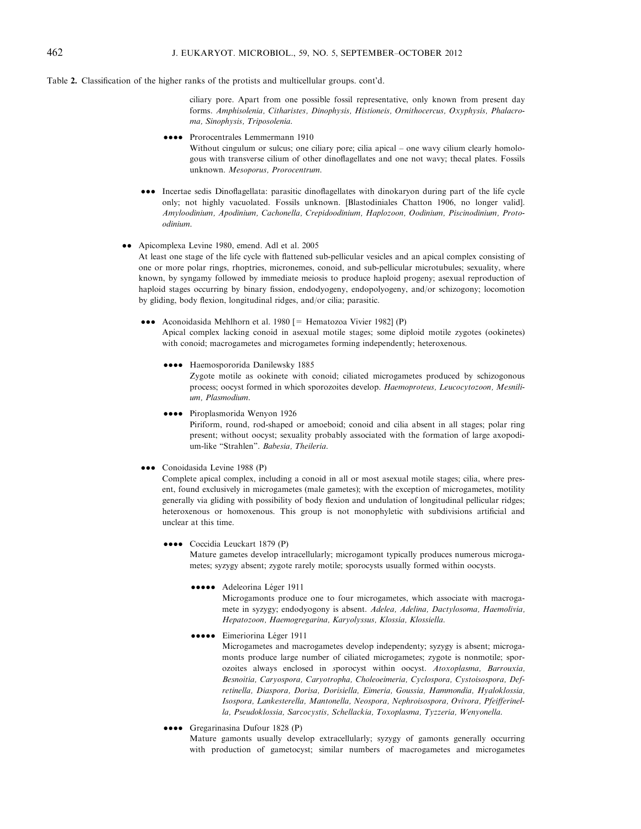ciliary pore. Apart from one possible fossil representative, only known from present day forms. Amphisolenia, Citharistes, Dinophysis, Histioneis, Ornithocercus, Oxyphysis, Phalacroma, Sinophysis, Triposolenia.

●●●● Prorocentrales Lemmermann 1910

Without cingulum or sulcus; one ciliary pore; cilia apical – one wavy cilium clearly homologous with transverse cilium of other dinoflagellates and one not wavy; thecal plates. Fossils unknown. Mesoporus, Prorocentrum.

●●● Incertae sedis Dinoflagellata: parasitic dinoflagellates with dinokaryon during part of the life cycle only; not highly vacuolated. Fossils unknown. [Blastodiniales Chatton 1906, no longer valid]. Amyloodinium, Apodinium, Cachonella, Crepidoodinium, Haplozoon, Oodinium, Piscinodinium, Protoodinium.

#### ●● Apicomplexa Levine 1980, emend. Adl et al. 2005

At least one stage of the life cycle with flattened sub-pellicular vesicles and an apical complex consisting of one or more polar rings, rhoptries, micronemes, conoid, and sub-pellicular microtubules; sexuality, where known, by syngamy followed by immediate meiosis to produce haploid progeny; asexual reproduction of haploid stages occurring by binary fission, endodyogeny, endopolyogeny, and/or schizogony; locomotion by gliding, body flexion, longitudinal ridges, and/or cilia; parasitic.

- Aconoidasida Mehlhorn et al. 1980 [= Hematozoa Vivier 1982] (P) Apical complex lacking conoid in asexual motile stages; some diploid motile zygotes (ookinetes) with conoid; macrogametes and microgametes forming independently; heteroxenous.
	- ●●●●● Haemospororida Danilewsky 1885

Zygote motile as ookinete with conoid; ciliated microgametes produced by schizogonous process; oocyst formed in which sporozoites develop. Haemoproteus, Leucocytozoon, Mesnilium, Plasmodium.

- ●●●● Piroplasmorida Wenyon 1926 Piriform, round, rod-shaped or amoeboid; conoid and cilia absent in all stages; polar ring present; without oocyst; sexuality probably associated with the formation of large axopodium-like "Strahlen". Babesia, Theileria.
- ●●● Conoidasida Levine 1988 (P)

Complete apical complex, including a conoid in all or most asexual motile stages; cilia, where present, found exclusively in microgametes (male gametes); with the exception of microgametes, motility generally via gliding with possibility of body flexion and undulation of longitudinal pellicular ridges; heteroxenous or homoxenous. This group is not monophyletic with subdivisions artificial and unclear at this time.

#### ●●●●● Coccidia Leuckart 1879 (P)

Mature gametes develop intracellularly; microgamont typically produces numerous microgametes; syzygy absent; zygote rarely motile; sporocysts usually formed within oocysts.

## ●●●●●● Adeleorina Léger 1911

Microgamonts produce one to four microgametes, which associate with macrogamete in syzygy; endodyogony is absent. Adelea, Adelina, Dactylosoma, Haemolivia, Hepatozoon, Haemogregarina, Karyolyssus, Klossia, Klossiella.

●●●●●● Eimeriorina Léger 1911

Microgametes and macrogametes develop independenty; syzygy is absent; microgamonts produce large number of ciliated microgametes; zygote is nonmotile; sporozoites always enclosed in sporocyst within oocyst. Atoxoplasma, Barrouxia, Besnoitia, Caryospora, Caryotropha, Choleoeimeria, Cyclospora, Cystoisospora, Defretinella, Diaspora, Dorisa, Dorisiella, Eimeria, Goussia, Hammondia, Hyaloklossia, Isospora, Lankesterella, Mantonella, Neospora, Nephroisospora, Ovivora, Pfeifferinella, Pseudoklossia, Sarcocystis, Schellackia, Toxoplasma, Tyzzeria, Wenyonella.

## ●●●● Gregarinasina Dufour 1828 (P)

Mature gamonts usually develop extracellularly; syzygy of gamonts generally occurring with production of gametocyst; similar numbers of macrogametes and microgametes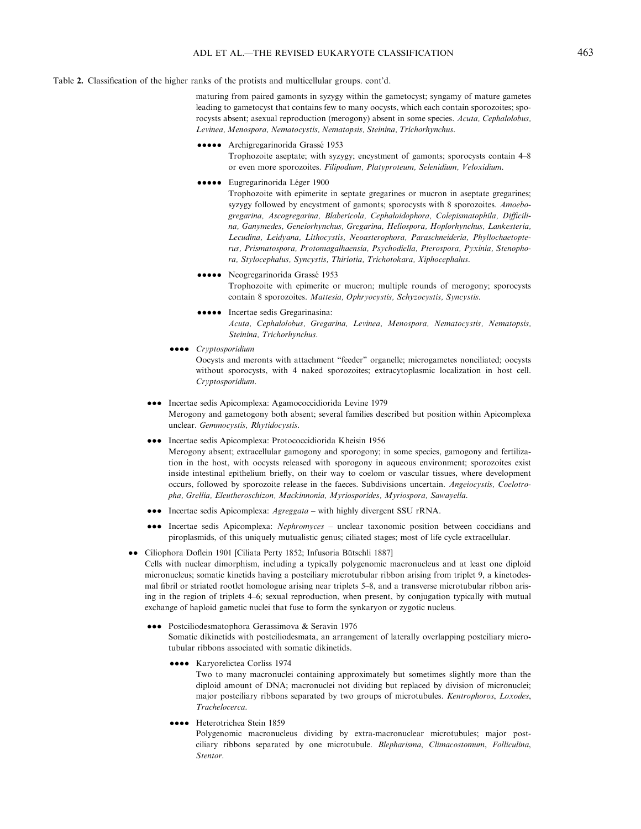maturing from paired gamonts in syzygy within the gametocyst; syngamy of mature gametes leading to gametocyst that contains few to many oocysts, which each contain sporozoites; sporocysts absent; asexual reproduction (merogony) absent in some species. Acuta, Cephalolobus, Levinea, Menospora, Nematocystis, Nematopsis, Steinina, Trichorhynchus.

●●●●●● Archigregarinorida Grassé 1953

Trophozoite aseptate; with syzygy; encystment of gamonts; sporocysts contain 4–8 or even more sporozoites. Filipodium, Platyproteum, Selenidium, Veloxidium.

●●●●●● Eugregarinorida Léger 1900

Trophozoite with epimerite in septate gregarines or mucron in aseptate gregarines; syzygy followed by encystment of gamonts; sporocysts with 8 sporozoites. Amoebogregarina, Ascogregarina, Blabericola, Cephaloidophora, Colepismatophila, Difficilina, Ganymedes, Geneiorhynchus, Gregarina, Heliospora, Hoplorhynchus, Lankesteria, Lecudina, Leidyana, Lithocystis, Neoasterophora, Paraschneideria, Phyllochaetopterus, Prismatospora, Protomagalhaensia, Psychodiella, Pterospora, Pyxinia, Stenophora, Stylocephalus, Syncystis, Thiriotia, Trichotokara, Xiphocephalus.

- ••••• Neogregarinorida Grassé 1953 Trophozoite with epimerite or mucron; multiple rounds of merogony; sporocysts contain 8 sporozoites. Mattesia, Ophryocystis, Schyzocystis, Syncystis.
- ●●●●● Incertae sedis Gregarinasina: Acuta, Cephalolobus, Gregarina, Levinea, Menospora, Nematocystis, Nematopsis, Steinina, Trichorhynchus.
- ●●●● Cryptosporidium Oocysts and meronts with attachment "feeder" organelle; microgametes nonciliated; oocysts without sporocysts, with 4 naked sporozoites; extracytoplasmic localization in host cell. Cryptosporidium.
- ●●● Incertae sedis Apicomplexa: Agamococcidiorida Levine 1979 Merogony and gametogony both absent; several families described but position within Apicomplexa unclear. Gemmocystis, Rhytidocystis.
- ●●● Incertae sedis Apicomplexa: Protococcidiorida Kheisin 1956

Merogony absent; extracellular gamogony and sporogony; in some species, gamogony and fertilization in the host, with oocysts released with sporogony in aqueous environment; sporozoites exist inside intestinal epithelium briefly, on their way to coelom or vascular tissues, where development occurs, followed by sporozoite release in the faeces. Subdivisions uncertain. Angeiocystis, Coelotropha, Grellia, Eleutheroschizon, Mackinnonia, Myriosporides, Myriospora, Sawayella.

- ●●● Incertae sedis Apicomplexa: Agreggata with highly divergent SSU rRNA.
- ●●● Incertae sedis Apicomplexa: Nephromyces unclear taxonomic position between coccidians and piroplasmids, of this uniquely mutualistic genus; ciliated stages; most of life cycle extracellular.

## ●● Ciliophora Doflein 1901 [Ciliata Perty 1852; Infusoria Bütschli 1887]

Cells with nuclear dimorphism, including a typically polygenomic macronucleus and at least one diploid micronucleus; somatic kinetids having a postciliary microtubular ribbon arising from triplet 9, a kinetodesmal fibril or striated rootlet homologue arising near triplets 5–8, and a transverse microtubular ribbon arising in the region of triplets 4–6; sexual reproduction, when present, by conjugation typically with mutual exchange of haploid gametic nuclei that fuse to form the synkaryon or zygotic nucleus.

## ●●● Postciliodesmatophora Gerassimova & Seravin 1976

Somatic dikinetids with postciliodesmata, an arrangement of laterally overlapping postciliary microtubular ribbons associated with somatic dikinetids.

●●●● Karyorelictea Corliss 1974

Two to many macronuclei containing approximately but sometimes slightly more than the diploid amount of DNA; macronuclei not dividing but replaced by division of micronuclei; major postciliary ribbons separated by two groups of microtubules. Kentrophoros, Loxodes, Trachelocerca.

●●●● Heterotrichea Stein 1859

Polygenomic macronucleus dividing by extra-macronuclear microtubules; major postciliary ribbons separated by one microtubule. Blepharisma, Climacostomum, Folliculina, Stentor.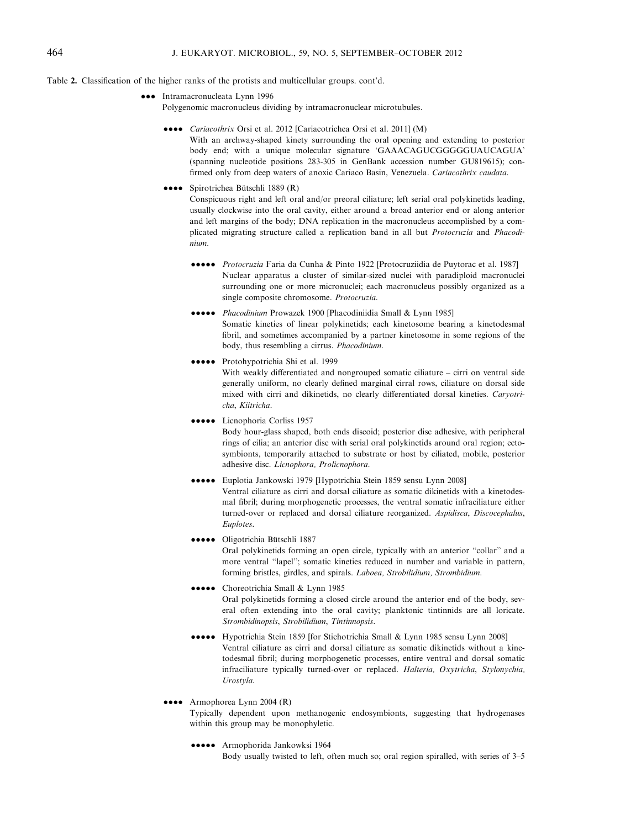●●● Intramacronucleata Lynn 1996

Polygenomic macronucleus dividing by intramacronuclear microtubules.

●●●● Cariacothrix Orsi et al. 2012 [Cariacotrichea Orsi et al. 2011] (M)

With an archway-shaped kinety surrounding the oral opening and extending to posterior body end; with a unique molecular signature 'GAAACAGUCGGGGGUAUCAGUA' (spanning nucleotide positions 283-305 in GenBank accession number GU819615); confirmed only from deep waters of anoxic Cariaco Basin, Venezuela. Cariacothrix caudata.

●●●● Spirotrichea Bütschli 1889 (R)

Conspicuous right and left oral and/or preoral ciliature; left serial oral polykinetids leading, usually clockwise into the oral cavity, either around a broad anterior end or along anterior and left margins of the body; DNA replication in the macronucleus accomplished by a complicated migrating structure called a replication band in all but Protocruzia and Phacodinium.

- **•••••** Protocruzia Faria da Cunha & Pinto 1922 [Protocruziidia de Puytorac et al. 1987] Nuclear apparatus a cluster of similar-sized nuclei with paradiploid macronuclei surrounding one or more micronuclei; each macronucleus possibly organized as a single composite chromosome. Protocruzia.
- ●●●●● *Phacodinium* Prowazek 1900 [Phacodiniidia Small & Lynn 1985] Somatic kineties of linear polykinetids; each kinetosome bearing a kinetodesmal fibril, and sometimes accompanied by a partner kinetosome in some regions of the body, thus resembling a cirrus. Phacodinium.
- ●●●●● Protohypotrichia Shi et al. 1999 With weakly differentiated and nongrouped somatic ciliature – cirri on ventral side generally uniform, no clearly defined marginal cirral rows, ciliature on dorsal side mixed with cirri and dikinetids, no clearly differentiated dorsal kineties. Caryotricha, Kiitricha.
- ●●●●●● Licnophoria Corliss 1957 Body hour-glass shaped, both ends discoid; posterior disc adhesive, with peripheral rings of cilia; an anterior disc with serial oral polykinetids around oral region; ectosymbionts, temporarily attached to substrate or host by ciliated, mobile, posterior adhesive disc. Licnophora, Prolicnophora.
- ●●●●● Euplotia Jankowski 1979 [Hypotrichia Stein 1859 sensu Lynn 2008] Ventral ciliature as cirri and dorsal ciliature as somatic dikinetids with a kinetodesmal fibril; during morphogenetic processes, the ventral somatic infraciliature either turned-over or replaced and dorsal ciliature reorganized. Aspidisca, Discocephalus, Euplotes.
- ●●●●●● Oligotrichia Bütschli 1887 Oral polykinetids forming an open circle, typically with an anterior "collar" and a more ventral "lapel"; somatic kineties reduced in number and variable in pattern, forming bristles, girdles, and spirals. Laboea, Strobilidium, Strombidium.
- Choreotrichia Small & Lynn 1985 Oral polykinetids forming a closed circle around the anterior end of the body, several often extending into the oral cavity; planktonic tintinnids are all loricate. Strombidinopsis, Strobilidium, Tintinnopsis.
- ●●●●● Hypotrichia Stein 1859 [for Stichotrichia Small & Lynn 1985 sensu Lynn 2008] Ventral ciliature as cirri and dorsal ciliature as somatic dikinetids without a kinetodesmal fibril; during morphogenetic processes, entire ventral and dorsal somatic infraciliature typically turned-over or replaced. Halteria, Oxytricha, Stylonychia, Urostyla.
- ●●●●● Armophorea Lynn 2004 (R)

Typically dependent upon methanogenic endosymbionts, suggesting that hydrogenases within this group may be monophyletic.

- ●●●●● Armophorida Jankowksi 1964
	- Body usually twisted to left, often much so; oral region spiralled, with series of 3–5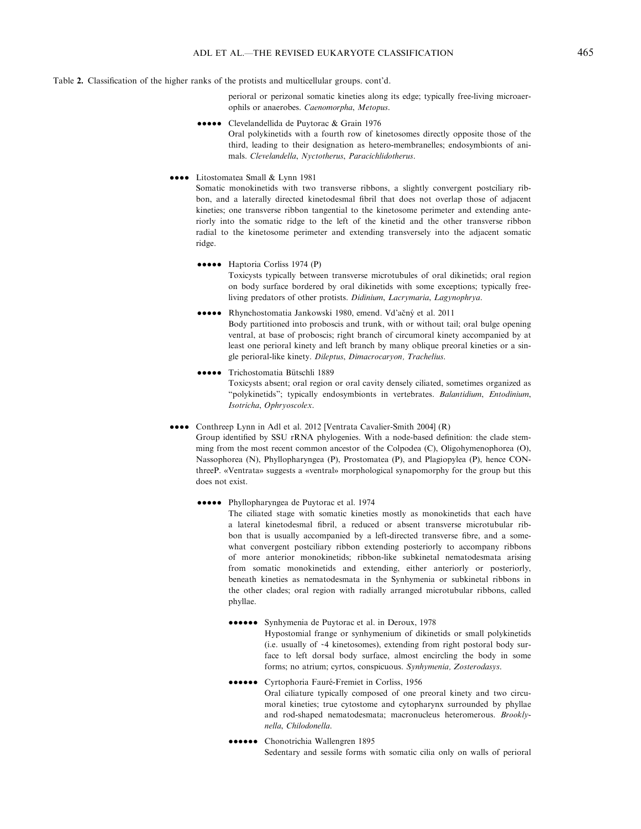perioral or perizonal somatic kineties along its edge; typically free-living microaerophils or anaerobes. Caenomorpha, Metopus.

- Clevelandellida de Puytorac & Grain 1976 Oral polykinetids with a fourth row of kinetosomes directly opposite those of the third, leading to their designation as hetero-membranelles; endosymbionts of animals. Clevelandella, Nyctotherus, Paracichlidotherus.
- ●●●●● Litostomatea Small & Lynn 1981

Somatic monokinetids with two transverse ribbons, a slightly convergent postciliary ribbon, and a laterally directed kinetodesmal fibril that does not overlap those of adjacent kineties; one transverse ribbon tangential to the kinetosome perimeter and extending anteriorly into the somatic ridge to the left of the kinetid and the other transverse ribbon radial to the kinetosome perimeter and extending transversely into the adjacent somatic ridge.

#### ●●●●●● Haptoria Corliss 1974 (P)

Toxicysts typically between transverse microtubules of oral dikinetids; oral region on body surface bordered by oral dikinetids with some exceptions; typically freeliving predators of other protists. Didinium, Lacrymaria, Lagynophrya.

- ●●●●● Rhynchostomatia Jankowski 1980, emend. Vďačný et al. 2011 Body partitioned into proboscis and trunk, with or without tail; oral bulge opening ventral, at base of proboscis; right branch of circumoral kinety accompanied by at least one perioral kinety and left branch by many oblique preoral kineties or a single perioral-like kinety. Dileptus, Dimacrocaryon, Trachelius.
- ●●●●●● Trichostomatia Bütschli 1889 Toxicysts absent; oral region or oral cavity densely ciliated, sometimes organized as "polykinetids"; typically endosymbionts in vertebrates. Balantidium, Entodinium, Isotricha, Ophryoscolex.
- ●●●● Conthreep Lynn in Adl et al. 2012 [Ventrata Cavalier-Smith 2004] (R)

Group identified by SSU rRNA phylogenies. With a node-based definition: the clade stemming from the most recent common ancestor of the Colpodea (C), Oligohymenophorea (O), Nassophorea (N), Phyllopharyngea (P), Prostomatea (P), and Plagiopylea (P), hence CONthreeP. «Ventrata» suggests a «ventral» morphological synapomorphy for the group but this does not exist.

### ●●●●● Phyllopharyngea de Puytorac et al. 1974

The ciliated stage with somatic kineties mostly as monokinetids that each have a lateral kinetodesmal fibril, a reduced or absent transverse microtubular ribbon that is usually accompanied by a left-directed transverse fibre, and a somewhat convergent postciliary ribbon extending posteriorly to accompany ribbons of more anterior monokinetids; ribbon-like subkinetal nematodesmata arising from somatic monokinetids and extending, either anteriorly or posteriorly, beneath kineties as nematodesmata in the Synhymenia or subkinetal ribbons in the other clades; oral region with radially arranged microtubular ribbons, called phyllae.

●●●●●● Synhymenia de Puytorac et al. in Deroux, 1978

Hypostomial frange or synhymenium of dikinetids or small polykinetids (i.e. usually of ~4 kinetosomes), extending from right postoral body surface to left dorsal body surface, almost encircling the body in some forms; no atrium; cyrtos, conspicuous. Synhymenia, Zosterodasys.

- Cyrtophoria Fauré-Fremiet in Corliss, 1956 Oral ciliature typically composed of one preoral kinety and two circumoral kineties; true cytostome and cytopharynx surrounded by phyllae and rod-shaped nematodesmata; macronucleus heteromerous. Brooklynella, Chilodonella.
- Chonotrichia Wallengren 1895 Sedentary and sessile forms with somatic cilia only on walls of perioral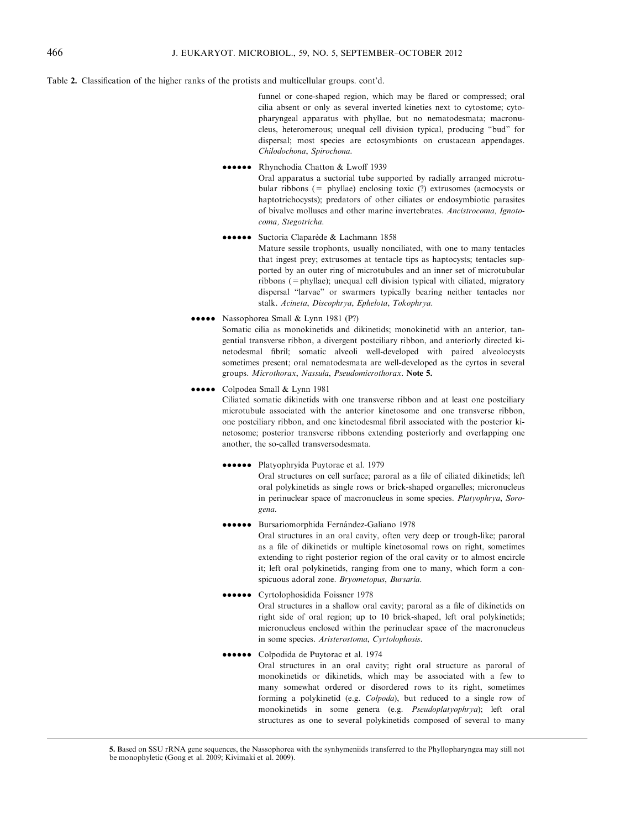funnel or cone-shaped region, which may be flared or compressed; oral cilia absent or only as several inverted kineties next to cytostome; cytopharyngeal apparatus with phyllae, but no nematodesmata; macronucleus, heteromerous; unequal cell division typical, producing "bud" for dispersal; most species are ectosymbionts on crustacean appendages. Chilodochona, Spirochona.

●●●●● Rhynchodia Chatton & Lwoff 1939

Oral apparatus a suctorial tube supported by radially arranged microtubular ribbons (= phyllae) enclosing toxic (?) extrusomes (acmocysts or haptotrichocysts); predators of other ciliates or endosymbiotic parasites of bivalve molluscs and other marine invertebrates. Ancistrocoma, Ignotocoma, Stegotricha.

●●●●●● Suctoria Clapare`de & Lachmann 1858

Mature sessile trophonts, usually nonciliated, with one to many tentacles that ingest prey; extrusomes at tentacle tips as haptocysts; tentacles supported by an outer ring of microtubules and an inner set of microtubular ribbons (=phyllae); unequal cell division typical with ciliated, migratory dispersal "larvae" or swarmers typically bearing neither tentacles nor stalk. Acineta, Discophrya, Ephelota, Tokophrya.

#### ●●●●● Nassophorea Small & Lynn 1981 (P?)

Somatic cilia as monokinetids and dikinetids; monokinetid with an anterior, tangential transverse ribbon, a divergent postciliary ribbon, and anteriorly directed kinetodesmal fibril; somatic alveoli well-developed with paired alveolocysts sometimes present; oral nematodesmata are well-developed as the cyrtos in several groups. Microthorax, Nassula, Pseudomicrothorax. Note 5.

#### ●●●●● Colpodea Small & Lynn 1981

Ciliated somatic dikinetids with one transverse ribbon and at least one postciliary microtubule associated with the anterior kinetosome and one transverse ribbon, one postciliary ribbon, and one kinetodesmal fibril associated with the posterior kinetosome; posterior transverse ribbons extending posteriorly and overlapping one another, the so-called transversodesmata.

●●●●●●● Platyophryida Puytorac et al. 1979

Oral structures on cell surface; paroral as a file of ciliated dikinetids; left oral polykinetids as single rows or brick-shaped organelles; micronucleus in perinuclear space of macronucleus in some species. Platyophrya, Sorogena.

●●●●●● Bursariomorphida Ferna´ndez-Galiano 1978

Oral structures in an oral cavity, often very deep or trough-like; paroral as a file of dikinetids or multiple kinetosomal rows on right, sometimes extending to right posterior region of the oral cavity or to almost encircle it; left oral polykinetids, ranging from one to many, which form a conspicuous adoral zone. Bryometopus, Bursaria.

- ●●●●●● Cyrtolophosidida Foissner 1978 Oral structures in a shallow oral cavity; paroral as a file of dikinetids on right side of oral region; up to 10 brick-shaped, left oral polykinetids; micronucleus enclosed within the perinuclear space of the macronucleus in some species. Aristerostoma, Cyrtolophosis.
	- Colpodida de Puytorac et al. 1974 Oral structures in an oral cavity; right oral structure as paroral of monokinetids or dikinetids, which may be associated with a few to many somewhat ordered or disordered rows to its right, sometimes forming a polykinetid (e.g. Colpoda), but reduced to a single row of monokinetids in some genera (e.g. Pseudoplatyophrya); left oral structures as one to several polykinetids composed of several to many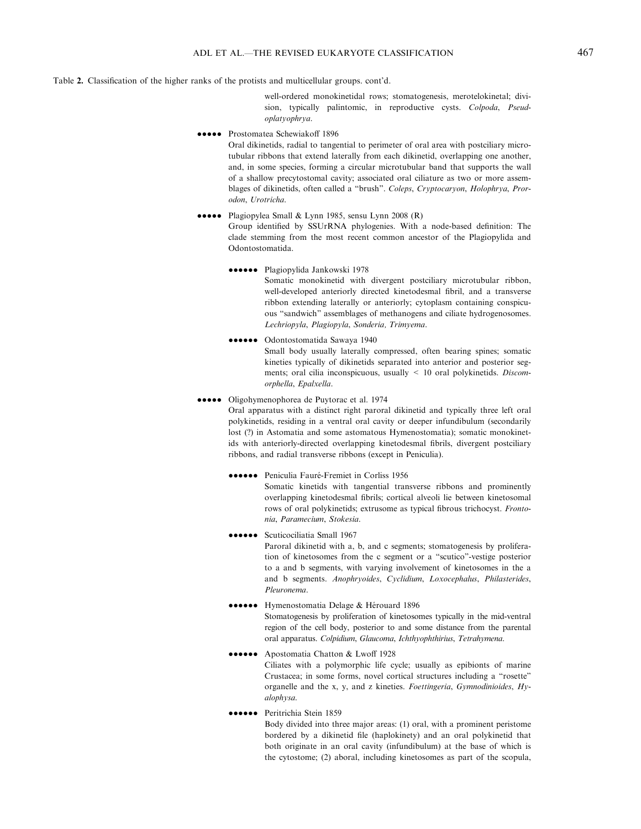well-ordered monokinetidal rows; stomatogenesis, merotelokinetal; division, typically palintomic, in reproductive cysts. Colpoda, Pseudoplatyophrya.

●●●●● Prostomatea Schewiakoff 1896

Oral dikinetids, radial to tangential to perimeter of oral area with postciliary microtubular ribbons that extend laterally from each dikinetid, overlapping one another, and, in some species, forming a circular microtubular band that supports the wall of a shallow precytostomal cavity; associated oral ciliature as two or more assemblages of dikinetids, often called a "brush". Coleps, Cryptocaryon, Holophrya, Prorodon, Urotricha.

●●●●●● Plagiopylea Small & Lynn 1985, sensu Lynn 2008 (R)

Group identified by SSUrRNA phylogenies. With a node-based definition: The clade stemming from the most recent common ancestor of the Plagiopylida and Odontostomatida.

●●●●●● Plagiopylida Jankowski 1978

Somatic monokinetid with divergent postciliary microtubular ribbon, well-developed anteriorly directed kinetodesmal fibril, and a transverse ribbon extending laterally or anteriorly; cytoplasm containing conspicuous "sandwich" assemblages of methanogens and ciliate hydrogenosomes. Lechriopyla, Plagiopyla, Sonderia, Trimyema.

- ●●●●●● Odontostomatida Sawaya 1940 Small body usually laterally compressed, often bearing spines; somatic kineties typically of dikinetids separated into anterior and posterior segments; oral cilia inconspicuous, usually < 10 oral polykinetids. Discomorphella, Epalxella.
- ●●●●●● Oligohymenophorea de Puytorac et al. 1974

Oral apparatus with a distinct right paroral dikinetid and typically three left oral polykinetids, residing in a ventral oral cavity or deeper infundibulum (secondarily lost (?) in Astomatia and some astomatous Hymenostomatia); somatic monokinetids with anteriorly-directed overlapping kinetodesmal fibrils, divergent postciliary ribbons, and radial transverse ribbons (except in Peniculia).

#### ●●●●●●● Peniculia Fauré-Fremiet in Corliss 1956

Somatic kinetids with tangential transverse ribbons and prominently overlapping kinetodesmal fibrils; cortical alveoli lie between kinetosomal rows of oral polykinetids; extrusome as typical fibrous trichocyst. Frontonia, Paramecium, Stokesia.

#### ●●●●●●● Scuticociliatia Small 1967

Paroral dikinetid with a, b, and c segments; stomatogenesis by proliferation of kinetosomes from the c segment or a "scutico"-vestige posterior to a and b segments, with varying involvement of kinetosomes in the a and b segments. Anophryoides, Cyclidium, Loxocephalus, Philasterides, Pleuronema.

●●●●●●● Hymenostomatia Delage & Hérouard 1896

Stomatogenesis by proliferation of kinetosomes typically in the mid-ventral region of the cell body, posterior to and some distance from the parental oral apparatus. Colpidium, Glaucoma, Ichthyophthirius, Tetrahymena.

## ●●●●●● Apostomatia Chatton & Lwoff 1928

Ciliates with a polymorphic life cycle; usually as epibionts of marine Crustacea; in some forms, novel cortical structures including a "rosette" organelle and the x, y, and z kineties. Foettingeria, Gymnodinioides, Hyalophysa.

●●●●●● Peritrichia Stein 1859

Body divided into three major areas: (1) oral, with a prominent peristome bordered by a dikinetid file (haplokinety) and an oral polykinetid that both originate in an oral cavity (infundibulum) at the base of which is the cytostome; (2) aboral, including kinetosomes as part of the scopula,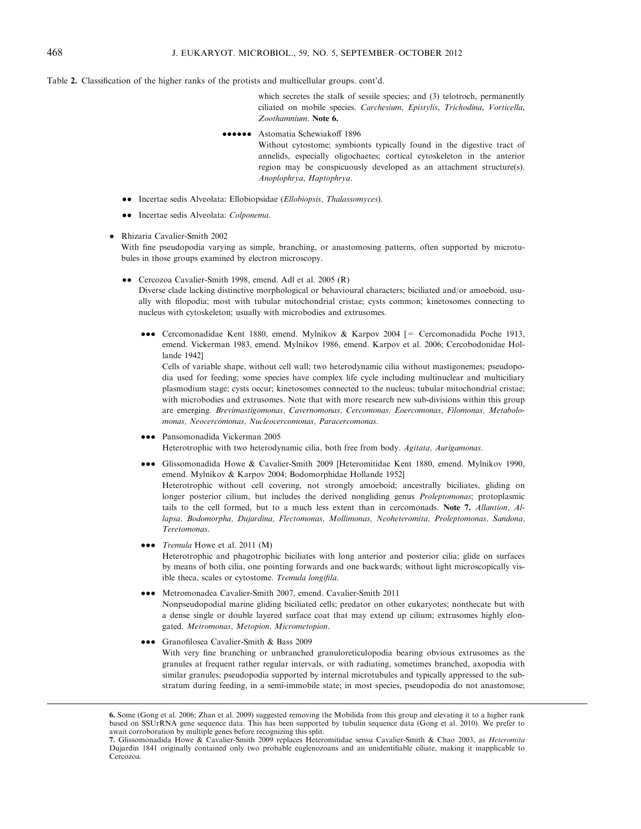which secretes the stalk of sessile species; and (3) telotroch, permanently ciliated on mobile species. Carchesium, Epistylis, Trichodina, Vorticella, Zoothamnium. Note 6.

●●●●●●● Astomatia Schewiakoff 1896

Without cytostome; symbionts typically found in the digestive tract of annelids, especially oligochaetes; cortical cytoskeleton in the anterior region may be conspicuously developed as an attachment structure(s). Anoplophrya, Haptophrya.

- ●● Incertae sedis Alveolata: Ellobiopsidae (Ellobiopsis, Thalassomyces).
- ●● Incertae sedis Alveolata: Colponema.
- Rhizaria Cavalier-Smith 2002

With fine pseudopodia varying as simple, branching, or anastomosing patterns, often supported by microtubules in those groups examined by electron microscopy.

●● Cercozoa Cavalier-Smith 1998, emend. Adl et al. 2005 (R)

Diverse clade lacking distinctive morphological or behavioural characters; biciliated and/or amoeboid, usually with filopodia; most with tubular mitochondrial cristae; cysts common; kinetosomes connecting to nucleus with cytoskeleton; usually with microbodies and extrusomes.

●●● Cercomonadidae Kent 1880, emend. Mylnikov & Karpov 2004 [= Cercomonadida Poche 1913, emend. Vickerman 1983, emend. Mylnikov 1986, emend. Karpov et al. 2006; Cercobodonidae Hollande 1942]

Cells of variable shape, without cell wall; two heterodynamic cilia without mastigonemes; pseudopodia used for feeding; some species have complex life cycle including multinuclear and multiciliary plasmodium stage; cysts occur; kinetosomes connected to the nucleus; tubular mitochondrial cristae; with microbodies and extrusomes. Note that with more research new sub-divisions within this group are emerging. Brevimastigomonas, Cavernomonas, Cercomonas, Eoercomonas, Filomonas, Metabolomonas, Neocercomonas, Nucleocercomonas, Paracercomonas.

#### ●●● Pansomonadida Vickerman 2005

Heterotrophic with two heterodynamic cilia, both free from body. Agitata, Aurigamonas.

●●● Glissomonadida Howe & Cavalier-Smith 2009 [Heteromitidae Kent 1880, emend. Mylnikov 1990, emend. Mylnikov & Karpov 2004; Bodomorphidae Hollande 1952]

Heterotrophic without cell covering, not strongly amoeboid; ancestrally biciliates, gliding on longer posterior cilium, but includes the derived nongliding genus Proleptomonas; protoplasmic tails to the cell formed, but to a much less extent than in cercomonads. Note 7. Allantion, Allapsa, Bodomorpha, Dujardina, Flectomonas, Mollimonas, Neoheteromita, Proleptomonas, Sandona, Teretomonas.

Tremula Howe et al. 2011 (M)

Heterotrophic and phagotrophic biciliates with long anterior and posterior cilia; glide on surfaces by means of both cilia, one pointing forwards and one backwards; without light microscopically visible theca, scales or cytostome. Tremula longifila.

- Metromonadea Cavalier-Smith 2007, emend. Cavalier-Smith 2011 Nonpseudopodial marine gliding biciliated cells; predator on other eukaryotes; nonthecate but with a dense single or double layered surface coat that may extend up cilium; extrusomes highly elongated. Metromonas, Metopion, Micrometopion.
- ●●● Granofilosea Cavalier-Smith & Bass 2009

With very fine branching or unbranched granuloreticulopodia bearing obvious extrusomes as the granules at frequent rather regular intervals, or with radiating, sometimes branched, axopodia with similar granules; pseudopodia supported by internal microtubules and typically appressed to the substratum during feeding, in a semi-immobile state; in most species, pseudopodia do not anastomose;

<sup>6.</sup> Some (Gong et al. 2006; Zhan et al. 2009) suggested removing the Mobilida from this group and elevating it to a higher rank based on SSUrRNA gene sequence data. This has been supported by tubulin sequence data (Gong et al. 2010). We prefer to await corroboration by multiple genes before recognizing this split.

<sup>7.</sup> Glissomonadida Howe & Cavalier-Smith 2009 replaces Heteromitidae sensu Cavalier-Smith & Chao 2003, as Heteromita Dujardin 1841 originally contained only two probable euglenozoans and an unidentifiable ciliate, making it inapplicable to Cercozoa.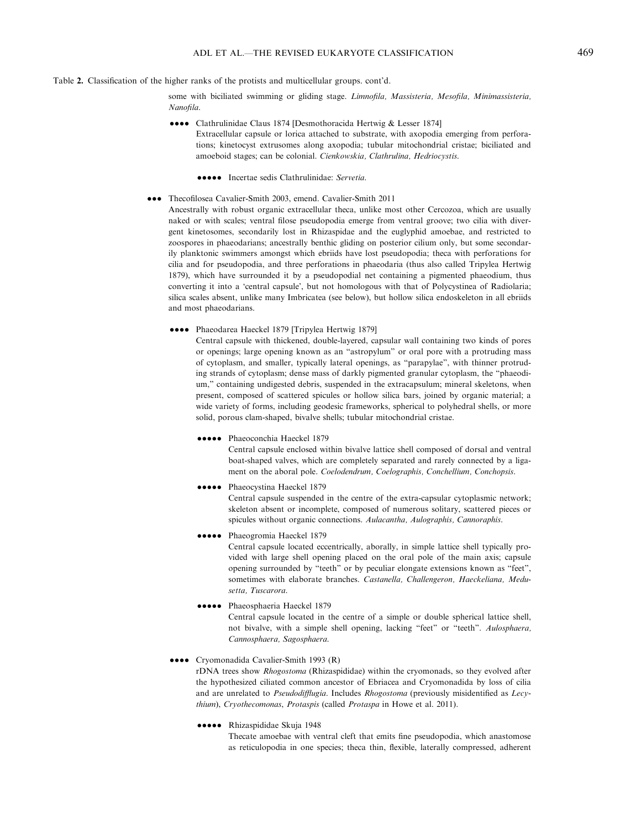some with biciliated swimming or gliding stage. Limnofila, Massisteria, Mesofila, Minimassisteria, Nanofila.

- ●●●● Clathrulinidae Claus 1874 [Desmothoracida Hertwig & Lesser 1874] Extracellular capsule or lorica attached to substrate, with axopodia emerging from perforations; kinetocyst extrusomes along axopodia; tubular mitochondrial cristae; biciliated and amoeboid stages; can be colonial. Cienkowskia, Clathrulina, Hedriocystis.
	- ●●●●● Incertae sedis Clathrulinidae: Servetia.
- ●●● Thecofilosea Cavalier-Smith 2003, emend. Cavalier-Smith 2011

Ancestrally with robust organic extracellular theca, unlike most other Cercozoa, which are usually naked or with scales; ventral filose pseudopodia emerge from ventral groove; two cilia with divergent kinetosomes, secondarily lost in Rhizaspidae and the euglyphid amoebae, and restricted to zoospores in phaeodarians; ancestrally benthic gliding on posterior cilium only, but some secondarily planktonic swimmers amongst which ebriids have lost pseudopodia; theca with perforations for cilia and for pseudopodia, and three perforations in phaeodaria (thus also called Tripylea Hertwig 1879), which have surrounded it by a pseudopodial net containing a pigmented phaeodium, thus converting it into a 'central capsule', but not homologous with that of Polycystinea of Radiolaria; silica scales absent, unlike many Imbricatea (see below), but hollow silica endoskeleton in all ebriids and most phaeodarians.

●●●● Phaeodarea Haeckel 1879 [Tripylea Hertwig 1879]

Central capsule with thickened, double-layered, capsular wall containing two kinds of pores or openings; large opening known as an "astropylum" or oral pore with a protruding mass of cytoplasm, and smaller, typically lateral openings, as "parapylae", with thinner protruding strands of cytoplasm; dense mass of darkly pigmented granular cytoplasm, the "phaeodium," containing undigested debris, suspended in the extracapsulum; mineral skeletons, when present, composed of scattered spicules or hollow silica bars, joined by organic material; a wide variety of forms, including geodesic frameworks, spherical to polyhedral shells, or more solid, porous clam-shaped, bivalve shells; tubular mitochondrial cristae.

●●●●●● Phaeoconchia Haeckel 1879

Central capsule enclosed within bivalve lattice shell composed of dorsal and ventral boat-shaped valves, which are completely separated and rarely connected by a ligament on the aboral pole. Coelodendrum, Coelographis, Conchellium, Conchopsis.

- ●●●●●● Phaeocystina Haeckel 1879 Central capsule suspended in the centre of the extra-capsular cytoplasmic network; skeleton absent or incomplete, composed of numerous solitary, scattered pieces or spicules without organic connections. Aulacantha, Aulographis, Cannoraphis.
- ●●●●● Phaeogromia Haeckel 1879

Central capsule located eccentrically, aborally, in simple lattice shell typically provided with large shell opening placed on the oral pole of the main axis; capsule opening surrounded by "teeth" or by peculiar elongate extensions known as "feet", sometimes with elaborate branches. Castanella, Challengeron, Haeckeliana, Medusetta, Tuscarora.

●●●●● Phaeosphaeria Haeckel 1879 Central capsule located in the centre of a simple or double spherical lattice shell, not bivalve, with a simple shell opening, lacking "feet" or "teeth". Aulosphaera, Cannosphaera, Sagosphaera.

## ●●●● Cryomonadida Cavalier-Smith 1993 (R)

rDNA trees show Rhogostoma (Rhizaspididae) within the cryomonads, so they evolved after the hypothesized ciliated common ancestor of Ebriacea and Cryomonadida by loss of cilia and are unrelated to Pseudodifflugia. Includes Rhogostoma (previously misidentified as Lecythium), Cryothecomonas, Protaspis (called Protaspa in Howe et al. 2011).

●●●●● Rhizaspididae Skuja 1948

Thecate amoebae with ventral cleft that emits fine pseudopodia, which anastomose as reticulopodia in one species; theca thin, flexible, laterally compressed, adherent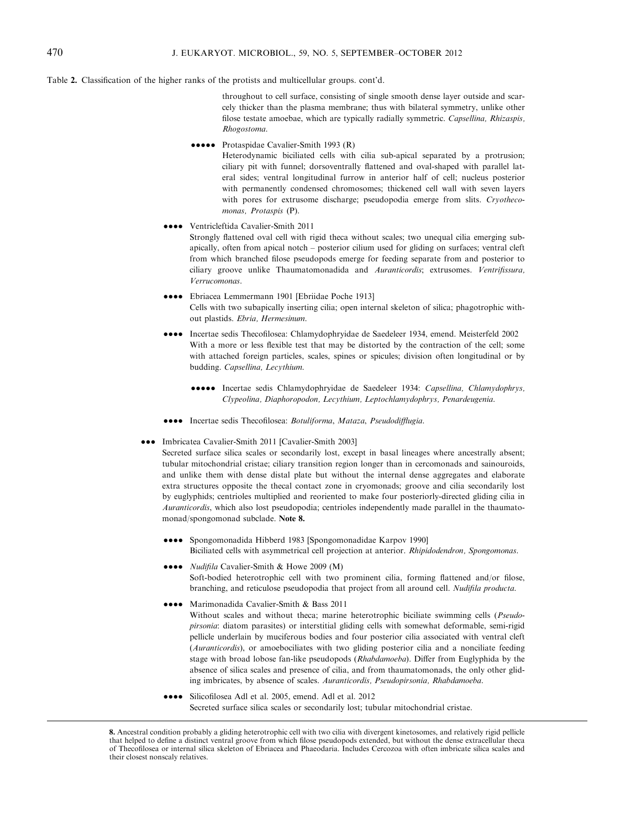throughout to cell surface, consisting of single smooth dense layer outside and scarcely thicker than the plasma membrane; thus with bilateral symmetry, unlike other filose testate amoebae, which are typically radially symmetric. Capsellina, Rhizaspis, Rhogostoma.

●●●●● Protaspidae Cavalier-Smith 1993 (R)

Heterodynamic biciliated cells with cilia sub-apical separated by a protrusion; ciliary pit with funnel; dorsoventrally flattened and oval-shaped with parallel lateral sides; ventral longitudinal furrow in anterior half of cell; nucleus posterior with permanently condensed chromosomes; thickened cell wall with seven layers with pores for extrusome discharge; pseudopodia emerge from slits. Cryothecomonas, Protaspis (P).

●●●● Ventricleftida Cavalier-Smith 2011

Strongly flattened oval cell with rigid theca without scales; two unequal cilia emerging subapically, often from apical notch – posterior cilium used for gliding on surfaces; ventral cleft from which branched filose pseudopods emerge for feeding separate from and posterior to ciliary groove unlike Thaumatomonadida and Auranticordis; extrusomes. Ventrifissura, Verrucomonas.

- ●●●● Ebriacea Lemmermann 1901 [Ebriidae Poche 1913] Cells with two subapically inserting cilia; open internal skeleton of silica; phagotrophic without plastids. Ebria, Hermesinum.
- ●●●● Incertae sedis Thecofilosea: Chlamydophryidae de Saedeleer 1934, emend. Meisterfeld 2002 With a more or less flexible test that may be distorted by the contraction of the cell; some with attached foreign particles, scales, spines or spicules; division often longitudinal or by budding. Capsellina, Lecythium.
	- ●●●●● Incertae sedis Chlamydophryidae de Saedeleer 1934: Capsellina, Chlamydophrys, Clypeolina, Diaphoropodon, Lecythium, Leptochlamydophrys, Penardeugenia.
- ●●●● Incertae sedis Thecofilosea: Botuliforma, Mataza, Pseudodifflugia.

●●● Imbricatea Cavalier-Smith 2011 [Cavalier-Smith 2003]

Secreted surface silica scales or secondarily lost, except in basal lineages where ancestrally absent; tubular mitochondrial cristae; ciliary transition region longer than in cercomonads and sainouroids, and unlike them with dense distal plate but without the internal dense aggregates and elaborate extra structures opposite the thecal contact zone in cryomonads; groove and cilia secondarily lost by euglyphids; centrioles multiplied and reoriented to make four posteriorly-directed gliding cilia in Auranticordis, which also lost pseudopodia; centrioles independently made parallel in the thaumatomonad/spongomonad subclade. Note 8.

- ●●●● Spongomonadida Hibberd 1983 [Spongomonadidae Karpov 1990] Biciliated cells with asymmetrical cell projection at anterior. Rhipidodendron, Spongomonas.
- ●●●● *Nudifila* Cavalier-Smith & Howe 2009 (M) Soft-bodied heterotrophic cell with two prominent cilia, forming flattened and/or filose, branching, and reticulose pseudopodia that project from all around cell. Nudifila producta.
- ●●●● Marimonadida Cavalier-Smith & Bass 2011

Without scales and without theca; marine heterotrophic biciliate swimming cells (Pseudopirsonia: diatom parasites) or interstitial gliding cells with somewhat deformable, semi-rigid pellicle underlain by muciferous bodies and four posterior cilia associated with ventral cleft (Auranticordis), or amoebociliates with two gliding posterior cilia and a nonciliate feeding stage with broad lobose fan-like pseudopods (Rhabdamoeba). Differ from Euglyphida by the absence of silica scales and presence of cilia, and from thaumatomonads, the only other gliding imbricates, by absence of scales. Auranticordis, Pseudopirsonia, Rhabdamoeba.

●●●● Silicofilosea Adl et al. 2005, emend. Adl et al. 2012 Secreted surface silica scales or secondarily lost; tubular mitochondrial cristae.

<sup>8.</sup> Ancestral condition probably a gliding heterotrophic cell with two cilia with divergent kinetosomes, and relatively rigid pellicle that helped to define a distinct ventral groove from which filose pseudopods extended, but without the dense extracellular theca of Thecofilosea or internal silica skeleton of Ebriacea and Phaeodaria. Includes Cercozoa with often imbricate silica scales and their closest nonscaly relatives.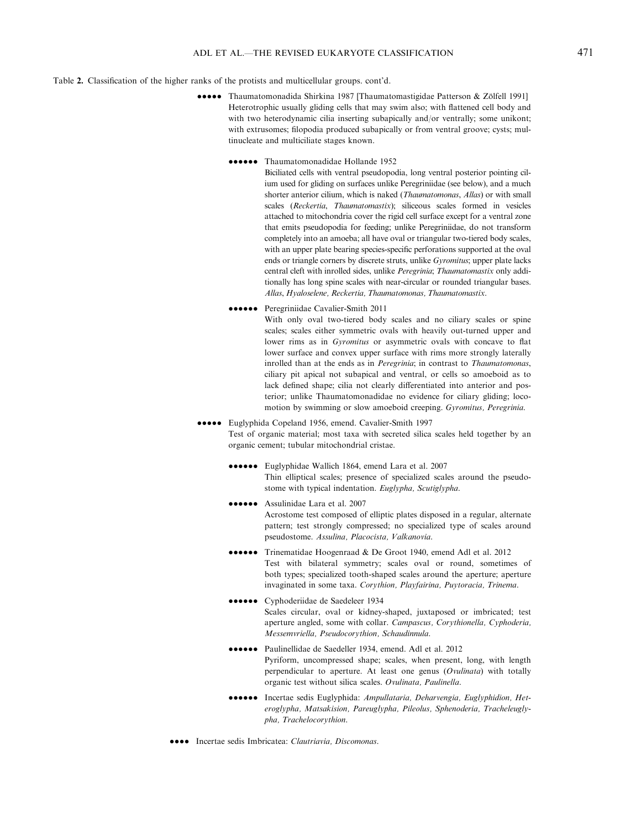- ●●●●● Thaumatomonadida Shirkina 1987 [Thaumatomastigidae Patterson & Zölfell 1991] Heterotrophic usually gliding cells that may swim also; with flattened cell body and with two heterodynamic cilia inserting subapically and/or ventrally; some unikont; with extrusomes; filopodia produced subapically or from ventral groove; cysts; multinucleate and multiciliate stages known.
	- ●●●●●● Thaumatomonadidae Hollande 1952

Biciliated cells with ventral pseudopodia, long ventral posterior pointing cilium used for gliding on surfaces unlike Peregriniidae (see below), and a much shorter anterior cilium, which is naked (*Thaumatomonas*, *Allas*) or with small scales (Reckertia, Thaumatomastix); siliceous scales formed in vesicles attached to mitochondria cover the rigid cell surface except for a ventral zone that emits pseudopodia for feeding; unlike Peregriniidae, do not transform completely into an amoeba; all have oval or triangular two-tiered body scales, with an upper plate bearing species-specific perforations supported at the oval ends or triangle corners by discrete struts, unlike Gyromitus; upper plate lacks central cleft with inrolled sides, unlike Peregrinia; Thaumatomastix only additionally has long spine scales with near-circular or rounded triangular bases. Allas, Hyaloselene, Reckertia, Thaumatomonas, Thaumatomastix.

●●●●●● Peregriniidae Cavalier-Smith 2011

With only oval two-tiered body scales and no ciliary scales or spine scales; scales either symmetric ovals with heavily out-turned upper and lower rims as in *Gyromitus* or asymmetric ovals with concave to flat lower surface and convex upper surface with rims more strongly laterally inrolled than at the ends as in Peregrinia; in contrast to Thaumatomonas, ciliary pit apical not subapical and ventral, or cells so amoeboid as to lack defined shape; cilia not clearly differentiated into anterior and posterior; unlike Thaumatomonadidae no evidence for ciliary gliding; locomotion by swimming or slow amoeboid creeping. Gyromitus, Peregrinia.

- Euglyphida Copeland 1956, emend. Cavalier-Smith 1997 Test of organic material; most taxa with secreted silica scales held together by an organic cement; tubular mitochondrial cristae.
	- Euglyphidae Wallich 1864, emend Lara et al. 2007 Thin elliptical scales; presence of specialized scales around the pseudostome with typical indentation. Euglypha, Scutiglypha.
	- ●●●●●● Assulinidae Lara et al. 2007 Acrostome test composed of elliptic plates disposed in a regular, alternate pattern; test strongly compressed; no specialized type of scales around pseudostome. Assulina, Placocista, Valkanovia.
	- ●●●●●● Trinematidae Hoogenraad & De Groot 1940, emend Adl et al. 2012 Test with bilateral symmetry; scales oval or round, sometimes of both types; specialized tooth-shaped scales around the aperture; aperture invaginated in some taxa. Corythion, Playfairina, Puytoracia, Trinema.
	- ●●●●●●● Cyphoderiidae de Saedeleer 1934 Scales circular, oval or kidney-shaped, juxtaposed or imbricated; test aperture angled, some with collar. Campascus, Corythionella, Cyphoderia, Messemvriella, Pseudocorythion, Schaudinnula.
	- ●●●●●● Paulinellidae de Saedeller 1934, emend. Adl et al. 2012 Pyriform, uncompressed shape; scales, when present, long, with length perpendicular to aperture. At least one genus (Ovulinata) with totally organic test without silica scales. Ovulinata, Paulinella.
	- **••••••** Incertae sedis Euglyphida: Ampullataria, Deharvengia, Euglyphidion, Heteroglypha, Matsakision, Pareuglypha, Pileolus, Sphenoderia, Tracheleuglypha, Trachelocorythion.

●●●●● Incertae sedis Imbricatea: Clautriavia, Discomonas.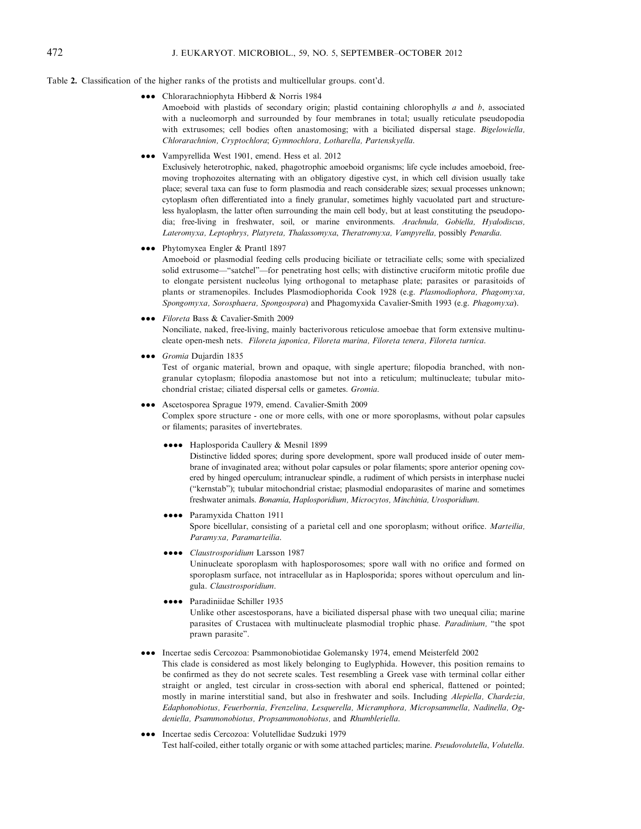●●● Chlorarachniophyta Hibberd & Norris 1984

Amoeboid with plastids of secondary origin; plastid containing chlorophylls  $a$  and  $b$ , associated with a nucleomorph and surrounded by four membranes in total; usually reticulate pseudopodia with extrusomes; cell bodies often anastomosing; with a biciliated dispersal stage. Bigelowiella, Chlorarachnion, Cryptochlora; Gymnochlora, Lotharella, Partenskyella.

Vampyrellida West 1901, emend. Hess et al. 2012

Exclusively heterotrophic, naked, phagotrophic amoeboid organisms; life cycle includes amoeboid, freemoving trophozoites alternating with an obligatory digestive cyst, in which cell division usually take place; several taxa can fuse to form plasmodia and reach considerable sizes; sexual processes unknown; cytoplasm often differentiated into a finely granular, sometimes highly vacuolated part and structureless hyaloplasm, the latter often surrounding the main cell body, but at least constituting the pseudopodia; free-living in freshwater, soil, or marine environments. Arachnula, Gobiella, Hyalodiscus, Lateromyxa, Leptophrys, Platyreta, Thalassomyxa, Theratromyxa, Vampyrella, possibly Penardia.

●●● Phytomyxea Engler & Prantl 1897

Amoeboid or plasmodial feeding cells producing biciliate or tetraciliate cells; some with specialized solid extrusome—"satchel"—for penetrating host cells; with distinctive cruciform mitotic profile due to elongate persistent nucleolus lying orthogonal to metaphase plate; parasites or parasitoids of plants or stramenopiles. Includes Plasmodiophorida Cook 1928 (e.g. Plasmodiophora, Phagomyxa, Spongomyxa, Sorosphaera, Spongospora) and Phagomyxida Cavalier-Smith 1993 (e.g. Phagomyxa).

●●● Filoreta Bass & Cavalier-Smith 2009

Nonciliate, naked, free-living, mainly bacterivorous reticulose amoebae that form extensive multinucleate open-mesh nets. Filoreta japonica, Filoreta marina, Filoreta tenera, Filoreta turnica.

●●● Gromia Dujardin 1835

Test of organic material, brown and opaque, with single aperture; filopodia branched, with nongranular cytoplasm; filopodia anastomose but not into a reticulum; multinucleate; tubular mitochondrial cristae; ciliated dispersal cells or gametes. Gromia.

#### ●●● Ascetosporea Sprague 1979, emend. Cavalier-Smith 2009

Complex spore structure - one or more cells, with one or more sporoplasms, without polar capsules or filaments; parasites of invertebrates.

●●●● Haplosporida Caullery & Mesnil 1899

Distinctive lidded spores; during spore development, spore wall produced inside of outer membrane of invaginated area; without polar capsules or polar filaments; spore anterior opening covered by hinged operculum; intranuclear spindle, a rudiment of which persists in interphase nuclei ("kernstab"); tubular mitochondrial cristae; plasmodial endoparasites of marine and sometimes freshwater animals. Bonamia, Haplosporidium, Microcytos, Minchinia, Urosporidium.

- ●●●● Paramyxida Chatton 1911 Spore bicellular, consisting of a parietal cell and one sporoplasm; without orifice. Marteilia, Paramyxa, Paramarteilia.
- ●●●●● Claustrosporidium Larsson 1987

Uninucleate sporoplasm with haplosporosomes; spore wall with no orifice and formed on sporoplasm surface, not intracellular as in Haplosporida; spores without operculum and lingula. Claustrosporidium.

●●●● Paradiniidae Schiller 1935

Unlike other ascestosporans, have a biciliated dispersal phase with two unequal cilia; marine parasites of Crustacea with multinucleate plasmodial trophic phase. Paradinium, "the spot prawn parasite".

●●● Incertae sedis Cercozoa: Psammonobiotidae Golemansky 1974, emend Meisterfeld 2002

This clade is considered as most likely belonging to Euglyphida. However, this position remains to be confirmed as they do not secrete scales. Test resembling a Greek vase with terminal collar either straight or angled, test circular in cross-section with aboral end spherical, flattened or pointed; mostly in marine interstitial sand, but also in freshwater and soils. Including Alepiella, Chardezia, Edaphonobiotus, Feuerbornia, Frenzelina, Lesquerella, Micramphora, Micropsammella, Nadinella, Ogdeniella, Psammonobiotus, Propsammonobiotus, and Rhumbleriella.

●●● Incertae sedis Cercozoa: Volutellidae Sudzuki 1979 Test half-coiled, either totally organic or with some attached particles; marine. Pseudovolutella, Volutella.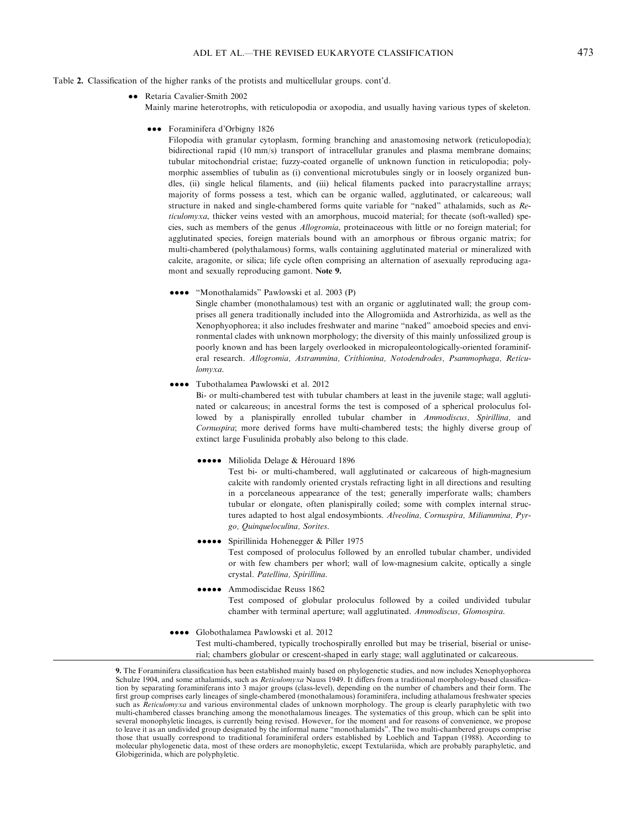- ●● Retaria Cavalier-Smith 2002
	- Mainly marine heterotrophs, with reticulopodia or axopodia, and usually having various types of skeleton.
	- ●●● Foraminifera d'Orbigny 1826

Filopodia with granular cytoplasm, forming branching and anastomosing network (reticulopodia); bidirectional rapid (10 mm/s) transport of intracellular granules and plasma membrane domains; tubular mitochondrial cristae; fuzzy-coated organelle of unknown function in reticulopodia; polymorphic assemblies of tubulin as (i) conventional microtubules singly or in loosely organized bundles, (ii) single helical filaments, and (iii) helical filaments packed into paracrystalline arrays; majority of forms possess a test, which can be organic walled, agglutinated, or calcareous; wall structure in naked and single-chambered forms quite variable for "naked" athalamids, such as Reticulomyxa, thicker veins vested with an amorphous, mucoid material; for thecate (soft-walled) species, such as members of the genus *Allogromia*, proteinaceous with little or no foreign material; for agglutinated species, foreign materials bound with an amorphous or fibrous organic matrix; for multi-chambered (polythalamous) forms, walls containing agglutinated material or mineralized with calcite, aragonite, or silica; life cycle often comprising an alternation of asexually reproducing agamont and sexually reproducing gamont. Note 9.

●●●● "Monothalamids" Pawlowski et al. 2003 (P)

Single chamber (monothalamous) test with an organic or agglutinated wall; the group comprises all genera traditionally included into the Allogromiida and Astrorhizida, as well as the Xenophyophorea; it also includes freshwater and marine "naked" amoeboid species and environmental clades with unknown morphology; the diversity of this mainly unfossilized group is poorly known and has been largely overlooked in micropaleontologically-oriented foraminiferal research. Allogromia, Astrammina, Crithionina, Notodendrodes, Psammophaga, Reticulomyxa.

●●●● Tubothalamea Pawlowski et al. 2012

Bi- or multi-chambered test with tubular chambers at least in the juvenile stage; wall agglutinated or calcareous; in ancestral forms the test is composed of a spherical proloculus followed by a planispirally enrolled tubular chamber in Ammodiscus, Spirillina, and Cornuspira; more derived forms have multi-chambered tests; the highly diverse group of extinct large Fusulinida probably also belong to this clade.

#### ●●●●●● Miliolida Delage & Hérouard 1896

Test bi- or multi-chambered, wall agglutinated or calcareous of high-magnesium calcite with randomly oriented crystals refracting light in all directions and resulting in a porcelaneous appearance of the test; generally imperforate walls; chambers tubular or elongate, often planispirally coiled; some with complex internal structures adapted to host algal endosymbionts. Alveolina, Cornuspira, Miliammina, Pyrgo, Quinqueloculina, Sorites.

#### ●●●● Spirillinida Hohenegger & Piller 1975

Test composed of proloculus followed by an enrolled tubular chamber, undivided or with few chambers per whorl; wall of low-magnesium calcite, optically a single crystal. Patellina, Spirillina.

●●●●●● Ammodiscidae Reuss 1862 Test composed of globular proloculus followed by a coiled undivided tubular chamber with terminal aperture; wall agglutinated. Ammodiscus, Glomospira.

Globothalamea Pawlowski et al. 2012

Test multi-chambered, typically trochospirally enrolled but may be triserial, biserial or uniserial; chambers globular or crescent-shaped in early stage; wall agglutinated or calcareous.

<sup>9.</sup> The Foraminifera classification has been established mainly based on phylogenetic studies, and now includes Xenophyophorea Schulze 1904, and some athalamids, such as Reticulomyxa Nauss 1949. It differs from a traditional morphology-based classification by separating foraminiferans into 3 major groups (class-level), depending on the number of chambers and their form. The first group comprises early lineages of single-chambered (monothalamous) foraminifera, including athalamous freshwater species such as Reticulomyxa and various environmental clades of unknown morphology. The group is clearly paraphyletic with two multi-chambered classes branching among the monothalamous lineages. The systematics of this group, which can be split into several monophyletic lineages, is currently being revised. However, for the moment and for reasons of convenience, we propose to leave it as an undivided group designated by the informal name "monothalamids". The two multi-chambered groups comprise those that usually correspond to traditional foraminiferal orders established by Loeblich and Tappan (1988). According to molecular phylogenetic data, most of these orders are monophyletic, except Textulariida, which are probably paraphyletic, and Globigerinida, which are polyphyletic.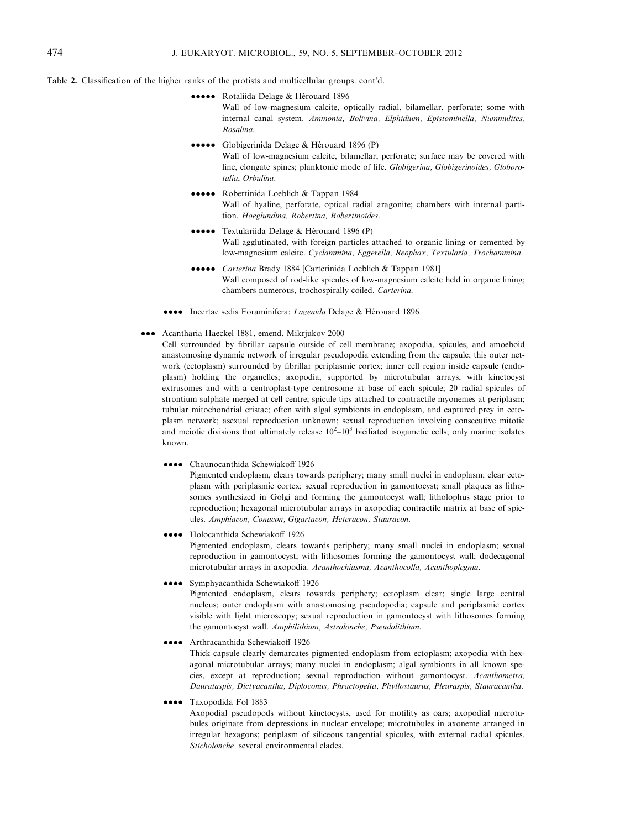- Table 2. Classification of the higher ranks of the protists and multicellular groups. cont'd.
	- ●●●●●● Rotaliida Delage & Hérouard 1896

Wall of low-magnesium calcite, optically radial, bilamellar, perforate; some with internal canal system. Ammonia, Bolivina, Elphidium, Epistominella, Nummulites, Rosalina.

- ●●●● Globigerinida Delage & Hérouard 1896 (P) Wall of low-magnesium calcite, bilamellar, perforate; surface may be covered with fine, elongate spines; planktonic mode of life. Globigerina, Globigerinoides, Globorotalia, Orbulina.
- ●●●●●● Robertinida Loeblich & Tappan 1984 Wall of hyaline, perforate, optical radial aragonite; chambers with internal partition. Hoeglundina, Robertina, Robertinoides.
- ●●●●●● Textulariida Delage & Hérouard 1896 (P) Wall agglutinated, with foreign particles attached to organic lining or cemented by low-magnesium calcite. Cyclammina, Eggerella, Reophax, Textularia, Trochammina.
- ●●●●● *Carterina* Brady 1884 [Carterinida Loeblich & Tappan 1981] Wall composed of rod-like spicules of low-magnesium calcite held in organic lining; chambers numerous, trochospirally coiled. Carterina.
- ●●●● Incertae sedis Foraminifera: Lagenida Delage & Hérouard 1896
- ●●● Acantharia Haeckel 1881, emend. Mikrjukov 2000

Cell surrounded by fibrillar capsule outside of cell membrane; axopodia, spicules, and amoeboid anastomosing dynamic network of irregular pseudopodia extending from the capsule; this outer network (ectoplasm) surrounded by fibrillar periplasmic cortex; inner cell region inside capsule (endoplasm) holding the organelles; axopodia, supported by microtubular arrays, with kinetocyst extrusomes and with a centroplast-type centrosome at base of each spicule; 20 radial spicules of strontium sulphate merged at cell centre; spicule tips attached to contractile myonemes at periplasm; tubular mitochondrial cristae; often with algal symbionts in endoplasm, and captured prey in ectoplasm network; asexual reproduction unknown; sexual reproduction involving consecutive mitotic and meiotic divisions that ultimately release  $10^2 - 10^3$  biciliated isogametic cells; only marine isolates known.

#### ●●●● Chaunocanthida Schewiakoff 1926

Pigmented endoplasm, clears towards periphery; many small nuclei in endoplasm; clear ectoplasm with periplasmic cortex; sexual reproduction in gamontocyst; small plaques as lithosomes synthesized in Golgi and forming the gamontocyst wall; litholophus stage prior to reproduction; hexagonal microtubular arrays in axopodia; contractile matrix at base of spicules. Amphiacon, Conacon, Gigartacon, Heteracon, Stauracon.

## ●●●● Holocanthida Schewiakoff 1926

Pigmented endoplasm, clears towards periphery; many small nuclei in endoplasm; sexual reproduction in gamontocyst; with lithosomes forming the gamontocyst wall; dodecagonal microtubular arrays in axopodia. Acanthochiasma, Acanthocolla, Acanthoplegma.

●●●● Symphyacanthida Schewiakoff 1926

Pigmented endoplasm, clears towards periphery; ectoplasm clear; single large central nucleus; outer endoplasm with anastomosing pseudopodia; capsule and periplasmic cortex visible with light microscopy; sexual reproduction in gamontocyst with lithosomes forming the gamontocyst wall. Amphilithium, Astrolonche, Pseudolithium.

## ●●●● Arthracanthida Schewiakoff 1926

Thick capsule clearly demarcates pigmented endoplasm from ectoplasm; axopodia with hexagonal microtubular arrays; many nuclei in endoplasm; algal symbionts in all known species, except at reproduction; sexual reproduction without gamontocyst. Acanthometra, Daurataspis, Dictyacantha, Diploconus, Phractopelta, Phyllostaurus, Pleuraspis, Stauracantha.

## ●●●● Taxopodida Fol 1883

Axopodial pseudopods without kinetocysts, used for motility as oars; axopodial microtubules originate from depressions in nuclear envelope; microtubules in axoneme arranged in irregular hexagons; periplasm of siliceous tangential spicules, with external radial spicules. Sticholonche, several environmental clades.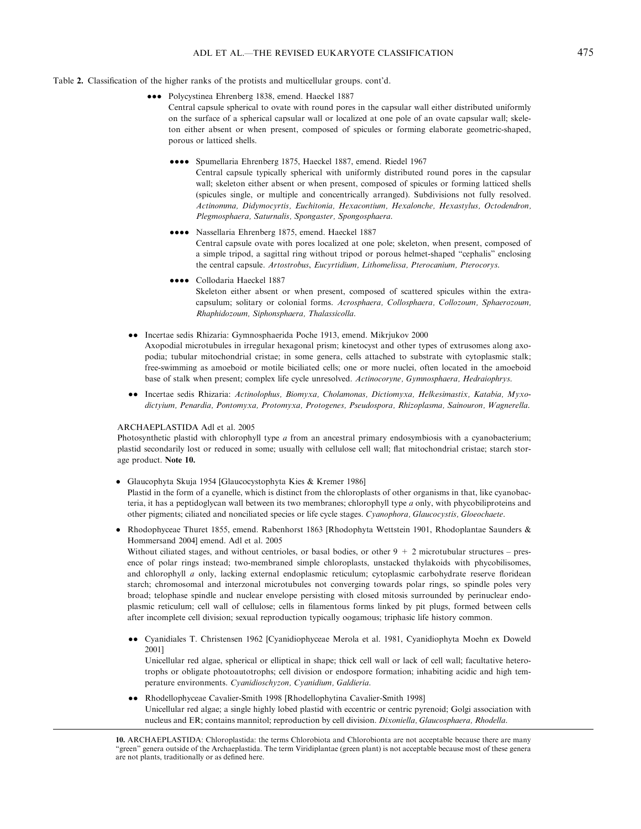●●● Polycystinea Ehrenberg 1838, emend. Haeckel 1887

Central capsule spherical to ovate with round pores in the capsular wall either distributed uniformly on the surface of a spherical capsular wall or localized at one pole of an ovate capsular wall; skeleton either absent or when present, composed of spicules or forming elaborate geometric-shaped, porous or latticed shells.

●●●● Spumellaria Ehrenberg 1875, Haeckel 1887, emend. Riedel 1967

Central capsule typically spherical with uniformly distributed round pores in the capsular wall; skeleton either absent or when present, composed of spicules or forming latticed shells (spicules single, or multiple and concentrically arranged). Subdivisions not fully resolved. Actinomma, Didymocyrtis, Euchitonia, Hexacontium, Hexalonche, Hexastylus, Octodendron, Plegmosphaera, Saturnalis, Spongaster, Spongosphaera.

- ●●●● Nassellaria Ehrenberg 1875, emend. Haeckel 1887 Central capsule ovate with pores localized at one pole; skeleton, when present, composed of a simple tripod, a sagittal ring without tripod or porous helmet-shaped "cephalis" enclosing the central capsule. Artostrobus, Eucyrtidium, Lithomelissa, Pterocanium, Pterocorys.
- ●●●● Collodaria Haeckel 1887 Skeleton either absent or when present, composed of scattered spicules within the extracapsulum; solitary or colonial forms. Acrosphaera, Collosphaera, Collozoum, Sphaerozoum, Rhaphidozoum, Siphonsphaera, Thalassicolla.
- ●● Incertae sedis Rhizaria: Gymnosphaerida Poche 1913, emend. Mikrjukov 2000 Axopodial microtubules in irregular hexagonal prism; kinetocyst and other types of extrusomes along axopodia; tubular mitochondrial cristae; in some genera, cells attached to substrate with cytoplasmic stalk; free-swimming as amoeboid or motile biciliated cells; one or more nuclei, often located in the amoeboid base of stalk when present; complex life cycle unresolved. Actinocoryne, Gymnosphaera, Hedraiophrys.
- ●● Incertae sedis Rhizaria: Actinolophus, Biomyxa, Cholamonas, Dictiomyxa, Helkesimastix, Katabia, Myxodictyium, Penardia, Pontomyxa, Protomyxa, Protogenes, Pseudospora, Rhizoplasma, Sainouron, Wagnerella.

#### ARCHAEPLASTIDA Adl et al. 2005

Photosynthetic plastid with chlorophyll type a from an ancestral primary endosymbiosis with a cyanobacterium; plastid secondarily lost or reduced in some; usually with cellulose cell wall; flat mitochondrial cristae; starch storage product. Note 10.

- Glaucophyta Skuja 1954 [Glaucocystophyta Kies & Kremer 1986] Plastid in the form of a cyanelle, which is distinct from the chloroplasts of other organisms in that, like cyanobacteria, it has a peptidoglycan wall between its two membranes; chlorophyll type a only, with phycobiliproteins and other pigments; ciliated and nonciliated species or life cycle stages. Cyanophora, Glaucocystis, Gloeochaete.
- Rhodophyceae Thuret 1855, emend. Rabenhorst 1863 [Rhodophyta Wettstein 1901, Rhodoplantae Saunders & Hommersand 2004] emend. Adl et al. 2005

Without ciliated stages, and without centrioles, or basal bodies, or other  $9 + 2$  microtubular structures – presence of polar rings instead; two-membraned simple chloroplasts, unstacked thylakoids with phycobilisomes, and chlorophyll a only, lacking external endoplasmic reticulum; cytoplasmic carbohydrate reserve floridean starch; chromosomal and interzonal microtubules not converging towards polar rings, so spindle poles very broad; telophase spindle and nuclear envelope persisting with closed mitosis surrounded by perinuclear endoplasmic reticulum; cell wall of cellulose; cells in filamentous forms linked by pit plugs, formed between cells after incomplete cell division; sexual reproduction typically oogamous; triphasic life history common.

●● Cyanidiales T. Christensen 1962 [Cyanidiophyceae Merola et al. 1981, Cyanidiophyta Moehn ex Doweld 2001]

Unicellular red algae, spherical or elliptical in shape; thick cell wall or lack of cell wall; facultative heterotrophs or obligate photoautotrophs; cell division or endospore formation; inhabiting acidic and high temperature environments. Cyanidioschyzon, Cyanidium, Galdieria.

●● Rhodellophyceae Cavalier-Smith 1998 [Rhodellophytina Cavalier-Smith 1998] Unicellular red algae; a single highly lobed plastid with eccentric or centric pyrenoid; Golgi association with nucleus and ER; contains mannitol; reproduction by cell division. Dixoniella, Glaucosphaera, Rhodella.

<sup>10.</sup> ARCHAEPLASTIDA: Chloroplastida: the terms Chlorobiota and Chlorobionta are not acceptable because there are many "green" genera outside of the Archaeplastida. The term Viridiplantae (green plant) is not acceptable because most of these genera are not plants, traditionally or as defined here.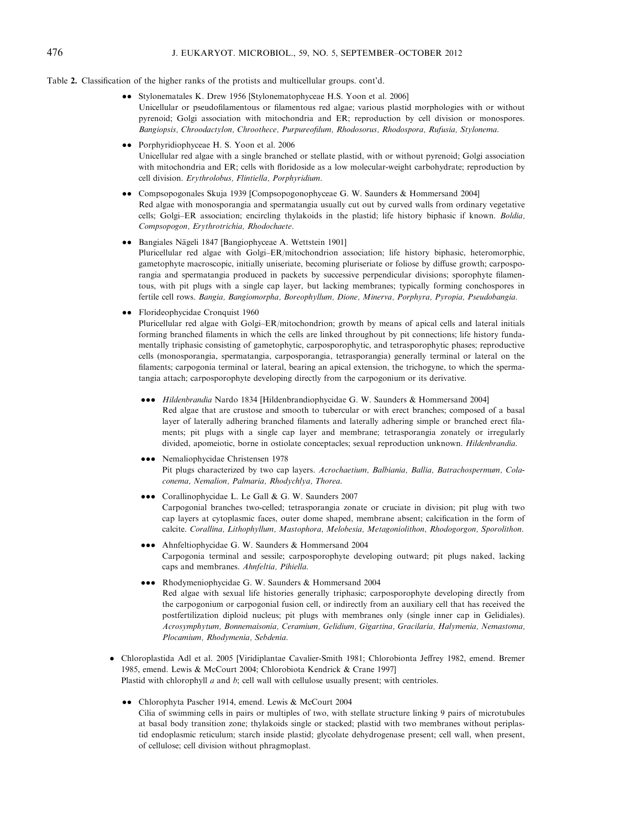- ●● Stylonematales K. Drew 1956 [Stylonematophyceae H.S. Yoon et al. 2006] Unicellular or pseudofilamentous or filamentous red algae; various plastid morphologies with or without pyrenoid; Golgi association with mitochondria and ER; reproduction by cell division or monospores. Bangiopsis, Chroodactylon, Chroothece, Purpureofilum, Rhodosorus, Rhodospora, Rufusia, Stylonema.
- ●● Porphyridiophyceae H. S. Yoon et al. 2006 Unicellular red algae with a single branched or stellate plastid, with or without pyrenoid; Golgi association with mitochondria and ER; cells with floridoside as a low molecular-weight carbohydrate; reproduction by cell division. Erythrolobus, Flintiella, Porphyridium.
- ●● Compsopogonales Skuja 1939 [Compsopogonophyceae G. W. Saunders & Hommersand 2004] Red algae with monosporangia and spermatangia usually cut out by curved walls from ordinary vegetative cells; Golgi–ER association; encircling thylakoids in the plastid; life history biphasic if known. Boldia, Compsopogon, Erythrotrichia, Rhodochaete.
- ●● Bangiales Nägeli 1847 [Bangiophyceae A. Wettstein 1901]

Pluricellular red algae with Golgi–ER/mitochondrion association; life history biphasic, heteromorphic, gametophyte macroscopic, initially uniseriate, becoming pluriseriate or foliose by diffuse growth; carposporangia and spermatangia produced in packets by successive perpendicular divisions; sporophyte filamentous, with pit plugs with a single cap layer, but lacking membranes; typically forming conchospores in fertile cell rows. Bangia, Bangiomorpha, Boreophyllum, Dione, Minerva, Porphyra, Pyropia, Pseudobangia.

●● Florideophycidae Cronquist 1960

Pluricellular red algae with Golgi–ER/mitochondrion; growth by means of apical cells and lateral initials forming branched filaments in which the cells are linked throughout by pit connections; life history fundamentally triphasic consisting of gametophytic, carposporophytic, and tetrasporophytic phases; reproductive cells (monosporangia, spermatangia, carposporangia, tetrasporangia) generally terminal or lateral on the filaments; carpogonia terminal or lateral, bearing an apical extension, the trichogyne, to which the spermatangia attach; carposporophyte developing directly from the carpogonium or its derivative.

- Hildenbrandia Nardo 1834 [Hildenbrandiophycidae G. W. Saunders & Hommersand 2004] Red algae that are crustose and smooth to tubercular or with erect branches; composed of a basal layer of laterally adhering branched filaments and laterally adhering simple or branched erect filaments; pit plugs with a single cap layer and membrane; tetrasporangia zonately or irregularly divided, apomeiotic, borne in ostiolate conceptacles; sexual reproduction unknown. Hildenbrandia.
- ●●● Nemaliophycidae Christensen 1978 Pit plugs characterized by two cap layers. Acrochaetium, Balbiania, Ballia, Batrachospermum, Colaconema, Nemalion, Palmaria, Rhodychlya, Thorea.
- ●●● Corallinophycidae L. Le Gall & G. W. Saunders 2007 Carpogonial branches two-celled; tetrasporangia zonate or cruciate in division; pit plug with two cap layers at cytoplasmic faces, outer dome shaped, membrane absent; calcification in the form of calcite. Corallina, Lithophyllum, Mastophora, Melobesia, Metagoniolithon, Rhodogorgon, Sporolithon.
- ●●● Ahnfeltiophycidae G. W. Saunders & Hommersand 2004 Carpogonia terminal and sessile; carposporophyte developing outward; pit plugs naked, lacking caps and membranes. Ahnfeltia, Pihiella.
- ●●● Rhodymeniophycidae G. W. Saunders & Hommersand 2004 Red algae with sexual life histories generally triphasic; carposporophyte developing directly from the carpogonium or carpogonial fusion cell, or indirectly from an auxiliary cell that has received the postfertilization diploid nucleus; pit plugs with membranes only (single inner cap in Gelidiales). Acrosymphytum, Bonnemaisonia, Ceramium, Gelidium, Gigartina, Gracilaria, Halymenia, Nemastoma, Plocamium, Rhodymenia, Sebdenia.
- Chloroplastida Adl et al. 2005 [Viridiplantae Cavalier-Smith 1981; Chlorobionta Jeffrey 1982, emend. Bremer 1985, emend. Lewis & McCourt 2004; Chlorobiota Kendrick & Crane 1997] Plastid with chlorophyll  $a$  and  $b$ ; cell wall with cellulose usually present; with centrioles.
	- ●● Chlorophyta Pascher 1914, emend. Lewis & McCourt 2004 Cilia of swimming cells in pairs or multiples of two, with stellate structure linking 9 pairs of microtubules at basal body transition zone; thylakoids single or stacked; plastid with two membranes without periplastid endoplasmic reticulum; starch inside plastid; glycolate dehydrogenase present; cell wall, when present, of cellulose; cell division without phragmoplast.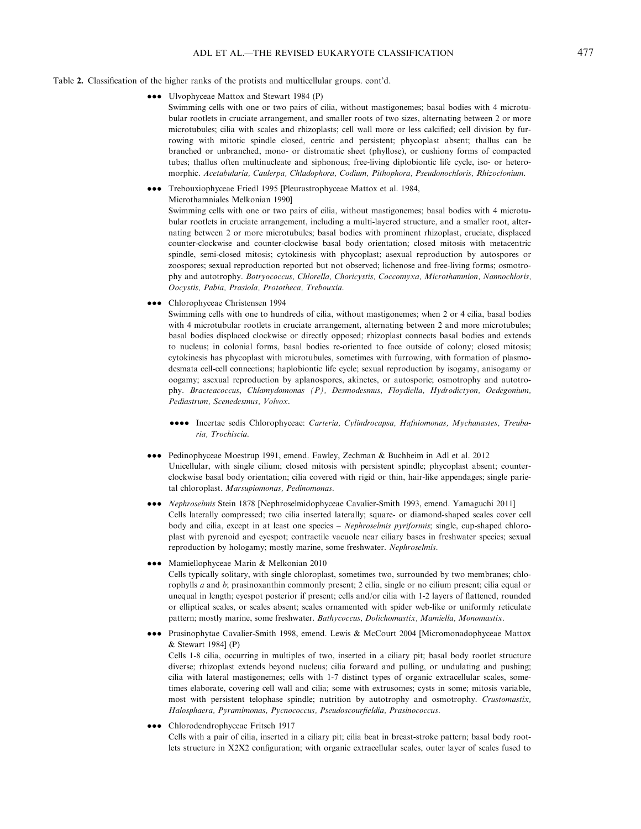●●● Ulvophyceae Mattox and Stewart 1984 (P)

Swimming cells with one or two pairs of cilia, without mastigonemes; basal bodies with 4 microtubular rootlets in cruciate arrangement, and smaller roots of two sizes, alternating between 2 or more microtubules; cilia with scales and rhizoplasts; cell wall more or less calcified; cell division by furrowing with mitotic spindle closed, centric and persistent; phycoplast absent; thallus can be branched or unbranched, mono- or distromatic sheet (phyllose), or cushiony forms of compacted tubes; thallus often multinucleate and siphonous; free-living diplobiontic life cycle, iso- or heteromorphic. Acetabularia, Caulerpa, Chladophora, Codium, Pithophora, Pseudonochloris, Rhizoclonium.

- ●●● Trebouxiophyceae Friedl 1995 [Pleurastrophyceae Mattox et al. 1984,
	- Microthamniales Melkonian 1990]

Swimming cells with one or two pairs of cilia, without mastigonemes; basal bodies with 4 microtubular rootlets in cruciate arrangement, including a multi-layered structure, and a smaller root, alternating between 2 or more microtubules; basal bodies with prominent rhizoplast, cruciate, displaced counter-clockwise and counter-clockwise basal body orientation; closed mitosis with metacentric spindle, semi-closed mitosis; cytokinesis with phycoplast; asexual reproduction by autospores or zoospores; sexual reproduction reported but not observed; lichenose and free-living forms; osmotrophy and autotrophy. Botryococcus, Chlorella, Choricystis, Coccomyxa, Microthamnion, Nannochloris, Oocystis, Pabia, Prasiola, Prototheca, Trebouxia.

●●● Chlorophyceae Christensen 1994

Swimming cells with one to hundreds of cilia, without mastigonemes; when 2 or 4 cilia, basal bodies with 4 microtubular rootlets in cruciate arrangement, alternating between 2 and more microtubules; basal bodies displaced clockwise or directly opposed; rhizoplast connects basal bodies and extends to nucleus; in colonial forms, basal bodies re-oriented to face outside of colony; closed mitosis; cytokinesis has phycoplast with microtubules, sometimes with furrowing, with formation of plasmodesmata cell-cell connections; haplobiontic life cycle; sexual reproduction by isogamy, anisogamy or oogamy; asexual reproduction by aplanospores, akinetes, or autosporic; osmotrophy and autotrophy. Bracteacoccus, Chlamydomonas (P), Desmodesmus, Floydiella, Hydrodictyon, Oedegonium, Pediastrum, Scenedesmus, Volvox.

- ●●●● Incertae sedis Chlorophyceae: Carteria, Cylindrocapsa, Hafniomonas, Mychanastes, Treubaria, Trochiscia.
- ●●● Pedinophyceae Moestrup 1991, emend. Fawley, Zechman & Buchheim in Adl et al. 2012 Unicellular, with single cilium; closed mitosis with persistent spindle; phycoplast absent; counterclockwise basal body orientation; cilia covered with rigid or thin, hair-like appendages; single parietal chloroplast. Marsupiomonas, Pedinomonas.
- ●●● Nephroselmis Stein 1878 [Nephroselmidophyceae Cavalier-Smith 1993, emend. Yamaguchi 2011] Cells laterally compressed; two cilia inserted laterally; square- or diamond-shaped scales cover cell body and cilia, except in at least one species – *Nephroselmis pyriformis*; single, cup-shaped chloroplast with pyrenoid and eyespot; contractile vacuole near ciliary bases in freshwater species; sexual reproduction by hologamy; mostly marine, some freshwater. Nephroselmis.
- ●●● Mamiellophyceae Marin & Melkonian 2010

Cells typically solitary, with single chloroplast, sometimes two, surrounded by two membranes; chlorophylls a and b; prasinoxanthin commonly present; 2 cilia, single or no cilium present; cilia equal or unequal in length; eyespot posterior if present; cells and/or cilia with 1-2 layers of flattened, rounded or elliptical scales, or scales absent; scales ornamented with spider web-like or uniformly reticulate pattern; mostly marine, some freshwater. Bathycoccus, Dolichomastix, Mamiella, Monomastix.

●●● Prasinophytae Cavalier-Smith 1998, emend. Lewis & McCourt 2004 [Micromonadophyceae Mattox & Stewart 1984] (P)

Cells 1-8 cilia, occurring in multiples of two, inserted in a ciliary pit; basal body rootlet structure diverse; rhizoplast extends beyond nucleus; cilia forward and pulling, or undulating and pushing; cilia with lateral mastigonemes; cells with 1-7 distinct types of organic extracellular scales, sometimes elaborate, covering cell wall and cilia; some with extrusomes; cysts in some; mitosis variable, most with persistent telophase spindle; nutrition by autotrophy and osmotrophy. Crustomastix, Halosphaera, Pyramimonas, Pycnococcus, Pseudoscourfieldia, Prasinococcus.

●●● Chlorodendrophyceae Fritsch 1917

Cells with a pair of cilia, inserted in a ciliary pit; cilia beat in breast-stroke pattern; basal body rootlets structure in X2X2 configuration; with organic extracellular scales, outer layer of scales fused to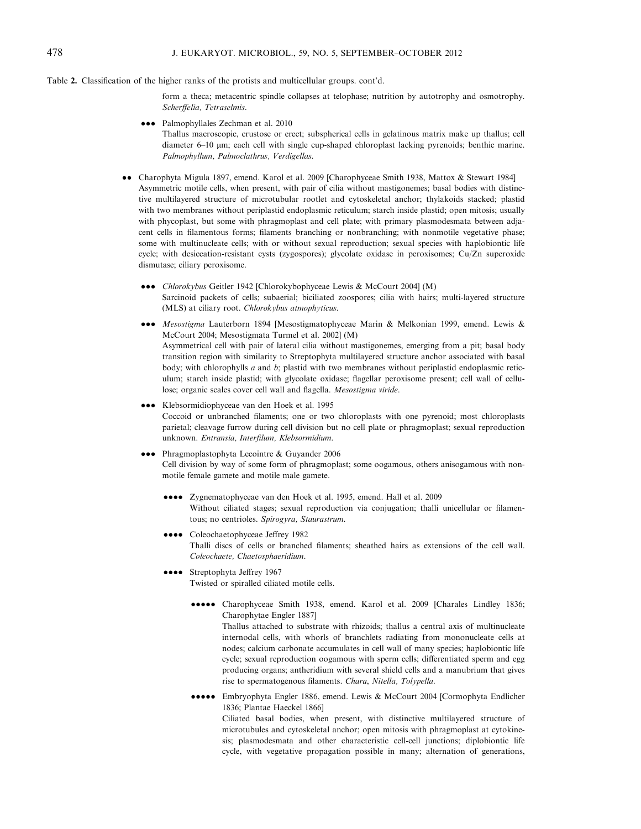form a theca; metacentric spindle collapses at telophase; nutrition by autotrophy and osmotrophy. Scherffelia, Tetraselmis.

- ●●● Palmophyllales Zechman et al. 2010 Thallus macroscopic, crustose or erect; subspherical cells in gelatinous matrix make up thallus; cell diameter 6-10 µm; each cell with single cup-shaped chloroplast lacking pyrenoids; benthic marine. Palmophyllum, Palmoclathrus, Verdigellas.
- ●● Charophyta Migula 1897, emend. Karol et al. 2009 [Charophyceae Smith 1938, Mattox & Stewart 1984] Asymmetric motile cells, when present, with pair of cilia without mastigonemes; basal bodies with distinctive multilayered structure of microtubular rootlet and cytoskeletal anchor; thylakoids stacked; plastid with two membranes without periplastid endoplasmic reticulum; starch inside plastid; open mitosis; usually with phycoplast, but some with phragmoplast and cell plate; with primary plasmodesmata between adjacent cells in filamentous forms; filaments branching or nonbranching; with nonmotile vegetative phase; some with multinucleate cells; with or without sexual reproduction; sexual species with haplobiontic life cycle; with desiccation-resistant cysts (zygospores); glycolate oxidase in peroxisomes; Cu/Zn superoxide dismutase; ciliary peroxisome.
	- ●●● Chlorokybus Geitler 1942 [Chlorokybophyceae Lewis & McCourt 2004] (M) Sarcinoid packets of cells; subaerial; biciliated zoospores; cilia with hairs; multi-layered structure (MLS) at ciliary root. Chlorokybus atmophyticus.
	- ●●● Mesostigma Lauterborn 1894 [Mesostigmatophyceae Marin & Melkonian 1999, emend. Lewis & McCourt 2004; Mesostigmata Turmel et al. 2002] (M) Asymmetrical cell with pair of lateral cilia without mastigonemes, emerging from a pit; basal body transition region with similarity to Streptophyta multilayered structure anchor associated with basal body; with chlorophylls  $a$  and  $b$ ; plastid with two membranes without periplastid endoplasmic reticulum; starch inside plastid; with glycolate oxidase; flagellar peroxisome present; cell wall of cellulose; organic scales cover cell wall and flagella. Mesostigma viride.

#### Klebsormidiophyceae van den Hoek et al. 1995

Coccoid or unbranched filaments; one or two chloroplasts with one pyrenoid; most chloroplasts parietal; cleavage furrow during cell division but no cell plate or phragmoplast; sexual reproduction unknown. Entransia, Interfilum, Klebsormidium.

## Phragmoplastophyta Lecointre & Guyander 2006 Cell division by way of some form of phragmoplast; some oogamous, others anisogamous with nonmotile female gamete and motile male gamete.

- ●●●● Zygnematophyceae van den Hoek et al. 1995, emend. Hall et al. 2009 Without ciliated stages; sexual reproduction via conjugation; thalli unicellular or filamentous; no centrioles. Spirogyra, Staurastrum.
- ●●●● Coleochaetophyceae Jeffrey 1982 Thalli discs of cells or branched filaments; sheathed hairs as extensions of the cell wall. Coleochaete, Chaetosphaeridium.
- ●●●●● Streptophyta Jeffrey 1967 Twisted or spiralled ciliated motile cells.
	- ●●●●● Charophyceae Smith 1938, emend. Karol et al. 2009 [Charales Lindley 1836; Charophytae Engler 1887] Thallus attached to substrate with rhizoids; thallus a central axis of multinucleate internodal cells, with whorls of branchlets radiating from mononucleate cells at nodes; calcium carbonate accumulates in cell wall of many species; haplobiontic life cycle; sexual reproduction oogamous with sperm cells; differentiated sperm and egg producing organs; antheridium with several shield cells and a manubrium that gives rise to spermatogenous filaments. Chara, Nitella, Tolypella.
	- ●●●●● Embryophyta Engler 1886, emend. Lewis & McCourt 2004 [Cormophyta Endlicher 1836; Plantae Haeckel 1866] Ciliated basal bodies, when present, with distinctive multilayered structure of microtubules and cytoskeletal anchor; open mitosis with phragmoplast at cytokinesis; plasmodesmata and other characteristic cell-cell junctions; diplobiontic life cycle, with vegetative propagation possible in many; alternation of generations,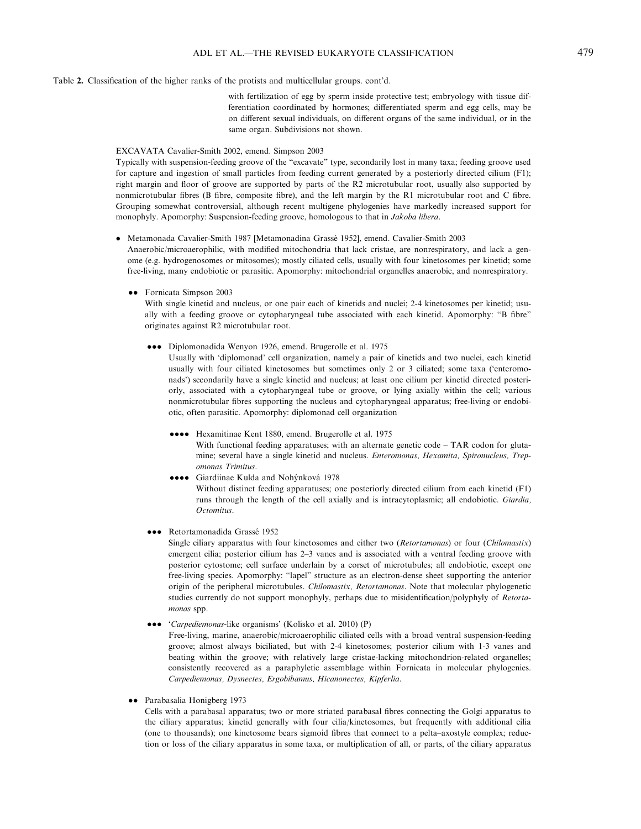with fertilization of egg by sperm inside protective test; embryology with tissue differentiation coordinated by hormones; differentiated sperm and egg cells, may be on different sexual individuals, on different organs of the same individual, or in the same organ. Subdivisions not shown.

#### EXCAVATA Cavalier-Smith 2002, emend. Simpson 2003

Typically with suspension-feeding groove of the "excavate" type, secondarily lost in many taxa; feeding groove used for capture and ingestion of small particles from feeding current generated by a posteriorly directed cilium (F1); right margin and floor of groove are supported by parts of the R2 microtubular root, usually also supported by nonmicrotubular fibres (B fibre, composite fibre), and the left margin by the R1 microtubular root and C fibre. Grouping somewhat controversial, although recent multigene phylogenies have markedly increased support for monophyly. Apomorphy: Suspension-feeding groove, homologous to that in Jakoba libera.

#### ● Metamonada Cavalier-Smith 1987 [Metamonadina Grasse´ 1952], emend. Cavalier-Smith 2003

Anaerobic/microaerophilic, with modified mitochondria that lack cristae, are nonrespiratory, and lack a genome (e.g. hydrogenosomes or mitosomes); mostly ciliated cells, usually with four kinetosomes per kinetid; some free-living, many endobiotic or parasitic. Apomorphy: mitochondrial organelles anaerobic, and nonrespiratory.

●● Fornicata Simpson 2003

With single kinetid and nucleus, or one pair each of kinetids and nuclei; 2-4 kinetosomes per kinetid; usually with a feeding groove or cytopharyngeal tube associated with each kinetid. Apomorphy: "B fibre" originates against R2 microtubular root.

●●● Diplomonadida Wenyon 1926, emend. Brugerolle et al. 1975

Usually with 'diplomonad' cell organization, namely a pair of kinetids and two nuclei, each kinetid usually with four ciliated kinetosomes but sometimes only 2 or 3 ciliated; some taxa ('enteromonads') secondarily have a single kinetid and nucleus; at least one cilium per kinetid directed posteriorly, associated with a cytopharyngeal tube or groove, or lying axially within the cell; various nonmicrotubular fibres supporting the nucleus and cytopharyngeal apparatus; free-living or endobiotic, often parasitic. Apomorphy: diplomonad cell organization

●●●● Hexamitinae Kent 1880, emend. Brugerolle et al. 1975

With functional feeding apparatuses; with an alternate genetic code – TAR codon for glutamine; several have a single kinetid and nucleus. Enteromonas, Hexamita, Spironucleus, Trepomonas Trimitus.

Giardiinae Kulda and Nohýnková 1978

Without distinct feeding apparatuses; one posteriorly directed cilium from each kinetid (F1) runs through the length of the cell axially and is intracytoplasmic; all endobiotic. Giardia, Octomitus.

●●● Retortamonadida Grassé 1952

Single ciliary apparatus with four kinetosomes and either two (Retortamonas) or four (Chilomastix) emergent cilia; posterior cilium has 2–3 vanes and is associated with a ventral feeding groove with posterior cytostome; cell surface underlain by a corset of microtubules; all endobiotic, except one free-living species. Apomorphy: "lapel" structure as an electron-dense sheet supporting the anterior origin of the peripheral microtubules. Chilomastix, Retortamonas. Note that molecular phylogenetic studies currently do not support monophyly, perhaps due to misidentification/polyphyly of Retortamonas spp.

●●● 'Carpediemonas-like organisms' (Kolísko et al. 2010) (P)

Free-living, marine, anaerobic/microaerophilic ciliated cells with a broad ventral suspension-feeding groove; almost always biciliated, but with 2-4 kinetosomes; posterior cilium with 1-3 vanes and beating within the groove; with relatively large cristae-lacking mitochondrion-related organelles; consistently recovered as a paraphyletic assemblage within Fornicata in molecular phylogenies. Carpediemonas, Dysnectes, Ergobibamus, Hicanonectes, Kipferlia.

●● Parabasalia Honigberg 1973

Cells with a parabasal apparatus; two or more striated parabasal fibres connecting the Golgi apparatus to the ciliary apparatus; kinetid generally with four cilia/kinetosomes, but frequently with additional cilia (one to thousands); one kinetosome bears sigmoid fibres that connect to a pelta–axostyle complex; reduction or loss of the ciliary apparatus in some taxa, or multiplication of all, or parts, of the ciliary apparatus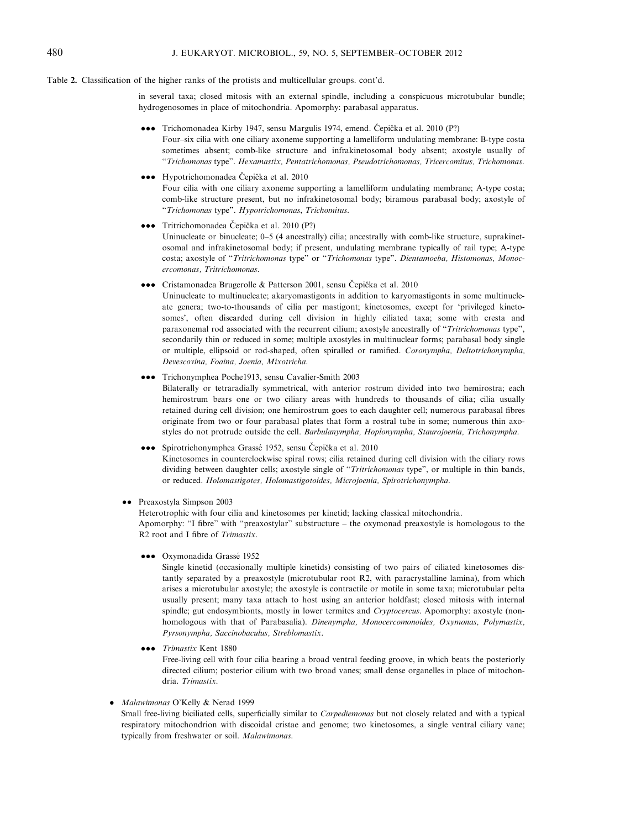in several taxa; closed mitosis with an external spindle, including a conspicuous microtubular bundle; hydrogenosomes in place of mitochondria. Apomorphy: parabasal apparatus.

- ●●● Trichomonadea Kirby 1947, sensu Margulis 1974, emend. Čepička et al. 2010 (P?) Four–six cilia with one ciliary axoneme supporting a lamelliform undulating membrane: B-type costa sometimes absent; comb-like structure and infrakinetosomal body absent; axostyle usually of "Trichomonas type". Hexamastix, Pentatrichomonas, Pseudotrichomonas, Tricercomitus, Trichomonas.
- ●●● Hypotrichomonadea Čepička et al. 2010 Four cilia with one ciliary axoneme supporting a lamelliform undulating membrane; A-type costa; comb-like structure present, but no infrakinetosomal body; biramous parabasal body; axostyle of "Trichomonas type". Hypotrichomonas, Trichomitus.
- ●●● Tritrichomonadea Čepička et al. 2010 (P?)

Uninucleate or binucleate; 0–5 (4 ancestrally) cilia; ancestrally with comb-like structure, suprakinetosomal and infrakinetosomal body; if present, undulating membrane typically of rail type; A-type costa; axostyle of "Tritrichomonas type" or "Trichomonas type". Dientamoeba, Histomonas, Monocercomonas, Tritrichomonas.

Cristamonadea Brugerolle & Patterson 2001, sensu Čepička et al. 2010

Uninucleate to multinucleate; akaryomastigonts in addition to karyomastigonts in some multinucleate genera; two-to-thousands of cilia per mastigont; kinetosomes, except for 'privileged kinetosomes', often discarded during cell division in highly ciliated taxa; some with cresta and paraxonemal rod associated with the recurrent cilium; axostyle ancestrally of "Tritrichomonas type", secondarily thin or reduced in some; multiple axostyles in multinuclear forms; parabasal body single or multiple, ellipsoid or rod-shaped, often spiralled or ramified. Coronympha, Deltotrichonympha, Devescovina, Foaina, Joenia, Mixotricha.

●●● Trichonymphea Poche1913, sensu Cavalier-Smith 2003

Bilaterally or tetraradially symmetrical, with anterior rostrum divided into two hemirostra; each hemirostrum bears one or two ciliary areas with hundreds to thousands of cilia; cilia usually retained during cell division; one hemirostrum goes to each daughter cell; numerous parabasal fibres originate from two or four parabasal plates that form a rostral tube in some; numerous thin axostyles do not protrude outside the cell. Barbulanympha, Hoplonympha, Staurojoenia, Trichonympha.

●●● Spirotrichonymphea Grassé 1952, sensu Čepička et al. 2010

Kinetosomes in counterclockwise spiral rows; cilia retained during cell division with the ciliary rows dividing between daughter cells; axostyle single of "Tritrichomonas type", or multiple in thin bands, or reduced. Holomastigotes, Holomastigotoides, Microjoenia, Spirotrichonympha.

#### ●● Preaxostyla Simpson 2003

Heterotrophic with four cilia and kinetosomes per kinetid; lacking classical mitochondria. Apomorphy: "I fibre" with "preaxostylar" substructure – the oxymonad preaxostyle is homologous to the R2 root and I fibre of Trimastix.

●●● Oxymonadida Grassé 1952

Single kinetid (occasionally multiple kinetids) consisting of two pairs of ciliated kinetosomes distantly separated by a preaxostyle (microtubular root R2, with paracrystalline lamina), from which arises a microtubular axostyle; the axostyle is contractile or motile in some taxa; microtubular pelta usually present; many taxa attach to host using an anterior holdfast; closed mitosis with internal spindle; gut endosymbionts, mostly in lower termites and Cryptocercus. Apomorphy: axostyle (nonhomologous with that of Parabasalia). Dinenympha, Monocercomonoides, Oxymonas, Polymastix, Pyrsonympha, Saccinobaculus, Streblomastix.

●●● Trimastix Kent 1880

Free-living cell with four cilia bearing a broad ventral feeding groove, in which beats the posteriorly directed cilium; posterior cilium with two broad vanes; small dense organelles in place of mitochondria. Trimastix.

Malawimonas O'Kelly & Nerad 1999

Small free-living biciliated cells, superficially similar to Carpediemonas but not closely related and with a typical respiratory mitochondrion with discoidal cristae and genome; two kinetosomes, a single ventral ciliary vane; typically from freshwater or soil. Malawimonas.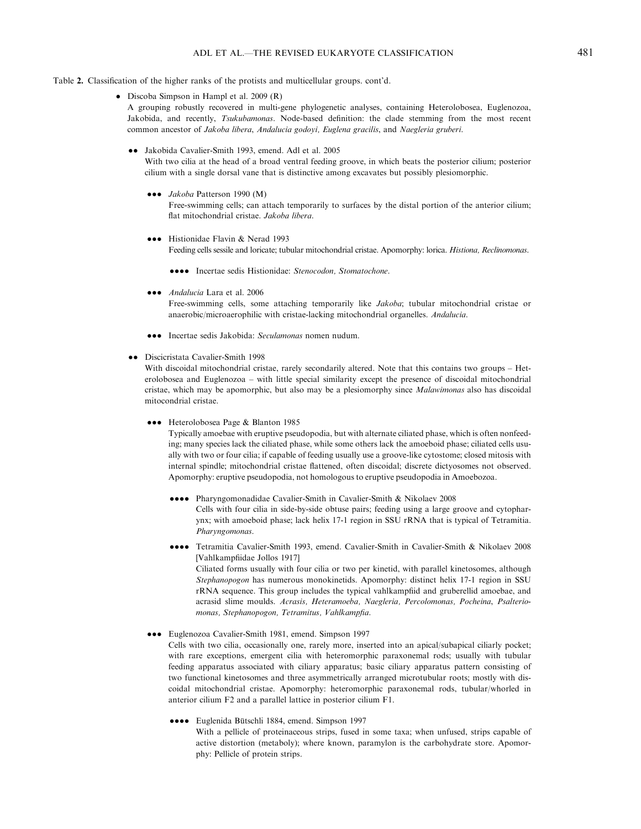● Discoba Simpson in Hampl et al. 2009 (R)

A grouping robustly recovered in multi-gene phylogenetic analyses, containing Heterolobosea, Euglenozoa, Jakobida, and recently, Tsukubamonas. Node-based definition: the clade stemming from the most recent common ancestor of Jakoba libera, Andalucia godoyi, Euglena gracilis, and Naegleria gruberi.

- ●● Jakobida Cavalier-Smith 1993, emend. Adl et al. 2005 With two cilia at the head of a broad ventral feeding groove, in which beats the posterior cilium; posterior
	- cilium with a single dorsal vane that is distinctive among excavates but possibly plesiomorphic.
	- ●●● *Jakoba* Patterson 1990 (M)

Free-swimming cells; can attach temporarily to surfaces by the distal portion of the anterior cilium; flat mitochondrial cristae. Jakoba libera.

●●● Histionidae Flavin & Nerad 1993

Feeding cells sessile and loricate; tubular mitochondrial cristae. Apomorphy: lorica. Histiona, Reclinomonas.

●●●●● Incertae sedis Histionidae: Stenocodon, Stomatochone.

●●● *Andalucia* Lara et al. 2006

Free-swimming cells, some attaching temporarily like Jakoba; tubular mitochondrial cristae or anaerobic/microaerophilic with cristae-lacking mitochondrial organelles. Andalucia.

●●● Incertae sedis Jakobida: Seculamonas nomen nudum.

●● Discicristata Cavalier-Smith 1998

With discoidal mitochondrial cristae, rarely secondarily altered. Note that this contains two groups – Heterolobosea and Euglenozoa – with little special similarity except the presence of discoidal mitochondrial cristae, which may be apomorphic, but also may be a plesiomorphy since Malawimonas also has discoidal mitocondrial cristae.

#### ●●● Heterolobosea Page & Blanton 1985

Typically amoebae with eruptive pseudopodia, but with alternate ciliated phase, which is often nonfeeding; many species lack the ciliated phase, while some others lack the amoeboid phase; ciliated cells usually with two or four cilia; if capable of feeding usually use a groove-like cytostome; closed mitosis with internal spindle; mitochondrial cristae flattened, often discoidal; discrete dictyosomes not observed. Apomorphy: eruptive pseudopodia, not homologous to eruptive pseudopodia in Amoebozoa.

- ●●●● Pharyngomonadidae Cavalier-Smith in Cavalier-Smith & Nikolaev 2008 Cells with four cilia in side-by-side obtuse pairs; feeding using a large groove and cytopharynx; with amoeboid phase; lack helix 17-1 region in SSU rRNA that is typical of Tetramitia. Pharyngomonas.
- ●●●● Tetramitia Cavalier-Smith 1993, emend. Cavalier-Smith in Cavalier-Smith & Nikolaev 2008 [Vahlkampfiidae Jollos 1917]

Ciliated forms usually with four cilia or two per kinetid, with parallel kinetosomes, although Stephanopogon has numerous monokinetids. Apomorphy: distinct helix 17-1 region in SSU rRNA sequence. This group includes the typical vahlkampfiid and gruberellid amoebae, and acrasid slime moulds. Acrasis, Heteramoeba, Naegleria, Percolomonas, Pocheina, Psalteriomonas, Stephanopogon, Tetramitus, Vahlkampfia.

# ●●● Euglenozoa Cavalier-Smith 1981, emend. Simpson 1997

Cells with two cilia, occasionally one, rarely more, inserted into an apical/subapical ciliarly pocket; with rare exceptions, emergent cilia with heteromorphic paraxonemal rods; usually with tubular feeding apparatus associated with ciliary apparatus; basic ciliary apparatus pattern consisting of two functional kinetosomes and three asymmetrically arranged microtubular roots; mostly with discoidal mitochondrial cristae. Apomorphy: heteromorphic paraxonemal rods, tubular/whorled in anterior cilium F2 and a parallel lattice in posterior cilium F1.

#### ●●●●● Euglenida Bütschli 1884, emend. Simpson 1997

With a pellicle of proteinaceous strips, fused in some taxa; when unfused, strips capable of active distortion (metaboly); where known, paramylon is the carbohydrate store. Apomorphy: Pellicle of protein strips.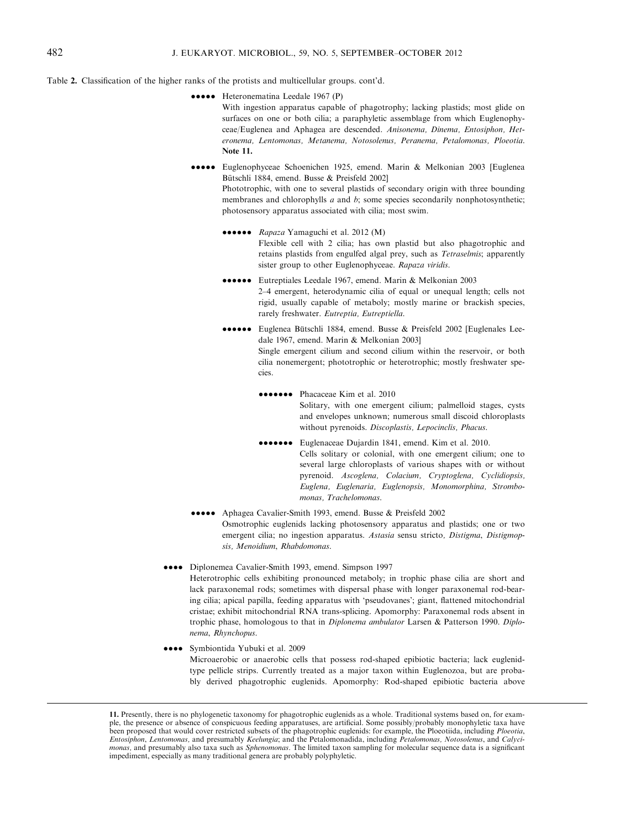●●●●● Heteronematina Leedale 1967 (P)

With ingestion apparatus capable of phagotrophy; lacking plastids; most glide on surfaces on one or both cilia; a paraphyletic assemblage from which Euglenophyceae/Euglenea and Aphagea are descended. Anisonema, Dinema, Entosiphon, Heteronema, Lentomonas, Metanema, Notosolenus, Peranema, Petalomonas, Ploeotia. Note 11.

●●●●● Euglenophyceae Schoenichen 1925, emend. Marin & Melkonian 2003 [Euglenea Bütschli 1884, emend. Busse & Preisfeld 2002]

Phototrophic, with one to several plastids of secondary origin with three bounding membranes and chlorophylls  $a$  and  $b$ ; some species secondarily nonphotosynthetic; photosensory apparatus associated with cilia; most swim.

- ●●●●●●● Rapaza Yamaguchi et al. 2012 (M) Flexible cell with 2 cilia; has own plastid but also phagotrophic and retains plastids from engulfed algal prey, such as Tetraselmis; apparently sister group to other Euglenophyceae. Rapaza viridis.
- ●●●●●● Eutreptiales Leedale 1967, emend. Marin & Melkonian 2003 2–4 emergent, heterodynamic cilia of equal or unequal length; cells not rigid, usually capable of metaboly; mostly marine or brackish species, rarely freshwater. Eutreptia, Eutreptiella.
- ●●●●●● Euglenea Bütschli 1884, emend. Busse & Preisfeld 2002 [Euglenales Leedale 1967, emend. Marin & Melkonian 2003] Single emergent cilium and second cilium within the reservoir, or both cilia nonemergent; phototrophic or heterotrophic; mostly freshwater species.
	- ●●●●●●● Phacaceae Kim et al. 2010 Solitary, with one emergent cilium; palmelloid stages, cysts

and envelopes unknown; numerous small discoid chloroplasts without pyrenoids. Discoplastis, Lepocinclis, Phacus.

- ●●●●●●● Euglenaceae Dujardin 1841, emend. Kim et al. 2010. Cells solitary or colonial, with one emergent cilium; one to several large chloroplasts of various shapes with or without pyrenoid. Ascoglena, Colacium, Cryptoglena, Cyclidiopsis, Euglena, Euglenaria, Euglenopsis, Monomorphina, Strombomonas, Trachelomonas.
- ●●●●●● Aphagea Cavalier-Smith 1993, emend. Busse & Preisfeld 2002 Osmotrophic euglenids lacking photosensory apparatus and plastids; one or two emergent cilia; no ingestion apparatus. Astasia sensu stricto, Distigma, Distigmopsis, Menoidium, Rhabdomonas.
- ●●●● Diplonemea Cavalier-Smith 1993, emend. Simpson 1997

Heterotrophic cells exhibiting pronounced metaboly; in trophic phase cilia are short and lack paraxonemal rods; sometimes with dispersal phase with longer paraxonemal rod-bearing cilia; apical papilla, feeding apparatus with 'pseudovanes'; giant, flattened mitochondrial cristae; exhibit mitochondrial RNA trans-splicing. Apomorphy: Paraxonemal rods absent in trophic phase, homologous to that in Diplonema ambulator Larsen & Patterson 1990. Diplonema, Rhynchopus.

●●●● Symbiontida Yubuki et al. 2009

Microaerobic or anaerobic cells that possess rod-shaped epibiotic bacteria; lack euglenidtype pellicle strips. Currently treated as a major taxon within Euglenozoa, but are probably derived phagotrophic euglenids. Apomorphy: Rod-shaped epibiotic bacteria above

<sup>11.</sup> Presently, there is no phylogenetic taxonomy for phagotrophic euglenids as a whole. Traditional systems based on, for example, the presence or absence of conspicuous feeding apparatuses, are artificial. Some possibly/probably monophyletic taxa have been proposed that would cover restricted subsets of the phagotrophic euglenids: for example, the Ploeotiida, including Ploeotia, Entosiphon, Lentomonas, and presumably Keelungia; and the Petalomonadida, including Petalomonas, Notosolenus, and Calycimonas, and presumably also taxa such as Sphenomonas. The limited taxon sampling for molecular sequence data is a significant impediment, especially as many traditional genera are probably polyphyletic.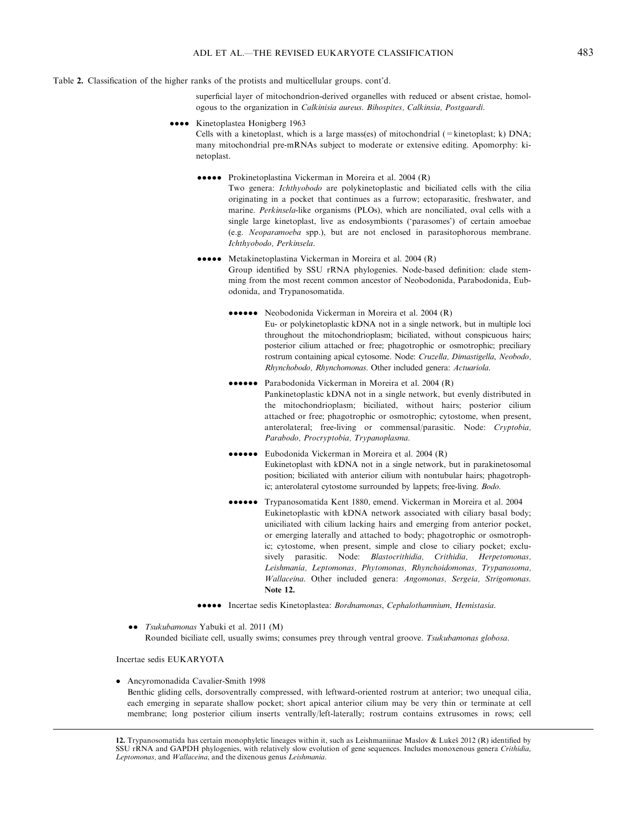superficial layer of mitochondrion-derived organelles with reduced or absent cristae, homologous to the organization in Calkinisia aureus. Bihospites, Calkinsia, Postgaardi.

## Kinetoplastea Honigberg 1963

Cells with a kinetoplast, which is a large mass(es) of mitochondrial (=kinetoplast; k) DNA; many mitochondrial pre-mRNAs subject to moderate or extensive editing. Apomorphy: kinetoplast.

## **•••••** Prokinetoplastina Vickerman in Moreira et al. 2004 (R)

Two genera: Ichthyobodo are polykinetoplastic and biciliated cells with the cilia originating in a pocket that continues as a furrow; ectoparasitic, freshwater, and marine. Perkinsela-like organisms (PLOs), which are nonciliated, oval cells with a single large kinetoplast, live as endosymbionts ('parasomes') of certain amoebae (e.g. Neoparamoeba spp.), but are not enclosed in parasitophorous membrane. Ichthyobodo, Perkinsela.

## ●●●●●● Metakinetoplastina Vickerman in Moreira et al. 2004 (R) Group identified by SSU rRNA phylogenies. Node-based definition: clade stem-

ming from the most recent common ancestor of Neobodonida, Parabodonida, Eubodonida, and Trypanosomatida.

- ●●●●●●● Neobodonida Vickerman in Moreira et al. 2004 (R) Eu- or polykinetoplastic kDNA not in a single network, but in multiple loci throughout the mitochondrioplasm; biciliated, without conspicuous hairs; posterior cilium attached or free; phagotrophic or osmotrophic; preciliary rostrum containing apical cytosome. Node: Cruzella, Dimastigella, Neobodo, Rhynchobodo, Rhynchomonas. Other included genera: Actuariola.
- ●●●●●● Parabodonida Vickerman in Moreira et al. 2004 (R) Pankinetoplastic kDNA not in a single network, but evenly distributed in the mitochondrioplasm; biciliated, without hairs; posterior cilium attached or free; phagotrophic or osmotrophic; cytostome, when present, anterolateral; free-living or commensal/parasitic. Node: Cryptobia, Parabodo, Procryptobia, Trypanoplasma.
- Eubodonida Vickerman in Moreira et al. 2004 (R) Eukinetoplast with kDNA not in a single network, but in parakinetosomal position; biciliated with anterior cilium with nontubular hairs; phagotrophic; anterolateral cytostome surrounded by lappets; free-living. Bodo.
- ●●●●●● Trypanosomatida Kent 1880, emend. Vickerman in Moreira et al. 2004 Eukinetoplastic with kDNA network associated with ciliary basal body; uniciliated with cilium lacking hairs and emerging from anterior pocket, or emerging laterally and attached to body; phagotrophic or osmotrophic; cytostome, when present, simple and close to ciliary pocket; exclusively parasitic. Node: Blastocrithidia, Crithidia, Herpetomonas, Leishmania, Leptomonas, Phytomonas, Rhynchoidomonas, Trypanosoma, Wallaceina. Other included genera: Angomonas, Sergeia, Strigomonas. Note 12.

●●●●● Incertae sedis Kinetoplastea: Bordnamonas, Cephalothamnium, Hemistasia.

●● Tsukubamonas Yabuki et al. 2011 (M) Rounded biciliate cell, usually swims; consumes prey through ventral groove. Tsukubamonas globosa.

Incertae sedis EUKARYOTA

● Ancyromonadida Cavalier-Smith 1998

Benthic gliding cells, dorsoventrally compressed, with leftward-oriented rostrum at anterior; two unequal cilia, each emerging in separate shallow pocket; short apical anterior cilium may be very thin or terminate at cell membrane; long posterior cilium inserts ventrally/left-laterally; rostrum contains extrusomes in rows; cell

<sup>12.</sup> Trypanosomatida has certain monophyletic lineages within it, such as Leishmaniinae Maslov & Lukeš 2012 (R) identified by SSU rRNA and GAPDH phylogenies, with relatively slow evolution of gene sequences. Includes monoxenous genera Crithidia, Leptomonas, and Wallaceina, and the dixenous genus Leishmania.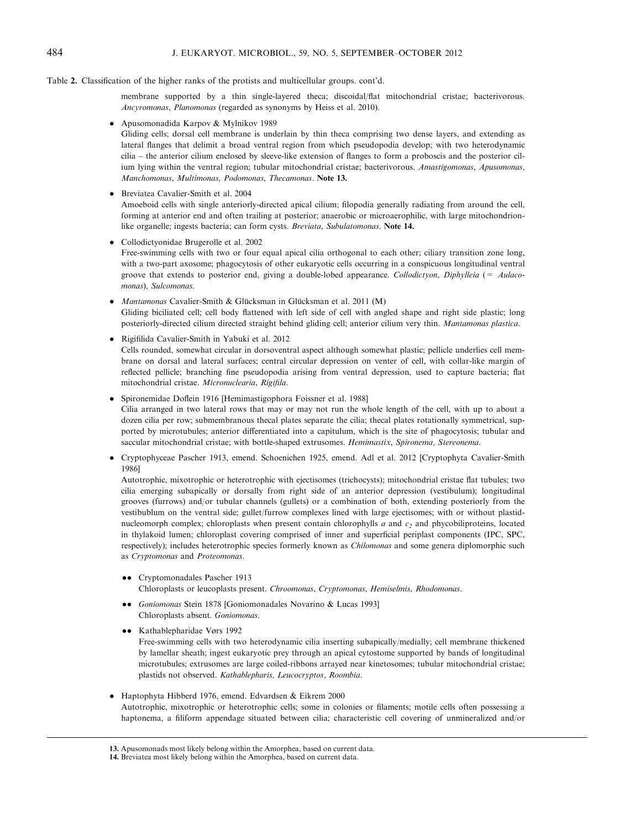## 484 J. EUKARYOT. MICROBIOL., 59, NO. 5, SEPTEMBER–OCTOBER 2012

Table 2. Classification of the higher ranks of the protists and multicellular groups. cont'd.

membrane supported by a thin single-layered theca; discoidal/flat mitochondrial cristae; bacterivorous. Ancyromonas, Planomonas (regarded as synonyms by Heiss et al. 2010).

● Apusomonadida Karpov & Mylnikov 1989

Gliding cells; dorsal cell membrane is underlain by thin theca comprising two dense layers, and extending as lateral flanges that delimit a broad ventral region from which pseudopodia develop; with two heterodynamic cilia – the anterior cilium enclosed by sleeve-like extension of flanges to form a proboscis and the posterior cilium lying within the ventral region; tubular mitochondrial cristae; bacterivorous. Amastigomonas, Apusomonas, Manchomonas, Multimonas, Podomonas, Thecamonas. Note 13.

● Breviatea Cavalier-Smith et al. 2004

Amoeboid cells with single anteriorly-directed apical cilium; filopodia generally radiating from around the cell, forming at anterior end and often trailing at posterior; anaerobic or microaerophilic, with large mitochondrionlike organelle; ingests bacteria; can form cysts. Breviata, Subulatomonas. Note 14.

● Collodictyonidae Brugerolle et al. 2002

Free-swimming cells with two or four equal apical cilia orthogonal to each other; ciliary transition zone long, with a two-part axosome; phagocytosis of other eukaryotic cells occurring in a conspicuous longitudinal ventral groove that extends to posterior end, giving a double-lobed appearance. Collodictyon, Diphylleia (= Aulacomonas), Sulcomonas.

- Mantamonas Cavalier-Smith & Glücksman in Glücksman et al. 2011 (M) Gliding biciliated cell; cell body flattened with left side of cell with angled shape and right side plastic; long posteriorly-directed cilium directed straight behind gliding cell; anterior cilium very thin. Mantamonas plastica.
- Rigifilida Cavalier-Smith in Yabuki et al. 2012 Cells rounded, somewhat circular in dorsoventral aspect although somewhat plastic; pellicle underlies cell membrane on dorsal and lateral surfaces; central circular depression on venter of cell, with collar-like margin of reflected pellicle; branching fine pseudopodia arising from ventral depression, used to capture bacteria; flat mitochondrial cristae. Micronuclearia, Rigifila.
- Spironemidae Doflein 1916 [Hemimastigophora Foissner et al. 1988]

Cilia arranged in two lateral rows that may or may not run the whole length of the cell, with up to about a dozen cilia per row; submembranous thecal plates separate the cilia; thecal plates rotationally symmetrical, supported by microtubules; anterior differentiated into a capitulum, which is the site of phagocytosis; tubular and saccular mitochondrial cristae; with bottle-shaped extrusomes. Hemimastix, Spironema, Stereonema.

● Cryptophyceae Pascher 1913, emend. Schoenichen 1925, emend. Adl et al. 2012 [Cryptophyta Cavalier-Smith 1986]

Autotrophic, mixotrophic or heterotrophic with ejectisomes (trichocysts); mitochondrial cristae flat tubules; two cilia emerging subapically or dorsally from right side of an anterior depression (vestibulum); longitudinal grooves (furrows) and/or tubular channels (gullets) or a combination of both, extending posteriorly from the vestibublum on the ventral side; gullet/furrow complexes lined with large ejectisomes; with or without plastidnucleomorph complex; chloroplasts when present contain chlorophylls  $a$  and  $c_2$  and phycobiliproteins, located in thylakoid lumen; chloroplast covering comprised of inner and superficial periplast components (IPC, SPC, respectively); includes heterotrophic species formerly known as *Chilomonas* and some genera diplomorphic such as Cryptomonas and Proteomonas.

●● Cryptomonadales Pascher 1913

Chloroplasts or leucoplasts present. Chroomonas, Cryptomonas, Hemiselmis, Rhodomonas.

- Goniomonas Stein 1878 [Goniomonadales Novarino & Lucas 1993] Chloroplasts absent. Goniomonas.
- ●● Kathablepharidae Vørs 1992

Free-swimming cells with two heterodynamic cilia inserting subapically/medially; cell membrane thickened by lamellar sheath; ingest eukaryotic prey through an apical cytostome supported by bands of longitudinal microtubules; extrusomes are large coiled-ribbons arrayed near kinetosomes; tubular mitochondrial cristae; plastids not observed. Kathablepharis, Leucocryptos, Roombia.

● Haptophyta Hibberd 1976, emend. Edvardsen & Eikrem 2000 Autotrophic, mixotrophic or heterotrophic cells; some in colonies or filaments; motile cells often possessing a haptonema, a filiform appendage situated between cilia; characteristic cell covering of unmineralized and/or

<sup>13.</sup> Apusomonads most likely belong within the Amorphea, based on current data.

<sup>14.</sup> Breviatea most likely belong within the Amorphea, based on current data.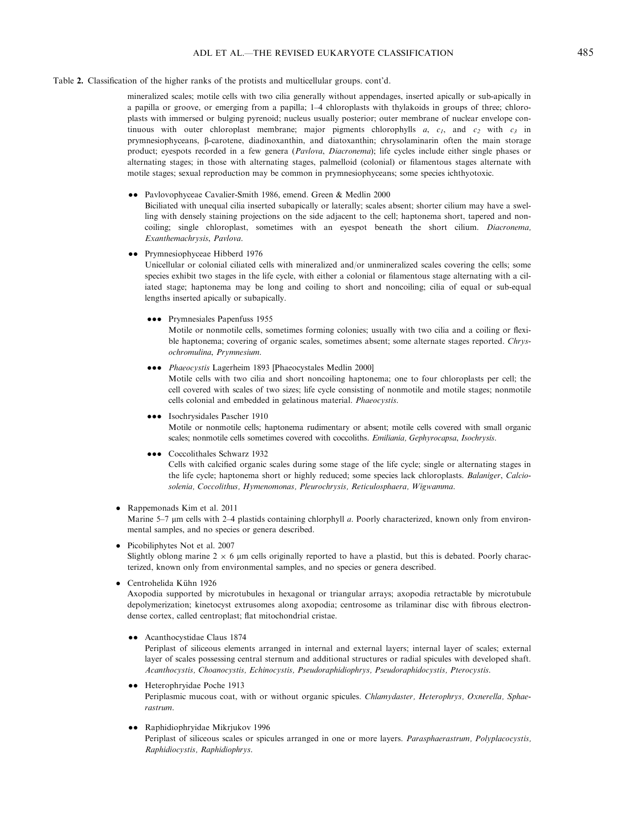mineralized scales; motile cells with two cilia generally without appendages, inserted apically or sub-apically in a papilla or groove, or emerging from a papilla; 1–4 chloroplasts with thylakoids in groups of three; chloroplasts with immersed or bulging pyrenoid; nucleus usually posterior; outer membrane of nuclear envelope continuous with outer chloroplast membrane; major pigments chlorophylls a,  $c_1$ , and  $c_2$  with  $c_3$  in prymnesiophyceans, b-carotene, diadinoxanthin, and diatoxanthin; chrysolaminarin often the main storage product; eyespots recorded in a few genera (Pavlova, Diacronema); life cycles include either single phases or alternating stages; in those with alternating stages, palmelloid (colonial) or filamentous stages alternate with motile stages; sexual reproduction may be common in prymnesiophyceans; some species ichthyotoxic.

●● Pavlovophyceae Cavalier-Smith 1986, emend. Green & Medlin 2000

Biciliated with unequal cilia inserted subapically or laterally; scales absent; shorter cilium may have a swelling with densely staining projections on the side adjacent to the cell; haptonema short, tapered and noncoiling; single chloroplast, sometimes with an eyespot beneath the short cilium. *Diacronema*, Exanthemachrysis, Pavlova.

●● Prymnesiophyceae Hibberd 1976

Unicellular or colonial ciliated cells with mineralized and/or unmineralized scales covering the cells; some species exhibit two stages in the life cycle, with either a colonial or filamentous stage alternating with a ciliated stage; haptonema may be long and coiling to short and noncoiling; cilia of equal or sub-equal lengths inserted apically or subapically.

●●● Prymnesiales Papenfuss 1955

Motile or nonmotile cells, sometimes forming colonies; usually with two cilia and a coiling or flexible haptonema; covering of organic scales, sometimes absent; some alternate stages reported. Chrysochromulina, Prymnesium.

●●● *Phaeocystis* Lagerheim 1893 [Phaeocystales Medlin 2000]

Motile cells with two cilia and short noncoiling haptonema; one to four chloroplasts per cell; the cell covered with scales of two sizes; life cycle consisting of nonmotile and motile stages; nonmotile cells colonial and embedded in gelatinous material. Phaeocystis.

●●● Isochrysidales Pascher 1910

Motile or nonmotile cells; haptonema rudimentary or absent; motile cells covered with small organic scales; nonmotile cells sometimes covered with coccoliths. Emiliania, Gephyrocapsa, Isochrysis.

●●● Coccolithales Schwarz 1932

Cells with calcified organic scales during some stage of the life cycle; single or alternating stages in the life cycle; haptonema short or highly reduced; some species lack chloroplasts. Balaniger, Calciosolenia, Coccolithus, Hymenomonas, Pleurochrysis, Reticulosphaera, Wigwamma.

• Rappemonads Kim et al. 2011

Marine 5–7 µm cells with 2–4 plastids containing chlorphyll a. Poorly characterized, known only from environmental samples, and no species or genera described.

- Picobiliphytes Not et al. 2007 Slightly oblong marine  $2 \times 6$  µm cells originally reported to have a plastid, but this is debated. Poorly characterized, known only from environmental samples, and no species or genera described.
- Centrohelida Kühn 1926

Axopodia supported by microtubules in hexagonal or triangular arrays; axopodia retractable by microtubule depolymerization; kinetocyst extrusomes along axopodia; centrosome as trilaminar disc with fibrous electrondense cortex, called centroplast; flat mitochondrial cristae.

●● Acanthocystidae Claus 1874

Periplast of siliceous elements arranged in internal and external layers; internal layer of scales; external layer of scales possessing central sternum and additional structures or radial spicules with developed shaft. Acanthocystis, Choanocystis, Echinocystis, Pseudoraphidiophrys, Pseudoraphidocystis, Pterocystis.

- ●● Heterophryidae Poche 1913 Periplasmic mucous coat, with or without organic spicules. Chlamydaster, Heterophrys, Oxnerella, Sphaerastrum.
- ●● Raphidiophryidae Mikrjukov 1996

Periplast of siliceous scales or spicules arranged in one or more layers. Parasphaerastrum, Polyplacocystis, Raphidiocystis, Raphidiophrys.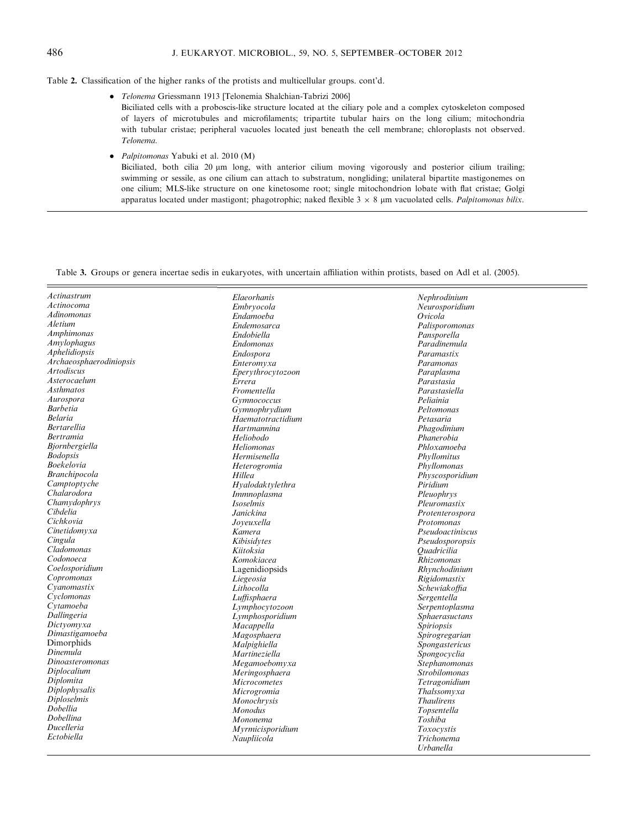● Telonema Griessmann 1913 [Telonemia Shalchian-Tabrizi 2006]

Biciliated cells with a proboscis-like structure located at the ciliary pole and a complex cytoskeleton composed of layers of microtubules and microfilaments; tripartite tubular hairs on the long cilium; mitochondria with tubular cristae; peripheral vacuoles located just beneath the cell membrane; chloroplasts not observed. Telonema.

● Palpitomonas Yabuki et al. 2010 (M)

Biciliated, both cilia 20 µm long, with anterior cilium moving vigorously and posterior cilium trailing; swimming or sessile, as one cilium can attach to substratum, nongliding; unilateral bipartite mastigonemes on one cilium; MLS-like structure on one kinetosome root; single mitochondrion lobate with flat cristae; Golgi apparatus located under mastigont; phagotrophic; naked flexible  $3 \times 8$  µm vacuolated cells. Palpitomonas bilix.

Table 3. Groups or genera incertae sedis in eukaryotes, with uncertain affiliation within protists, based on Adl et al. (2005).

| Actinastrum             | Elaeorhanis             | Nephrodinium              |
|-------------------------|-------------------------|---------------------------|
| Actinocoma              | Embryocola              | Neurosporidium            |
| Adinomonas              | Endamoeba               | Ovicola                   |
| Aletium                 | Endemosarca             | Palisporomonas            |
| Amphimonas              | Endobiella              | Pansporella               |
| Amylophagus             | Endomonas               | Paradinemula              |
| Aphelidiopsis           | Endospora               | Paramastix                |
| Archaeosphaerodiniopsis | Enteromyxa              | Paramonas                 |
| <b>Artodiscus</b>       | Eperythrocytozoon       | Paraplasma                |
| Asterocaelum            | Errera                  | Parastasia                |
| Asthmatos               | Fromentella             | Parastasiella             |
| Aurospora               | Gymnococcus             | Peliainia                 |
| <b>Barbetia</b>         | Gymnophrydium           | Peltomonas                |
| <b>Belaria</b>          | Haematotractidium       | Petasaria                 |
| <b>Bertarellia</b>      | Hartmannina             | Phagodinium               |
| <b>Bertramia</b>        | Heliobodo               | Phanerobia                |
| <i>Bjornbergiella</i>   | Heliomonas              | Phloxamoeba               |
| <b>Bodopsis</b>         | Hermisenella            | Phyllomitus               |
| <b>Boekelovia</b>       | Heterogromia            | Phyllomonas               |
| <b>Branchipocola</b>    | Hillea                  | Physcosporidium           |
| Camptoptyche            | Hyalodaktylethra        | Piridium                  |
| Chalarodora             |                         |                           |
| Chamydophrys            | Immnoplasma             | Pleuophrys                |
| Cibdelia                | Isoselmis               | Pleuromastix              |
| Cichkovia               | Janickina               | Protenterospora           |
| Cinetidomyxa            | Joveuxella              | Protomonas                |
|                         | Kamera                  | Pseudoactiniscus          |
| Cingula                 | Kibisidytes             | Pseudosporopsis           |
| Cladomonas              | Kiitoksia               | <i><b>Ouadricilia</b></i> |
| Codonoeca               | Komokiacea              | Rhizomonas                |
| Coelosporidium          | Lagenidiopsids          | Rhynchodinium             |
| Copromonas              | Liegeosia               | Rigidomastix              |
| Cyanomastix             | Lithocolla              | Schewiakoffia             |
| Cyclomonas              | Luffisphaera            | Sergentella               |
| Cytamoeba               | Lymphocytozoon          | Serpentoplasma            |
| Dallingeria             | Lymphosporidium         | <b>Sphaerasuctans</b>     |
| Dictyomyxa              | Macappella              | Spiriopsis                |
| Dimastigamoeba          | Magosphaera             | Spirogregarian            |
| Dimorphids              | Malpighiella            | Spongastericus            |
| Dinemula                | Martineziella           | Spongocyclia              |
| Dinoasteromonas         | Megamoebomyxa           | Stephanomonas             |
| Diplocalium             | Meringosphaera          | <b>Strobilomonas</b>      |
| Diplomita               | <b>Microcometes</b>     | Tetragonidium             |
| Diplophysalis           | Microgromia             | Thalssomyxa               |
| Diploselmis             | Monochrysis             | <b>Thaulirens</b>         |
| Dobellia                | Monodus                 | Topsentella               |
| Dobellina               | Mononema                | Toshiba                   |
| Ducelleria              | <i>Myrmicisporidium</i> | Toxocystis                |
| Ectobiella              | Naupliicola             | Trichonema                |
|                         |                         | <i>Urbanella</i>          |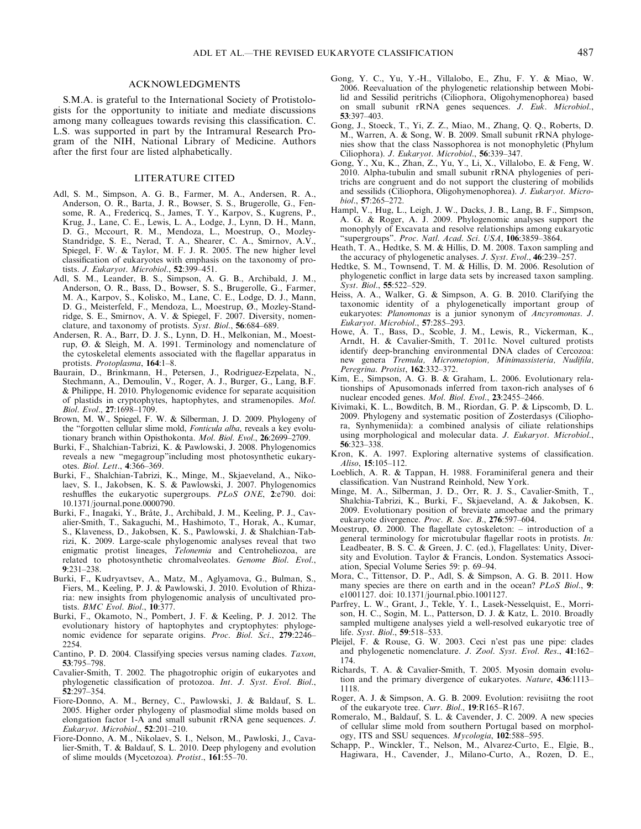#### ACKNOWLEDGMENTS

S.M.A. is grateful to the International Society of Protistologists for the opportunity to initiate and mediate discussions among many colleagues towards revising this classification. C. L.S. was supported in part by the Intramural Research Program of the NIH, National Library of Medicine. Authors after the first four are listed alphabetically.

## LITERATURE CITED

- Adl, S. M., Simpson, A. G. B., Farmer, M. A., Andersen, R. A., Anderson, O. R., Barta, J. R., Bowser, S. S., Brugerolle, G., Fensome, R. A., Fredericq, S., James, T. Y., Karpov, S., Kugrens, P., Krug, J., Lane, C. E., Lewis, L. A., Lodge, J., Lynn, D. H., Mann, D. G., Mccourt, R. M., Mendoza, L., Moestrup, O., Mozley-Standridge, S. E., Nerad, T. A., Shearer, C. A., Smirnov, A.V., Spiegel, F. W. & Taylor, M. F. J. R. 2005. The new higher level classification of eukaryotes with emphasis on the taxonomy of protists. J. Eukaryot. Microbiol., 52:399-451.
- Adl, S. M., Leander, B. S., Simpson, A. G. B., Archibald, J. M., Anderson, O. R., Bass, D., Bowser, S. S., Brugerolle, G., Farmer, M. A., Karpov, S., Kolisko, M., Lane, C. E., Lodge, D. J., Mann, D. G., Meisterfeld, F., Mendoza, L., Moestrup, Ø., Mozley-Standridge, S. E., Smirnov, A. V. & Spiegel, F. 2007. Diversity, nomenclature, and taxonomy of protists. Syst. Biol., 56:684–689.
- Andersen, R. A., Barr, D. J. S., Lynn, D. H., Melkonian, M., Moestrup, Ø. & Sleigh, M. A. 1991. Terminology and nomenclature of the cytoskeletal elements associated with the flagellar apparatus in protists. Protoplasma, 164:1–8.
- Baurain, D., Brinkmann, H., Petersen, J., Rodriguez-Ezpelata, N., Stechmann, A., Demoulin, V., Roger, A. J., Burger, G., Lang, B.F. & Philippe, H. 2010. Phylogenomic evidence for separate acquisition of plastids in cryptophytes, haptophytes, and stramenopiles. Mol. Biol. Evol., 27:1698–1709.
- Brown, M. W., Spiegel, F. W. & Silberman, J. D. 2009. Phylogeny of the "forgotten cellular slime mold, Fonticula alba, reveals a key evolutionary branch within Opisthokonta. Mol. Biol. Evol., 26:2699–2709.
- Burki, F., Shalchian-Tabrizi, K. & Pawlowski, J. 2008. Phylogenomics reveals a new "megagroup"including most photosynthetic eukaryotes. Biol. Lett., 4:366–369.
- Burki, F., Shalchian-Tabrizi, K., Minge, M., Skjaeveland, A., Nikolaev, S. I., Jakobsen, K. S. & Pawlowski, J. 2007. Phylogenomics reshuffles the eukaryotic supergroups. PLoS ONE, 2:e790. doi: 10.1371/journal.pone.0000790.
- Burki, F., Inagaki, Y., Bråte, J., Archibald, J. M., Keeling, P. J., Cavalier-Smith, T., Sakaguchi, M., Hashimoto, T., Horak, A., Kumar, S., Klaveness, D., Jakobsen, K. S., Pawlowski, J. & Shalchian-Tabrizi, K. 2009. Large-scale phylogenomic analyses reveal that two enigmatic protist lineages, Telonemia and Centroheliozoa, are related to photosynthetic chromalveolates. Genome Biol. Evol., 9:231–238.
- Burki, F., Kudryavtsev, A., Matz, M., Aglyamova, G., Bulman, S., Fiers, M., Keeling, P. J. & Pawlowski, J. 2010. Evolution of Rhizaria: new insights from phylogenomic analysis of uncultivated protists. BMC Evol. Biol., 10:377.
- Burki, F., Okamoto, N., Pombert, J. F. & Keeling, P. J. 2012. The evolutionary history of haptophytes and cryptophytes: phylogenomic evidence for separate origins. Proc. Biol. Sci., 279:2246– 2254.
- Cantino, P. D. 2004. Classifying species versus naming clades. Taxon, 53:795–798.
- Cavalier-Smith, T. 2002. The phagotrophic origin of eukaryotes and phylogenetic classification of protozoa. Int. J. Syst. Evol. Biol., 52:297–354.
- Fiore-Donno, A. M., Berney, C., Pawlowski, J. & Baldauf, S. L. 2005. Higher order phylogeny of plasmodial slime molds based on elongation factor 1-A and small subunit rRNA gene sequences. J. Eukaryot. Microbiol., 52:201–210.
- Fiore-Donno, A. M., Nikolaev, S. I., Nelson, M., Pawloski, J., Cavalier-Smith, T. & Baldauf, S. L. 2010. Deep phylogeny and evolution of slime moulds (Mycetozoa). Protist., 161:55–70.
- Gong, Y. C., Yu, Y.-H., Villalobo, E., Zhu, F. Y. & Miao, W. 2006. Reevaluation of the phylogenetic relationship between Mobilid and Sessilid peritrichs (Ciliophora, Oligohymenophorea) based on small subunit rRNA genes sequences. J. Euk. Microbiol., 53:397–403.
- Gong, J., Stoeck, T., Yi, Z. Z., Miao, M., Zhang, Q. Q., Roberts, D. M., Warren, A. & Song, W. B. 2009. Small subunit rRNA phylogenies show that the class Nassophorea is not monophyletic (Phylum Ciliophora). J. Eukaryot. Microbiol., 56:339–347.
- Gong, Y., Xu, K., Zhan, Z., Yu, Y., Li, X., Villalobo, E. & Feng, W. 2010. Alpha-tubulin and small subunit rRNA phylogenies of peritrichs are congruent and do not support the clustering of mobilids and sessilids (Ciliophora, Oligohymenophorea). J. Eukaryot. Microbiol., 57:265–272.
- Hampl, V., Hug, L., Leigh, J. W., Dacks, J. B., Lang, B. F., Simpson, A. G. & Roger, A. J. 2009. Phylogenomic analyses support the monophyly of Excavata and resolve relationships among eukaryotic "supergroups". Proc. Natl. Acad. Sci. USA, 106:3859-3864.
- Heath, T. A., Hedtke, S. M. & Hillis, D. M. 2008. Taxon sampling and the accuracy of phylogenetic analyses. J. Syst. Evol., 46:239–257.
- Hedtke, S. M., Townsend, T. M. & Hillis, D. M. 2006. Resolution of phylogenetic conflict in large data sets by increased taxon sampling. Syst. Biol., 55:522–529.
- Heiss, A. A., Walker, G. & Simpson, A. G. B. 2010. Clarifying the taxonomic identity of a phylogenetically important group of eukaryotes: Planomonas is a junior synonym of Ancyromonas. J. Eukaryot. Microbiol., 57:285–293.
- Howe, A. T., Bass, D., Scoble, J. M., Lewis, R., Vickerman, K., Arndt, H. & Cavalier-Smith, T. 2011c. Novel cultured protists identify deep-branching environmental DNA clades of Cercozoa: new genera Tremula, Micrometopion, Minimassisteria, Nudifila, Peregrina. Protist, 162:332–372.
- Kim, E., Simpson, A. G. B. & Graham, L. 2006. Evolutionary relationships of Apusomonads inferred from taxon-rich analyses of 6 nuclear encoded genes. Mol. Biol. Evol., 23:2455–2466.
- Kivimaki, K. L., Bowditch, B. M., Riordan, G. P. & Lipscomb, D. L. 2009. Phylogeny and systematic position of Zosterdasys (Ciliophora, Synhymeniida): a combined analysis of ciliate relationships using morphological and molecular data. J. Eukaryot. Microbiol., 56:323–338.
- Kron, K. A. 1997. Exploring alternative systems of classification. Aliso, 15:105–112.
- Loeblich, A. R. & Tappan, H. 1988. Foraminiferal genera and their classification. Van Nustrand Reinhold, New York.
- Minge, M. A., Silberman, J. D., Orr, R. J. S., Cavalier-Smith, T., Shalchia-Tabrizi, K., Burki, F., Skjaeveland, A. & Jakobsen, K. 2009. Evolutionary position of breviate amoebae and the primary eukaryote divergence. Proc. R. Soc. B., 276:597–604.
- Moestrup, Ø. 2000. The flagellate cytoskeleton: introduction of a general terminology for microtubular flagellar roots in protists. In: Leadbeater, B. S. C. & Green, J. C. (ed.), Flagellates: Unity, Diversity and Evolution. Taylor & Francis, London. Systematics Association, Special Volume Series 59: p. 69–94.
- Mora, C., Tittensor, D. P., Adl, S. & Simpson, A. G. B. 2011. How many species are there on earth and in the ocean? PLoS Biol., 9: e1001127. doi: 10.1371/journal.pbio.1001127.
- Parfrey, L. W., Grant, J., Tekle, Y. I., Lasek-Nesselquist, E., Morrison, H. C., Sogin, M. L., Patterson, D. J. & Katz, L. 2010. Broadly sampled multigene analyses yield a well-resolved eukaryotic tree of life. Syst. Biol., 59:518–533.
- Pleijel, F. & Rouse, G. W. 2003. Ceci n'est pas une pipe: clades and phylogenetic nomenclature. J. Zool. Syst. Evol. Res., 41:162– 174.
- Richards, T. A. & Cavalier-Smith, T. 2005. Myosin domain evolution and the primary divergence of eukaryotes. Nature, 436:1113-1118.
- Roger, A. J. & Simpson, A. G. B. 2009. Evolution: revisiitng the root of the eukaryote tree. Curr. Biol., 19:R165–R167.
- Romeralo, M., Baldauf, S. L. & Cavender, J. C. 2009. A new species of cellular slime mold from southern Portugal based on morphology, ITS and SSU sequences. Mycologia, 102:588–595.
- Schapp, P., Winckler, T., Nelson, M., Alvarez-Curto, E., Elgie, B., Hagiwara, H., Cavender, J., Milano-Curto, A., Rozen, D. E.,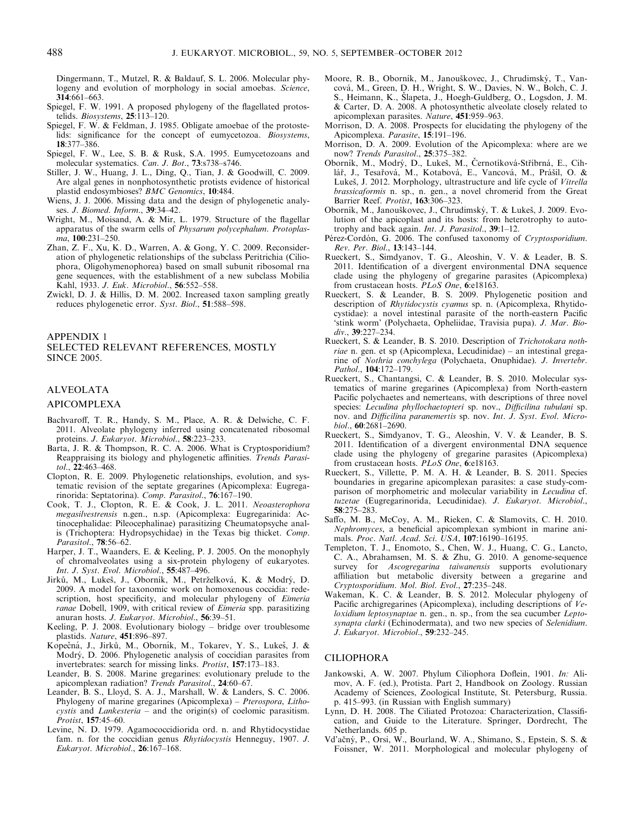Dingermann, T., Mutzel, R. & Baldauf, S. L. 2006. Molecular phylogeny and evolution of morphology in social amoebas. Science, 314:661–663.

- Spiegel, F. W. 1991. A proposed phylogeny of the flagellated protostelids. Biosystems, 25:113–120.
- Spiegel, F. W. & Feldman, J. 1985. Obligate amoebae of the protostelids: significance for the concept of eumycetozoa. Biosystems, 18:377–386.
- Spiegel, F. W., Lee, S. B. & Rusk, S.A. 1995. Eumycetozoans and molecular systematics. Can. J. Bot., 73:s738–s746.
- Stiller, J. W., Huang, J. L., Ding, Q., Tian, J. & Goodwill, C. 2009. Are algal genes in nonphotosynthetic protists evidence of historical plastid endosymbioses? BMC Genomics, 10:484.
- Wiens, J. J. 2006. Missing data and the design of phylogenetic analyses. J. Biomed. Inform., 39:34–42.
- Wright, M., Moisand, A. & Mir, L. 1979. Structure of the flagellar apparatus of the swarm cells of Physarum polycephalum. Protoplasma, 100:231–250.
- Zhan, Z. F., Xu, K. D., Warren, A. & Gong, Y. C. 2009. Reconsideration of phylogenetic relationships of the subclass Peritrichia (Ciliophora, Oligohymenophorea) based on small subunit ribosomal rna gene sequences, with the establishment of a new subclass Mobilia Kahl, 1933. J. Euk. Microbiol., 56:552–558.
- Zwickl, D. J. & Hillis, D. M. 2002. Increased taxon sampling greatly reduces phylogenetic error. Syst. Biol., 51:588–598.

#### APPENDIX 1 SELECTED RELEVANT REFERENCES, MOSTLY SINCE 2005.

## ALVEOLATA

## APICOMPLEXA

- Bachvaroff, T. R., Handy, S. M., Place, A. R. & Delwiche, C. F. 2011. Alveolate phylogeny inferred using concatenated ribosomal proteins. J. Eukaryot. Microbiol., 58:223–233.
- Barta, J. R. & Thompson, R. C. A. 2006. What is Cryptosporidium? Reappraising its biology and phylogenetic affinities. Trends Parasitol., 22:463–468.
- Clopton, R. E. 2009. Phylogenetic relationships, evolution, and systematic revision of the septate gregarines (Apicomplexa: Eugregarinorida: Septatorina). Comp. Parasitol., 76:167–190.
- Cook, T. J., Clopton, R. E. & Cook, J. L. 2011. Neoasterophora megasilvestrensis n.gen., n.sp. (Apicomplexa: Eugregarinida: Actinocephalidae: Pileocephalinae) parasitizing Cheumatopsyche analis (Trichoptera: Hydropsychidae) in the Texas big thicket. Comp. Parasitol., 78:56–62.
- Harper, J. T., Waanders, E. & Keeling, P. J. 2005. On the monophyly of chromalveolates using a six-protein phylogeny of eukaryotes. Int. J. Syst. Evol. Microbiol., 55:487–496.
- Jirků, M., Lukeš, J., Oborník, M., Petrželková, K. & Modrý, D. 2009. A model for taxonomic work on homoxenous coccidia: redescription, host specificity, and molecular phylogeny of Eimeria ranae Dobell, 1909, with critical review of Eimeria spp. parasitizing anuran hosts. J. Eukaryot. Microbiol., 56:39–51.
- Keeling, P. J. 2008. Evolutionary biology bridge over troublesome plastids. Nature, 451:896–897.
- Kopečná, J., Jirků, M., Oborník, M., Tokarev, Y. S., Lukeš, J. & Modry´, D. 2006. Phylogenetic analysis of coccidian parasites from invertebrates: search for missing links. Protist, 157:173–183.
- Leander, B. S. 2008. Marine gregarines: evolutionary prelude to the apicomplexan radiation? Trends Parasitol., 24:60–67.
- Leander, B. S., Lloyd, S. A. J., Marshall, W. & Landers, S. C. 2006. Phylogeny of marine gregarines (Apicomplexa) – Pterospora, Lithocystis and Lankesteria – and the origin(s) of coelomic parasitism. Protist, 157:45–60.
- Levine, N. D. 1979. Agamococcidiorida ord. n. and Rhytidocystidae fam. n. for the coccidian genus Rhytidocystis Henneguy, 1907. J. Eukaryot. Microbiol., 26:167–168.
- Moore, R. B., Oborník, M., Janouškovec, J., Chrudimský, T., Vancova´, M., Green, D. H., Wright, S. W., Davies, N. W., Bolch, C. J. S., Heimann, K., Slapeta, J., Hoegh-Guldberg, O., Logsdon, J. M. & Carter, D. A. 2008. A photosynthetic alveolate closely related to apicomplexan parasites. Nature, 451:959-963.
- Morrison, D. A. 2008. Prospects for elucidating the phylogeny of the Apicomplexa. Parasite, 15:191–196.
- Morrison, D. A. 2009. Evolution of the Apicomplexa: where are we now? Trends Parasitol., 25:375–382.
- Oborník, M., Modrý, D., Lukeš, M., Černotíková-Stříbrná, E., Cihlář, J., Tesařová, M., Kotabová, E., Vancová, M., Prášil, O. & Lukeš, J. 2012. Morphology, ultrastructure and life cycle of Vitrella brassicaformis n. sp., n. gen., a novel chromerid from the Great Barrier Reef. Protist, 163:306–323.
- Oborník, M., Janouškovec, J., Chrudimský, T. & Lukeš, J. 2009. Evolution of the apicoplast and its hosts: from heterotrophy to autotrophy and back again. Int. J. Parasitol., 39:1-12.
- Pérez-Cordón, G. 2006. The confused taxonomy of Cryptosporidium. Rev. Per. Biol., 13:143–144.
- Rueckert, S., Simdyanov, T. G., Aleoshin, V. V. & Leader, B. S. 2011. Identification of a divergent environmental DNA sequence clade using the phylogeny of gregarine parasites (Apicomplexa) from crustacean hosts. PLoS One, 6:e18163.
- Rueckert, S. & Leander, B. S. 2009. Phylogenetic position and description of Rhytidocystis cyamus sp. n. (Apicomplexa, Rhytidocystidae): a novel intestinal parasite of the north-eastern Pacific 'stink worm' (Polychaeta, Opheliidae, Travisia pupa). J. Mar. Biodiv., 39:227–234.
- Rueckert, S. & Leander, B. S. 2010. Description of Trichotokara nothriae n. gen. et sp (Apicomplexa, Lecudinidae) – an intestinal gregarine of Nothria conchylega (Polychaeta, Onuphidae). J. Invertebr. Pathol., 104:172–179.
- Rueckert, S., Chantangsi, C. & Leander, B. S. 2010. Molecular systematics of marine gregarines (Apicomplexa) from North-eastern Pacific polychaetes and nemerteans, with descriptions of three novel species: Lecudina phyllochaetopteri sp. nov., Difficilina tubulani sp. nov. and Difficilina paranemertis sp. nov. Int. J. Syst. Evol. Microbiol., 60:2681–2690.
- Rueckert, S., Simdyanov, T. G., Aleoshin, V. V. & Leander, B. S. 2011. Identification of a divergent environmental DNA sequence clade using the phylogeny of gregarine parasites (Apicomplexa) from crustacean hosts. PLoS One, 6:e18163.
- Rueckert, S., Villette, P. M. A. H. & Leander, B. S. 2011. Species boundaries in gregarine apicomplexan parasites: a case study-comparison of morphometric and molecular variability in Lecudina cf. tuzetae (Eugregarinorida, Lecudinidae). J. Eukaryot. Microbiol., 58:275–283.
- Saffo, M. B., McCoy, A. M., Rieken, C. & Slamovits, C. H. 2010. Nephromyces, a beneficial apicomplexan symbiont in marine animals. Proc. Natl. Acad. Sci. USA, 107:16190–16195.
- Templeton, T. J., Enomoto, S., Chen, W. J., Huang, C. G., Lancto, C. A., Abrahamsen, M. S. & Zhu, G. 2010. A genome-sequence survey for Ascogregarina taiwanensis supports evolutionary affiliation but metabolic diversity between a gregarine and Cryptosporidium. Mol. Biol. Evol., 27:235–248.
- Wakeman, K. C. & Leander, B. S. 2012. Molecular phylogeny of Pacific archigregarines (Apicomplexa), including descriptions of Veloxidium leptosynaptae n. gen., n. sp., from the sea cucumber Leptosynapta clarki (Echinodermata), and two new species of Selenidium. J. Eukaryot. Microbiol., 59:232–245.

## CILIOPHORA

- Jankowski, A. W. 2007. Phylum Ciliophora Doflein, 1901. In: Alimov, A. F. (ed.), Protista. Part 2, Handbook on Zoology. Russian Academy of Sciences, Zoological Institute, St. Petersburg, Russia. p. 415–993. (in Russian with English summary)
- Lynn, D. H. 2008. The Ciliated Protozoa: Characterization, Classification, and Guide to the Literature. Springer, Dordrecht, The Netherlands. 605 p.
- Vďačný, P., Orsi, W., Bourland, W. A., Shimano, S., Epstein, S. S. & Foissner, W. 2011. Morphological and molecular phylogeny of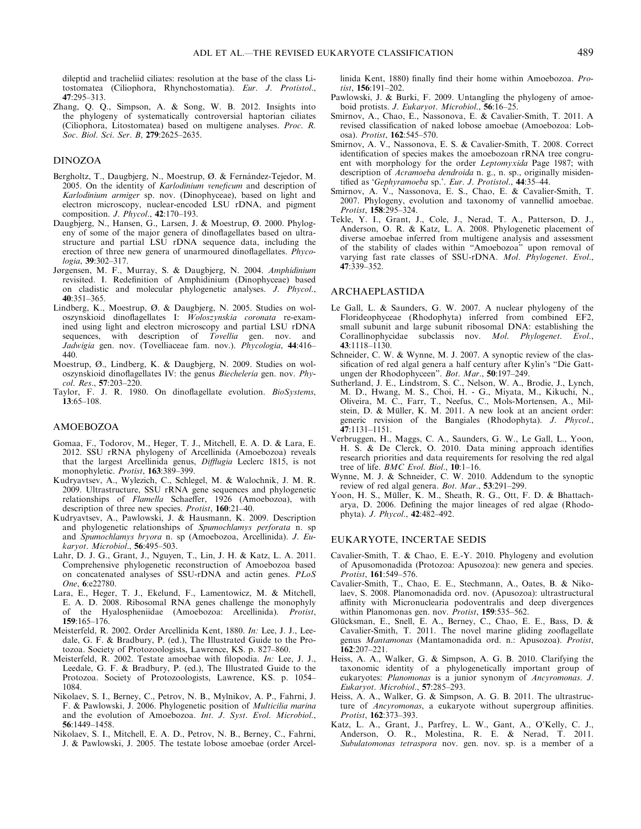dileptid and tracheliid ciliates: resolution at the base of the class Litostomatea (Ciliophora, Rhynchostomatia). Eur. J. Protistol., 47:295–313.

Zhang, Q. Q., Simpson, A. & Song, W. B. 2012. Insights into the phylogeny of systematically controversial haptorian ciliates (Ciliophora, Litostomatea) based on multigene analyses. Proc. R. Soc. Biol. Sci. Ser. B, 279:2625–2635.

## DINOZOA

- Bergholtz, T., Daugbjerg, N., Moestrup, Ø. & Fernández-Tejedor, M. 2005. On the identity of Karlodinium veneficum and description of Karlodinium armiger sp. nov. (Dinophyceae), based on light and electron microscopy, nuclear-encoded LSU rDNA, and pigment composition. J. Phycol., 42:170–193.
- Daugbjerg, N., Hansen, G., Larsen, J. & Moestrup, Ø. 2000. Phylogeny of some of the major genera of dinoflagellates based on ultrastructure and partial LSU rDNA sequence data, including the erection of three new genera of unarmoured dinoflagellates. Phycologia, 39:302–317.
- Jørgensen, M. F., Murray, S. & Daugbjerg, N. 2004. Amphidinium revisited. I. Redefinition of Amphidinium (Dinophyceae) based on cladistic and molecular phylogenetic analyses. J. Phycol.,  $40.351 - 365$ .
- Lindberg, K., Moestrup, Ø. & Daugbjerg, N. 2005. Studies on woloszynskioid dinoflagellates I: Woloszynskia coronata re-examined using light and electron microscopy and partial LSU rDNA sequences, with description of *Tovellia* gen. nov. and Jadwigia gen. nov. (Tovelliaceae fam. nov.). Phycologia, 44:416– 440.
- Moestrup, Ø., Lindberg, K. & Daugbjerg, N. 2009. Studies on woloszynskioid dinoflagellates IV: the genus Biecheleria gen. nov. Phycol. Res., 57:203–220.
- Taylor, F. J. R. 1980. On dinoflagellate evolution. BioSystems, 13:65–108.

#### AMOEBOZOA

- Gomaa, F., Todorov, M., Heger, T. J., Mitchell, E. A. D. & Lara, E. 2012. SSU rRNA phylogeny of Arcellinida (Amoebozoa) reveals that the largest Arcellinida genus, Difflugia Leclerc 1815, is not monophyletic. Protist, 163:389-399.
- Kudryavtsev, A., Wylezich, C., Schlegel, M. & Walochnik, J. M. R. 2009. Ultrastructure, SSU rRNA gene sequences and phylogenetic relationships of Flamella Schaeffer, 1926 (Amoebozoa), with description of three new species. Protist, 160:21–40.
- Kudryavtsev, A., Pawlowski, J. & Hausmann, K. 2009. Description and phylogenetic relationships of Spumochlamys perforata n. sp and Spumochlamys bryora n. sp (Amoebozoa, Arcellinida). J. Eukaryot. Microbiol., 56:495–503.
- Lahr, D. J. G., Grant, J., Nguyen, T., Lin, J. H. & Katz, L. A. 2011. Comprehensive phylogenetic reconstruction of Amoebozoa based on concatenated analyses of SSU-rDNA and actin genes. PLoS One, 6:e22780.
- Lara, E., Heger, T. J., Ekelund, F., Lamentowicz, M. & Mitchell, E. A. D. 2008. Ribosomal RNA genes challenge the monophyly of the Hyalospheniidae (Amoebozoa: Arcellinida). Protist, 159:165–176.
- Meisterfeld, R. 2002. Order Arcellinida Kent, 1880. In: Lee, J. J., Leedale, G. F. & Bradbury, P. (ed.), The Illustrated Guide to the Protozoa. Society of Protozoologists, Lawrence, KS. p. 827–860.
- Meisterfeld, R. 2002. Testate amoebae with filopodia. In: Lee, J. J., Leedale, G. F. & Bradbury, P. (ed.), The Illustrated Guide to the Protozoa. Society of Protozoologists, Lawrence, KS. p. 1054– 1084.
- Nikolaev, S. I., Berney, C., Petrov, N. B., Mylnikov, A. P., Fahrni, J. F. & Pawlowski, J. 2006. Phylogenetic position of Multicilia marina and the evolution of Amoebozoa. Int. J. Syst. Evol. Microbiol., 56:1449–1458.
- Nikolaev, S. I., Mitchell, E. A. D., Petrov, N. B., Berney, C., Fahrni, J. & Pawlowski, J. 2005. The testate lobose amoebae (order Arcel-

linida Kent, 1880) finally find their home within Amoebozoa. Protist, 156:191-202.

- Pawlowski, J. & Burki, F. 2009. Untangling the phylogeny of amoeboid protists. J. Eukaryot. Microbiol., 56:16–25.
- Smirnov, A., Chao, E., Nassonova, E. & Cavalier-Smith, T. 2011. A revised classification of naked lobose amoebae (Amoebozoa: Lobosa). Protist, 162:545–570.
- Smirnov, A. V., Nassonova, E. S. & Cavalier-Smith, T. 2008. Correct identification of species makes the amoebozoan rRNA tree congruent with morphology for the order *Leptomyxida* Page 1987; with description of Acramoeba dendroida n. g., n. sp., originally misidentified as 'Gephyramoeba sp.'. Eur. J. Protistol., 44:35–44.
- Smirnov, A. V., Nassonova, E. S., Chao, E. & Cavalier-Smith, T. 2007. Phylogeny, evolution and taxonomy of vannellid amoebae. Protist, 158:295–324.
- Tekle, Y. I., Grant, J., Cole, J., Nerad, T. A., Patterson, D. J., Anderson, O. R. & Katz, L. A. 2008. Phylogenetic placement of diverse amoebae inferred from multigene analysis and assessment of the stability of clades within "Amoebozoa" upon removal of varying fast rate classes of SSU-rDNA. Mol. Phylogenet. Evol., 47:339–352.

### ARCHAEPLASTIDA

- Le Gall, L. & Saunders, G. W. 2007. A nuclear phylogeny of the Florideophyceae (Rhodophyta) inferred from combined EF2, small subunit and large subunit ribosomal DNA: establishing the Corallinophycidae subclassis nov. Mol. Phylogenet. Evol., 43:1118–1130.
- Schneider, C. W. & Wynne, M. J. 2007. A synoptic review of the classification of red algal genera a half century after Kylin's "Die Gattungen der Rhodophyceen". Bot. Mar., 50:197–249.
- Sutherland, J. E., Lindstrom, S. C., Nelson, W. A., Brodie, J., Lynch, M. D., Hwang, M. S., Choi, H. - G., Miyata, M., Kikuchi, N., Oliveira, M. C., Farr, T., Neefus, C., Mols-Mortensen, A., Milstein, D. & Müller, K. M. 2011. A new look at an ancient order: generic revision of the Bangiales (Rhodophyta). J. Phycol., 47:1131–1151.
- Verbruggen, H., Maggs, C. A., Saunders, G. W., Le Gall, L., Yoon, H. S. & De Clerck, O. 2010. Data mining approach identifies research priorities and data requirements for resolving the red algal tree of life. BMC Evol. Biol., 10:1-16.
- Wynne, M. J. & Schneider, C. W. 2010. Addendum to the synoptic review of red algal genera. Bot. Mar., 53:291–299.
- Yoon, H. S., Müller, K. M., Sheath, R. G., Ott, F. D. & Bhattacharya, D. 2006. Defining the major lineages of red algae (Rhodophyta). J. Phycol., 42:482–492.

## EUKARYOTE, INCERTAE SEDIS

- Cavalier-Smith, T. & Chao, E. E.-Y. 2010. Phylogeny and evolution of Apusomonadida (Protozoa: Apusozoa): new genera and species. Protist, 161:549-576.
- Cavalier-Smith, T., Chao, E. E., Stechmann, A., Oates, B. & Nikolaev, S. 2008. Planomonadida ord. nov. (Apusozoa): ultrastructural affinity with Micronuclearia podoventralis and deep divergences within Planomonas gen. nov. *Protist*, **159**:535–562.
- Glücksman, E., Snell, E. A., Berney, C., Chao, E. E., Bass, D. & Cavalier-Smith, T. 2011. The novel marine gliding zooflagellate genus Mantamonas (Mantamonadida ord. n.: Apusozoa). Protist, 162:207–221.
- Heiss, A. A., Walker, G. & Simpson, A. G. B. 2010. Clarifying the taxonomic identity of a phylogenetically important group of eukaryotes: Planomonas is a junior synonym of Ancyromonas. J. Eukaryot. Microbiol., 57:285–293.
- Heiss, A. A., Walker, G. & Simpson, A. G. B. 2011. The ultrastructure of Ancyromonas, a eukaryote without supergroup affinities. Protist, 162:373–393.
- Katz, L. A., Grant, J., Parfrey, L. W., Gant, A., O'Kelly, C. J., Anderson, O. R., Molestina, R. E. & Nerad, T. 2011. Subulatomonas tetraspora nov. gen. nov. sp. is a member of a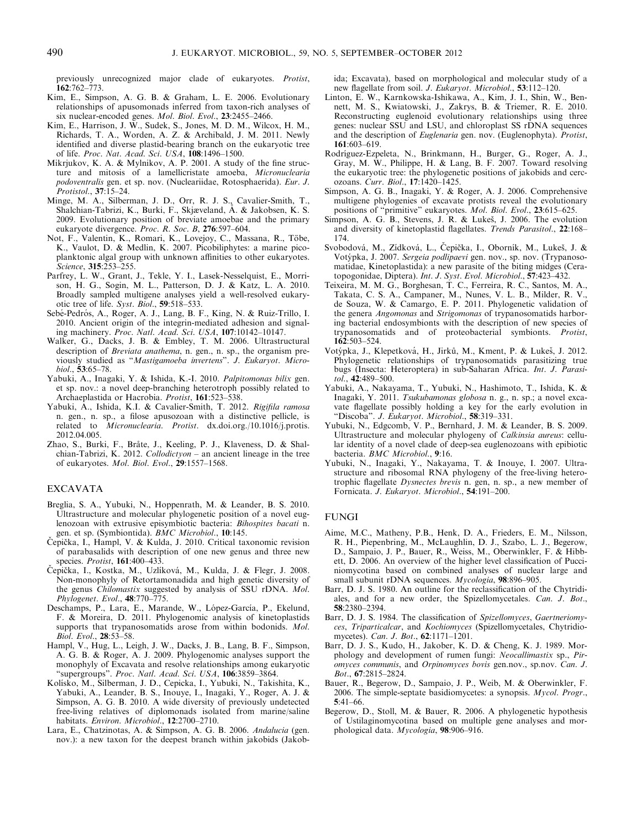previously unrecognized major clade of eukaryotes. Protist, 162:762–773.

- Kim, E., Simpson, A. G. B. & Graham, L. E. 2006. Evolutionary relationships of apusomonads inferred from taxon-rich analyses of six nuclear-encoded genes. Mol. Biol. Evol., 23:2455–2466.
- Kim, E., Harrison, J. W., Sudek, S., Jones, M. D. M., Wilcox, H. M., Richards, T. A., Worden, A. Z. & Archibald, J. M. 2011. Newly identified and diverse plastid-bearing branch on the eukaryotic tree of life. Proc. Nat. Acad. Sci. USA, 108:1496–1500.
- Mikrjukov, K. A. & Mylnikov, A. P. 2001. A study of the fine structure and mitosis of a lamellicristate amoeba, Micronuclearia podoventralis gen. et sp. nov. (Nucleariidae, Rotosphaerida). Eur. J. Protistol., **37**:15-24.
- Minge, M. A., Silberman, J. D., Orr, R. J. S., Cavalier-Smith, T., Shalchian-Tabrizi, K., Burki, F., Skjæveland, Å. & Jakobsen, K. S. 2009. Evolutionary position of breviate amoebae and the primary eukaryote divergence. Proc. R. Soc. B, 276:597–604.
- Not, F., Valentin, K., Romari, K., Lovejoy, C., Massana, R., Töbe, K., Vaulot, D. & Medlin, K. 2007. Picobiliphytes: a marine picoplanktonic algal group with unknown affinities to other eukaryotes. Science, 315:253–255.
- Parfrey, L. W., Grant, J., Tekle, Y. I., Lasek-Nesselquist, E., Morrison, H. G., Sogin, M. L., Patterson, D. J. & Katz, L. A. 2010. Broadly sampled multigene analyses yield a well-resolved eukaryotic tree of life. Syst. Biol., 59:518–533.
- Sebé-Pedrós, A., Roger, A. J., Lang, B. F., King, N. & Ruiz-Trillo, I. 2010. Ancient origin of the integrin-mediated adhesion and signaling machinery. Proc. Natl. Acad. Sci. USA, 107:10142–10147.
- Walker, G., Dacks, J. B. & Embley, T. M. 2006. Ultrastructural description of Breviata anathema, n. gen., n. sp., the organism previously studied as "Mastigamoeba invertens". J. Eukaryot. Microbiol., 53:65–78.
- Yabuki, A., Inagaki, Y. & Ishida, K.-I. 2010. Palpitomonas bilix gen. et sp. nov.: a novel deep-branching heterotroph possibly related to Archaeplastida or Hacrobia. Protist, 161:523–538.
- Yabuki, A., Ishida, K.I. & Cavalier-Smith, T. 2012. Rigifila ramosa n. gen., n. sp., a filose apusozoan with a distinctive pellicle, is related to *Micronuclearia*. *Protist*. dx.doi.org./10.1016/j.protis. 2012.04.005.
- Zhao, S., Burki, F., Bråte, J., Keeling, P. J., Klaveness, D. & Shalchian-Tabrizi, K. 2012. Collodictyon - an ancient lineage in the tree of eukaryotes. Mol. Biol. Evol., 29:1557–1568.

## EXCAVATA

- Breglia, S. A., Yubuki, N., Hoppenrath, M. & Leander, B. S. 2010. Ultrastructure and molecular phylogenetic position of a novel euglenozoan with extrusive episymbiotic bacteria: Bihospites bacati n. gen. et sp. (Symbiontida). BMC Microbiol., 10:145.
- Čepička, I., Hampl, V. & Kulda, J. 2010. Critical taxonomic revision of parabasalids with description of one new genus and three new species. *Protist*, **161**:400-433.
- Cepička, I., Kostka, M., Uzlíková, M., Kulda, J. & Flegr, J. 2008. Non-monophyly of Retortamonadida and high genetic diversity of the genus Chilomastix suggested by analysis of SSU rDNA. Mol. Phylogenet. Evol., 48:770–775.
- Deschamps, P., Lara, E., Marande, W., López-García, P., Ekelund, F. & Moreira, D. 2011. Phylogenomic analysis of kinetoplastids supports that trypanosomatids arose from within bodonids. Mol. Biol. Evol., 28:53–58.
- Hampl, V., Hug, L., Leigh, J. W., Dacks, J. B., Lang, B. F., Simpson, A. G. B. & Roger, A. J. 2009. Phylogenomic analyses support the monophyly of Excavata and resolve relationships among eukaryotic 'supergroups". Proc. Natl. Acad. Sci. USA, 106:3859-3864.
- Kolísko, M., Silberman, J. D., Cepicka, I., Yubuki, N., Takishita, K., Yabuki, A., Leander, B. S., Inouye, I., Inagaki, Y., Roger, A. J. & Simpson, A. G. B. 2010. A wide diversity of previously undetected free-living relatives of diplomonads isolated from marine/saline habitats. Environ. Microbiol., 12:2700-2710.
- Lara, E., Chatzinotas, A. & Simpson, A. G. B. 2006. Andalucia (gen. nov.): a new taxon for the deepest branch within jakobids (Jakob-

ida; Excavata), based on morphological and molecular study of a new flagellate from soil. J. Eukaryot. Microbiol., 53:112–120.

- Linton, E. W., Karnkowska-Ishikawa, A., Kim, J. I., Shin, W., Bennett, M. S., Kwiatowski, J., Zakrys, B. & Triemer, R. E. 2010. Reconstructing euglenoid evolutionary relationships using three genes: nuclear SSU and LSU, and chloroplast SS rDNA sequences and the description of Euglenaria gen. nov. (Euglenophyta). Protist, 161:603–619.
- Rodríguez-Ezpeleta, N., Brinkmann, H., Burger, G., Roger, A. J., Gray, M. W., Philippe, H. & Lang, B. F. 2007. Toward resolving the eukaryotic tree: the phylogenetic positions of jakobids and cercozoans. Curr. Biol., 17:1420–1425.
- Simpson, A. G. B., Inagaki, Y. & Roger, A. J. 2006. Comprehensive multigene phylogenies of excavate protists reveal the evolutionary positions of "primitive" eukaryotes. Mol. Biol. Evol., 23:615-625.
- Simpson, A. G. B., Stevens, J. R. & Lukeš, J. 2006. The evolution and diversity of kinetoplastid flagellates. Trends Parasitol., 22:168– 174.
- Svobodová, M., Zídková, L., Čepička, I., Oborník, M., Lukeš, J. & Votýpka, J. 2007. Sergeia podlipaevi gen. nov., sp. nov. (Trypanosomatidae, Kinetoplastida): a new parasite of the biting midges (Ceratopogonidae, Diptera). Int. J. Syst. Evol. Microbiol., 57:423–432.
- Teixeira, M. M. G., Borghesan, T. C., Ferreira, R. C., Santos, M. A., Takata, C. S. A., Campaner, M., Nunes, V. L. B., Milder, R. V., de Souza, W. & Camargo, E. P. 2011. Phylogenetic validation of the genera Angomonas and Strigomonas of trypanosomatids harboring bacterial endosymbionts with the description of new species of trypanosomatids and of proteobacterial symbionts. Protist, 162:503–524.
- Votýpka, J., Klepetková, H., Jirků, M., Kment, P. & Lukeš, J. 2012. Phylogenetic relationships of trypanosomatids parasitizing true bugs (Insecta: Heteroptera) in sub-Saharan Africa. Int. J. Parasitol., 42:489–500.
- Yabuki, A., Nakayama, T., Yubuki, N., Hashimoto, T., Ishida, K. & Inagaki, Y. 2011. Tsukubamonas globosa n. g., n. sp.; a novel excavate flagellate possibly holding a key for the early evolution in "Discoba". J. Eukaryot. Microbiol., 58:319–331.
- Yubuki, N., Edgcomb, V. P., Bernhard, J. M. & Leander, B. S. 2009. Ultrastructure and molecular phylogeny of Calkinsia aureus: cellular identity of a novel clade of deep-sea euglenozoans with epibiotic bacteria. BMC Microbiol., 9:16.
- Yubuki, N., Inagaki, Y., Nakayama, T. & Inouye, I. 2007. Ultrastructure and ribosomal RNA phylogeny of the free-living heterotrophic flagellate Dysnectes brevis n. gen, n. sp., a new member of Fornicata. J. Eukaryot. Microbiol., 54:191–200.

### FUNGI

- Aime, M.C., Matheny, P.B., Henk, D. A., Frieders, E. M., Nilsson, R. H., Piepenbring, M., McLaughlin, D. J., Szabo, L. J., Begerow, D., Sampaio, J. P., Bauer, R., Weiss, M., Oberwinkler, F. & Hibbett, D. 2006. An overview of the higher level classification of Pucciniomycotina based on combined analyses of nuclear large and small subunit rDNA sequences. Mycologia, 98:896-905.
- Barr, D. J. S. 1980. An outline for the reclassification of the Chytridiales, and for a new order, the Spizellomycetales. Can. J. Bot., 58:2380–2394.
- Barr, D. J. S. 1984. The classification of Spizellomyces, Gaertneriomyces, Triparticalcar, and Kochiomyces (Spizellomycetales, Chytridiomycetes). Can. J. Bot., 62:1171-1201.
- Barr, D. J. S., Kudo, H., Jakober, K. D. & Cheng, K. J. 1989. Morphology and development of rumen fungi: Neocallimastix sp., Piromyces communis, and Orpinomyces bovis gen.nov., sp.nov. Can. J. Bot., 67:2815–2824.
- Bauer, R., Begerow, D., Sampaio, J. P., Weib, M. & Oberwinkler, F. 2006. The simple-septate basidiomycetes: a synopsis. Mycol. Progr., 5:41–66.
- Begerow, D., Stoll, M. & Bauer, R. 2006. A phylogenetic hypothesis of Ustilaginomycotina based on multiple gene analyses and morphological data. Mycologia, 98:906–916.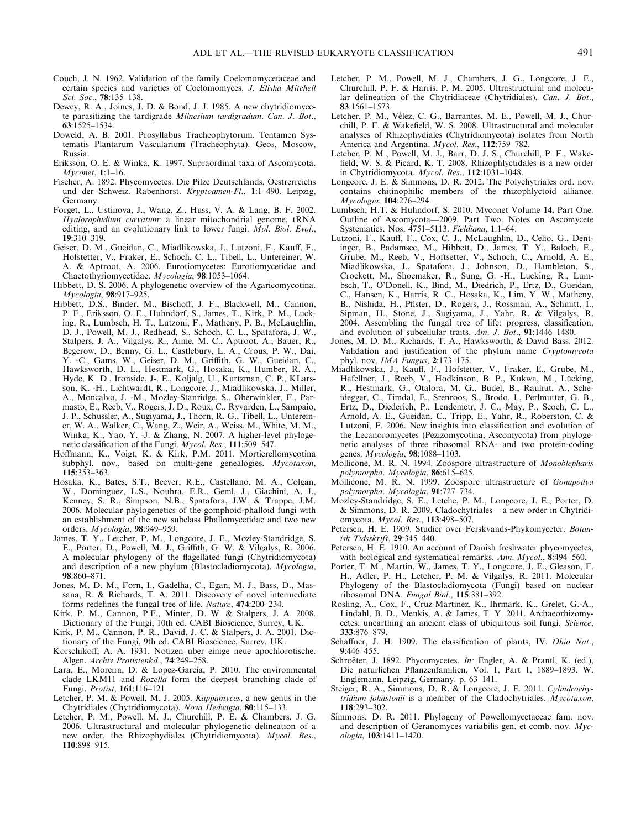- Couch, J. N. 1962. Validation of the family Coelomomycetaceae and certain species and varieties of Coelomomyces. J. Elisha Mitchell Sci. Soc., 78:135–138.
- Dewey, R. A., Joines, J. D. & Bond, J. J. 1985. A new chytridiomycete parasitizing the tardigrade Milnesium tardigradum. Can. J. Bot., 63:1525–1534.
- Doweld, A. B. 2001. Prosyllabus Tracheophytorum. Tentamen Systematis Plantarum Vascularium (Tracheophyta). Geos, Moscow, Russia.
- Eriksson, O. E. & Winka, K. 1997. Supraordinal taxa of Ascomycota. Myconet, 1:1–16.
- Fischer, A. 1892. Phycomycetes. Die Pilze Deutschlands, Oestrerreichs und der Schweiz. Rabenhorst. Kryptoamen-Fl., 1:1–490. Leipzig, Germany.
- Forget, L., Ustinova, J., Wang, Z., Huss, V. A. & Lang, B. F. 2002. Hyaloraphidium curvatum: a linear mitochondrial genome, tRNA editing, and an evolutionary link to lower fungi. Mol. Biol. Evol., 19:310–319.
- Geiser, D. M., Gueidan, C., Miadlikowska, J., Lutzoni, F., Kauff, F., Hofstetter, V., Fraker, E., Schoch, C. L., Tibell, L., Untereiner, W. A. & Aptroot, A. 2006. Eurotiomycetes: Eurotiomycetidae and Chaetothyriomycetidae. Mycologia, 98:1053–1064.
- Hibbett, D. S. 2006. A phylogenetic overview of the Agaricomycotina. Mycologia, 98:917–925.
- Hibbett, D.S., Binder, M., Bischoff, J. F., Blackwell, M., Cannon, P. F., Eriksson, O. E., Huhndorf, S., James, T., Kirk, P. M., Lucking, R., Lumbsch, H. T., Lutzoni, F., Matheny, P. B., McLaughlin, D. J., Powell, M. J., Redhead, S., Schoch, C. L., Spatafora, J. W., Stalpers, J. A., Vilgalys, R., Aime, M. C., Aptroot, A., Bauer, R., Begerow, D., Benny, G. L., Castlebury, L. A., Crous, P. W., Dai, Y. -C., Gams, W., Geiser, D. M., Griffith, G. W., Gueidan, C., Hawksworth, D. L., Hestmark, G., Hosaka, K., Humber, R. A., Hyde, K. D., Ironside, J-. E., Koljalg, U., Kurtzman, C. P., KLarsson, K. -H., Lichtwardt, R., Longcore, J., Miadlikowska, J., Miller, A., Moncalvo, J. -M., Mozley-Stanridge, S., Oberwinkler, F., Parmasto, E., Reeb, V., Rogers, J. D., Roux, C., Ryvarden, L., Sampaio, J. P., Schussler, A., Sugiyama, J., Thorn, R. G., Tibell, L., Untereiner, W. A., Walker, C., Wang, Z., Weir, A., Weiss, M., White, M. M., Winka, K., Yao, Y. -J. & Zhang, N. 2007. A higher-level phylogenetic classification of the Fungi. Mycol. Res., 111:509–547.
- Hoffmann, K., Voigt, K. & Kirk, P.M. 2011. Mortierellomycotina subphyl. nov., based on multi-gene genealogies. Mycotaxon, 115:353–363.
- Hosaka, K., Bates, S.T., Beever, R.E., Castellano, M. A., Colgan, W., Dominguez, L.S., Nouhra, E.R., Geml, J., Giachini, A. J., Kenney, S. R., Simpson, N.B., Spatafora, J.W. & Trappe, J.M. 2006. Molecular phylogenetics of the gomphoid-phalloid fungi with an establishment of the new subclass Phallomycetidae and two new orders. Mycologia, 98:949–959.
- James, T. Y., Letcher, P. M., Longcore, J. E., Mozley-Standridge, S. E., Porter, D., Powell, M. J., Griffith, G. W. & Vilgalys, R. 2006. A molecular phylogeny of the flagellated fungi (Chytridiomycota) and description of a new phylum (Blastocladiomycota). Mycologia, 98:860–871.
- Jones, M. D. M., Forn, I., Gadelha, C., Egan, M. J., Bass, D., Massana, R. & Richards, T. A. 2011. Discovery of novel intermediate forms redefines the fungal tree of life. Nature, 474:200–234.
- Kirk, P. M., Cannon, P.F., Minter, D. W. & Stalpers, J. A. 2008. Dictionary of the Fungi, 10th ed. CABI Bioscience, Surrey, UK.
- Kirk, P. M., Cannon, P. R., David, J. C. & Stalpers, J. A. 2001. Dictionary of the Fungi, 9th ed. CABI Bioscience, Surrey, UK.
- Korschikoff, A. A. 1931. Notizen uber einige neue apochlorotische. Algen. Archiv Protistenkd., 74:249–258.
- Lara, E., Moreira, D. & Lopez-Garcia, P. 2010. The environmental clade LKM11 and Rozella form the deepest branching clade of Fungi. Protist, 161:116–121.
- Letcher, P. M. & Powell, M. J. 2005. Kappamyces, a new genus in the Chytridiales (Chytridiomycota). Nova Hedwigia, 80:115–133.
- Letcher, P. M., Powell, M. J., Churchill, P. E. & Chambers, J. G. 2006. Ultrastructural and molecular phylogenetic delineation of a new order, the Rhizophydiales (Chytridiomycota). Mycol. Res., 110:898–915.
- Letcher, P. M., Powell, M. J., Chambers, J. G., Longcore, J. E., Churchill, P. F. & Harris, P. M. 2005. Ultrastructural and molecular delineation of the Chytridiaceae (Chytridiales). Can. J. Bot., 83:1561–1573.
- Letcher, P. M., Vélez, C. G., Barrantes, M. E., Powell, M. J., Churchill, P. F. & Wakefield, W. S. 2008. Ultrastructural and molecular analyses of Rhizophydiales (Chytridiomycota) isolates from North America and Argentina. Mycol. Res., 112:759–782.
- Letcher, P. M., Powell, M. J., Barr, D. J. S., Churchill, P. F., Wakefield, W. S. & Picard, K. T. 2008. Rhizophlyctidales is a new order in Chytridiomycota. Mycol. Res., 112:1031–1048.
- Longcore, J. E. & Simmons, D. R. 2012. The Polychytriales ord. nov. contains chitinophilic members of the rhizophlyctoid alliance. Mycologia, 104:276–294.
- Lumbsch, H.T. & Huhndorf, S. 2010. Myconet Volume 14. Part One. Outline of Ascomycota—2009. Part Two. Notes on Ascomycete Systematics. Nos. 4751–5113. Fieldiana, 1:1–64.
- Lutzoni, F., Kauff, F., Cox, C. J., McLaughlin, D., Celio, G., Dentinger, B., Padamsee, M., Hibbett, D., James, T. Y., Baloch, E., Grube, M., Reeb, V., Hoftsetter, V., Schoch, C., Arnold, A. E., Miadlikowska, J., Spatafora, J., Johnson, D., Hambleton, S., Crockett, M., Shoemaker, R., Sung, G. -H., Lucking, R., Lumbsch, T., O'Donell, K., Bind, M., Diedrich, P., Ertz, D., Gueidan, C., Hansen, K., Harris, R. C., Hosaka, K., Lim, Y. W., Matheny, B., Nishida, H., Pfister, D., Rogers, J., Rossman, A., Schmitt, I., Sipman, H., Stone, J., Sugiyama, J., Yahr, R. & Vilgalys, R. 2004. Assembling the fungal tree of life: progress, classification, and evolution of subcellular traits. Am. J. Bot., 91:1446–1480.
- Jones, M. D. M., Richards, T. A., Hawksworth, & David Bass. 2012. Validation and justification of the phylum name Cryptomycota phyl. nov. IMA Fungus, 2:173–175.
- Miadlikowska, J., Kauff, F., Hofstetter, V., Fraker, E., Grube, M., Hafellner, J., Reeb, V., Hodkinson, B. P., Kukwa, M., Lücking, R., Hestmark, G., Otalora, M. G., Budel, B., Rauhut, A., Scheidegger, C., Timdal, E., Srenroos, S., Brodo, I., Perlmutter, G. B., Ertz, D., Diederich, P., Lendemetr, J. C., May, P., Scoch, C. L., Arnold, A. E., Gueidan, C., Tripp, E., Yahr, R., Roberston, C. & Lutzoni, F. 2006. New insights into classification and evolution of the Lecanoromycetes (Pezizomycotina, Ascomycota) from phylogenetic analyses of three ribosomal RNA- and two protein-coding genes. Mycologia, 98:1088–1103.
- Mollicone, M. R. N. 1994. Zoospore ultrastructure of Monoblepharis polymorpha. Mycologia, 86:615–625.
- Mollicone, M. R. N. 1999. Zoospore ultrastructure of Gonapodya polymorpha. Mycologia, 91:727–734.
- Mozley-Standridge, S. E., Letche, P. M., Longcore, J. E., Porter, D. & Simmons, D. R. 2009. Cladochytriales – a new order in Chytridiomycota. Mycol. Res., 113:498–507.
- Petersen, H. E. 1909. Studier over Ferskvands-Phykomyceter. Botanisk Tidsskrift, 29:345–440.
- Petersen, H. E. 1910. An account of Danish freshwater phycomycetes, with biological and systematical remarks. Ann. Mycol., 8:494–560.
- Porter, T. M., Martin, W., James, T. Y., Longcore, J. E., Gleason, F. H., Adler, P. H., Letcher, P. M. & Vilgalys, R. 2011. Molecular Phylogeny of the Blastocladiomycota (Fungi) based on nuclear ribosomal DNA. Fungal Biol., 115:381–392.
- Rosling, A., Cox, F., Cruz-Martinez, K., Ihrmark, K., Grelet, G.-A., Lindahl, B. D., Menkis, A. & James, T. Y. 2011. Archaeorhizomycetes: unearthing an ancient class of ubiquitous soil fungi. Science, 333:876–879.
- Schaffner, J. H. 1909. The classification of plants, IV. Ohio Nat., 9:446–455.
- Schroëter, J. 1892. Phycomycetes. In: Engler, A. & Prantl, K. (ed.), Die naturlichen Pflanzenfamilien, Vol. 1, Part 1, 1889–1893. W. Englemann, Leipzig, Germany. p. 63–141.
- Steiger, R. A., Simmons, D. R. & Longcore, J. E. 2011. Cylindrochytridium johnstonii is a member of the Cladochytriales. Mycotaxon, 118:293–302.
- Simmons, D. R. 2011. Phylogeny of Powellomycetaceae fam. nov. and description of Geranomyces variabilis gen. et comb. nov. Mycologia, 103:1411–1420.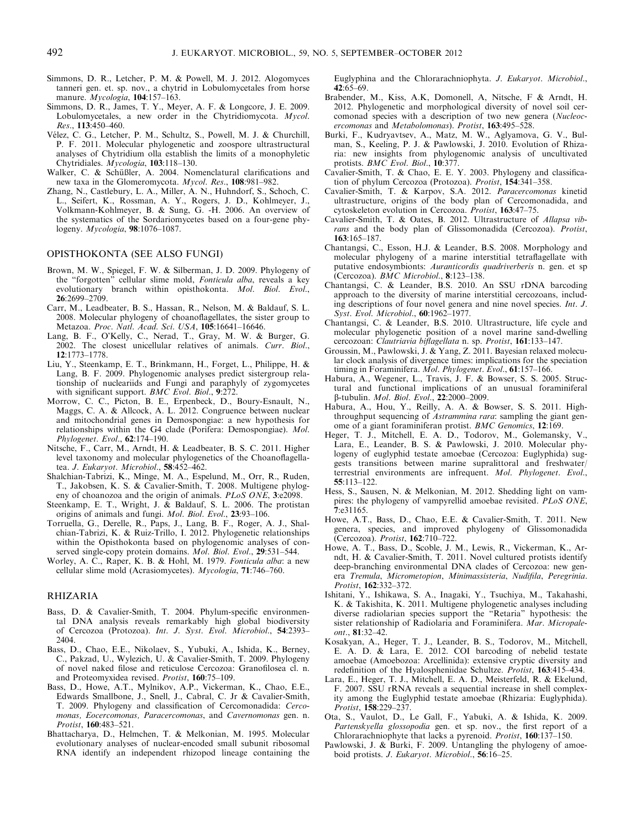- Simmons, D. R., Letcher, P. M. & Powell, M. J. 2012. Alogomyces tanneri gen. et. sp. nov., a chytrid in Lobulomycetales from horse manure. *Mycologia*, **104**:157-163.
- Simmons, D. R., James, T. Y., Meyer, A. F. & Longcore, J. E. 2009. Lobulomycetales, a new order in the Chytridiomycota. Mycol. Res., 113:450–460.
- Vélez, C. G., Letcher, P. M., Schultz, S., Powell, M. J. & Churchill, P. F. 2011. Molecular phylogenetic and zoospore ultrastructural analyses of Chytridium olla establish the limits of a monophyletic Chytridiales. Mycologia, 103:118–130.
- Walker, C. & Schüßler, A. 2004. Nomenclatural clarifications and new taxa in the Glomeromycota. Mycol. Res., 108:981–982.
- Zhang, N., Castlebury, L. A., Miller, A. N., Huhndorf, S., Schoch, C. L., Seifert, K., Rossman, A. Y., Rogers, J. D., Kohlmeyer, J., Volkmann-Kohlmeyer, B. & Sung, G. -H. 2006. An overview of the systematics of the Sordariomycetes based on a four-gene phylogeny. Mycologia, 98:1076–1087.

## OPISTHOKONTA (SEE ALSO FUNGI)

- Brown, M. W., Spiegel, F. W. & Silberman, J. D. 2009. Phylogeny of the "forgotten" cellular slime mold, Fonticula alba, reveals a key evolutionary branch within opisthokonta. Mol. Biol. Evol., 26:2699–2709.
- Carr, M., Leadbeater, B. S., Hassan, R., Nelson, M. & Baldauf, S. L. 2008. Molecular phylogeny of choanoflagellates, the sister group to Metazoa. Proc. Natl. Acad. Sci. USA, 105:16641–16646.
- Lang, B. F., O'Kelly, C., Nerad, T., Gray, M. W. & Burger, G. 2002. The closest unicellular relatives of animals. Curr. Biol., 12:1773–1778.
- Liu, Y., Steenkamp, E. T., Brinkmann, H., Forget, L., Philippe, H. & Lang, B. F. 2009. Phylogenomic analyses predict sistergroup relationship of nucleariids and Fungi and paraphyly of zygomycetes with significant support. BMC Evol. Biol., 9:272.
- Morrow, C. C., Picton, B. E., Erpenbeck, D., Boury-Esnault, N., Maggs, C. A. & Allcock, A. L. 2012. Congruence between nuclear and mitochondrial genes in Demospongiae: a new hypothesis for relationships within the G4 clade (Porifera: Demospongiae). Mol. Phylogenet. Evol., 62:174–190.
- Nitsche, F., Carr, M., Arndt, H. & Leadbeater, B. S. C. 2011. Higher level taxonomy and molecular phylogenetics of the Choanoflagellatea. J. Eukaryot. Microbiol., 58:452-462.
- Shalchian-Tabrizi, K., Minge, M. A., Espelund, M., Orr, R., Ruden, T., Jakobsen, K. S. & Cavalier-Smith, T. 2008. Multigene phylogeny of choanozoa and the origin of animals. PLoS ONE, 3:e2098.
- Steenkamp, E. T., Wright, J. & Baldauf, S. L. 2006. The protistan origins of animals and fungi. Mol. Biol. Evol., 23:93–106.
- Torruella, G., Derelle, R., Paps, J., Lang, B. F., Roger, A. J., Shalchian-Tabrizi, K. & Ruiz-Trillo, I. 2012. Phylogenetic relationships within the Opisthokonta based on phylogenomic analyses of conserved single-copy protein domains. Mol. Biol. Evol., 29:531-544.
- Worley, A. C., Raper, K. B. & Hohl, M. 1979. Fonticula alba: a new cellular slime mold (Acrasiomycetes). Mycologia, 71:746–760.

#### RHIZARIA

- Bass, D. & Cavalier-Smith, T. 2004. Phylum-specific environmental DNA analysis reveals remarkably high global biodiversity of Cercozoa (Protozoa). Int. J. Syst. Evol. Microbiol., 54:2393– 2404.
- Bass, D., Chao, E.E., Nikolaev, S., Yubuki, A., Ishida, K., Berney, C., Pakzad, U., Wylezich, U. & Cavalier-Smith, T. 2009. Phylogeny of novel naked filose and reticulose Cercozoa: Granofilosea cl. n. and Proteomyxidea revised. Protist, 160:75–109.
- Bass, D., Howe, A.T., Mylnikov, A.P., Vickerman, K., Chao, E.E., Edwards Smallbone, J., Snell, J., Cabral, C. Jr & Cavalier-Smith, T. 2009. Phylogeny and classification of Cercomonadida: Cercomonas, Eocercomonas, Paracercomonas, and Cavernomonas gen. n. Protist, 160:483–521.
- Bhattacharya, D., Helmchen, T. & Melkonian, M. 1995. Molecular evolutionary analyses of nuclear-encoded small subunit ribosomal RNA identify an independent rhizopod lineage containing the

Euglyphina and the Chlorarachniophyta. J. Eukaryot. Microbiol., 42:65–69.

- Brabender, M., Kiss, A.K, Domonell, A, Nitsche, F & Arndt, H. 2012. Phylogenetic and morphological diversity of novel soil cercomonad species with a description of two new genera (Nucleocercomonas and Metabolomonas). Protist, 163:495–528.
- Burki, F., Kudryavtsev, A., Matz, M. W., Aglyamova, G. V., Bulman, S., Keeling, P. J. & Pawlowski, J. 2010. Evolution of Rhizaria: new insights from phylogenomic analysis of uncultivated protists. BMC Evol. Biol., 10:377.
- Cavalier-Smith, T. & Chao, E. E. Y. 2003. Phylogeny and classification of phylum Cercozoa (Protozoa). Protist, 154:341–358.
- Cavalier-Smith, T. & Karpov, S.A. 2012. Paracercomonas kinetid ultrastructure, origins of the body plan of Cercomonadida, and cytoskeleton evolution in Cercozoa. Protist, 163:47–75.
- Cavalier-Smith, T. & Oates, B. 2012. Ultrastructure of Allapsa vibrans and the body plan of Glissomonadida (Cercozoa). Protist, 163:165–187.
- Chantangsi, C., Esson, H.J. & Leander, B.S. 2008. Morphology and molecular phylogeny of a marine interstitial tetraflagellate with putative endosymbionts: Auranticordis quadriverberis n. gen. et sp (Cercozoa). BMC Microbiol., 8:123–138.
- Chantangsi, C. & Leander, B.S. 2010. An SSU rDNA barcoding approach to the diversity of marine interstitial cercozoans, including descriptions of four novel genera and nine novel species. Int. J. Syst. Evol. Microbiol., 60:1962–1977.
- Chantangsi, C. & Leander, B.S. 2010. Ultrastructure, life cycle and molecular phylogenetic position of a novel marine sand-dwelling cercozoan: Clautriavia biflagellata n. sp. Protist, 161:133–147.
- Groussin, M., Pawlowski, J. & Yang, Z. 2011. Bayesian relaxed molecular clock analysis of divergence times: implications for the speciation timing in Foraminifera. Mol. Phylogenet. Evol., 61:157-166.
- Habura, A., Wegener, L., Travis, J. F. & Bowser, S. S. 2005. Structural and functional implications of an unusual foraminiferal  $\beta$ -tubulin. *Mol. Biol. Evol.*, 22:2000–2009.
- Habura, A., Hou, Y., Reilly, A. A. & Bowser, S. S. 2011. Highthroughput sequencing of Astrammina rara: sampling the giant genome of a giant foraminiferan protist. BMC Genomics, 12:169.
- Heger, T. J., Mitchell, E. A. D., Todorov, M., Golemansky, V., Lara, E., Leander, B. S. & Pawlowski, J. 2010. Molecular phylogeny of euglyphid testate amoebae (Cercozoa: Euglyphida) suggests transitions between marine supralittoral and freshwater/ terrestrial environments are infrequent. Mol. Phylogenet. Evol., 55:113–122.
- Hess, S., Sausen, N. & Melkonian, M. 2012. Shedding light on vampires: the phylogeny of vampyrellid amoebae revisited. PLoS ONE, 7:e31165.
- Howe, A.T., Bass, D., Chao, E.E. & Cavalier-Smith, T. 2011. New genera, species, and improved phylogeny of Glissomonadida (Cercozoa). Protist, 162:710–722.
- Howe, A. T., Bass, D., Scoble, J. M., Lewis, R., Vickerman, K., Arndt, H. & Cavalier-Smith, T. 2011. Novel cultured protists identify deep-branching environmental DNA clades of Cercozoa: new genera Tremula, Micrometopion, Minimassisteria, Nudifila, Peregrinia. Protist, 162:332–372.
- Ishitani, Y., Ishikawa, S. A., Inagaki, Y., Tsuchiya, M., Takahashi, K. & Takishita, K. 2011. Multigene phylogenetic analyses including diverse radiolarian species support the "Retaria" hypothesis: the sister relationship of Radiolaria and Foraminifera. Mar. Micropaleont., 81:32–42.
- Kosakyan, A., Heger, T. J., Leander, B. S., Todorov, M., Mitchell, E. A. D. & Lara, E. 2012. COI barcoding of nebelid testate amoebae (Amoebozoa: Arcellinida): extensive cryptic diversity and redefinition of the Hyalospheniidae Schultze. Protist, 163:415–434.
- Lara, E., Heger, T. J., Mitchell, E. A. D., Meisterfeld, R. & Ekelund, F. 2007. SSU rRNA reveals a sequential increase in shell complexity among the Euglyphid testate amoebae (Rhizaria: Euglyphida). Protist, 158:229–237.
- Ota, S., Vaulot, D., Le Gall, F., Yabuki, A. & Ishida, K. 2009. Partenskyella glossopodia gen. et sp. nov., the first report of a Chlorarachniophyte that lacks a pyrenoid. Protist, 160:137–150.
- Pawlowski, J. & Burki, F. 2009. Untangling the phylogeny of amoeboid protists. J. Eukaryot. Microbiol., 56:16–25.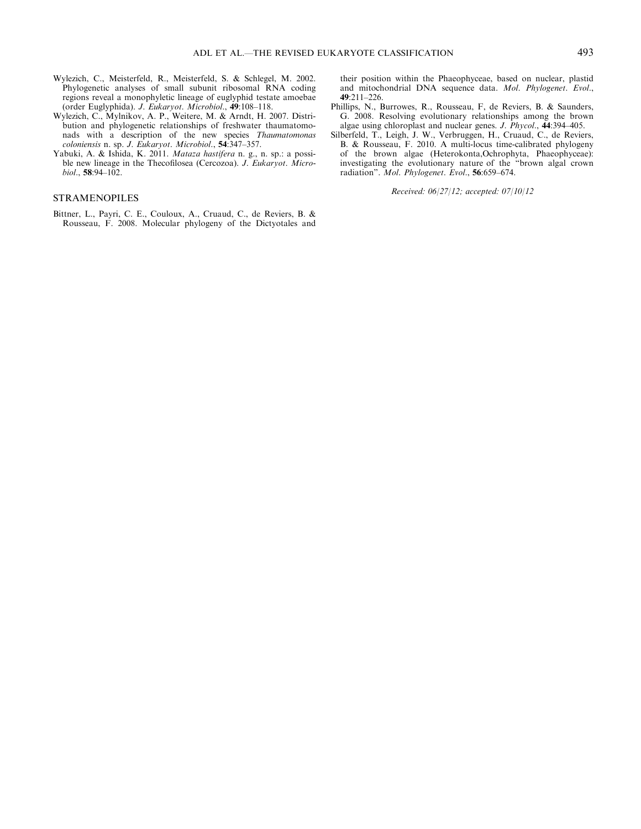- Wylezich, C., Meisterfeld, R., Meisterfeld, S. & Schlegel, M. 2002. Phylogenetic analyses of small subunit ribosomal RNA coding regions reveal a monophyletic lineage of euglyphid testate amoebae (order Euglyphida). J. Eukaryot. Microbiol., 49:108–118.
- Wylezich, C., Mylnikov, A. P., Weitere, M. & Arndt, H. 2007. Distribution and phylogenetic relationships of freshwater thaumatomonads with a description of the new species Thaumatomonas coloniensis n. sp. J. Eukaryot. Microbiol., 54:347–357.
- Yabuki, A. & Ishida, K. 2011. Mataza hastifera n. g., n. sp.: a possible new lineage in the Thecofilosea (Cercozoa). *J. Eukaryot. Micro* $biol.$ , 58:94-102.

## **STRAMENOPILES**

Bittner, L., Payri, C. E., Couloux, A., Cruaud, C., de Reviers, B. & Rousseau, F. 2008. Molecular phylogeny of the Dictyotales and their position within the Phaeophyceae, based on nuclear, plastid and mitochondrial DNA sequence data. Mol. Phylogenet. Evol., 49:211–226.

- Phillips, N., Burrowes, R., Rousseau, F, de Reviers, B. & Saunders, G. 2008. Resolving evolutionary relationships among the brown algae using chloroplast and nuclear genes. J. Phycol., 44:394–405.
- Silberfeld, T., Leigh, J. W., Verbruggen, H., Cruaud, C., de Reviers, B. & Rousseau, F. 2010. A multi-locus time-calibrated phylogeny of the brown algae (Heterokonta,Ochrophyta, Phaeophyceae): investigating the evolutionary nature of the "brown algal crown radiation". Mol. Phylogenet. Evol., 56:659–674.

Received: 06/27/12; accepted: 07/10/12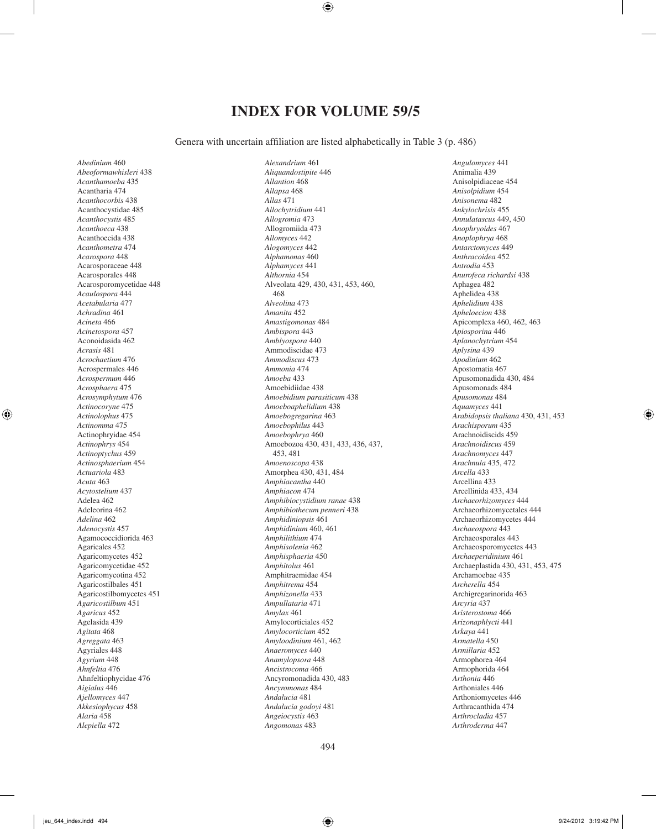# **INDEX FOR VOLUME 59/5**

Genera with uncertain affiliation are listed alphabetically in Table 3 (p. 486)

*Abedinium* 460 *Abeoformawhisleri* 438 *Acanthamoeba* 435 Acantharia 474 *Acanthocorbis* 438 Acanthocystidae 485 *Acanthocystis* 485 *Acanthoeca* 438 Acanthoecida 438 *Acanthometra* 474 *Acarospora* 448 Acarosporaceae 448 Acarosporales 448 Acarosporomycetidae 448 *Acaulospora* 444 *Acetabularia* 477 *Achradina* 461 *Acineta* 466 *Acinetospora* 457 Aconoidasida 462 *Acrasis* 481 *Acrochaetium* 476 Acrospermales 446 *Acrospermum* 446 *Acrosphaera* 475 *Acrosymphytum* 476 *Actinocoryne* 475 *Actinolophus* 475 *Actinomma* 475 Actinophryidae 454 *Actinophrys* 454 *Actinoptychus* 459 *Actinosphaerium* 454 *Actuariola* 483 *Acuta* 463 *Acytostelium* 437 Adelea 462 Adeleorina 462 *Adelina* 462 *Adenocystis* 457 Agamococcidiorida 463 Agaricales 452 Agaricomycetes 452 Agaricomycetidae 452 Agaricomycotina 452 Agaricostilbales 451 Agaricostilbomycetes 451 *Agaricostilbum* 451 *Agaricus* 452 Agelasida 439 *Agitata* 468 *Agreggata* 463 Agyriales 448 *Agyrium* 448 *Ahnfeltia* 476 Ahnfeltiophycidae 476 *Aigialus* 446 *Ajellomyces* 447 *Akkesiophycus* 458 *Alaria* 458 *Alepiella* 472

*Alexandrium* 461 *Aliquandostipite* 446 *Allantion* 468 *Allapsa* 468 *Allas* 471 *Allochytridium* 441 *Allogromia* 473 Allogromiida 473 *Allomyces* 442 *Alogomyces* 442 *Alphamonas* 460 *Alphamyces* 441 *Althornia* 454 Alveolata 429, 430, 431, 453, 460, 468 *Alveolina* 473 *Amanita* 452 *Amastigomonas* 484 *Ambispora* 443 *Amblyospora* 440 Ammodiscidae 473 *Ammodiscus* 473 *Ammonia* 474 *Amoeba* 433 Amoebidiidae 438 *Amoebidium parasiticum* 438 *Amoeboaphelidium* 438 *Amoebogregarina* 463 *Amoebophilus* 443 *Amoebophrya* 460 Amoebozoa 430, 431, 433, 436, 437, 453, 481 *Amoenoscopa* 438 Amorphea 430, 431, 484 *Amphiacantha* 440 *Amphiacon* 474 *Amphibiocystidium ranae* 438 *Amphibiothecum penneri* 438 *Amphidiniopsis* 461 *Amphidinium* 460, 461 *Amphilithium* 474 *Amphisolenia* 462 *Amphisphaeria* 450 *Amphitolus* 461 Amphitraemidae 454 *Amphitrema* 454 *Amphizonella* 433 *Ampullataria* 471 *Amylax* 461 Amylocorticiales 452 *Amylocorticium* 452 *Amyloodinium* 461, 462 *Anaeromyces* 440 *Anamylopsora* 448 *Ancistrocoma* 466 Ancyromonadida 430, 483 *Ancyromonas* 484 *Andalucia* 481 *Andalucia godoyi* 481 *Angeiocystis* 463 *Angomonas* 483

*Angulomyces* 441 Animalia 439 Anisolpidiaceae 454 *Anisolpidium* 454 *Anisonema* 482 *Ankylochrisis* 455 *Annulatascus* 449, 450 *Anophryoides* 467 *Anoplophrya* 468 *Antarctomyces* 449 *Anthracoidea* 452 *Antrodia* 453 *Anurofeca richardsi* 438 Aphagea 482 Aphelidea 438 *Aphelidium* 438 *Apheloecion* 438 Apicomplexa 460, 462, 463 *Apiosporina* 446 *Aplanochytrium* 454 *Aplysina* 439 *Apodinium* 462 Apostomatia 467 Apusomonadida 430, 484 Apusomonads 484 *Apusomonas* 484 *Aquamyces* 441 *Arabidopsis thaliana* 430, 431, 453 *Arachisporum* 435 Arachnoidiscids 459 *Arachnoidiscus* 459 *Arachnomyces* 447 *Arachnula* 435, 472 *Arcella* 433 Arcellina 433 Arcellinida 433, 434 *Archaeorhizomyces* 444 Archaeorhizomycetales 444 Archaeorhizomycetes 444 *Archaeospora* 443 Archaeosporales 443 Archaeosporomycetes 443 *Archaeperidinium* 461 Archaeplastida 430, 431, 453, 475 Archamoebae 435 *Archerella* 454 Archigregarinorida 463 *Arcyria* 437 *Aristerostoma* 466 *Arizonaphlycti* 441 *Arkaya* 441 *Armatella* 450 *Armillaria* 452 Armophorea 464 Armophorida 464 *Arthonia* 446 Arthoniales 446 Arthoniomycetes 446 Arthracanthida 474 *Arthrocladia* 457 *Arthroderma* 447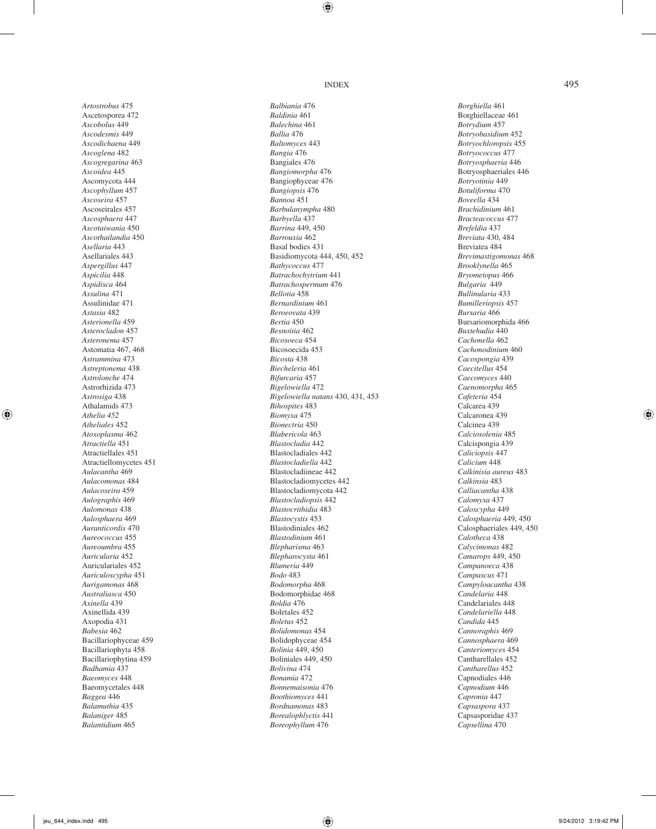*Artostrobus* 475 Ascetosporea 472 *Ascobolus* 449 *Ascodesmis* 449 *Ascodichaena* 449 *Ascoglena* 482 *Ascogregarina* 463 *Ascoidea* 445 Ascomycota 444 *Ascophyllum* 457 *Ascoseira* 457 Ascoseirales 457 *Ascosphaera* 447 *Ascotaiwania* 450 *Ascothailandia* 450 *Asellaria* 443 Asellariales 443 *Aspergillus* 447 *Aspicilia* 448 *Aspidisca* 464 *Assulina* 471 Assulinidae 471 *Astasia* 482 *Asterionella* 459 *Asterocladon* 457 *Asteronema* 457 Astomatia 467, 468 *Astrammina* 473 *Astreptonema* 438 *Astrolonche* 474 Astrorhizida 473 *Astrosiga* 438 Athalamids 473 *Athelia 452 Atheliales* 452 *Atoxoplasma* 462 *Atractiella* 451 Atractiellales 451 Atractiellomycetes 451 *Aulacantha* 469 *Aulacomonas* 484 *Aulacoseira* 459 *Aulographis* 469 *Aulomonas* 438 *Aulosphaera* 469 *Auranticordis* 470 *Aureococcus* 455 *Aureoumbra* 455 *Auricularia* 452 Auriculariales 452 *Auriculoscypha* 451 *Aurigamonas* 468 *Australiasca* 450 *Axinella* 439 Axinellida 439 Axopodia 431 *Babesia* 462 Bacillariophyceae 459 Bacillariophyta 458 Bacillariophytina 459 *Badhamia* 437 *Baeomyces* 448 Baeomycetales 448 *Baggea* 446 *Balamuthia* 435 *Balaniger* 485

*Balantidium* 465

## *Balbiania* 476 *Baldinia* 461 *Balechina* 461 *Ballia* 476 *Baltomyces* 443 *Bangia* 476 Bangiales 476 *Bangiomorpha* 476 Bangiophyceae 476 *Bangiopsis* 476 *Bannoa* 451 *Barbulanympha* 480 *Barbyella* 437 *Barrina* 449, 450 *Barrouxia* 462 Basal bodies 431 Basidiomycota 444, 450, 452 *Bathycoccus* 477 *Batrachochytrium* 441 *Batrachospermum* 476 *Bellotia* 458 *Bernardinium* 461 *Beroeovata* 439 *Bertia* 450 *Besnoitia* 462 *Bicosoeca* 454 Bicosoecida 453 *Bicosta* 438 *Biecheleria* 461 *Bifurcaria* 457 *Bigelowiella* 472 *Bigelowiella natans* 430, 431, 453 *Bihospites* 483 *Biomyxa* 475 *Bionectria* 450 *Blabericola* 463 *Blastocladia* 442 Blastocladiales 442 *Blastocladiella* 442 Blastocladiineae 442 Blastocladiomycetes 442 Blastocladiomycota 442 *Blastocladiopsis* 442 *Blastocrithidia* 483 *Blastocystis* 453 Blastodiniales 462 *Blastodinium* 461 *Blepharisma* 463 *Blepharocysta* 461 *Blumeria* 449 *Bodo* 483 *Bodomorpha* 468 Bodomorphidae 468 *Boldia* 476 Boletales 452 *Boletus* 452 *Bolidomonas* 454 Bolidophyceae 454 *Bolinia* 449, 450 Boliniales 449, 450 *Bolivina* 474 *Bonamia* 472 *Bonnemaisonia* 476 *Boothiomyces* 441

*Bordnamonas* 483 *Borealophlyctis* 441 *Boreophyllum* 476

## *Borghiella* 461 Borghiellaceae 461 *Botrydium* 457 *Botryobasidium* 452 *Botryochloropsis* 455 *Botryococcus* 477 *Botryosphaeria* 446 Botryosphaeriales 446 *Botryotinia* 449 *Botuliforma* 470 *Boveella* 434 *Brachidinium* 461 *Bracteacoccus* 477 *Brefeldia* 437 *Breviata* 430, 484 Breviatea 484 *Brevimastigomonas* 468 *Brooklynella* 465 *Bryometopus* 466 *Bulgaria* 449 *Bullinularia* 433 *Bumilleriopsis* 457 *Bursaria* 466 Bursariomorphida 466 *Buxtehudia* 440 *Cachonella* 462 *Cachonodinium* 460 *Cacospongia* 439 *Caecitellus* 454 *Caecomyces* 440 *Caenomorpha* 465 *Cafeteria* 454 Calcarea 439 Calcaronea 439 Calcinea 439 *Calciosolenia* 485 Calcispongia 439 *Caliciopsis* 447 *Calicium* 448 *Calkinisia aureus* 483 *Calkinsia* 483 *Calliacantha* 438 *Calomyxa* 437 *Caloscypha* 449 *Calosphaeria* 449, 450 Calosphaeriales 449, 450 *Calotheca* 438 *Calycimonas* 482 *Camarops* 449, 450 *Campanoeca* 438 *Campascus* 471 *Campyloacantha* 438 *Candelaria* 448 Candelariales 448 *Candelariella* 448 *Candida* 445 *Cannoraphis* 469 *Cannosphaera* 469 *Canteriomyces* 454 Cantharellales 452 *Cantharellus* 452 Capnodiales 446 *Capnodium* 446 *Capronia* 447 *Capsaspora* 437 Capsasporidae 437 *Capsellina* 470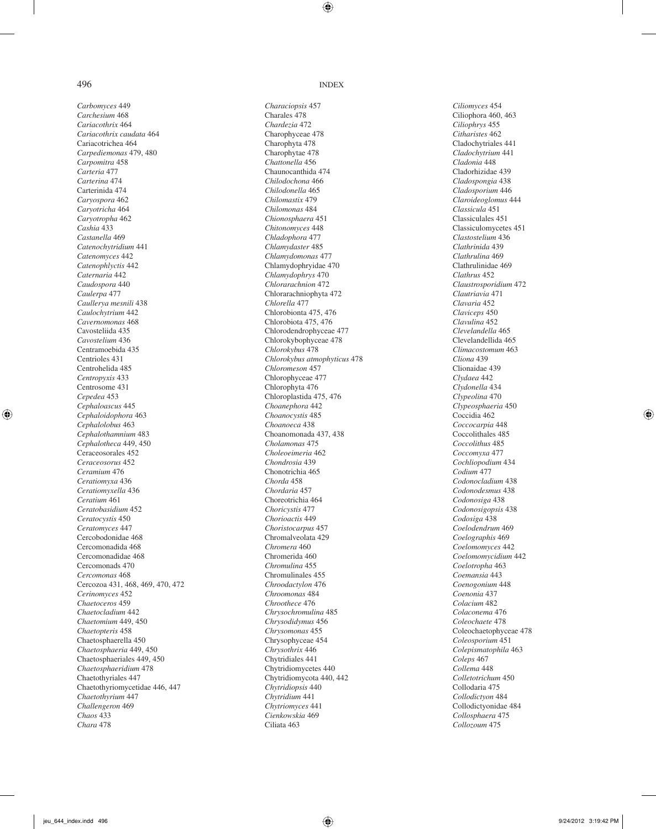*Carbomyces* 449 *Carchesium* 468 *Cariacothrix* 464 *Cariacothrix caudata* 464 Cariacotrichea 464 *Carpediemonas* 479, 480 *Carpomitra* 458 *Carteria* 477 *Carterina* 474 Carterinida 474 *Caryospora* 462 *Caryotricha* 464 *Caryotropha* 462 *Cashia* 433 *Castanella* 469 *Catenochytridium* 441 *Catenomyces* 442 *Catenophlyctis* 442 *Caternaria* 442 *Caudospora* 440 *Caulerpa* 477 *Caullerya mesnili* 438 *Caulochytrium* 442 *Cavernomonas* 468 Cavosteliida 435 *Cavostelium* 436 Centramoebida 435 Centrioles 431 Centrohelida 485 *Centropyxis* 433 Centrosome 431 *Cepedea* 453 *Cephaloascus* 445 *Cephaloidophora* 463 *Cephalolobus* 463 *Cephalothamnium* 483 *Cephalotheca* 449, 450 Ceraceosorales 452 *Ceraceosorus* 452 *Ceramium* 476 *Ceratiomyxa* 436 *Ceratiomyxella* 436 *Ceratium* 461 *Ceratobasidium* 452 *Ceratocystis* 450 *Ceratomyces* 447 Cercobodonidae 468 Cercomonadida 468 Cercomonadidae 468 Cercomonads 470 *Cercomonas* 468 Cercozoa 431, 468, 469, 470, 472 *Cerinomyces* 452 *Chaetoceros* 459 *Chaetocladium* 442 *Chaetomium* 449, 450 *Chaetopteris* 458 Chaetosphaerella 450 *Chaetosphaeria* 449, 450 Chaetosphaeriales 449, 450 *Chaetosphaeridium* 478 Chaetothyriales 447 Chaetothyriomycetidae 446, 447 *Chaetothyrium* 447 *Challengeron* 469 *Chaos* 433 *Chara* 478

## 496 INDEX

*Characiopsis* 457 Charales 478 *Chardezia* 472 Charophyceae 478 Charophyta 478 Charophytae 478 *Chattonella* 456 Chaunocanthida 474 *Chilodochona* 466 *Chilodonella* 465 *Chilomastix* 479 *Chilomonas* 484 *Chionosphaera* 451 *Chitonomyces* 448 *Chladophora* 477 *Chlamydaster* 485 *Chlamydomonas* 477 Chlamydophryidae 470 *Chlamydophrys* 470 *Chlorarachnion* 472 Chlorarachniophyta 472 *Chlorella* 477 Chlorobionta 475, 476 Chlorobiota 475, 476 Chlorodendrophyceae 477 Chlorokybophyceae 478 *Chlorokybus* 478 *Chlorokybus atmophyticus* 478 *Chloromeson* 457 Chlorophyceae 477 Chlorophyta 476 Chloroplastida 475, 476 *Choanephora* 442 *Choanocystis* 485 *Choanoeca* 438 Choanomonada 437, 438 *Cholamonas* 475 *Choleoeimeria* 462 *Chondrosia* 439 Chonotrichia 465 *Chorda* 458 *Chordaria* 457 Choreotrichia 464 *Choricystis* 477 *Chorioactis* 449 *Choristocarpus* 457 Chromalveolata 429 *Chromera* 460 Chromerida 460 *Chromulina* 455 Chromulinales 455 *Chroodactylon* 476 *Chroomonas* 484 *Chroothece* 476 *Chrysochromulina* 485 *Chrysodidymus* 456 *Chrysomonas* 455 Chrysophyceae 454 *Chrysothrix* 446 Chytridiales 441 Chytridiomycetes 440 Chytridiomycota 440, 442 *Chytridiopsis* 440 *Chytridium* 441 *Chytriomyces* 441 *Cienkowskia* 469 Ciliata 463

*Ciliomyces* 454 Ciliophora 460, 463 *Ciliophrys* 455 *Citharistes* 462 Cladochytriales 441 *Cladochytrium* 441 *Cladonia* 448 Cladorhizidae 439 *Cladospongia* 438 *Cladosporium* 446 *Claroideoglomus* 444 *Classicula* 451 Classiculales 451 Classiculomycetes 451 *Clastostelium* 436 *Clathrinida* 439 *Clathrulina* 469 Clathrulinidae 469 *Clathrus* 452 *Claustrosporidium* 472 *Clautriavia* 471 *Clavaria* 452 *Claviceps* 450 *Clavulina* 452 *Clevelandella* 465 Clevelandellida 465 *Climacostomum* 463 *Cliona* 439 Clionaidae 439 *Clydaea* 442 *Clydonella* 434 *Clypeolina* 470 *Clypeosphaeria* 450 Coccidia 462 *Coccocarpia* 448 Coccolithales 485 *Coccolithus* 485 *Coccomyxa* 477 *Cochliopodium* 434 *Codium* 477 *Codonocladium* 438 *Codonodesmus* 438 *Codonosiga* 438 *Codonosigopsis* 438 *Codosiga* 438 *Coelodendrum* 469 *Coelographis* 469 *Coelomomyces* 442 *Coelomomycidium* 442 *Coelotropha* 463 *Coemansia* 443 *Coenogonium* 448 *Coenonia* 437 *Colacium* 482 *Colaconema* 476 *Coleochaete* 478 Coleochaetophyceae 478 *Coleosporium* 451 *Colepismatophila* 463 *Coleps* 467 *Collema* 448 *Colletotrichum* 450 Collodaria 475 *Collodictyon* 484 Collodictyonidae 484 *Collosphaera* 475 *Collozoum* 475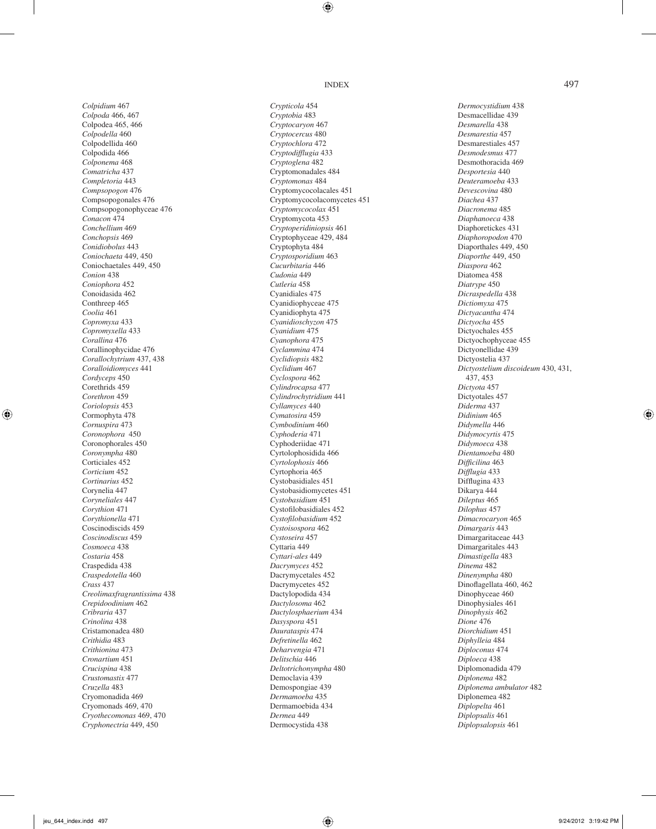*Colpidium* 467 *Colpoda* 466, 467 Colpodea 465, 466 *Colpodella* 460 Colpodellida 460 Colpodida 466 *Colponema* 468 *Comatricha* 437 *Completoria* 443 *Compsopogon* 476 Compsopogonales 476 Compsopogonophyceae 476 *Conacon* 474 *Conchellium* 469 *Conchopsis* 469 *Conidiobolus* 443 *Coniochaeta* 449, 450 Coniochaetales 449, 450 *Conion* 438 *Coniophora* 452 Conoidasida 462 Conthreep 465 *Coolia* 461 *Copromyxa* 433 *Copromyxella* 433 *Corallina* 476 Corallinophycidae 476 *Corallochytrium* 437, 438 *Coralloidiomyces* 441 *Cordyceps* 450 Corethrids 459 *Corethron* 459 *Coriolopsis* 453 Cormophyta 478 *Cornuspira* 473 *Coronophora* 450 Coronophorales 450 *Coronympha* 480 Corticiales 452 *Corticium* 452 *Cortinarius* 452 Corynelia 447 *Coryneliales* 447 *Corythion* 471 *Corythionella* 471 Coscinodiscids 459 *Coscinodiscus* 459 *Cosmoeca* 438 *Costaria* 458 Craspedida 438 *Craspedotella* 460 *Crass* 437 *Creolimaxfragrantissima* 438 *Crepidoodinium* 462 *Cribraria* 437 *Crinolina* 438 Cristamonadea 480 *Crithidia* 483 *Crithionina* 473 *Cronartium* 451 *Crucispina* 438 *Crustomastix* 477 *Cruzella* 483 Cryomonadida 469 Cryomonads 469, 470 *Cryothecomonas* 469, 470 *Cryphonectria* 449, 450

## INDEX 497

*Crypticola* 454 *Cryptobia* 483 *Cryptocaryon* 467 *Cryptocercus* 480 *Cryptochlora* 472 *Cryptodifflugia* 433 *Cryptoglena* 482 Cryptomonadales 484 *Cryptomonas* 484 Cryptomycocolacales 451 Cryptomycocolacomycetes 451 *Cryptomycocolax* 451 Cryptomycota 453 *Cryptoperidiniopsis* 461 Cryptophyceae 429, 484 Cryptophyta 484 *Cryptosporidium* 463 *Cucurbitaria* 446 *Cudonia* 449 *Cutleria* 458 Cyanidiales 475 Cyanidiophyceae 475 Cyanidiophyta 475 *Cyanidioschyzon* 475 *Cyanidium* 475 *Cyanophora* 475 *Cyclammina* 474 *Cyclidiopsis* 482 *Cyclidium* 467 *Cyclospora* 462 *Cylindrocapsa* 477 *Cylindrochytridium* 441 *Cyllamyces* 440 *Cymatosira* 459 *Cymbodinium* 460 *Cyphoderia* 471 Cyphoderiidae 471 Cyrtolophosidida 466 *Cyrtolophosis* 466 Cyrtophoria 465 Cystobasidiales 451 Cystobasidiomycetes 451 *Cystobasidium* 451 Cystofilobasidiales 452 *Cystofilobasidium* 452 *Cystoisospora* 462 *Cystoseira* 457 Cyttaria 449 *Cyttari-ales* 449 *Dacrymyces* 452 Dacrymycetales 452 Dacrymycetes 452 Dactylopodida 434 *Dactylosoma* 462 *Dactylosphaerium* 434 *Dasyspora* 451 *Daurataspis* 474 *Defretinella* 462 *Deharvengia* 471 *Delitschia* 446 *Deltotrichonympha* 480 Democlavia 439 Demospongiae 439 *Dermamoeba* 435 Dermamoebida 434 *Dermea* 449 Dermocystida 438

*Dermocystidium* 438 Desmacellidae 439 *Desmarella* 438 *Desmarestia* 457 Desmarestiales 457 *Desmodesmus* 477 Desmothoracida 469 *Desportesia* 440 *Deuteramoeba* 433 *Devescovina* 480 *Diachea* 437 *Diacronema* 485 *Diaphanoeca* 438 Diaphoretickes 431 *Diaphoropodon* 470 Diaporthales 449, 450 *Diaporthe* 449, 450 *Diaspora* 462 Diatomea 458 *Diatrype* 450 *Dicraspedella* 438 *Dictiomyxa* 475 *Dictyacantha* 474 *Dictyocha* 455 Dictyochales 455 Dictyochophyceae 455 Dictyonellidae 439 Dictyostelia 437 *Dictyostelium discoideum* 430, 431, 437, 453 *Dictyota* 457 Dictyotales 457 *Diderma* 437 *Didinium* 465 *Didymella* 446 *Didymocyrtis* 475 *Didymoeca* 438 *Dientamoeba* 480 *Difficilina* 463 *Difflugia* 433 Difflugina 433 Dikarya 444 *Dileptus* 465 *Dilophus* 457 *Dimacrocaryon* 465 *Dimargaris* 443 Dimargaritaceae 443 Dimargaritales 443 *Dimastigella* 483 *Dinema* 482 *Dinenympha* 480 Dinoflagellata 460, 462 Dinophyceae 460 Dinophysiales 461 *Dinophysis* 462 *Dione* 476 *Diorchidium* 451 *Diphylleia* 484 *Diploconus* 474 *Diploeca* 438 Diplomonadida 479 *Diplonema* 482 *Diplonema ambulator* 482 Diplonemea 482 *Diplopelta* 461 *Diplopsalis* 461 *Diplopsalopsis* 461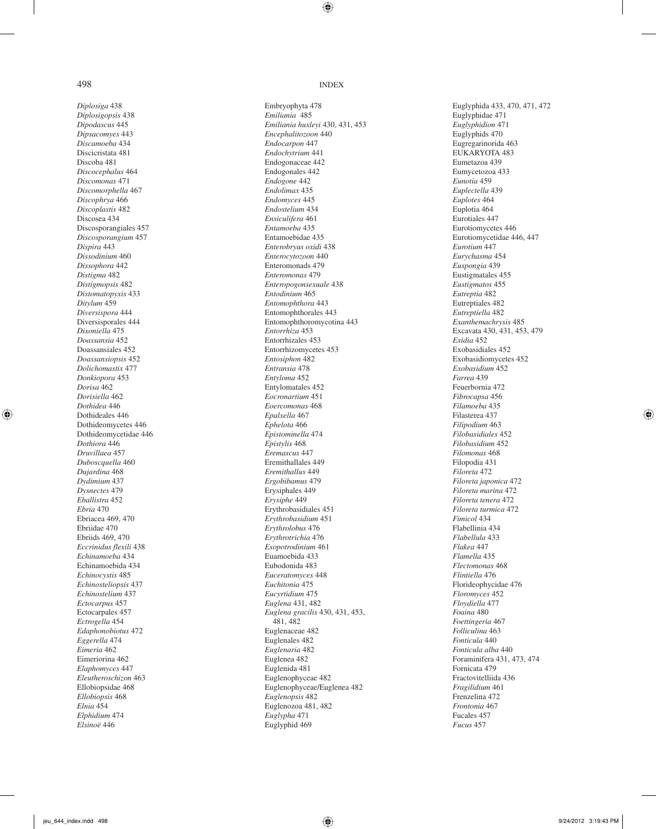*Diplosiga* 438 *Diplosigopsis* 438 *Dipodascus* 445 *Dipsacomyes* 443 *Discamoeba* 434 Discicristata 481 Discoba 481 *Discocephalus* 464 *Discomonas* 471 *Discomorphella* 467 *Discophrya* 466 *Discoplastis* 482 Discosea 434 Discosporangiales 457 *Discosporangium* 457 *Dispira* 443 *Dissodinium* 460 *Dissophora* 442 *Distigma* 482 *Distigmopsis* 482 *Distomatopyxis* 433 *Ditylum* 459 *Diversispora* 444 Diversisporales 444 *Dixoniella* 475 *Doassansia* 452 Doassansiales 452 *Doassansiopsis* 452 *Dolichomastix* 477 *Donkiopora* 453 *Dorisa* 462 *Dorisiella* 462 *Dothidea* 446 Dothideales 446 Dothideomycetes 446 Dothideomycetidae 446 *Dothiora* 446 *Druvillaea* 457 *Duboscquella* 460 *Dujardina* 468 *Dydimium* 437 *Dysnectes* 479 *Eballistra* 452 *Ebria* 470 Ebriacea 469, 470 Ebriidae 470 Ebriids 469, 470 *Eccrinidus flexili* 438 *Echinamoeba* 434 Echinamoebida 434 *Echinocystis* 485 *Echinosteliopsis* 437 *Echinostelium* 437 *Ectocarpus* 457 Ectocarpales 457 *Ectrogella* 454 *Edaphonobiotus* 472 *Eggerella* 474 *Eimeria* 462 Eimeriorina 462 *Elaphomyces* 447 *Eleutheroschizon* 463 Ellobiopsidae 468 *Ellobiopsis* 468 *Elnia* 454 *Elphidium* 474 *Elsinoë* 446

## 498 INDEX

Embryophyta 478 *Emiliania* 485 *Emiliania huxleyi* 430, 431, 453 *Encephalitozoon* 440 *Endocarpon* 447 *Endochytrium* 441 Endogonaceae 442 Endogonales 442 *Endogone* 442 *Endolimax* 435 *Endomyces* 445 *Endostelium* 434 *Ensiculifera* 461 *Entamoeba* 435 Entamoebidae 435 *Enterobryus oxidi* 438 *Enterocytozoon* 440 Enteromonads 479 *Enteromonas* 479 *Enteropogonsexuale* 438 *Entodinium* 465 *Entomophthora* 443 Entomophthorales 443 Entomophthoromycotina 443 *Entorrhiza* 453 Entorrhizales 453 Entorrhizomycetes 453 *Entosiphon* 482 *Entransia* 478 *Entyloma* 452 Entylomatales 452 *Eocronartium* 451 *Eoercomonas* 468 *Epalxella* 467 *Ephelota* 466 *Epistominella* 474 *Epistylis* 468 *Eremascus* 447 Eremithallales 449 *Eremithallus* 449 *Ergobibamus* 479 Erysiphales 449 *Erysiphe* 449 Erythrobasidiales 451 *Erythrobasidium* 451 *Erythrolobus* 476 *Erythrotrichia* 476 *Esopotrodinium* 461 Euamoebida 433 Eubodonida 483 *Euceratomyces* 448 *Euchitonia* 475 *Eucyrtidium* 475 *Euglena* 431, 482 *Euglena gracilis* 430, 431, 453, 481, 482 Euglenaceae 482 Euglenales 482 *Euglenaria* 482 Euglenea 482 Euglenida 481 Euglenophyceae 482 Euglenophyceae/Euglenea 482 *Euglenopsis* 482 Euglenozoa 481, 482 *Euglypha* 471 Euglyphid 469

Euglyphida 433, 470, 471, 472 Euglyphidae 471 *Euglyphidion* 471 Euglyphids 470 Eugregarinorida 463 EUKARYOTA 483 Eumetazoa 439 Eumycetozoa 433 *Eunotia* 459 *Euplectella* 439 *Euplotes* 464 Euplotia 464 Eurotiales 447 Eurotiomycetes 446 Eurotiomycetidae 446, 447 *Eurotium* 447 *Eurychasma* 454 *Euspongia* 439 Eustigmatales 455 *Eustigmatos* 455 *Eutreptia* 482 Eutreptiales 482 *Eutreptiella* 482 *Exanthemachrysis* 485 Excavata 430, 431, 453, 479 *Exidia* 452 Exobasidiales 452 Exobasidiomycetes 452 *Exobasidium* 452 *Farrea* 439 Feuerbornia 472 *Fibrocapsa* 456 *Filamoeba* 435 Filasterea 437 *Filipodium* 463 *Filobasidiales* 452 *Filobasidium* 452 *Filomonas* 468 Filopodia 431 *Filoreta* 472 *Filoreta japonica* 472 *Filoreta marina* 472 *Filoreta tenera* 472 *Filoreta turmica* 472 *Fimicol* 434 Flabellinia 434 *Flabellula* 433 *Flakea* 447 *Flamella* 435 *Flectomonas* 468 *Flintiella* 476 Florideophycidae 476 *Floromyces* 452 *Floydiella* 477 *Foaina* 480 *Foettingeria* 467 *Folliculina* 463 *Fonticula* 440 *Fonticula alba* 440 Foraminifera 431, 473, 474 Fornicata 479 Fractovitelliida 436 *Fragilidium* 461 Frenzelina 472 *Frontonia* 467 Fucales 457 *Fucus* 457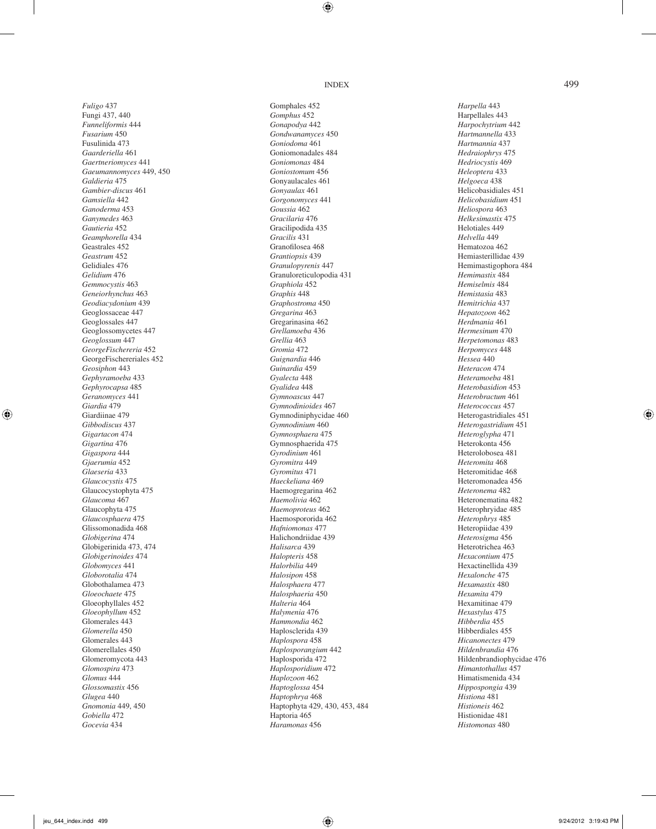*Fuligo* 437 Fungi 437, 440 *Funneliformis* 444 *Fusarium* 450 Fusulinida 473 *Gaarderiella* 461 *Gaertneriomyces* 441 *Gaeumannomyces* 449, 450 *Galdieria* 475 *Gambier-discus* 461 *Gamsiella* 442 *Ganoderma* 453 *Ganymedes* 463 *Gautieria* 452 *Geamphorella* 434 Geastrales 452 *Geastrum* 452 Gelidiales 476 *Gelidium* 476 *Gemmocystis* 463 *Geneiorhynchus* 463 *Geodiacydonium* 439 Geoglossaceae 447 Geoglossales 447 Geoglossomycetes 447 *Geoglossum* 447 *GeorgeFischereria* 452 GeorgeFischereriales 452 *Geosiphon* 443 *Gephyramoeba* 433 *Gephyrocapsa* 485 *Geranomyces* 441 *Giardia* 479 Giardiinae 479 *Gibbodiscus* 437 *Gigartacon* 474 *Gigartina* 476 *Gigaspora* 444 *Gjaerumia* 452 *Glaeseria* 433 *Glaucocystis* 475 Glaucocystophyta 475 *Glaucoma* 467 Glaucophyta 475 *Glaucosphaera* 475 Glissomonadida 468 *Globigerina* 474 Globigerinida 473, 474 *Globigerinoides* 474 *Globomyces* 441 *Globorotalia* 474 Globothalamea 473 *Gloeochaete* 475 Gloeophyllales 452 *Gloeophyllum* 452 Glomerales 443 *Glomerella* 450 Glomerales 443 Glomerellales 450 Glomeromycota 443 *Glomospira* 473 *Glomus* 444 *Glossomastix* 456 *Glugea* 440 *Gnomonia* 449, 450 *Gobiella* 472 *Gocevia* 434

Gomphales 452 *Gomphus* 452 *Gonapodya* 442 *Gondwanamyces* 450 *Goniodoma* 461 Goniomonadales 484 *Goniomonas* 484 *Goniostomum* 456 Gonyaulacales 461 *Gonyaulax* 461 *Gorgonomyces* 441 *Goussia* 462 *Gracilaria* 476 Gracilipodida 435 *Gracilis* 431 Granofi losea 468 *Grantiopsis* 439 *Granulopyrenis* 447 Granuloreticulopodia 431 *Graphiola* 452 *Graphis* 448 *Graphostroma* 450 *Gregarina* 463 Gregarinasina 462 *Grellamoeba* 436 *Grellia* 463 *Gromia* 472 *Guignardia* 446 *Guinardia* 459 *Gyalecta* 448 *Gyalidea* 448 *Gymnoascus* 447 *Gymnodinioides* 467 Gymnodiniphycidae 460 *Gymnodinium* 460 *Gymnosphaera* 475 Gymnosphaerida 475 *Gyrodinium* 461 *Gyromitra* 449 *Gyromitus* 471 *Haeckeliana* 469 Haemogregarina 462 *Haemolivia* 462 *Haemoproteus* 462 Haemospororida 462 *Hafniomonas* 477 Halichondriidae 439 *Halisarca* 439 *Halopteris* 458 *Halorbilia* 449 *Halosipon* 458 *Halosphaera* 477 *Halosphaeria* 450 *Halteria* 464 *Halymenia* 476 *Hammondia* 462 Haplosclerida 439 *Haplospora* 458 *Haplosporangium* 442 Haplosporida 472 *Haplosporidium* 472

*Haplozoon* 462 *Haptoglossa* 454 *Haptophrya* 468

Haptoria 465 *Haramonas* 456

Haptophyta 429, 430, 453, 484

*Harpella* 443 Harpellales 443 *Harpochytrium* 442 *Hartmannella* 433 *Hartmannia* 437 *Hedraiophrys* 475 *Hedriocystis* 469 *Heleoptera* 433 *Helgoeca* 438 Helicobasidiales 451 *Helicobasidium* 451 *Heliospora* 463 *Helkesimastix* 475 Helotiales 449 *Helvella* 449 Hematozoa 462 Hemiasterillidae 439 Hemimastigophora 484 *Hemimastix* 484 *Hemiselmis* 484 *Hemistasia* 483 *Hemitrichia* 437 *Hepatozoon* 462 *Herdmania* 461 *Hermesinum* 470 *Herpetomonas* 483 *Herpomyces* 448 *Hessea* 440 *Heteracon* 474 *Heteramoeba* 481 *Heterobasidion* 453 *Heterobractum* 461 *Heterococcus* 457 Heterogastridiales 451 *Heterogastridium* 451 *Heteroglypha* 471 Heterokonta 456 Heterolobosea 481 *Heteromita* 468 Heteromitidae 468 Heteromonadea 456 *Heteronema* 482 Heteronematina 482 Heterophryidae 485 *Heterophrys* 485 Heteropiidae 439 *Heterosigma* 456 Heterotrichea 463 *Hexacontium* 475 Hexactinellida 439 *Hexalonche* 475 *Hexamastix* 480 *Hexamita* 479 Hexamitinae 479 *Hexastylus* 475 *Hibberdia* 455 Hibberdiales 455 *Hicanonectes* 479 *Hildenbrandia* 476 Hildenbrandiophycidae 476 *Himantothallus* 457 Himatismenida 434 *Hippospongia* 439 *Histiona* 481 *Histioneis* 462 Histionidae 481 *Histomonas* 480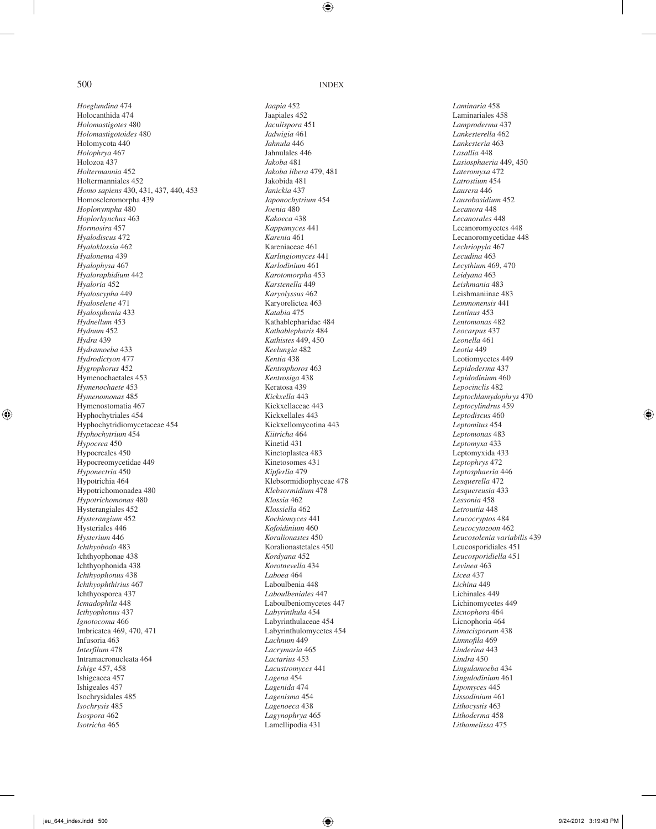*Hoeglundina* 474 Holocanthida 474 *Holomastigotes* 480 *Holomastigotoides* 480 Holomycota 440 *Holophrya* 467 Holozoa 437 *Holtermannia* 452 Holtermanniales 452 *Homo sapiens* 430, 431, 437, 440, 453 Homoscleromorpha 439 *Hoplonympha* 480 *Hoplorhynchus* 463 *Hormosira* 457 *Hyalodiscus* 472 *Hyaloklossia* 462 *Hyalonema* 439 *Hyalophysa* 467 *Hyaloraphidium* 442 *Hyaloria* 452 *Hyaloscypha* 449 *Hyaloselene* 471 *Hyalosphenia* 433 *Hydnellum* 453 *Hydnum* 452 *Hydra* 439 *Hydramoeba* 433 *Hydrodictyon* 477 *Hygrophorus* 452 Hymenochaetales 453 *Hymenochaete* 453 *Hymenomonas* 485 Hymenostomatia 467 Hyphochytriales 454 Hyphochytridiomycetaceae 454 *Hyphochytrium* 454 *Hypocrea* 450 Hypocreales 450 Hypocreomycetidae 449 *Hyponectria* 450 Hypotrichia 464 Hypotrichomonadea 480 *Hypotrichomonas* 480 Hysterangiales 452 *Hysterangium* 452 Hysteriales 446 *Hysterium* 446 *Ichthyobodo* 483 Ichthyophonae 438 Ichthyophonida 438 *Ichthyophonus* 438 *Ichthyophthirius* 467 Ichthyosporea 437 *Icmadophila* 448 *Icthyophonus* 437 *Ignotocoma* 466 Imbricatea 469, 470, 471 Infusoria 463 *Interfilum* 478 Intramacronucleata 464 *Ishige* 457, 458 Ishigeacea 457 Ishigeales 457 Isochrysidales 485 *Isochrysis* 485 *Isospora* 462 *Isotricha* 465

# 500 INDEX

*Jaapia* 452 Jaapiales 452 *Jaculispora* 451 *Jadwigia* 461 *Jahnula* 446 Jahnulales 446 *Jakoba* 481 *Jakoba libera* 479, 481 Jakobida 481 *Janickia* 437 *Japonochytrium* 454 *Joenia* 480 *Kakoeca* 438 *Kappamyces* 441 *Karenia* 461 Kareniaceae 461 *Karlingiomyces* 441 *Karlodinium* 461 *Karotomorpha* 453 *Karstenella* 449 *Karyolyssus* 462 Karyorelictea 463 *Katabia* 475 Kathablepharidae 484 *Kathablepharis* 484 *Kathistes* 449, 450 *Keelungia* 482 *Kentia* 438 *Kentrophoros* 463 *Kentrosiga* 438 Keratosa 439 *Kickxella* 443 Kickxellaceae 443 Kickxellales 443 Kickxellomycotina 443 *Kiitricha* 464 Kinetid 431 Kinetoplastea 483 Kinetosomes 431 *Kipferlia* 479 Klebsormidiophyceae 478 *Klebsormidium* 478 *Klossia* 462 *Klossiella* 462 *Kochiomyces* 441 *Kofoidinium* 460 *Koralionastes* 450 Koralionastetales 450 *Kordyana* 452 *Korotnevella* 434 *Laboea* 464 Laboulbenia 448 *Laboulbeniales* 447 Laboulbeniomycetes 447 *Labyrinthula* 454 Labyrinthulaceae 454 Labyrinthulomycetes 454 *Lachnum* 449 *Lacrymaria* 465 *Lactarius* 453 *Lacustromyces* 441 *Lagena* 454 *Lagenida* 474 *Lagenisma* 454 *Lagenoeca* 438 *Lagynophrya* 465 Lamellipodia 431

*Laminaria* 458 Laminariales 458 *Lamproderma* 437 *Lankesterella* 462 *Lankesteria* 463 *Lasallia* 448 *Lasiosphaeria* 449, 450 *Lateromyxa* 472 *Latrostium* 454 *Laurera* 446 *Laurobasidium* 452 *Lecanora* 448 *Lecanorales* 448 Lecanoromycetes 448 Lecanoromycetidae 448 *Lechriopyla* 467 *Lecudina* 463 *Lecythium* 469, 470 *Leidyana* 463 *Leishmania* 483 Leishmaniinae 483 *Lemmonensis* 441 *Lentinus* 453 *Lentomonas* 482 *Leocarpus* 437 *Leonella* 461 *Leotia* 449 Leotiomycetes 449 *Lepidoderma* 437 *Lepidodinium* 460 *Lepocinclis* 482 *Leptochlamydophrys* 470 *Leptocylindrus* 459 *Leptodiscus* 460 *Leptomitus* 454 *Leptomonas* 483 *Leptomyxa* 433 Leptomyxida 433 *Leptophrys* 472 *Leptosphaeria* 446 *Lesquerella* 472 *Lesquereusia* 433 *Lessonia* 458 *Letrouitia* 448 *Leucocryptos* 484 *Leucocytozoon* 462 *Leucosolenia variabilis* 439 Leucosporidiales 451 *Leucosporidiella* 451 *Levinea* 463 *Licea* 437 *Lichina* 449 Lichinales 449 Lichinomycetes 449 *Licnophora* 464 Licnophoria 464 *Limacisporum* 438 *Limnofila* 469 *Linderina* 443 *Lindra* 450 *Lingulamoeba* 434 *Lingulodinium* 461 *Lipomyces* 445 *Lissodinium* 461 *Lithocystis* 463 *Lithoderma* 458 *Lithomelissa* 475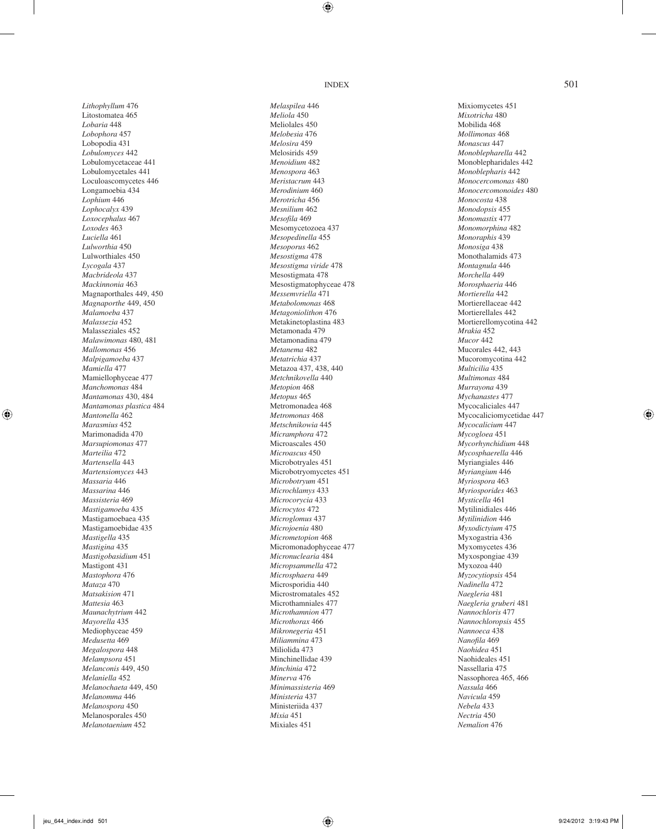*Lithophyllum* 476 Litostomatea 465 *Lobaria* 448 *Lobophora* 457 Lobopodia 431 *Lobulomyces* 442 Lobulomycetaceae 441 Lobulomycetales 441 Loculoascomycetes 446 Longamoebia 434 *Lophium* 446 *Lophocalyx* 439 *Loxocephalus* 467 *Loxodes* 463 *Luciella* 461 *Lulworthia* 450 Lulworthiales 450 *Lycogala* 437 *Macbrideola* 437 *Mackinnonia* 463 Magnaporthales 449, 450 *Magnaporthe* 449, 450 *Malamoeba* 437 *Malassezia* 452 Malasseziales 452 *Malawimonas* 480, 481 *Mallomonas* 456 *Malpigamoeba* 437 *Mamiella* 477 Mamiellophyceae 477 *Manchomonas* 484 *Mantamonas* 430, 484 *Mantamonas plastica* 484 *Mantonella* 462 *Marasmius* 452 Marimonadida 470 *Marsupiomonas* 477 *Marteilia* 472 *Martensella* 443 *Martensiomyces* 443 *Massaria* 446 *Massarina* 446 *Massisteria* 469 *Mastigamoeba* 435 Mastigamoebaea 435 Mastigamoebidae 435 *Mastigella* 435 *Mastigina* 435 *Mastigobasidium* 451 Mastigont 431 *Mastophora* 476 *Mataza* 470 *Matsakision* 471 *Mattesia* 463 *Maunachytrium* 442 *Mayorella* 435 Mediophyceae 459 *Medusetta* 469 *Megalospora* 448 *Melampsora* 451 *Melanconis* 449, 450 *Melaniella* 452 *Melanochaeta* 449, 450 *Melanomma* 446 *Melanospora* 450 Melanosporales 450 *Melanotaenium* 452

### INDEX 501

*Melaspilea* 446 *Meliola* 450 Meliolales 450 *Melobesia* 476 *Melosira* 459 Melosirids 459 *Menoidium* 482 *Menospora* 463 *Meristacrum* 443 *Merodinium* 460 *Merotricha* 456 *Mesnilium* 462 *Mesofila* 469 Mesomycetozoea 437 *Mesopedinella* 455 *Mesoporus* 462 *Mesostigma* 478 *Mesostigma viride* 478 Mesostigmata 478 Mesostigmatophyceae 478 *Messemvriella* 471 *Metabolomonas* 468 *Metagoniolithon* 476 Metakinetoplastina 483 Metamonada 479 Metamonadina 479 *Metanema* 482 *Metatrichia* 437 Metazoa 437, 438, 440 *Metchnikovella* 440 *Metopion* 468 *Metopus* 465 Metromonadea 468 *Metromonas* 468 *Metschnikowia* 445 *Micramphora* 472 Microascales 450 *Microascus* 450 Microbotryales 451 Microbotryomycetes 451 *Microbotryum* 451 *Microchlamys* 433 *Microcorycia* 433 *Microcytos* 472 *Microglomus* 437 *Microjoenia* 480 *Micrometopion* 468 Micromonadophyceae 477 *Micronuclearia* 484 *Micropsammella* 472 *Microsphaera* 449 Microsporidia 440 Microstromatales 452 Microthamniales 477 *Microthamnion* 477 *Microthorax* 466 *Mikronegeria* 451 *Miliammina* 473 Miliolida 473 Minchinellidae 439 *Minchinia* 472 *Minerva* 476 *Minimassisteria* 469 *Ministeria* 437 Ministeriida 437 *Mixia* 451 Mixiales 451

Mixiomycetes 451 *Mixotricha* 480 Mobilida 468 *Mollimonas* 468 *Monascus* 447 *Monoblepharella* 442 Monoblepharidales 442 *Monoblepharis* 442 *Monocercomonas* 480 *Monocercomonoides* 480 *Monocosta* 438 *Monodopsis* 455 *Monomastix* 477 *Monomorphina* 482 *Monoraphis* 439 *Monosiga* 438 Monothalamids 473 *Montagnula* 446 *Morchella* 449 *Morosphaeria* 446 *Mortierella* 442 Mortierellaceae 442 Mortierellales 442 Mortierellomycotina 442 *Mrakia* 452 *Mucor* 442 Mucorales 442, 443 Mucoromycotina 442 *Multicilia* 435 *Multimonas* 484 *Murrayona* 439 *Mychanastes* 477 Mycocaliciales 447 Mycocaliciomycetidae 447 *Mycocalicium* 447 *Mycogloea* 451 *Mycorhynchidium* 448 *Mycosphaerella* 446 Myriangiales 446 *Myriangium* 446 *Myriospora* 463 *Myriosporides* 463 *Mysticella* 461 Mytilinidiales 446 *Mytilinidion* 446 *Myxodictyium* 475 Myxogastria 436 Myxomycetes 436 Myxospongiae 439 Myxozoa 440 *Myzocytiopsis* 454 *Nadinella* 472 *Naegleria* 481 *Naegleria gruberi* 481 *Nannochloris* 477 *Nannochloropsis* 455 *Nannoeca* 438 *Nanofila* 469 *Naohidea* 451 Naohideales 451 Nassellaria 475 Nassophorea 465, 466 *Nassula* 466 *Navicula* 459 *Nebela* 433 *Nectria* 450 *Nemalion* 476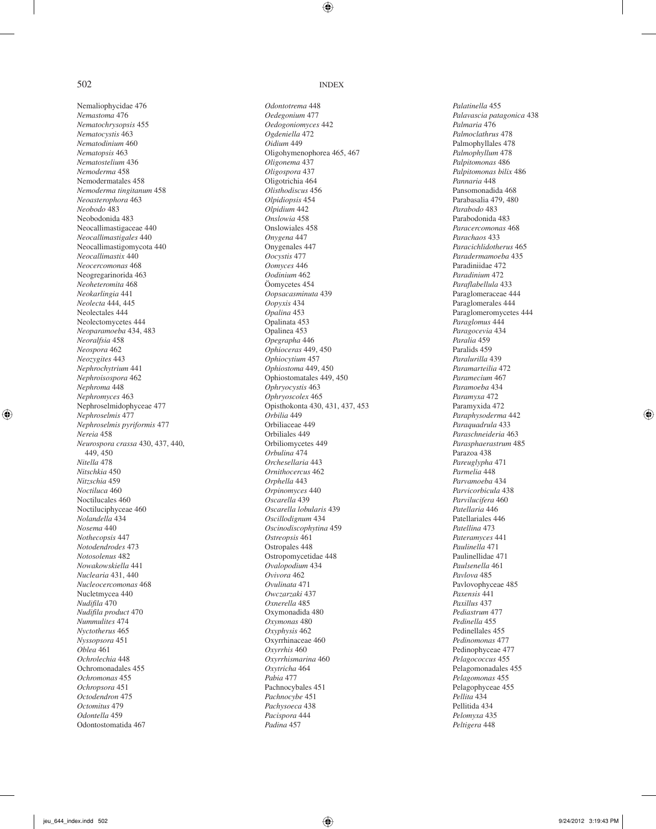Nemaliophycidae 476 *Nemastoma* 476 *Nematochrysopsis* 455 *Nematocystis* 463 *Nematodinium* 460 *Nematopsis* 463 *Nematostelium* 436 *Nemoderma* 458 Nemodermatales 458 *Nemoderma tingitanum* 458 *Neoasterophora* 463 *Neobodo* 483 Neobodonida 483 Neocallimastigaceae 440 *Neocallimastigales* 440 Neocallimastigomycota 440 *Neocallimastix* 440 *Neocercomonas* 468 Neogregarinorida 463 *Neoheteromita* 468 *Neokarlingia* 441 *Neolecta* 444, 445 Neolectales 444 Neolectomycetes 444 *Neoparamoeba* 434, 483 *Neoralfsia* 458 *Neospora* 462 *Neozygites* 443 *Nephrochytrium* 441 *Nephroisospora* 462 *Nephroma* 448 *Nephromyces* 463 Nephroselmidophyceae 477 *Nephroselmis* 477 *Nephroselmis pyriformis* 477 *Nereia* 458 *Neurospora crassa* 430, 437, 440, 449, 450 *Nitella* 478 *Nitschkia* 450 *Nitzschia* 459 *Noctiluca* 460 Noctilucales 460 Noctiluciphyceae 460 *Nolandella* 434 *Nosema* 440 *Nothecopsis* 447 *Notodendrodes* 473 *Notosolenus* 482 *Nowakowskiella* 441 *Nuclearia* 431, 440 *Nucleocercomonas* 468 Nucletmycea 440 *Nudifila* 470 *Nudifila product* 470 *Nummulites* 474 *Nyctotherus* 465 *Nyssopsora* 451 *Oblea* 461 *Ochrolechia* 448 Ochromonadales 455 *Ochromonas* 455 *Ochropsora* 451 *Octodendron* 475 *Octomitus* 479 *Odontella* 459 Odontostomatida 467

# 502 INDEX

*Odontotrema* 448 *Oedegonium* 477 *Oedogoniomyces* 442 *Ogdeniella* 472 *Oidium* 449 Oligohymenophorea 465, 467 *Oligonema* 437 *Oligospora* 437 Oligotrichia 464 *Olisthodiscus* 456 *Olpidiopsis* 454 *Olpidium* 442 *Onslowia* 458 Onslowiales 458 *Onygena* 447 Onygenales 447 *Oocystis* 477 *Oomyces* 446 *Oodinium* 462 Öomycetes 454 *Oopsacasminuta* 439 *Oopyxis* 434 *Opalina* 453 Opalinata 453 Opalinea 453 *Opegrapha* 446 *Ophioceras* 449, 450 *Ophiocytium* 457 *Ophiostoma* 449, 450 Ophiostomatales 449, 450 *Ophryocystis* 463 *Ophryoscolex* 465 Opisthokonta 430, 431, 437, 453 *Orbilia* 449 Orbiliaceae 449 Orbiliales 449 Orbiliomycetes 449 *Orbulina* 474 *Orchesellaria* 443 *Ornithocercus* 462 *Orphella* 443 *Orpinomyces* 440 *Oscarella* 439 *Oscarella lobularis* 439 *Oscillodignum* 434 *Oscinodiscophytina* 459 *Ostreopsis* 461 Ostropales 448 Ostropomycetidae 448 *Ovalopodium* 434 *Ovivora* 462 *Ovulinata* 471 *Owczarzaki* 437 *Oxnerella* 485 Oxymonadida 480 *Oxymonas* 480 *Oxyphysis* 462 Oxyrrhinaceae 460 *Oxyrrhis* 460 *Oxyrrhismarina* 460 *Oxytricha* 464 *Pabia* 477 Pachnocybales 451 *Pachnocybe* 451 *Pachysoeca* 438 *Pacispora* 444 *Padina* 457

*Palatinella* 455 *Palavascia patagonica* 438 *Palmaria* 476 *Palmoclathrus* 478 Palmophyllales 478 *Palmophyllum* 478 *Palpitomonas* 486 *Palpitomonas bilix* 486 *Pannaria* 448 Pansomonadida 468 Parabasalia 479, 480 *Parabodo* 483 Parabodonida 483 *Paracercomonas* 468 *Parachaos* 433 *Paracichlidotherus* 465 *Paradermamoeba* 435 Paradiniidae 472 *Paradinium* 472 *Paraflabellula* 433 Paraglomeraceae 444 Paraglomerales 444 Paraglomeromycetes 444 *Paraglomus* 444 *Paragocevia* 434 *Paralia* 459 Paralids 459 *Paralurilla* 439 *Paramarteilia* 472 *Paramecium* 467 *Paramoeba* 434 *Paramyxa* 472 Paramyxida 472 *Paraphysoderma* 442 *Paraquadrula* 433 *Paraschneideria* 463 *Parasphaerastrum* 485 Parazoa 438 *Pareuglypha* 471 *Parmelia* 448 *Parvamoeba* 434 *Parvicorbicula* 438 *Parvilucifera* 460 *Patellaria* 446 Patellariales 446 *Patellina* 473 *Pateramyces* 441 *Paulinella* 471 Paulinellidae 471 *Paulsenella* 461 *Pavlova* 485 Pavlovophyceae 485 *Paxensis* 441 *Paxillus* 437 *Pediastrum* 477 *Pedinella* 455 Pedinellales 455 *Pedinomonas* 477 Pedinophyceae 477 *Pelagococcus* 455 Pelagomonadales 455 *Pelagomonas* 455 Pelagophyceae 455 *Pellita* 434 Pellitida 434 *Pelomyxa* 435 *Peltigera* 448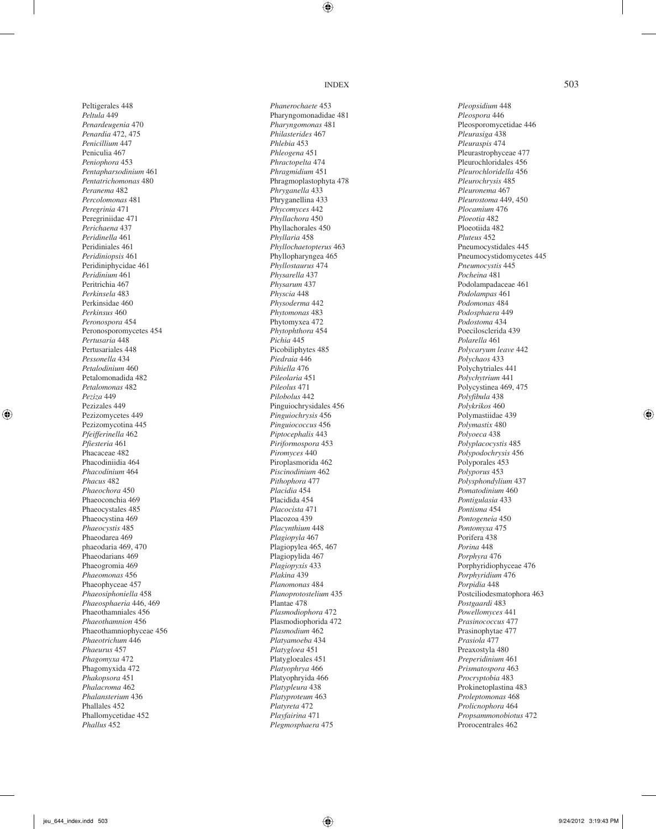Peltigerales 448 *Peltula* 449 *Penardeugenia* 470 *Penardia* 472, 475 *Penicillium* 447 Peniculia 467 *Peniophora* 453 *Pentapharsodinium* 461 *Pentatrichomonas* 480 *Peranema* 482 *Percolomonas* 481 *Peregrinia* 471 Peregriniidae 471 *Perichaena* 437 *Peridinella* 461 Peridiniales 461 *Peridiniopsis* 461 Peridiniphycidae 461 *Peridinium* 461 Peritrichia 467 *Perkinsela* 483 Perkinsidae 460 *Perkinsus* 460 *Peronospora* 454 Peronosporomycetes 454 *Pertusaria* 448 Pertusariales 448 *Pessonella* 434 *Petalodinium* 460 Petalomonadida 482 *Petalomonas* 482 *Peziza* 449 Pezizales 449 Pezizomycetes 449 Pezizomycotina 445 *Pfeifferinella* 462 *Pfiesteria* 461 Phacaceae 482 Phacodiniidia 464 *Phacodinium* 464 *Phacus* 482 *Phaeochora* 450 Phaeoconchia 469 Phaeocystales 485 Phaeocystina 469 *Phaeocystis* 485 Phaeodarea 469 phaeodaria 469, 470 Phaeodarians 469 Phaeogromia 469 *Phaeomonas* 456 Phaeophyceae 457 *Phaeosiphoniella* 458 *Phaeosphaeria* 446, 469 Phaeothamniales 456 *Phaeothamnion* 456 Phaeothamniophyceae 456 *Phaeotrichum* 446 *Phaeurus* 457 *Phagomyxa* 472 Phagomyxida 472 *Phakopsora* 451 *Phalacroma* 462 *Phalansterium* 436 Phallales 452 Phallomycetidae 452 *Phallus* 452

### INDEX 503

*Phanerochaete* 453 Pharyngomonadidae 481 *Pharyngomonas* 481 *Philasterides* 467 *Phlebia* 453 *Phleogena* 451 *Phractopelta* 474 *Phragmidium* 451 Phragmoplastophyta 478 *Phryganella* 433 Phryganellina 433 *Phycomyces* 442 *Phyllachora* 450 Phyllachorales 450 *Phyllaria* 458 *Phyllochaetopterus* 463 Phyllopharyngea 465 *Phyllostaurus* 474 *Physarella* 437 *Physarum* 437 *Physcia* 448 *Physoderma* 442 *Phytomonas* 483 Phytomyxea 472 *Phytophthora* 454 *Pichia* 445 Picobiliphytes 485 *Piedraia* 446 *Pihiella* 476 *Pileolaria* 451 *Pileolus* 471 *Pilobolus* 442 Pinguiochrysidales 456 *Pinguiochrysis* 456 *Pinguiococcus* 456 *Piptocephalis* 443 *Piriformospora* 453 *Piromyces* 440 Piroplasmorida 462 *Piscinodinium* 462 *Pithophora* 477 *Placidia* 454 Placidida 454 *Placocista* 471 Placozoa 439 *Placynthium* 448 *Plagiopyla* 467 Plagiopylea 465, 467 Plagiopylida 467 *Plagiopyxis* 433 *Plakina* 439 *Planomonas* 484 *Planoprotostelium* 435 Plantae 478 *Plasmodiophora* 472 Plasmodiophorida 472 *Plasmodium* 462 *Platyamoeba* 434 *Platygloea* 451 Platygloeales 451 *Platyophrya* 466 Platyophryida 466 *Platypleura* 438 *Platyproteum* 463 *Platyreta* 472 *Playfairina* 471 *Plegmosphaera* 475

*Pleopsidium* 448 *Pleospora* 446 Pleosporomycetidae 446 *Pleurasiga* 438 *Pleuraspis* 474 Pleurastrophyceae 477 Pleurochloridales 456 *Pleurochloridella* 456 *Pleurochrysis* 485 *Pleuronema* 467 *Pleurostoma* 449, 450 *Plocamium* 476 *Ploeotia* 482 Ploeotiida 482 *Pluteus* 452 Pneumocystidales 445 Pneumocystidomycetes 445 *Pneumocystis* 445 *Pocheina* 481 Podolampadaceae 461 *Podolampas* 461 *Podomonas* 484 *Podosphaera* 449 *Podostoma* 434 Poecilosclerida 439 *Polarella* 461 *Polycaryum leave* 442 *Polychaos* 433 Polychytriales 441 *Polychytrium* 441 Polycystinea 469, 475 *Polyfibula* 438 *Polykrikos* 460 Polymastiidae 439 *Polymastix* 480 *Polyoeca* 438 *Polyplacocystis* 485 *Polypodochrysis* 456 Polyporales 453 *Polyporus* 453 *Polysphondylium* 437 *Pomatodinium* 460 *Pontigulasia* 433 *Pontisma* 454 *Pontogeneia* 450 *Pontomyxa* 475 Porifera 438 *Porina* 448 *Porphyra* 476 Porphyridiophyceae 476 *Porphyridium* 476 *Porpidia* 448 Postciliodesmatophora 463 *Postgaardi* 483 *Powellomyces* 441 *Prasinococcus* 477 Prasinophytae 477 *Prasiola* 477 Preaxostyla 480 *Preperidinium* 461 *Prismatospora* 463 *Procryptobia* 483 Prokinetoplastina 483 *Proleptomonas* 468 *Prolicnophora* 464 *Propsammonobiotus* 472 Prorocentrales 462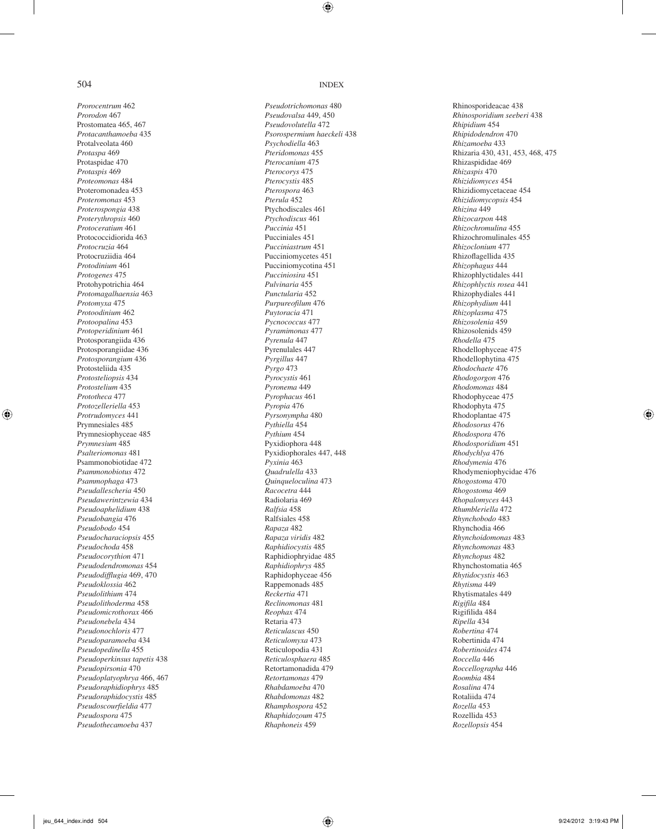*Prorocentrum* 462 *Prorodon* 467 Prostomatea 465, 467 *Protacanthamoeba* 435 Protalveolata 460 *Protaspa* 469 Protaspidae 470 *Protaspis* 469 *Proteomonas* 484 Proteromonadea 453 *Proteromonas* 453 *Proterospongia* 438 *Proterythropsis* 460 *Protoceratium* 461 Protococcidiorida 463 *Protocruzia* 464 Protocruziidia 464 *Protodinium* 461 *Protogenes* 475 Protohypotrichia 464 *Protomagalhaensia* 463 *Protomyxa* 475 *Protoodinium* 462 *Protoopalina* 453 *Protoperidinium* 461 Protosporangiida 436 Protosporangiidae 436 *Protosporangium* 436 Protosteliida 435 *Protosteliopsis* 434 *Protostelium* 435 *Prototheca* 477 *Protozelleriella* 453 *Protrudomyces* 441 Prymnesiales 485 Prymnesiophyceae 485 *Prymnesium* 485 *Psalteriomonas* 481 Psammonobiotidae 472 *Psammonobiotus* 472 *Psammophaga* 473 *Pseudallescheria* 450 *Pseudawerintzewia* 434 *Pseudoaphelidium* 438 *Pseudobangia* 476 *Pseudobodo* 454 *Pseudocharaciopsis* 455 *Pseudochoda* 458 *Pseudocorythion* 471 *Pseudodendromonas* 454 *Pseudodifflugia* 469, 470 *Pseudoklossia* 462 *Pseudolithium* 474 *Pseudolithoderma* 458 *Pseudomicrothorax* 466 *Pseudonebela* 434 *Pseudonochloris* 477 *Pseudoparamoeba* 434 *Pseudopedinella* 455 *Pseudoperkinsus tapetis* 438 *Pseudopirsonia* 470 *Pseudoplatyophrya* 466, 467 *Pseudoraphidiophrys* 485 *Pseudoraphidocystis* 485 *Pseudoscourfieldia* 477 *Pseudospora* 475 *Pseudothecamoeba* 437

### 504 INDEX

*Pseudotrichomonas* 480 *Pseudovalsa* 449, 450 *Pseudovolutella* 472 *Psorospermium haeckeli* 438 *Psychodiella* 463 *Pteridomonas* 455 *Pterocanium* 475 *Pterocorys* 475 *Pterocystis* 485 *Pterospora* 463 *Pterula* 452 Ptychodiscales 461 *Ptychodiscus* 461 *Puccinia* 451 Pucciniales 451 *Pucciniastrum* 451 Pucciniomycetes 451 Pucciniomycotina 451 *Pucciniosira* 451 *Pulvinaria* 455 *Punctularia* 452 *Purpureofilum* 476 *Puytoracia* 471 *Pycnococcus* 477 *Pyramimonas* 477 *Pyrenula* 447 Pyrenulales 447 *Pyrgillus* 447 *Pyrgo* 473 *Pyrocystis* 461 *Pyronema* 449 *Pyrophacus* 461 *Pyropia* 476 *Pyrsonympha* 480 *Pythiella* 454 *Pythium* 454 Pyxidiophora 448 Pyxidiophorales 447, 448 *Pyxinia* 463 *Quadrulella* 433 *Quinqueloculina* 473 *Racocetra* 444 Radiolaria 469 *Ralfsia* 458 Ralfsiales 458 *Rapaza* 482 *Rapaza viridis* 482 *Raphidiocystis* 485 Raphidiophryidae 485 *Raphidiophrys* 485 Raphidophyceae 456 Rappemonads 485 *Reckertia* 471 *Reclinomonas* 481 *Reophax* 474 Retaria 473 *Reticulascus* 450 *Reticulomyxa* 473 Reticulopodia 431 *Reticulosphaera* 485 Retortamonadida 479 *Retortamonas* 479 *Rhabdamoeba* 470 *Rhabdomonas* 482 *Rhamphospora* 452 *Rhaphidozoum* 475 *Rhaphoneis* 459

Rhinosporideacae 438 *Rhinosporidium seeberi* 438 *Rhipidium* 454 *Rhipidodendron* 470 *Rhizamoeba* 433 Rhizaria 430, 431, 453, 468, 475 Rhizaspididae 469 *Rhizaspis* 470 *Rhizidiomyces* 454 Rhizidiomycetaceae 454 *Rhizidiomycopsis* 454 *Rhizina* 449 *Rhizocarpon* 448 *Rhizochromulina* 455 Rhizochromulinales 455 *Rhizoclonium* 477 Rhizoflagellida 435 *Rhizophagus* 444 Rhizophlyctidales 441 *Rhizophlyctis rosea* 441 Rhizophydiales 441 *Rhizophydium* 441 *Rhizoplasma* 475 *Rhizosolenia* 459 Rhizosolenids 459 *Rhodella* 475 Rhodellophyceae 475 Rhodellophytina 475 *Rhodochaete* 476 *Rhodogorgon* 476 *Rhodomonas* 484 Rhodophyceae 475 Rhodophyta 475 Rhodoplantae 475 *Rhodosorus* 476 *Rhodospora* 476 *Rhodosporidium* 451 *Rhodychlya* 476 *Rhodymenia* 476 Rhodymeniophycidae 476 *Rhogostoma* 470 *Rhogostoma* 469 *Rhopalomyces* 443 *Rhumbleriella* 472 *Rhynchobodo* 483 Rhynchodia 466 *Rhynchoidomonas* 483 *Rhynchomonas* 483 *Rhynchopus* 482 Rhynchostomatia 465 *Rhytidocystis* 463 *Rhytisma* 449 Rhytismatales 449 *Rigifila* 484 Rigifilida 484 *Ripella* 434 *Robertina* 474 Robertinida 474 *Robertinoides* 474 *Roccella* 446 *Roccellographa* 446 *Roombia* 484 *Rosalina* 474 Rotaliida 474 *Rozella* 453 Rozellida 453 *Rozellopsis* 454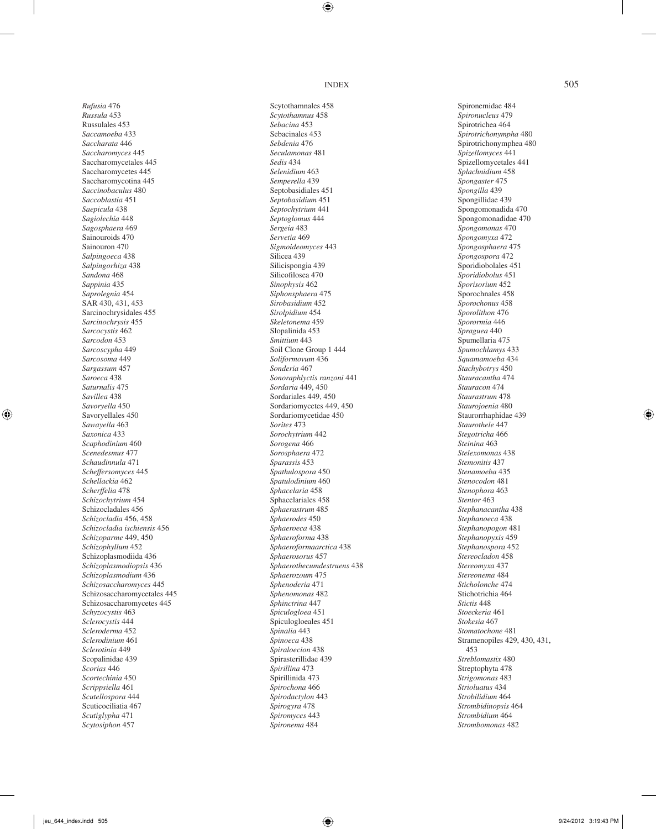*Rufusia* 476 *Russula* 453 Russulales 453 *Saccamoeba* 433 *Saccharata* 446 *Saccharomyces* 445 Saccharomycetales 445 Saccharomycetes 445 Saccharomycotina 445 *Saccinobaculus* 480 *Saccoblastia* 451 *Saepicula* 438 *Sagiolechia* 448 *Sagosphaera* 469 Sainouroids 470 Sainouron 470 *Salpingoeca* 438 *Salpingorhiza* 438 *Sandona* 468 *Sappinia* 435 *Saprolegnia* 454 SAR 430, 431, 453 Sarcinochrysidales 455 *Sarcinochrysis* 455 *Sarcocystis* 462 *Sarcodon* 453 *Sarcoscypha* 449 *Sarcosoma* 449 *Sargassum* 457 *Saroeca* 438 *Saturnalis* 475 *Savillea* 438 *Savoryella* 450 Savoryellales 450 *Sawayella* 463 *Saxonica* 433 *Scaphodinium* 460 *Scenedesmus* 477 *Schaudinnula* 471 *Scheffersomyces* 445 *Schellackia* 462 *Scherffelia* 478 *Schizochytrium* 454 Schizocladales 456 *Schizocladia* 456, 458 *Schizocladia ischiensis* 456 *Schizoparme* 449, 450 *Schizophyllum* 452 Schizoplasmodiida 436 *Schizoplasmodiopsis* 436 *Schizoplasmodium* 436 *Schizosaccharomyces* 445 Schizosaccharomycetales 445 Schizosaccharomycetes 445 *Schyzocystis* 463 *Sclerocystis* 444 *Scleroderma* 452 *Sclerodinium* 461 *Sclerotinia* 449 Scopalinidae 439 *Scorias* 446 *Scortechinia* 450 *Scrippsiella* 461 *Scutellospora* 444 Scuticociliatia 467 *Scutiglypha* 471 *Scytosiphon* 457

### INDEX 505

Scytothamnales 458 *Scytothamnus* 458 *Sebacina* 453 Sebacinales 453 *Sebdenia* 476 *Seculamonas* 481 *Sedis* 434 *Selenidium* 463 *Semperella* 439 Septobasidiales 451 *Septobasidium* 451 *Septochytrium* 441 *Septoglomus* 444 *Sergeia* 483 *Servetia* 469 *Sigmoideomyces* 443 Silicea 439 Silicispongia 439 Silicofilosea 470 *Sinophysis* 462 *Siphonsphaera* 475 *Sirobasidium* 452 *Sirolpidium* 454 *Skeletonema* 459 Slopalinida 453 *Smittium* 443 Soil Clone Group 1 444 *Soliformovum* 436 *Sonderia* 467 *Sonoraphlyctis ranzoni* 441 *Sordaria* 449, 450 Sordariales 449, 450 Sordariomycetes 449, 450 Sordariomycetidae 450 *Sorites* 473 *Sorochytrium* 442 *Sorogena* 466 *Sorosphaera* 472 *Sparassis* 453 *Spathulospora* 450 *Spatulodinium* 460 *Sphacelaria* 458 Sphacelariales 458 *Sphaerastrum* 485 *Sphaerodes* 450 *Sphaeroeca* 438 *Sphaeroforma* 438 *Sphaeroformaarctica* 438 *Sphaerosorus* 457 *Sphaerothecumdestruens* 438 *Sphaerozoum* 475 *Sphenoderia* 471 *Sphenomonas* 482 *Sphinctrina* 447 *Spiculogloea* 451 Spiculogloeales 451 *Spinalia* 443 *Spinoeca* 438 *Spiraloecion* 438 Spirasterillidae 439 *Spirillina* 473 Spirillinida 473 *Spirochona* 466 *Spirodactylon* 443 *Spirogyra* 478 *Spiromyces* 443 *Spironema* 484

Spironemidae 484 *Spironucleus* 479 Spirotrichea 464 *Spirotrichonympha* 480 Spirotrichonymphea 480 *Spizellomyces* 441 Spizellomycetales 441 *Splachnidium* 458 *Spongaster* 475 *Spongilla* 439 Spongillidae 439 Spongomonadida 470 Spongomonadidae 470 *Spongomonas* 470 *Spongomyxa* 472 *Spongosphaera* 475 *Spongospora* 472 Sporidiobolales 451 *Sporidiobolus* 451 *Sporisorium* 452 Sporochnales 458 *Sporochonus* 458 *Sporolithon* 476 *Sporormia* 446 *Spraguea* 440 Spumellaria 475 *Spumochlamys* 433 *Squamamoeba* 434 *Stachybotrys* 450 *Stauracantha* 474 *Stauracon* 474 *Staurastrum* 478 *Staurojoenia* 480 Staurorrhaphidae 439 *Staurothele* 447 *Stegotricha* 466 *Steinina* 463 *Stelexomonas* 438 *Stemonitis* 437 *Stenamoeba* 435 *Stenocodon* 481 *Stenophora* 463 *Stentor* 463 *Stephanacantha* 438 *Stephanoeca* 438 *Stephanopogon* 481 *Stephanopyxis* 459 *Stephanospora* 452 *Stereocladon* 458 *Stereomyxa* 437 *Stereonema* 484 *Sticholonche* 474 Stichotrichia 464 *Stictis* 448 *Stoeckeria* 461 *Stokesia* 467 *Stomatochone* 481 Stramenopiles 429, 430, 431, 453 *Streblomastix* 480 Streptophyta 478 *Strigomonas* 483 *Strioluatus* 434 *Strobilidium* 464 *Strombidinopsis* 464 *Strombidium* 464 *Strombomonas* 482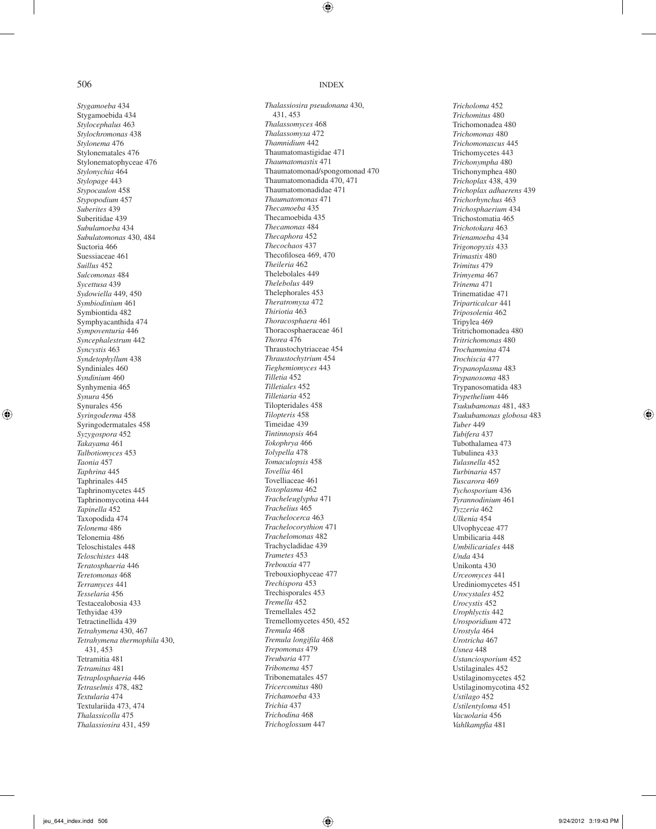*Stygamoeba* 434 Stygamoebida 434 *Stylocephalus* 463 *Stylochromonas* 438 *Stylonema* 476 Stylonematales 476 Stylonematophyceae 476 *Stylonychia* 464 *Stylopage* 443 *Stypocaulon* 458 *Stypopodium* 457 *Suberites* 439 Suberitidae 439 *Subulamoeba* 434 *Subulatomonas* 430, 484 Suctoria 466 Suessiaceae 461 *Suillus* 452 *Sulcomonas* 484 *Sycettusa* 439 *Sydowiella* 449, 450 *Symbiodinium* 461 Symbiontida 482 Symphyacanthida 474 *Sympoventuria* 446 *Syncephalestrum* 442 *Syncystis* 463 *Syndetophyllum* 438 Syndiniales 460 *Syndinium* 460 Synhymenia 465 *Synura* 456 Synurales 456 *Syringoderma* 458 Syringodermatales 458 *Syzygospora* 452 *Takayama* 461 *Talbotiomyces* 453 *Taonia* 457 *Taphrina* 445 Taphrinales 445 Taphrinomycetes 445 Taphrinomycotina 444 *Tapinella* 452 Taxopodida 474 *Telonema* 486 Telonemia 486 Teloschistales 448 *Teloschistes* 448 *Teratosphaeria* 446 *Teretomonas* 468 *Terramyces* 441 *Tesselaria* 456 Testacealobosia 433 Tethyidae 439 Tetractinellida 439 *Tetrahymena* 430, 467 *Tetrahymena thermophila* 430, 431, 453 Tetramitia 481 *Tetramitus* 481 *Tetraplosphaeria* 446 *Tetraselmis* 478, 482 *Textularia* 474 Textulariida 473, 474 *Thalassicolla* 475 *Thalassiosira* 431, 459

# 506 INDEX

*Thalassiosira pseudonana* 430, 431, 453 *Thalassomyces* 468 *Thalassomyxa* 472 *Thamnidium* 442 Thaumatomastigidae 471 *Thaumatomastix* 471 Thaumatomonad/spongomonad 470 Thaumatomonadida 470, 471 Thaumatomonadidae 471 *Thaumatomonas* 471 *Thecamoeba* 435 Thecamoebida 435 *Thecamonas* 484 *Thecaphora* 452 *Thecochaos* 437 Thecofilosea 469, 470 *Theileria* 462 Thelebolales 449 *Thelebolus* 449 Thelephorales 453 *Theratromyxa* 472 *Thiriotia* 463 *Thoracosphaera* 461 Thoracosphaeraceae 461 *Thorea* 476 Thraustochytriaceae 454 *Thraustochytrium* 454 *Tieghemiomyces* 443 *Tilletia* 452 *Tilletiales* 452 *Tilletiaria* 452 Tilopteridales 458 *Tilopteris* 458 Timeidae 439 *Tintinnopsis* 464 *Tokophrya* 466 *Tolypella* 478 *Tomaculopsis* 458 *Tovellia* 461 Tovelliaceae 461 *Toxoplasma* 462 *Tracheleuglypha* 471 *Trachelius* 465 *Trachelocerca* 463 *Trachelocorythion* 471 *Trachelomonas* 482 Trachycladidae 439 *Trametes* 453 *Trebouxia* 477 Trebouxiophyceae 477 *Trechispora* 453 Trechisporales 453 *Tremella* 452 Tremellales 452 Tremellomycetes 450, 452 *Tremula* 468 *Tremula longifila* 468 *Trepomonas* 479 *Treubaria* 477 *Tribonema* 457 Tribonematales 457 *Tricercomitus* 480 *Trichamoeba* 433 *Trichia* 437 *Trichodina* 468 *Trichoglossum* 447

*Tricholoma* 452 *Trichomitus* 480 Trichomonadea 480 *Trichomonas* 480 *Trichomonascus* 445 Trichomycetes 443 *Trichonympha* 480 Trichonymphea 480 *Trichoplax* 438, 439 *Trichoplax adhaerens* 439 *Trichorhynchus* 463 *Trichosphaerium* 434 Trichostomatia 465 *Trichotokara* 463 *Trienamoeba* 434 *Trigonopyxis* 433 *Trimastix* 480 *Trimitus* 479 *Trimyema* 467 *Trinema* 471 Trinematidae 471 *Triparticalcar* 441 *Triposolenia* 462 Tripylea 469 Tritrichomonadea 480 *Tritrichomonas* 480 *Trochammina* 474 *Trochiscia* 477 *Trypanoplasma* 483 *Trypanosoma* 483 Trypanosomatida 483 *Trypethelium* 446 *Tsukubamonas* 481, 483 *Tsukubamonas globosa* 483 *Tuber* 449 *Tubifera* 437 Tubothalamea 473 Tubulinea 433 *Tulasnella* 452 *Turbinaria* 457 *Tuscarora* 469 *Tychosporium* 436 *Tyrannodinium* 461 *Tyzzeria* 462 *Ulkenia* 454 Ulvophyceae 477 Umbilicaria 448 *Umbilicariales* 448 *Unda* 434 Unikonta 430 *Urceomyces* 441 Urediniomycetes 451 *Urocystales* 452 *Urocystis* 452 *Urophlyctis* 442 *Urosporidium* 472 *Urostyla* 464 *Urotricha* 467 *Usnea* 448 *Ustanciosporium* 452 Ustilaginales 452 Ustilaginomycetes 452 Ustilaginomycotina 452 *Ustilago* 452 *Ustilentyloma* 451 *Vacuolaria* 456 *Vahlkampfia* 481